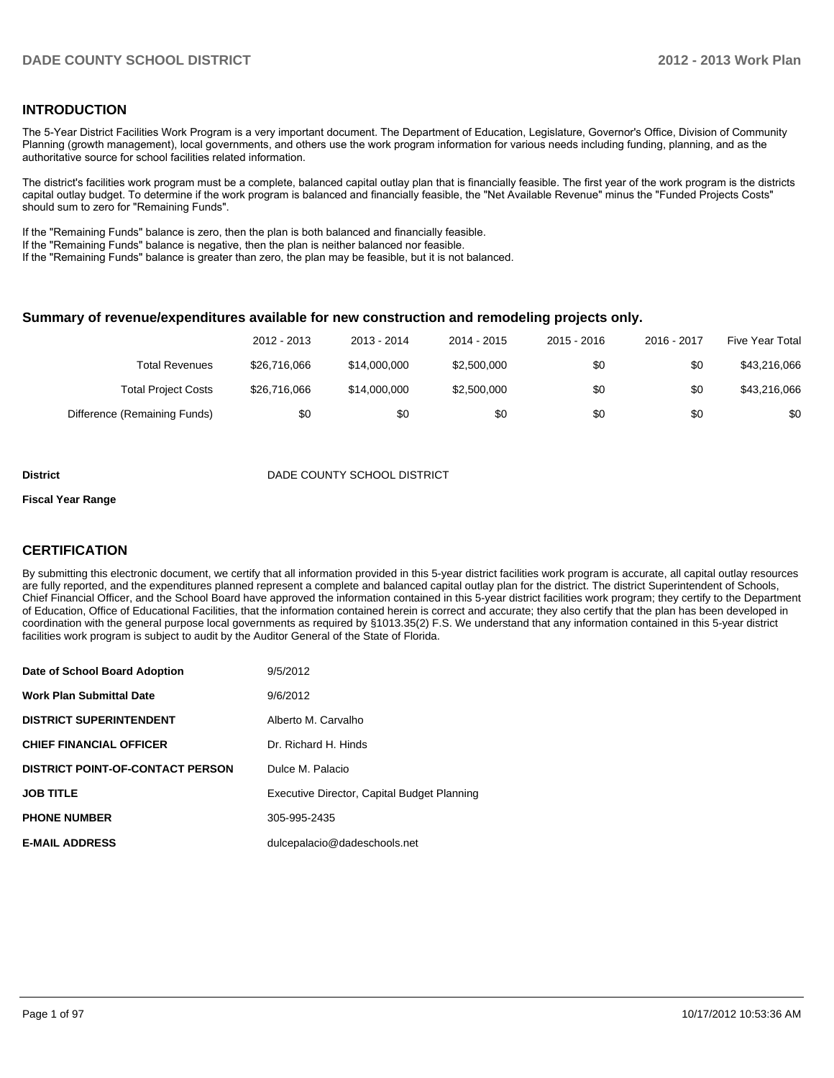#### **INTRODUCTION**

The 5-Year District Facilities Work Program is a very important document. The Department of Education, Legislature, Governor's Office, Division of Community Planning (growth management), local governments, and others use the work program information for various needs including funding, planning, and as the authoritative source for school facilities related information.

The district's facilities work program must be a complete, balanced capital outlay plan that is financially feasible. The first year of the work program is the districts capital outlay budget. To determine if the work program is balanced and financially feasible, the "Net Available Revenue" minus the "Funded Projects Costs" should sum to zero for "Remaining Funds".

If the "Remaining Funds" balance is zero, then the plan is both balanced and financially feasible.

If the "Remaining Funds" balance is negative, then the plan is neither balanced nor feasible.

If the "Remaining Funds" balance is greater than zero, the plan may be feasible, but it is not balanced.

#### **Summary of revenue/expenditures available for new construction and remodeling projects only.**

|                              | 2012 - 2013  | 2013 - 2014  | 2014 - 2015 | 2015 - 2016 | 2016 - 2017 | <b>Five Year Total</b> |
|------------------------------|--------------|--------------|-------------|-------------|-------------|------------------------|
| <b>Total Revenues</b>        | \$26,716,066 | \$14,000,000 | \$2,500,000 | \$0         | \$0         | \$43,216,066           |
| <b>Total Project Costs</b>   | \$26,716,066 | \$14,000,000 | \$2,500,000 | \$0         | \$0         | \$43,216,066           |
| Difference (Remaining Funds) | \$0          | \$0          | \$0         | \$0         | \$0         | \$0                    |

#### **District District DADE COUNTY SCHOOL DISTRICT**

#### **Fiscal Year Range**

#### **CERTIFICATION**

By submitting this electronic document, we certify that all information provided in this 5-year district facilities work program is accurate, all capital outlay resources are fully reported, and the expenditures planned represent a complete and balanced capital outlay plan for the district. The district Superintendent of Schools, Chief Financial Officer, and the School Board have approved the information contained in this 5-year district facilities work program; they certify to the Department of Education, Office of Educational Facilities, that the information contained herein is correct and accurate; they also certify that the plan has been developed in coordination with the general purpose local governments as required by §1013.35(2) F.S. We understand that any information contained in this 5-year district facilities work program is subject to audit by the Auditor General of the State of Florida.

| Date of School Board Adoption           | 9/5/2012                                    |
|-----------------------------------------|---------------------------------------------|
| <b>Work Plan Submittal Date</b>         | 9/6/2012                                    |
| <b>DISTRICT SUPERINTENDENT</b>          | Alberto M. Carvalho                         |
| <b>CHIEF FINANCIAL OFFICER</b>          | Dr. Richard H. Hinds                        |
| <b>DISTRICT POINT-OF-CONTACT PERSON</b> | Dulce M. Palacio                            |
| <b>JOB TITLE</b>                        | Executive Director, Capital Budget Planning |
| <b>PHONE NUMBER</b>                     | 305-995-2435                                |
| <b>E-MAIL ADDRESS</b>                   | dulcepalacio@dadeschools.net                |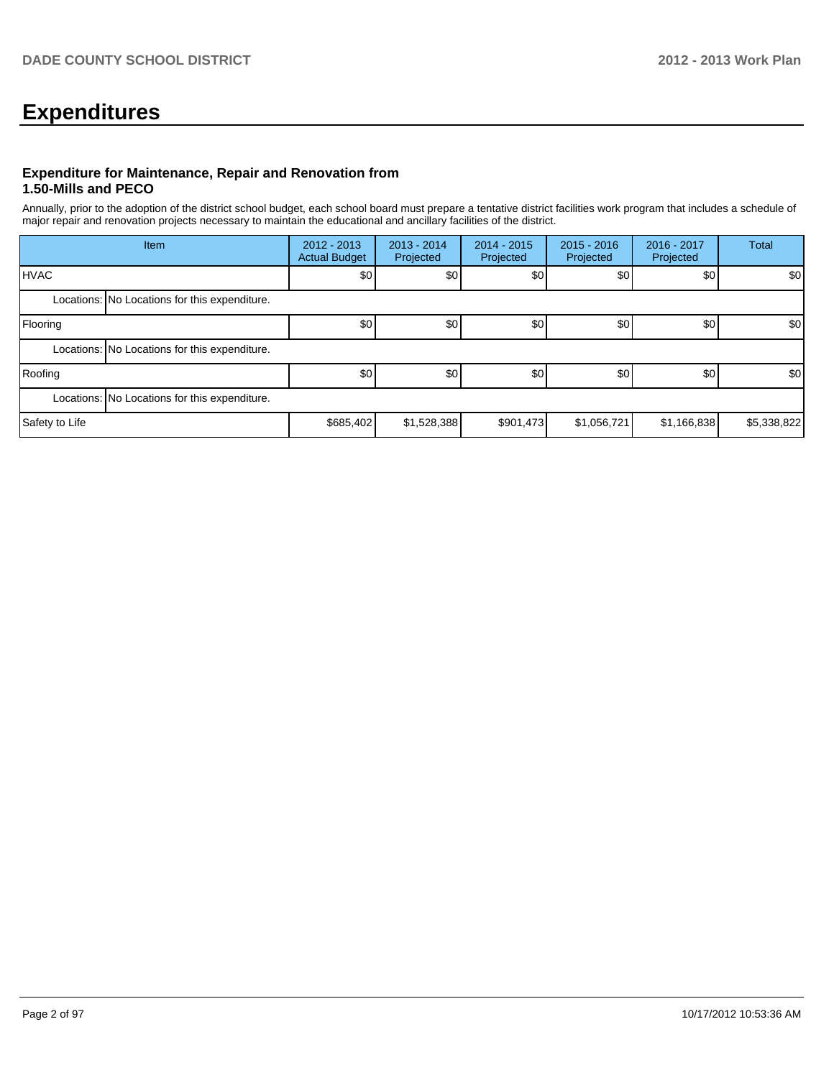# **Expenditures**

#### **Expenditure for Maintenance, Repair and Renovation from 1.50-Mills and PECO**

Annually, prior to the adoption of the district school budget, each school board must prepare a tentative district facilities work program that includes a schedule of major repair and renovation projects necessary to maintain the educational and ancillary facilities of the district.

|                | Item                                          |                  | 2013 - 2014<br>Projected | $2014 - 2015$<br>Projected | $2015 - 2016$<br>Projected | 2016 - 2017<br>Projected | Total            |  |  |  |
|----------------|-----------------------------------------------|------------------|--------------------------|----------------------------|----------------------------|--------------------------|------------------|--|--|--|
| <b>IHVAC</b>   |                                               | \$0 <sub>1</sub> | \$0                      | \$0                        | \$0                        | \$0                      | \$0              |  |  |  |
|                | Locations: No Locations for this expenditure. |                  |                          |                            |                            |                          |                  |  |  |  |
| Flooring       |                                               | \$0              | \$0                      | \$0                        | \$0                        | \$0                      | \$0              |  |  |  |
|                | Locations: No Locations for this expenditure. |                  |                          |                            |                            |                          |                  |  |  |  |
| Roofing        |                                               | \$0              | \$0                      | \$0                        | \$0                        | \$0                      | \$0 <sub>1</sub> |  |  |  |
|                | Locations: No Locations for this expenditure. |                  |                          |                            |                            |                          |                  |  |  |  |
| Safety to Life |                                               | \$685,402        | \$1,528,388              | \$901,473                  | \$1,056,721                | \$1,166,838              | \$5,338,822      |  |  |  |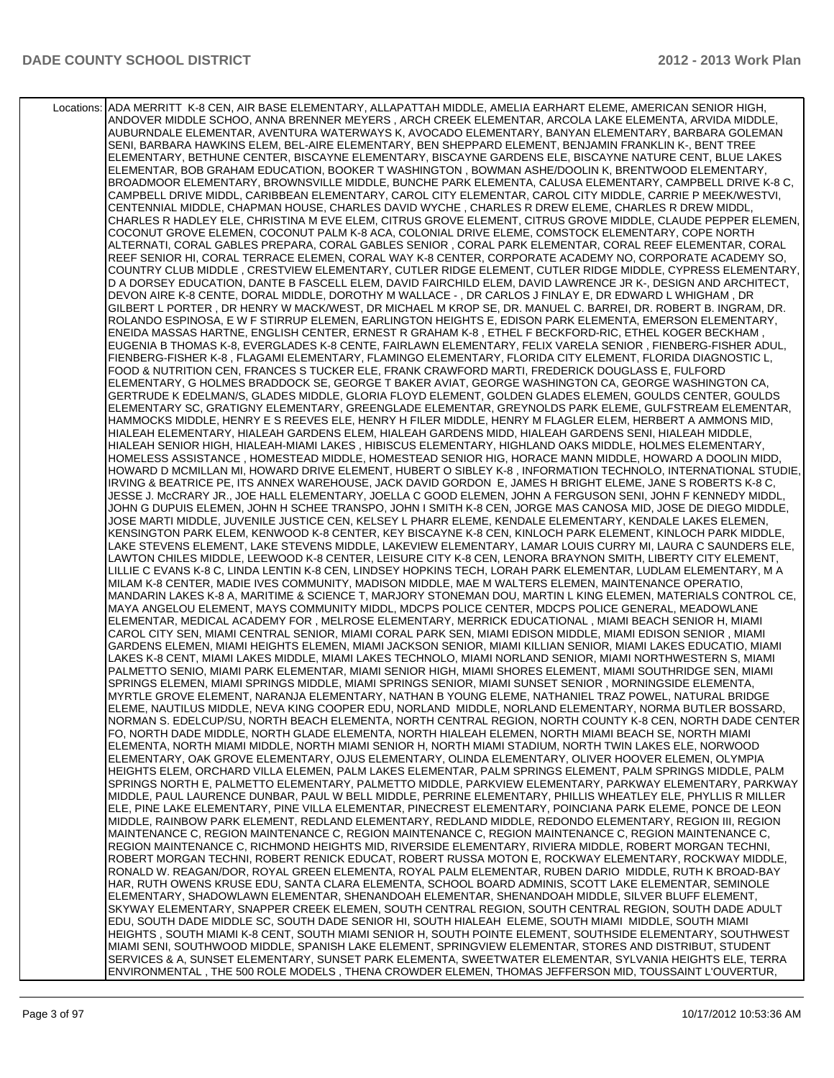Locations: ADA MERRITT K-8 CEN, AIR BASE ELEMENTARY, ALLAPATTAH MIDDLE, AMELIA EARHART ELEME, AMERICAN SENIOR HIGH, ANDOVER MIDDLE SCHOO, ANNA BRENNER MEYERS , ARCH CREEK ELEMENTAR, ARCOLA LAKE ELEMENTA, ARVIDA MIDDLE, AUBURNDALE ELEMENTAR, AVENTURA WATERWAYS K, AVOCADO ELEMENTARY, BANYAN ELEMENTARY, BARBARA GOLEMAN SENI, BARBARA HAWKINS ELEM, BEL-AIRE ELEMENTARY, BEN SHEPPARD ELEMENT, BENJAMIN FRANKLIN K-, BENT TREE ELEMENTARY, BETHUNE CENTER, BISCAYNE ELEMENTARY, BISCAYNE GARDENS ELE, BISCAYNE NATURE CENT, BLUE LAKES ELEMENTAR, BOB GRAHAM EDUCATION, BOOKER T WASHINGTON , BOWMAN ASHE/DOOLIN K, BRENTWOOD ELEMENTARY, BROADMOOR ELEMENTARY, BROWNSVILLE MIDDLE, BUNCHE PARK ELEMENTA, CALUSA ELEMENTARY, CAMPBELL DRIVE K-8 C, CAMPBELL DRIVE MIDDL, CARIBBEAN ELEMENTARY, CAROL CITY ELEMENTAR, CAROL CITY MIDDLE, CARRIE P MEEK/WESTVI, CENTENNIAL MIDDLE, CHAPMAN HOUSE, CHARLES DAVID WYCHE , CHARLES R DREW ELEME, CHARLES R DREW MIDDL, CHARLES R HADLEY ELE, CHRISTINA M EVE ELEM, CITRUS GROVE ELEMENT, CITRUS GROVE MIDDLE, CLAUDE PEPPER ELEMEN, COCONUT GROVE ELEMEN, COCONUT PALM K-8 ACA, COLONIAL DRIVE ELEME, COMSTOCK ELEMENTARY, COPE NORTH ALTERNATI, CORAL GABLES PREPARA, CORAL GABLES SENIOR , CORAL PARK ELEMENTAR, CORAL REEF ELEMENTAR, CORAL REEF SENIOR HI, CORAL TERRACE ELEMEN, CORAL WAY K-8 CENTER, CORPORATE ACADEMY NO, CORPORATE ACADEMY SO, COUNTRY CLUB MIDDLE , CRESTVIEW ELEMENTARY, CUTLER RIDGE ELEMENT, CUTLER RIDGE MIDDLE, CYPRESS ELEMENTARY, D A DORSEY EDUCATION, DANTE B FASCELL ELEM, DAVID FAIRCHILD ELEM, DAVID LAWRENCE JR K-, DESIGN AND ARCHITECT, DEVON AIRE K-8 CENTE, DORAL MIDDLE, DOROTHY M WALLACE - , DR CARLOS J FINLAY E, DR EDWARD L WHIGHAM , DR GILBERT L PORTER , DR HENRY W MACK/WEST, DR MICHAEL M KROP SE, DR. MANUEL C. BARREI, DR. ROBERT B. INGRAM, DR. ROLANDO ESPINOSA, E W F STIRRUP ELEMEN, EARLINGTON HEIGHTS E, EDISON PARK ELEMENTA, EMERSON ELEMENTARY, ENEIDA MASSAS HARTNE, ENGLISH CENTER, ERNEST R GRAHAM K-8 , ETHEL F BECKFORD-RIC, ETHEL KOGER BECKHAM , EUGENIA B THOMAS K-8, EVERGLADES K-8 CENTE, FAIRLAWN ELEMENTARY, FELIX VARELA SENIOR , FIENBERG-FISHER ADUL, FIENBERG-FISHER K-8 , FLAGAMI ELEMENTARY, FLAMINGO ELEMENTARY, FLORIDA CITY ELEMENT, FLORIDA DIAGNOSTIC L, FOOD & NUTRITION CEN, FRANCES S TUCKER ELE, FRANK CRAWFORD MARTI, FREDERICK DOUGLASS E, FULFORD ELEMENTARY, G HOLMES BRADDOCK SE, GEORGE T BAKER AVIAT, GEORGE WASHINGTON CA, GEORGE WASHINGTON CA, GERTRUDE K EDELMAN/S, GLADES MIDDLE, GLORIA FLOYD ELEMENT, GOLDEN GLADES ELEMEN, GOULDS CENTER, GOULDS ELEMENTARY SC, GRATIGNY ELEMENTARY, GREENGLADE ELEMENTAR, GREYNOLDS PARK ELEME, GULFSTREAM ELEMENTAR, HAMMOCKS MIDDLE, HENRY E S REEVES ELE, HENRY H FILER MIDDLE, HENRY M FLAGLER ELEM, HERBERT A AMMONS MID, HIALEAH ELEMENTARY, HIALEAH GARDENS ELEM, HIALEAH GARDENS MIDD, HIALEAH GARDENS SENI, HIALEAH MIDDLE, HIALEAH SENIOR HIGH, HIALEAH-MIAMI LAKES , HIBISCUS ELEMENTARY, HIGHLAND OAKS MIDDLE, HOLMES ELEMENTARY, HOMELESS ASSISTANCE , HOMESTEAD MIDDLE, HOMESTEAD SENIOR HIG, HORACE MANN MIDDLE, HOWARD A DOOLIN MIDD, HOWARD D MCMILLAN MI, HOWARD DRIVE ELEMENT, HUBERT O SIBLEY K-8 , INFORMATION TECHNOLO, INTERNATIONAL STUDIE, IRVING & BEATRICE PE, ITS ANNEX WAREHOUSE, JACK DAVID GORDON E, JAMES H BRIGHT ELEME, JANE S ROBERTS K-8 C, JESSE J. McCRARY JR., JOE HALL ELEMENTARY, JOELLA C GOOD ELEMEN, JOHN A FERGUSON SENI, JOHN F KENNEDY MIDDL, JOHN G DUPUIS ELEMEN, JOHN H SCHEE TRANSPO, JOHN I SMITH K-8 CEN, JORGE MAS CANOSA MID, JOSE DE DIEGO MIDDLE, JOSE MARTI MIDDLE, JUVENILE JUSTICE CEN, KELSEY L PHARR ELEME, KENDALE ELEMENTARY, KENDALE LAKES ELEMEN, KENSINGTON PARK ELEM, KENWOOD K-8 CENTER, KEY BISCAYNE K-8 CEN, KINLOCH PARK ELEMENT, KINLOCH PARK MIDDLE, LAKE STEVENS ELEMENT, LAKE STEVENS MIDDLE, LAKEVIEW ELEMENTARY, LAMAR LOUIS CURRY MI, LAURA C SAUNDERS ELE, LAWTON CHILES MIDDLE, LEEWOOD K-8 CENTER, LEISURE CITY K-8 CEN, LENORA BRAYNON SMITH, LIBERTY CITY ELEMENT, LILLIE C EVANS K-8 C, LINDA LENTIN K-8 CEN, LINDSEY HOPKINS TECH, LORAH PARK ELEMENTAR, LUDLAM ELEMENTARY, M A MILAM K-8 CENTER, MADIE IVES COMMUNITY, MADISON MIDDLE, MAE M WALTERS ELEMEN, MAINTENANCE OPERATIO, MANDARIN LAKES K-8 A, MARITIME & SCIENCE T, MARJORY STONEMAN DOU, MARTIN L KING ELEMEN, MATERIALS CONTROL CE, MAYA ANGELOU ELEMENT, MAYS COMMUNITY MIDDL, MDCPS POLICE CENTER, MDCPS POLICE GENERAL, MEADOWLANE ELEMENTAR, MEDICAL ACADEMY FOR , MELROSE ELEMENTARY, MERRICK EDUCATIONAL , MIAMI BEACH SENIOR H, MIAMI CAROL CITY SEN, MIAMI CENTRAL SENIOR, MIAMI CORAL PARK SEN, MIAMI EDISON MIDDLE, MIAMI EDISON SENIOR , MIAMI GARDENS ELEMEN, MIAMI HEIGHTS ELEMEN, MIAMI JACKSON SENIOR, MIAMI KILLIAN SENIOR, MIAMI LAKES EDUCATIO, MIAMI LAKES K-8 CENT, MIAMI LAKES MIDDLE, MIAMI LAKES TECHNOLO, MIAMI NORLAND SENIOR, MIAMI NORTHWESTERN S, MIAMI PALMETTO SENIO, MIAMI PARK ELEMENTAR, MIAMI SENIOR HIGH, MIAMI SHORES ELEMENT, MIAMI SOUTHRIDGE SEN, MIAMI SPRINGS ELEMEN, MIAMI SPRINGS MIDDLE, MIAMI SPRINGS SENIOR, MIAMI SUNSET SENIOR , MORNINGSIDE ELEMENTA, MYRTLE GROVE ELEMENT, NARANJA ELEMENTARY, NATHAN B YOUNG ELEME, NATHANIEL TRAZ POWEL, NATURAL BRIDGE ELEME, NAUTILUS MIDDLE, NEVA KING COOPER EDU, NORLAND MIDDLE, NORLAND ELEMENTARY, NORMA BUTLER BOSSARD, NORMAN S. EDELCUP/SU, NORTH BEACH ELEMENTA, NORTH CENTRAL REGION, NORTH COUNTY K-8 CEN, NORTH DADE CENTER FO, NORTH DADE MIDDLE, NORTH GLADE ELEMENTA, NORTH HIALEAH ELEMEN, NORTH MIAMI BEACH SE, NORTH MIAMI ELEMENTA, NORTH MIAMI MIDDLE, NORTH MIAMI SENIOR H, NORTH MIAMI STADIUM, NORTH TWIN LAKES ELE, NORWOOD ELEMENTARY, OAK GROVE ELEMENTARY, OJUS ELEMENTARY, OLINDA ELEMENTARY, OLIVER HOOVER ELEMEN, OLYMPIA HEIGHTS ELEM, ORCHARD VILLA ELEMEN, PALM LAKES ELEMENTAR, PALM SPRINGS ELEMENT, PALM SPRINGS MIDDLE, PALM SPRINGS NORTH E, PALMETTO ELEMENTARY, PALMETTO MIDDLE, PARKVIEW ELEMENTARY, PARKWAY ELEMENTARY, PARKWAY MIDDLE, PAUL LAURENCE DUNBAR, PAUL W BELL MIDDLE, PERRINE ELEMENTARY, PHILLIS WHEATLEY ELE, PHYLLIS R MILLER ELE, PINE LAKE ELEMENTARY, PINE VILLA ELEMENTAR, PINECREST ELEMENTARY, POINCIANA PARK ELEME, PONCE DE LEON MIDDLE, RAINBOW PARK ELEMENT, REDLAND ELEMENTARY, REDLAND MIDDLE, REDONDO ELEMENTARY, REGION III, REGION MAINTENANCE C, REGION MAINTENANCE C, REGION MAINTENANCE C, REGION MAINTENANCE C, REGION MAINTENANCE C, REGION MAINTENANCE C, RICHMOND HEIGHTS MID, RIVERSIDE ELEMENTARY, RIVIERA MIDDLE, ROBERT MORGAN TECHNI, ROBERT MORGAN TECHNI, ROBERT RENICK EDUCAT, ROBERT RUSSA MOTON E, ROCKWAY ELEMENTARY, ROCKWAY MIDDLE, RONALD W. REAGAN/DOR, ROYAL GREEN ELEMENTA, ROYAL PALM ELEMENTAR, RUBEN DARIO MIDDLE, RUTH K BROAD-BAY HAR, RUTH OWENS KRUSE EDU, SANTA CLARA ELEMENTA, SCHOOL BOARD ADMINIS, SCOTT LAKE ELEMENTAR, SEMINOLE ELEMENTARY, SHADOWLAWN ELEMENTAR, SHENANDOAH ELEMENTAR, SHENANDOAH MIDDLE, SILVER BLUFF ELEMENT, SKYWAY ELEMENTARY, SNAPPER CREEK ELEMEN, SOUTH CENTRAL REGION, SOUTH CENTRAL REGION, SOUTH DADE ADULT EDU, SOUTH DADE MIDDLE SC, SOUTH DADE SENIOR HI, SOUTH HIALEAH ELEME, SOUTH MIAMI MIDDLE, SOUTH MIAMI HEIGHTS , SOUTH MIAMI K-8 CENT, SOUTH MIAMI SENIOR H, SOUTH POINTE ELEMENT, SOUTHSIDE ELEMENTARY, SOUTHWEST MIAMI SENI, SOUTHWOOD MIDDLE, SPANISH LAKE ELEMENT, SPRINGVIEW ELEMENTAR, STORES AND DISTRIBUT, STUDENT SERVICES & A, SUNSET ELEMENTARY, SUNSET PARK ELEMENTA, SWEETWATER ELEMENTAR, SYLVANIA HEIGHTS ELE, TERRA ENVIRONMENTAL , THE 500 ROLE MODELS , THENA CROWDER ELEMEN, THOMAS JEFFERSON MID, TOUSSAINT L'OUVERTUR,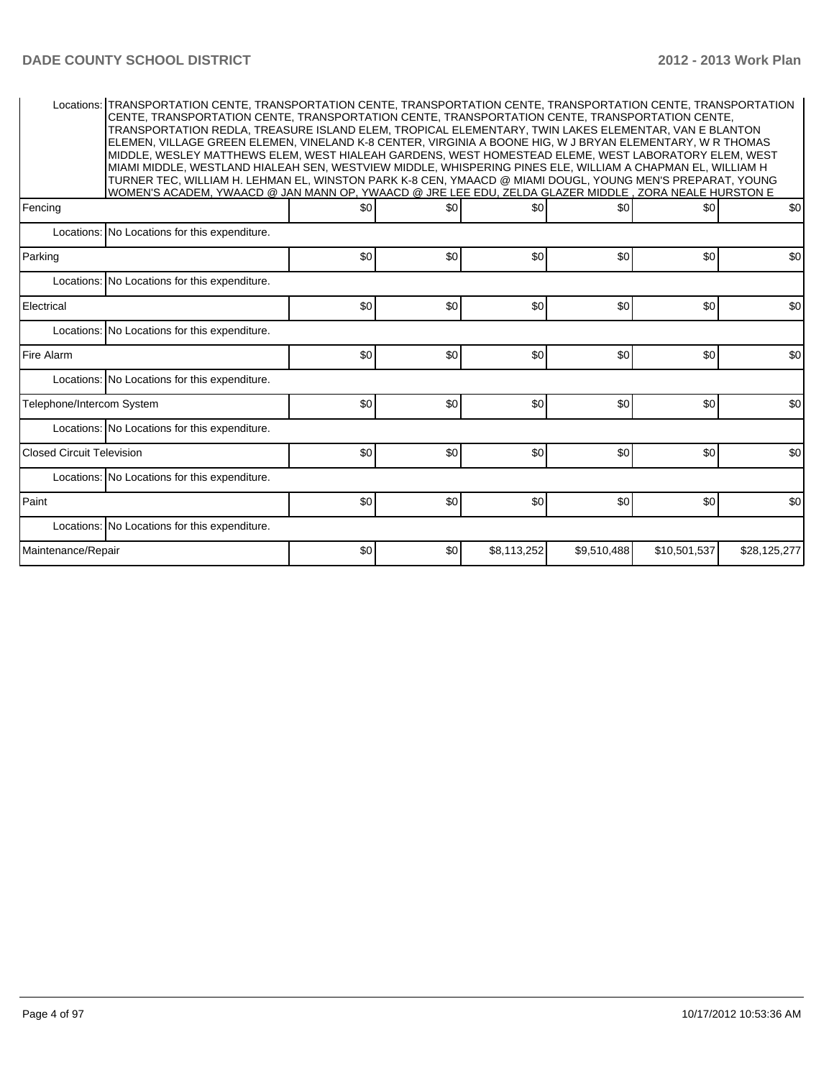|                           | Locations: TRANSPORTATION CENTE, TRANSPORTATION CENTE, TRANSPORTATION CENTE, TRANSPORTATION CENTE, TRANSPORTATION<br>CENTE, TRANSPORTATION CENTE, TRANSPORTATION CENTE, TRANSPORTATION CENTE, TRANSPORTATION CENTE,<br>TRANSPORTATION REDLA. TREASURE ISLAND ELEM. TROPICAL ELEMENTARY. TWIN LAKES ELEMENTAR. VAN E BLANTON<br>ELEMEN, VILLAGE GREEN ELEMEN, VINELAND K-8 CENTER, VIRGINIA A BOONE HIG, W J BRYAN ELEMENTARY, W R THOMAS<br>MIDDLE, WESLEY MATTHEWS ELEM, WEST HIALEAH GARDENS, WEST HOMESTEAD ELEME, WEST LABORATORY ELEM, WEST<br>MIAMI MIDDLE, WESTLAND HIALEAH SEN, WESTVIEW MIDDLE, WHISPERING PINES ELE, WILLIAM A CHAPMAN EL, WILLIAM H<br>TURNER TEC, WILLIAM H. LEHMAN EL, WINSTON PARK K-8 CEN, YMAACD @ MIAMI DOUGL, YOUNG MEN'S PREPARAT, YOUNG<br>WOMEN'S ACADEM, YWAACD @ JAN MANN OP, YWAACD @ JRE LEE EDU, ZELDA GLAZER MIDDLE , ZORA NEALE HURSTON E |     |     |             |             |              |              |  |  |  |
|---------------------------|---------------------------------------------------------------------------------------------------------------------------------------------------------------------------------------------------------------------------------------------------------------------------------------------------------------------------------------------------------------------------------------------------------------------------------------------------------------------------------------------------------------------------------------------------------------------------------------------------------------------------------------------------------------------------------------------------------------------------------------------------------------------------------------------------------------------------------------------------------------------------------------|-----|-----|-------------|-------------|--------------|--------------|--|--|--|
| Fencing                   |                                                                                                                                                                                                                                                                                                                                                                                                                                                                                                                                                                                                                                                                                                                                                                                                                                                                                       | \$0 | \$0 | \$0         | \$0         | \$0          | \$0          |  |  |  |
|                           | Locations: No Locations for this expenditure.                                                                                                                                                                                                                                                                                                                                                                                                                                                                                                                                                                                                                                                                                                                                                                                                                                         |     |     |             |             |              |              |  |  |  |
| Parking                   |                                                                                                                                                                                                                                                                                                                                                                                                                                                                                                                                                                                                                                                                                                                                                                                                                                                                                       | \$0 | \$0 | \$0         | \$0         | \$0          | \$0          |  |  |  |
|                           | Locations: No Locations for this expenditure.                                                                                                                                                                                                                                                                                                                                                                                                                                                                                                                                                                                                                                                                                                                                                                                                                                         |     |     |             |             |              |              |  |  |  |
| Electrical                |                                                                                                                                                                                                                                                                                                                                                                                                                                                                                                                                                                                                                                                                                                                                                                                                                                                                                       | \$0 | \$0 | \$0         | \$0         | \$0          | \$0          |  |  |  |
|                           | Locations: No Locations for this expenditure.                                                                                                                                                                                                                                                                                                                                                                                                                                                                                                                                                                                                                                                                                                                                                                                                                                         |     |     |             |             |              |              |  |  |  |
| <b>IFire Alarm</b>        |                                                                                                                                                                                                                                                                                                                                                                                                                                                                                                                                                                                                                                                                                                                                                                                                                                                                                       | \$0 | \$0 | \$0         | \$0         | \$0          | \$0          |  |  |  |
|                           | Locations: No Locations for this expenditure.                                                                                                                                                                                                                                                                                                                                                                                                                                                                                                                                                                                                                                                                                                                                                                                                                                         |     |     |             |             |              |              |  |  |  |
| Telephone/Intercom System |                                                                                                                                                                                                                                                                                                                                                                                                                                                                                                                                                                                                                                                                                                                                                                                                                                                                                       | \$0 | \$0 | \$0         | \$0         | \$0          | \$0          |  |  |  |
|                           | Locations: No Locations for this expenditure.                                                                                                                                                                                                                                                                                                                                                                                                                                                                                                                                                                                                                                                                                                                                                                                                                                         |     |     |             |             |              |              |  |  |  |
| Closed Circuit Television |                                                                                                                                                                                                                                                                                                                                                                                                                                                                                                                                                                                                                                                                                                                                                                                                                                                                                       | \$0 | \$0 | \$0         | \$0         | \$0          | \$0          |  |  |  |
|                           | Locations: No Locations for this expenditure.                                                                                                                                                                                                                                                                                                                                                                                                                                                                                                                                                                                                                                                                                                                                                                                                                                         |     |     |             |             |              |              |  |  |  |
| Paint                     |                                                                                                                                                                                                                                                                                                                                                                                                                                                                                                                                                                                                                                                                                                                                                                                                                                                                                       | \$0 | \$0 | \$0         | \$0         | \$0          | \$0          |  |  |  |
|                           | Locations: No Locations for this expenditure.                                                                                                                                                                                                                                                                                                                                                                                                                                                                                                                                                                                                                                                                                                                                                                                                                                         |     |     |             |             |              |              |  |  |  |
| Maintenance/Repair        |                                                                                                                                                                                                                                                                                                                                                                                                                                                                                                                                                                                                                                                                                                                                                                                                                                                                                       | \$0 | \$0 | \$8,113,252 | \$9,510,488 | \$10,501,537 | \$28,125,277 |  |  |  |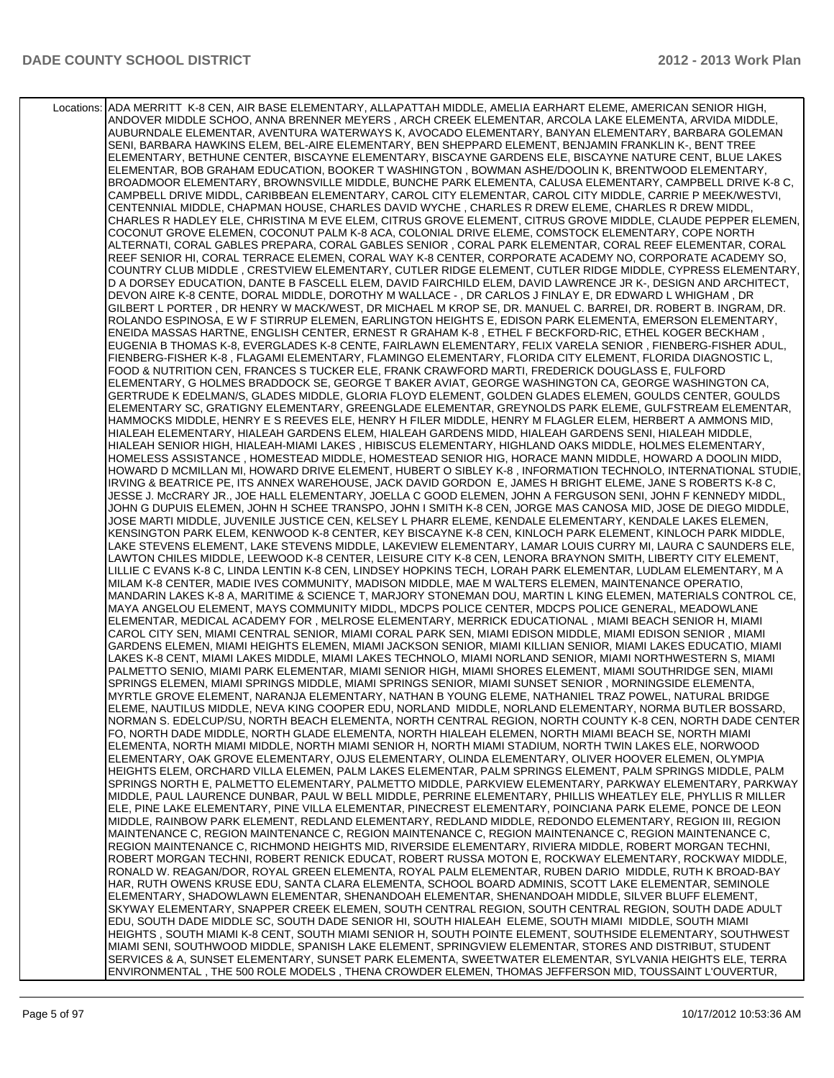Locations: ADA MERRITT K-8 CEN, AIR BASE ELEMENTARY, ALLAPATTAH MIDDLE, AMELIA EARHART ELEME, AMERICAN SENIOR HIGH, ANDOVER MIDDLE SCHOO, ANNA BRENNER MEYERS , ARCH CREEK ELEMENTAR, ARCOLA LAKE ELEMENTA, ARVIDA MIDDLE, AUBURNDALE ELEMENTAR, AVENTURA WATERWAYS K, AVOCADO ELEMENTARY, BANYAN ELEMENTARY, BARBARA GOLEMAN SENI, BARBARA HAWKINS ELEM, BEL-AIRE ELEMENTARY, BEN SHEPPARD ELEMENT, BENJAMIN FRANKLIN K-, BENT TREE ELEMENTARY, BETHUNE CENTER, BISCAYNE ELEMENTARY, BISCAYNE GARDENS ELE, BISCAYNE NATURE CENT, BLUE LAKES ELEMENTAR, BOB GRAHAM EDUCATION, BOOKER T WASHINGTON , BOWMAN ASHE/DOOLIN K, BRENTWOOD ELEMENTARY, BROADMOOR ELEMENTARY, BROWNSVILLE MIDDLE, BUNCHE PARK ELEMENTA, CALUSA ELEMENTARY, CAMPBELL DRIVE K-8 C, CAMPBELL DRIVE MIDDL, CARIBBEAN ELEMENTARY, CAROL CITY ELEMENTAR, CAROL CITY MIDDLE, CARRIE P MEEK/WESTVI, CENTENNIAL MIDDLE, CHAPMAN HOUSE, CHARLES DAVID WYCHE , CHARLES R DREW ELEME, CHARLES R DREW MIDDL, CHARLES R HADLEY ELE, CHRISTINA M EVE ELEM, CITRUS GROVE ELEMENT, CITRUS GROVE MIDDLE, CLAUDE PEPPER ELEMEN, COCONUT GROVE ELEMEN, COCONUT PALM K-8 ACA, COLONIAL DRIVE ELEME, COMSTOCK ELEMENTARY, COPE NORTH ALTERNATI, CORAL GABLES PREPARA, CORAL GABLES SENIOR , CORAL PARK ELEMENTAR, CORAL REEF ELEMENTAR, CORAL REEF SENIOR HI, CORAL TERRACE ELEMEN, CORAL WAY K-8 CENTER, CORPORATE ACADEMY NO, CORPORATE ACADEMY SO, COUNTRY CLUB MIDDLE , CRESTVIEW ELEMENTARY, CUTLER RIDGE ELEMENT, CUTLER RIDGE MIDDLE, CYPRESS ELEMENTARY, D A DORSEY EDUCATION, DANTE B FASCELL ELEM, DAVID FAIRCHILD ELEM, DAVID LAWRENCE JR K-, DESIGN AND ARCHITECT, DEVON AIRE K-8 CENTE, DORAL MIDDLE, DOROTHY M WALLACE - , DR CARLOS J FINLAY E, DR EDWARD L WHIGHAM , DR GILBERT L PORTER , DR HENRY W MACK/WEST, DR MICHAEL M KROP SE, DR. MANUEL C. BARREI, DR. ROBERT B. INGRAM, DR. ROLANDO ESPINOSA, E W F STIRRUP ELEMEN, EARLINGTON HEIGHTS E, EDISON PARK ELEMENTA, EMERSON ELEMENTARY, ENEIDA MASSAS HARTNE, ENGLISH CENTER, ERNEST R GRAHAM K-8 , ETHEL F BECKFORD-RIC, ETHEL KOGER BECKHAM , EUGENIA B THOMAS K-8, EVERGLADES K-8 CENTE, FAIRLAWN ELEMENTARY, FELIX VARELA SENIOR , FIENBERG-FISHER ADUL, FIENBERG-FISHER K-8 , FLAGAMI ELEMENTARY, FLAMINGO ELEMENTARY, FLORIDA CITY ELEMENT, FLORIDA DIAGNOSTIC L, FOOD & NUTRITION CEN, FRANCES S TUCKER ELE, FRANK CRAWFORD MARTI, FREDERICK DOUGLASS E, FULFORD ELEMENTARY, G HOLMES BRADDOCK SE, GEORGE T BAKER AVIAT, GEORGE WASHINGTON CA, GEORGE WASHINGTON CA, GERTRUDE K EDELMAN/S, GLADES MIDDLE, GLORIA FLOYD ELEMENT, GOLDEN GLADES ELEMEN, GOULDS CENTER, GOULDS ELEMENTARY SC, GRATIGNY ELEMENTARY, GREENGLADE ELEMENTAR, GREYNOLDS PARK ELEME, GULFSTREAM ELEMENTAR, HAMMOCKS MIDDLE, HENRY E S REEVES ELE, HENRY H FILER MIDDLE, HENRY M FLAGLER ELEM, HERBERT A AMMONS MID, HIALEAH ELEMENTARY, HIALEAH GARDENS ELEM, HIALEAH GARDENS MIDD, HIALEAH GARDENS SENI, HIALEAH MIDDLE, HIALEAH SENIOR HIGH, HIALEAH-MIAMI LAKES , HIBISCUS ELEMENTARY, HIGHLAND OAKS MIDDLE, HOLMES ELEMENTARY, HOMELESS ASSISTANCE , HOMESTEAD MIDDLE, HOMESTEAD SENIOR HIG, HORACE MANN MIDDLE, HOWARD A DOOLIN MIDD, HOWARD D MCMILLAN MI, HOWARD DRIVE ELEMENT, HUBERT O SIBLEY K-8 , INFORMATION TECHNOLO, INTERNATIONAL STUDIE, IRVING & BEATRICE PE, ITS ANNEX WAREHOUSE, JACK DAVID GORDON E, JAMES H BRIGHT ELEME, JANE S ROBERTS K-8 C, JESSE J. McCRARY JR., JOE HALL ELEMENTARY, JOELLA C GOOD ELEMEN, JOHN A FERGUSON SENI, JOHN F KENNEDY MIDDL, JOHN G DUPUIS ELEMEN, JOHN H SCHEE TRANSPO, JOHN I SMITH K-8 CEN, JORGE MAS CANOSA MID, JOSE DE DIEGO MIDDLE, JOSE MARTI MIDDLE, JUVENILE JUSTICE CEN, KELSEY L PHARR ELEME, KENDALE ELEMENTARY, KENDALE LAKES ELEMEN, KENSINGTON PARK ELEM, KENWOOD K-8 CENTER, KEY BISCAYNE K-8 CEN, KINLOCH PARK ELEMENT, KINLOCH PARK MIDDLE, LAKE STEVENS ELEMENT, LAKE STEVENS MIDDLE, LAKEVIEW ELEMENTARY, LAMAR LOUIS CURRY MI, LAURA C SAUNDERS ELE, LAWTON CHILES MIDDLE, LEEWOOD K-8 CENTER, LEISURE CITY K-8 CEN, LENORA BRAYNON SMITH, LIBERTY CITY ELEMENT, LILLIE C EVANS K-8 C, LINDA LENTIN K-8 CEN, LINDSEY HOPKINS TECH, LORAH PARK ELEMENTAR, LUDLAM ELEMENTARY, M A MILAM K-8 CENTER, MADIE IVES COMMUNITY, MADISON MIDDLE, MAE M WALTERS ELEMEN, MAINTENANCE OPERATIO, MANDARIN LAKES K-8 A, MARITIME & SCIENCE T, MARJORY STONEMAN DOU, MARTIN L KING ELEMEN, MATERIALS CONTROL CE, MAYA ANGELOU ELEMENT, MAYS COMMUNITY MIDDL, MDCPS POLICE CENTER, MDCPS POLICE GENERAL, MEADOWLANE ELEMENTAR, MEDICAL ACADEMY FOR , MELROSE ELEMENTARY, MERRICK EDUCATIONAL , MIAMI BEACH SENIOR H, MIAMI CAROL CITY SEN, MIAMI CENTRAL SENIOR, MIAMI CORAL PARK SEN, MIAMI EDISON MIDDLE, MIAMI EDISON SENIOR , MIAMI GARDENS ELEMEN, MIAMI HEIGHTS ELEMEN, MIAMI JACKSON SENIOR, MIAMI KILLIAN SENIOR, MIAMI LAKES EDUCATIO, MIAMI LAKES K-8 CENT, MIAMI LAKES MIDDLE, MIAMI LAKES TECHNOLO, MIAMI NORLAND SENIOR, MIAMI NORTHWESTERN S, MIAMI PALMETTO SENIO, MIAMI PARK ELEMENTAR, MIAMI SENIOR HIGH, MIAMI SHORES ELEMENT, MIAMI SOUTHRIDGE SEN, MIAMI SPRINGS ELEMEN, MIAMI SPRINGS MIDDLE, MIAMI SPRINGS SENIOR, MIAMI SUNSET SENIOR , MORNINGSIDE ELEMENTA, MYRTLE GROVE ELEMENT, NARANJA ELEMENTARY, NATHAN B YOUNG ELEME, NATHANIEL TRAZ POWEL, NATURAL BRIDGE ELEME, NAUTILUS MIDDLE, NEVA KING COOPER EDU, NORLAND MIDDLE, NORLAND ELEMENTARY, NORMA BUTLER BOSSARD, NORMAN S. EDELCUP/SU, NORTH BEACH ELEMENTA, NORTH CENTRAL REGION, NORTH COUNTY K-8 CEN, NORTH DADE CENTER FO, NORTH DADE MIDDLE, NORTH GLADE ELEMENTA, NORTH HIALEAH ELEMEN, NORTH MIAMI BEACH SE, NORTH MIAMI ELEMENTA, NORTH MIAMI MIDDLE, NORTH MIAMI SENIOR H, NORTH MIAMI STADIUM, NORTH TWIN LAKES ELE, NORWOOD ELEMENTARY, OAK GROVE ELEMENTARY, OJUS ELEMENTARY, OLINDA ELEMENTARY, OLIVER HOOVER ELEMEN, OLYMPIA HEIGHTS ELEM, ORCHARD VILLA ELEMEN, PALM LAKES ELEMENTAR, PALM SPRINGS ELEMENT, PALM SPRINGS MIDDLE, PALM SPRINGS NORTH E, PALMETTO ELEMENTARY, PALMETTO MIDDLE, PARKVIEW ELEMENTARY, PARKWAY ELEMENTARY, PARKWAY MIDDLE, PAUL LAURENCE DUNBAR, PAUL W BELL MIDDLE, PERRINE ELEMENTARY, PHILLIS WHEATLEY ELE, PHYLLIS R MILLER ELE, PINE LAKE ELEMENTARY, PINE VILLA ELEMENTAR, PINECREST ELEMENTARY, POINCIANA PARK ELEME, PONCE DE LEON MIDDLE, RAINBOW PARK ELEMENT, REDLAND ELEMENTARY, REDLAND MIDDLE, REDONDO ELEMENTARY, REGION III, REGION MAINTENANCE C, REGION MAINTENANCE C, REGION MAINTENANCE C, REGION MAINTENANCE C, REGION MAINTENANCE C, REGION MAINTENANCE C, RICHMOND HEIGHTS MID, RIVERSIDE ELEMENTARY, RIVIERA MIDDLE, ROBERT MORGAN TECHNI, ROBERT MORGAN TECHNI, ROBERT RENICK EDUCAT, ROBERT RUSSA MOTON E, ROCKWAY ELEMENTARY, ROCKWAY MIDDLE, RONALD W. REAGAN/DOR, ROYAL GREEN ELEMENTA, ROYAL PALM ELEMENTAR, RUBEN DARIO MIDDLE, RUTH K BROAD-BAY HAR, RUTH OWENS KRUSE EDU, SANTA CLARA ELEMENTA, SCHOOL BOARD ADMINIS, SCOTT LAKE ELEMENTAR, SEMINOLE ELEMENTARY, SHADOWLAWN ELEMENTAR, SHENANDOAH ELEMENTAR, SHENANDOAH MIDDLE, SILVER BLUFF ELEMENT, SKYWAY ELEMENTARY, SNAPPER CREEK ELEMEN, SOUTH CENTRAL REGION, SOUTH CENTRAL REGION, SOUTH DADE ADULT EDU, SOUTH DADE MIDDLE SC, SOUTH DADE SENIOR HI, SOUTH HIALEAH ELEME, SOUTH MIAMI MIDDLE, SOUTH MIAMI HEIGHTS , SOUTH MIAMI K-8 CENT, SOUTH MIAMI SENIOR H, SOUTH POINTE ELEMENT, SOUTHSIDE ELEMENTARY, SOUTHWEST MIAMI SENI, SOUTHWOOD MIDDLE, SPANISH LAKE ELEMENT, SPRINGVIEW ELEMENTAR, STORES AND DISTRIBUT, STUDENT SERVICES & A, SUNSET ELEMENTARY, SUNSET PARK ELEMENTA, SWEETWATER ELEMENTAR, SYLVANIA HEIGHTS ELE, TERRA ENVIRONMENTAL , THE 500 ROLE MODELS , THENA CROWDER ELEMEN, THOMAS JEFFERSON MID, TOUSSAINT L'OUVERTUR,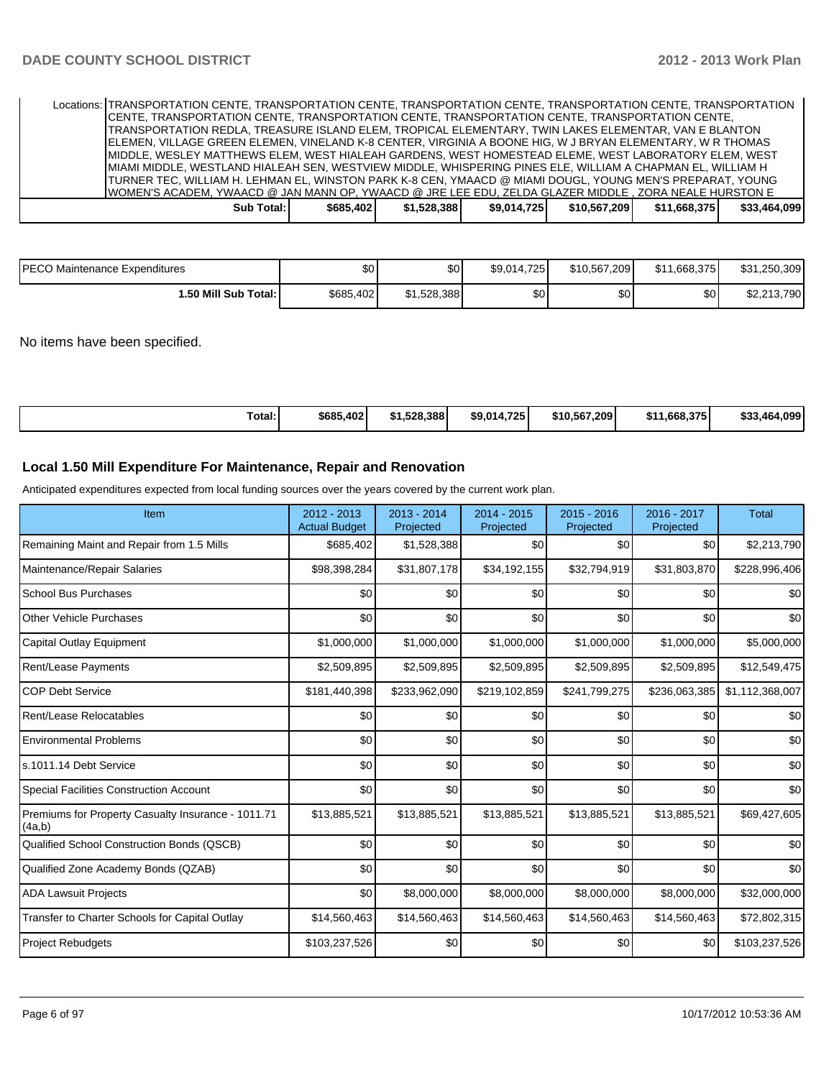|  |            |           |             | Locations:   TRANSPORTATION CENTE, TRANSPORTATION CENTE, TRANSPORTATION CENTE, TRANSPORTATION CENTE, TRANSPORTATION |              |              |              |
|--|------------|-----------|-------------|---------------------------------------------------------------------------------------------------------------------|--------------|--------------|--------------|
|  |            |           |             | CENTE, TRANSPORTATION CENTE, TRANSPORTATION CENTE, TRANSPORTATION CENTE, TRANSPORTATION CENTE,                      |              |              |              |
|  |            |           |             | TRANSPORTATION REDLA, TREASURE ISLAND ELEM, TROPICAL ELEMENTARY, TWIN LAKES ELEMENTAR, VAN E BLANTON                |              |              |              |
|  |            |           |             | ELEMEN, VILLAGE GREEN ELEMEN, VINELAND K-8 CENTER, VIRGINIA A BOONE HIG, W J BRYAN ELEMENTARY, W R THOMAS           |              |              |              |
|  |            |           |             | IMIDDLE, WESLEY MATTHEWS ELEM, WEST HIALEAH GARDENS, WEST HOMESTEAD ELEME, WEST LABORATORY ELEM, WEST               |              |              |              |
|  |            |           |             | MIAMI MIDDLE, WESTLAND HIALEAH SEN, WESTVIEW MIDDLE, WHISPERING PINES ELE, WILLIAM A CHAPMAN EL, WILLIAM H          |              |              |              |
|  |            |           |             | TURNER TEC, WILLIAM H. LEHMAN EL, WINSTON PARK K-8 CEN, YMAACD @ MIAMI DOUGL, YOUNG MEN'S PREPARAT, YOUNG           |              |              |              |
|  |            |           |             | WOMEN'S ACADEM, YWAACD @ JAN MANN OP, YWAACD @ JRE LEE EDU, ZELDA GLAZER MIDDLE, ZORA NEALE HURSTON E               |              |              |              |
|  | Sub Total: | \$685.402 | \$1.528.388 | \$9.014.725 l                                                                                                       | \$10.567.209 | \$11.668.375 | \$33,464,099 |

| PECO Maintenance Expenditures | \$0       | \$0         | \$9,014,725 | \$10,567,209 | \$11,668,375     | \$31,250,309 |
|-------------------------------|-----------|-------------|-------------|--------------|------------------|--------------|
| 1.50 Mill Sub Total: I        | \$685,402 | \$1,528,388 | \$0         | \$0          | \$0 <sub>0</sub> | \$2,213,790  |

No items have been specified.

| Total:<br>\$685,402 | \$1.528.388 | \$9.014.725 | \$10,567,209 | \$11,668,375 | \$33.464<br>$+0.99$ |
|---------------------|-------------|-------------|--------------|--------------|---------------------|
|---------------------|-------------|-------------|--------------|--------------|---------------------|

#### **Local 1.50 Mill Expenditure For Maintenance, Repair and Renovation**

Anticipated expenditures expected from local funding sources over the years covered by the current work plan.

| Item                                                         | 2012 - 2013<br><b>Actual Budget</b> | $2013 - 2014$<br>Projected | $2014 - 2015$<br>Projected | 2015 - 2016<br>Projected | 2016 - 2017<br>Projected | <b>Total</b>    |
|--------------------------------------------------------------|-------------------------------------|----------------------------|----------------------------|--------------------------|--------------------------|-----------------|
| Remaining Maint and Repair from 1.5 Mills                    | \$685,402                           | \$1,528,388                | \$0                        | \$0                      | \$0                      | \$2,213,790     |
| Maintenance/Repair Salaries                                  | \$98,398,284                        | \$31,807,178               | \$34,192,155               | \$32,794,919             | \$31,803,870             | \$228,996,406   |
| <b>School Bus Purchases</b>                                  | \$0                                 | \$0                        | \$0                        | \$0                      | \$0                      | \$0             |
| <b>Other Vehicle Purchases</b>                               | \$0                                 | \$0                        | \$0                        | \$0                      | \$0                      | \$0             |
| Capital Outlay Equipment                                     | \$1,000,000                         | \$1,000,000                | \$1,000,000                | \$1,000,000              | \$1,000,000              | \$5,000,000     |
| <b>Rent/Lease Payments</b>                                   | \$2,509,895                         | \$2,509,895                | \$2,509,895                | \$2,509,895              | \$2,509,895              | \$12,549,475    |
| <b>COP Debt Service</b>                                      | \$181,440,398                       | \$233,962,090              | \$219,102,859              | \$241,799,275            | \$236,063,385            | \$1,112,368,007 |
| Rent/Lease Relocatables                                      | \$0                                 | \$0                        | \$0                        | \$0                      | \$0                      | \$0             |
| <b>Environmental Problems</b>                                | \$0                                 | \$0                        | \$0                        | \$0                      | \$0                      | \$0             |
| s.1011.14 Debt Service                                       | \$0                                 | \$0                        | \$0                        | \$0                      | \$0                      | \$0             |
| <b>Special Facilities Construction Account</b>               | \$0                                 | \$0                        | \$0                        | \$0                      | \$0                      | \$0             |
| Premiums for Property Casualty Insurance - 1011.71<br>(4a,b) | \$13,885,521                        | \$13,885,521               | \$13,885,521               | \$13,885,521             | \$13,885,521             | \$69,427,605    |
| Qualified School Construction Bonds (QSCB)                   | \$0                                 | \$0                        | \$0                        | \$0                      | \$0                      | \$0             |
| Qualified Zone Academy Bonds (QZAB)                          | \$0                                 | \$0                        | \$0                        | \$0                      | \$0                      | \$0             |
| <b>ADA Lawsuit Projects</b>                                  | \$0                                 | \$8,000,000                | \$8,000,000                | \$8,000,000              | \$8,000,000              | \$32,000,000    |
| Transfer to Charter Schools for Capital Outlay               | \$14,560,463                        | \$14,560,463               | \$14,560,463               | \$14,560,463             | \$14,560,463             | \$72,802,315    |
| <b>Project Rebudgets</b>                                     | \$103,237,526                       | \$0                        | \$0                        | \$0                      | \$0                      | \$103,237,526   |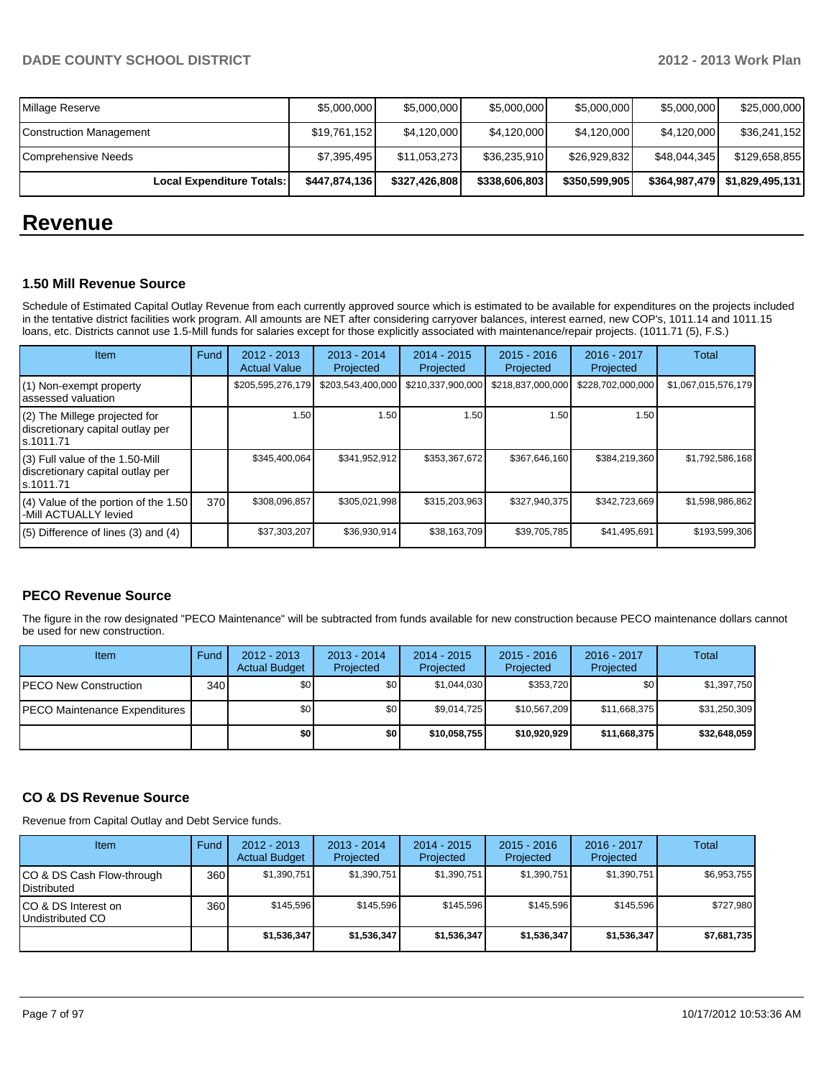| Local Expenditure Totals:      | \$447,874,136 | \$327,426,808 | \$338,606,803 | \$350,599,905 |              | \$364,987,479 \$1,829,495,131 |
|--------------------------------|---------------|---------------|---------------|---------------|--------------|-------------------------------|
| Comprehensive Needs            | \$7,395,495   | \$11,053,273  | \$36,235,910  | \$26,929,832  | \$48.044.345 | \$129,658,855                 |
| <b>Construction Management</b> | \$19,761,152  | \$4,120,000   | \$4,120,000   | \$4,120,000   | \$4,120,000  | \$36,241,152                  |
| Millage Reserve                | \$5,000,000   | \$5,000,000   | \$5,000,000   | \$5,000,000   | \$5,000,000  | \$25,000,000                  |

# **Revenue**

#### **1.50 Mill Revenue Source**

Schedule of Estimated Capital Outlay Revenue from each currently approved source which is estimated to be available for expenditures on the projects included in the tentative district facilities work program. All amounts are NET after considering carryover balances, interest earned, new COP's, 1011.14 and 1011.15 loans, etc. Districts cannot use 1.5-Mill funds for salaries except for those explicitly associated with maintenance/repair projects. (1011.71 (5), F.S.)

| Item                                                                                | Fund | $2012 - 2013$<br><b>Actual Value</b> | $2013 - 2014$<br>Projected | $2014 - 2015$<br>Projected | $2015 - 2016$<br>Projected | 2016 - 2017<br>Projected | Total               |
|-------------------------------------------------------------------------------------|------|--------------------------------------|----------------------------|----------------------------|----------------------------|--------------------------|---------------------|
| (1) Non-exempt property<br>lassessed valuation                                      |      | \$205,595,276,179                    | \$203,543,400,000          | \$210,337,900,000          | \$218,837,000,000          | \$228,702,000,000        | \$1,067,015,576,179 |
| (2) The Millege projected for<br>discretionary capital outlay per<br>ls.1011.71     |      | 1.50                                 | 1.50                       | 1.50                       | 1.50                       | 1.50                     |                     |
| $(3)$ Full value of the 1.50-Mill<br>discretionary capital outlay per<br>ls.1011.71 |      | \$345,400,064                        | \$341,952,912              | \$353,367,672              | \$367,646,160              | \$384,219,360            | \$1,792,586,168     |
| $(4)$ Value of the portion of the 1.50<br>-Mill ACTUALLY levied                     | 370  | \$308,096,857                        | \$305,021,998              | \$315,203,963              | \$327,940,375              | \$342,723,669            | \$1,598,986,862     |
| $(5)$ Difference of lines (3) and (4)                                               |      | \$37,303,207                         | \$36,930,914               | \$38,163,709               | \$39,705,785               | \$41,495,691             | \$193,599,306       |

#### **PECO Revenue Source**

The figure in the row designated "PECO Maintenance" will be subtracted from funds available for new construction because PECO maintenance dollars cannot be used for new construction.

| Item                          | Fund | $2012 - 2013$<br><b>Actual Budget</b> | $2013 - 2014$<br>Projected | $2014 - 2015$<br>Projected | $2015 - 2016$<br>Projected | $2016 - 2017$<br>Projected | Total        |
|-------------------------------|------|---------------------------------------|----------------------------|----------------------------|----------------------------|----------------------------|--------------|
| IPECO New Construction        | 340  | \$0                                   | \$0 <sub>1</sub>           | \$1,044,030                | \$353.720                  | \$0 <sub>1</sub>           | \$1,397,750  |
| PECO Maintenance Expenditures |      | \$0                                   | \$0 <sub>1</sub>           | \$9.014.725                | \$10.567.209               | \$11,668,375               | \$31,250,309 |
|                               |      | \$0                                   | \$0                        | \$10,058,755               | \$10,920,929               | \$11,668,375               | \$32,648,059 |

#### **CO & DS Revenue Source**

Revenue from Capital Outlay and Debt Service funds.

| Item                                     | Fund | $2012 - 2013$<br><b>Actual Budget</b> | $2013 - 2014$<br>Projected | $2014 - 2015$<br>Projected | $2015 - 2016$<br>Projected | $2016 - 2017$<br>Projected | Total       |
|------------------------------------------|------|---------------------------------------|----------------------------|----------------------------|----------------------------|----------------------------|-------------|
| CO & DS Cash Flow-through<br>Distributed | 360  | \$1,390,751                           | \$1,390,751                | \$1,390,751                | \$1,390,751                | \$1,390,751                | \$6,953,755 |
| CO & DS Interest on<br>Undistributed CO  | 360  | \$145.596                             | \$145.596                  | \$145.596                  | \$145.596                  | \$145.596                  | \$727,980   |
|                                          |      | \$1,536,347                           | \$1,536,347                | \$1,536,347                | \$1,536,347                | \$1,536,347                | \$7,681,735 |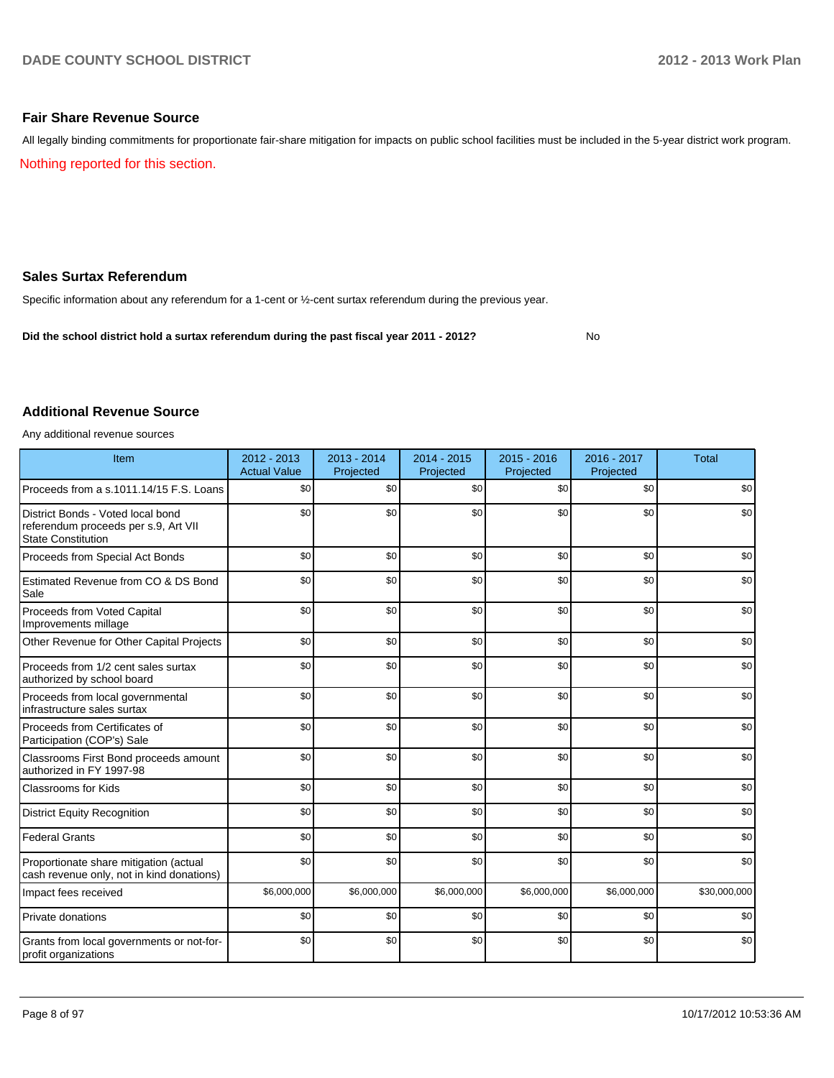#### **Fair Share Revenue Source**

All legally binding commitments for proportionate fair-share mitigation for impacts on public school facilities must be included in the 5-year district work program.

Nothing reported for this section.

#### **Sales Surtax Referendum**

Specific information about any referendum for a 1-cent or ½-cent surtax referendum during the previous year.

**Did the school district hold a surtax referendum during the past fiscal year 2011 - 2012?**

No

#### **Additional Revenue Source**

Any additional revenue sources

| Item                                                                                                   | $2012 - 2013$<br><b>Actual Value</b> | $2013 - 2014$<br>Projected | $2014 - 2015$<br>Projected | $2015 - 2016$<br>Projected | $2016 - 2017$<br>Projected | Total        |
|--------------------------------------------------------------------------------------------------------|--------------------------------------|----------------------------|----------------------------|----------------------------|----------------------------|--------------|
| Proceeds from a s.1011.14/15 F.S. Loans                                                                | \$0                                  | \$0                        | \$0                        | \$0                        | \$0                        | \$0          |
| District Bonds - Voted local bond<br>referendum proceeds per s.9, Art VII<br><b>State Constitution</b> | \$0                                  | \$0                        | \$0                        | \$0                        | \$0                        | \$0          |
| Proceeds from Special Act Bonds                                                                        | \$0                                  | \$0                        | \$0                        | \$0                        | \$0                        | \$0          |
| Estimated Revenue from CO & DS Bond<br>Sale                                                            | \$0                                  | \$0                        | \$0                        | \$0                        | \$0                        | \$0          |
| Proceeds from Voted Capital<br>Improvements millage                                                    | \$0                                  | \$0                        | \$0                        | \$0                        | \$0                        | \$0          |
| Other Revenue for Other Capital Projects                                                               | \$0                                  | \$0                        | \$0                        | \$0                        | \$0                        | \$0          |
| Proceeds from 1/2 cent sales surtax<br>authorized by school board                                      | \$0                                  | \$0                        | \$0                        | \$0                        | \$0                        | \$0          |
| Proceeds from local governmental<br>infrastructure sales surtax                                        | \$0                                  | \$0                        | \$0                        | \$0                        | \$0                        | \$0          |
| Proceeds from Certificates of<br>Participation (COP's) Sale                                            | \$0                                  | \$0                        | \$0                        | \$0                        | \$0                        | \$0          |
| Classrooms First Bond proceeds amount<br>authorized in FY 1997-98                                      | \$0                                  | \$0                        | \$0                        | \$0                        | \$0                        | \$0          |
| <b>Classrooms for Kids</b>                                                                             | \$0                                  | \$0                        | \$0                        | \$0                        | \$0                        | \$0          |
| <b>District Equity Recognition</b>                                                                     | \$0                                  | \$0                        | \$0                        | \$0                        | \$0                        | \$0          |
| <b>Federal Grants</b>                                                                                  | \$0                                  | \$0                        | \$0                        | \$0                        | \$0                        | \$0          |
| Proportionate share mitigation (actual<br>cash revenue only, not in kind donations)                    | \$0                                  | \$0                        | \$0                        | \$0                        | \$0                        | \$0          |
| Impact fees received                                                                                   | \$6,000,000                          | \$6,000,000                | \$6,000,000                | \$6,000,000                | \$6,000,000                | \$30,000,000 |
| Private donations                                                                                      | \$0                                  | \$0                        | \$0                        | \$0                        | \$0                        | \$0          |
| Grants from local governments or not-for-<br>profit organizations                                      | \$0                                  | \$0                        | \$0                        | \$0                        | \$0                        | \$0          |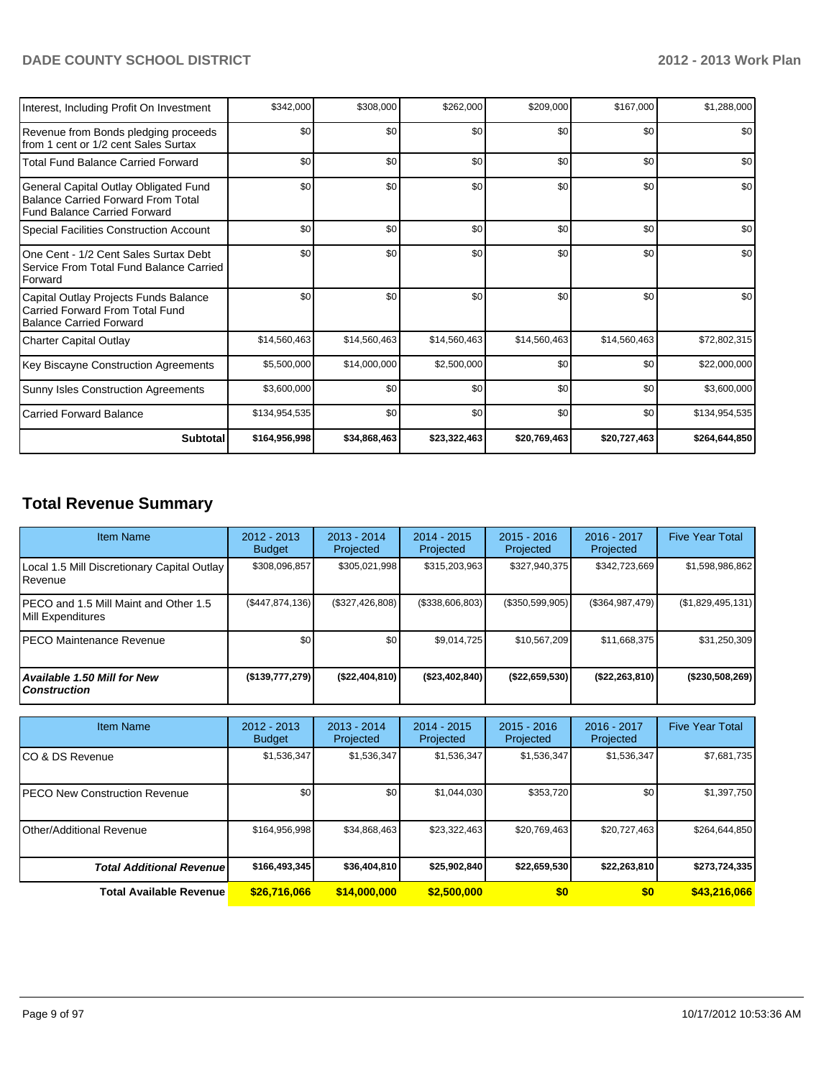| <b>Subtotal</b>                                                                                                           | \$164,956,998 | \$34,868,463 | \$23,322,463 | \$20,769,463 | \$20,727,463 | \$264,644,850 |
|---------------------------------------------------------------------------------------------------------------------------|---------------|--------------|--------------|--------------|--------------|---------------|
| <b>Carried Forward Balance</b>                                                                                            | \$134,954,535 | \$0          | \$0          | \$0          | \$0          | \$134,954,535 |
| <b>Sunny Isles Construction Agreements</b>                                                                                | \$3,600,000   | \$0          | \$0          | \$0          | \$0          | \$3,600,000   |
| Key Biscayne Construction Agreements                                                                                      | \$5,500,000   | \$14,000,000 | \$2,500,000  | \$0          | \$0          | \$22,000,000  |
| <b>Charter Capital Outlay</b>                                                                                             | \$14,560,463  | \$14,560,463 | \$14,560,463 | \$14,560,463 | \$14,560,463 | \$72,802,315  |
| Capital Outlay Projects Funds Balance<br>Carried Forward From Total Fund<br><b>Balance Carried Forward</b>                | \$0           | \$0          | \$0          | \$0          | \$0          | \$0           |
| One Cent - 1/2 Cent Sales Surtax Debt<br>Service From Total Fund Balance Carried<br>Forward                               | \$0           | \$0          | \$0          | \$0          | \$0          | \$0           |
| Special Facilities Construction Account                                                                                   | \$0           | \$0          | \$0          | \$0          | \$0          | \$0           |
| General Capital Outlay Obligated Fund<br><b>Balance Carried Forward From Total</b><br><b>Fund Balance Carried Forward</b> | \$0           | \$0          | \$0          | \$0          | \$0          | \$0           |
| <b>Total Fund Balance Carried Forward</b>                                                                                 | \$0           | \$0          | \$0          | \$0          | \$0          | \$0           |
| Revenue from Bonds pledging proceeds<br>from 1 cent or 1/2 cent Sales Surtax                                              | \$0           | \$0          | \$0          | \$0          | \$0          | \$0           |
| Interest, Including Profit On Investment                                                                                  | \$342,000     | \$308,000    | \$262,000    | \$209,000    | \$167,000    | \$1,288,000   |

# **Total Revenue Summary**

| <b>Item Name</b>                                            | 2012 - 2013<br><b>Budget</b> | $2013 - 2014$<br>Projected | $2014 - 2015$<br>Projected | $2015 - 2016$<br>Projected | $2016 - 2017$<br>Projected | <b>Five Year Total</b> |
|-------------------------------------------------------------|------------------------------|----------------------------|----------------------------|----------------------------|----------------------------|------------------------|
| Local 1.5 Mill Discretionary Capital Outlay<br>l Revenue    | \$308,096,857                | \$305,021,998              | \$315,203,963              | \$327,940,375              | \$342,723,669              | \$1,598,986,862        |
| IPECO and 1.5 Mill Maint and Other 1.5<br>Mill Expenditures | (\$447,874,136)              | (\$327,426,808)            | (\$338,606,803)            | (\$350,599,905)            | (\$364,987,479)            | (\$1,829,495,131)      |
| IPECO Maintenance Revenue                                   | \$0                          | \$0 <sub>1</sub>           | \$9,014,725                | \$10,567,209               | \$11,668,375               | \$31,250,309           |
| Available 1.50 Mill for New<br><b>Construction</b>          | (\$139,777,279)              | (S22, 404, 810)            | (\$23,402,840)             | (\$22,659,530)             | (S22, 263, 810)            | ( \$230,508,269]       |

| <b>Item Name</b>                      | 2012 - 2013<br><b>Budget</b> | $2013 - 2014$<br>Projected | $2014 - 2015$<br>Projected | $2015 - 2016$<br>Projected | $2016 - 2017$<br>Projected | <b>Five Year Total</b> |
|---------------------------------------|------------------------------|----------------------------|----------------------------|----------------------------|----------------------------|------------------------|
| ICO & DS Revenue                      | \$1,536,347                  | \$1,536,347                | \$1,536,347                | \$1,536,347                | \$1,536,347                | \$7,681,735            |
| <b>IPECO New Construction Revenue</b> | \$0                          | \$0                        | \$1,044,030                | \$353,720                  | \$0 <sub>1</sub>           | \$1,397,750            |
| <b>I</b> Other/Additional Revenue     | \$164,956,998                | \$34,868,463               | \$23,322,463               | \$20,769,463               | \$20,727,463               | \$264,644,850          |
| <b>Total Additional Revenuel</b>      | \$166,493,345                | \$36,404,810               | \$25,902,840               | \$22,659,530               | \$22,263,810               | \$273,724,335          |
| <b>Total Available Revenue</b>        | \$26,716,066                 | \$14,000,000               | \$2,500,000                | \$0                        | \$0                        | \$43,216,066           |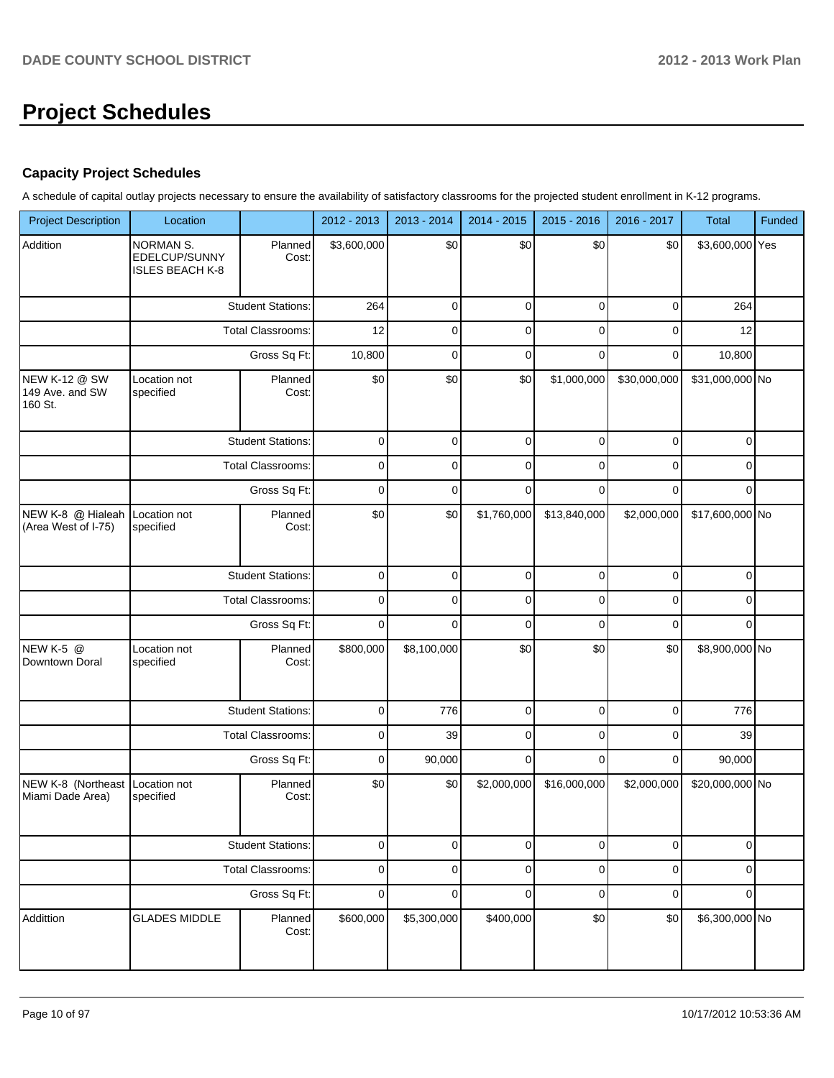# **Project Schedules**

### **Capacity Project Schedules**

A schedule of capital outlay projects necessary to ensure the availability of satisfactory classrooms for the projected student enrollment in K-12 programs.

| <b>Project Description</b>                         | Location                                                    |                          | 2012 - 2013 | 2013 - 2014 | 2014 - 2015 | 2015 - 2016  | 2016 - 2017  | <b>Total</b>    | Funded |
|----------------------------------------------------|-------------------------------------------------------------|--------------------------|-------------|-------------|-------------|--------------|--------------|-----------------|--------|
| Addition                                           | <b>NORMAN S.</b><br>EDELCUP/SUNNY<br><b>ISLES BEACH K-8</b> | Planned<br>Cost:         | \$3,600,000 | \$0         | \$0         | \$0          | \$0          | \$3,600,000 Yes |        |
|                                                    |                                                             | <b>Student Stations:</b> | 264         | $\pmb{0}$   | $\mathbf 0$ | 0            | 0            | 264             |        |
|                                                    |                                                             | Total Classrooms:        | 12          | $\mathbf 0$ | $\mathbf 0$ | 0            | $\pmb{0}$    | 12              |        |
|                                                    |                                                             | Gross Sq Ft:             |             | $\pmb{0}$   | $\mathbf 0$ | 0            | 0            | 10,800          |        |
| <b>NEW K-12 @ SW</b><br>149 Ave. and SW<br>160 St. | Location not<br>specified                                   | Planned<br>Cost:         | \$0         | \$0         | \$0         | \$1,000,000  | \$30,000,000 | \$31,000,000 No |        |
|                                                    |                                                             | <b>Student Stations:</b> | $\mathbf 0$ | $\mathbf 0$ | $\mathbf 0$ | 0            | 0            | $\mathbf 0$     |        |
|                                                    |                                                             | Total Classrooms:        | $\mathbf 0$ | $\mathbf 0$ | $\mathbf 0$ | 0            | 0            | 0               |        |
|                                                    |                                                             | Gross Sq Ft:             | $\mathbf 0$ | $\mathbf 0$ | $\mathbf 0$ | 0            | 0            | $\mathbf 0$     |        |
| NEW K-8 @ Hialeah<br>(Area West of I-75)           | Location not<br>specified                                   | Planned<br>Cost:         | \$0         | \$0         | \$1,760,000 | \$13,840,000 | \$2,000,000  | \$17,600,000 No |        |
|                                                    |                                                             | <b>Student Stations:</b> | 0           | $\mathbf 0$ | $\mathbf 0$ | 0            | $\pmb{0}$    | $\mathbf 0$     |        |
|                                                    |                                                             | Total Classrooms:        | 0           | $\mathbf 0$ | $\mathbf 0$ | 0            | $\pmb{0}$    | $\mathbf 0$     |        |
|                                                    |                                                             | Gross Sq Ft:             | 0           | $\Omega$    | $\mathbf 0$ | 0            | 0            | $\mathbf{0}$    |        |
| <b>NEW K-5 @</b><br>Downtown Doral                 | Location not<br>specified                                   | Planned<br>Cost:         | \$800,000   | \$8,100,000 | \$0         | \$0          | \$0          | \$8,900,000 No  |        |
|                                                    |                                                             | <b>Student Stations:</b> | 0           | 776         | $\mathbf 0$ | 0            | 0            | 776             |        |
|                                                    |                                                             | Total Classrooms:        | 0           | 39          | $\mathbf 0$ | 0            | 0            | 39              |        |
|                                                    |                                                             | Gross Sq Ft:             | 0           | 90,000      | $\mathbf 0$ | 0            | 0            | 90,000          |        |
| NEW K-8 (Northeast<br>Miami Dade Area)             | Location not<br>specified                                   | Planned<br>Cost:         | \$0         | \$0         | \$2,000,000 | \$16,000,000 | \$2,000,000  | \$20,000,000 No |        |
|                                                    |                                                             | <b>Student Stations:</b> | 0           | $\pmb{0}$   | $\pmb{0}$   | 0            | 0            | $\mathbf 0$     |        |
|                                                    |                                                             | Total Classrooms:        | 0           | $\pmb{0}$   | $\mathbf 0$ | 0            | 0            | $\mathbf 0$     |        |
|                                                    |                                                             | Gross Sq Ft:             | 0           | $\mathbf 0$ | $\mathbf 0$ | 0            | $\pmb{0}$    | $\mathbf 0$     |        |
| Addittion                                          | <b>GLADES MIDDLE</b>                                        | Planned<br>Cost:         | \$600,000   | \$5,300,000 | \$400,000   | \$0          | \$0          | \$6,300,000 No  |        |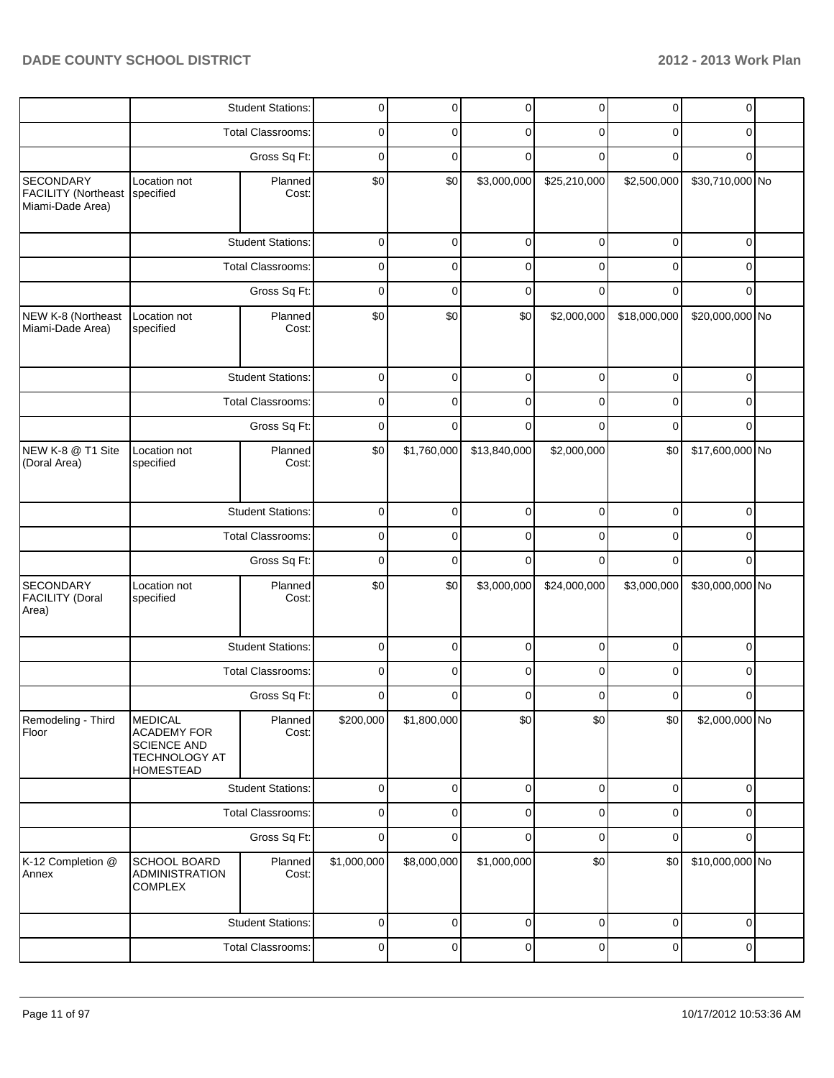|                                                             |                                                                                                 | <b>Student Stations:</b> | 0           | 0           | 0            | 0            | $\overline{0}$      | $\overline{0}$  |  |
|-------------------------------------------------------------|-------------------------------------------------------------------------------------------------|--------------------------|-------------|-------------|--------------|--------------|---------------------|-----------------|--|
|                                                             |                                                                                                 | <b>Total Classrooms:</b> | 0           | 0           | 0            | 0            | 0                   | 0               |  |
|                                                             |                                                                                                 | Gross Sq Ft:             | $\mathbf 0$ | 0           | $\Omega$     | 0            | 0                   | 0               |  |
| SECONDARY<br><b>FACILITY (Northeast</b><br>Miami-Dade Area) | Location not<br>specified                                                                       | Planned<br>Cost:         | \$0         | \$0         | \$3,000,000  | \$25,210,000 | \$2,500,000         | \$30,710,000 No |  |
|                                                             |                                                                                                 | <b>Student Stations:</b> | 0           | 0           | $\mathbf 0$  | 0            | $\mathbf 0$         | 0               |  |
|                                                             |                                                                                                 | <b>Total Classrooms:</b> | 0           | 0           | $\mathbf 0$  | 0            | 0                   | 0               |  |
|                                                             |                                                                                                 | Gross Sq Ft:             | 0           | 0           | $\mathbf 0$  | $\Omega$     | $\mathbf 0$         | 0               |  |
| NEW K-8 (Northeast<br>Miami-Dade Area)                      | Location not<br>specified                                                                       | Planned<br>Cost:         | \$0         | \$0         | \$0          | \$2,000,000  | \$18,000,000        | \$20,000,000 No |  |
|                                                             |                                                                                                 | <b>Student Stations:</b> | $\mathbf 0$ | 0           | $\mathbf 0$  | 0            | $\overline{0}$      | $\overline{0}$  |  |
|                                                             |                                                                                                 | <b>Total Classrooms:</b> | $\mathbf 0$ | 0           | $\mathbf 0$  | 0            | $\mathbf 0$         | $\overline{0}$  |  |
|                                                             | Gross Sq Ft:                                                                                    |                          | 0           | 0           | $\mathbf 0$  | 0            | $\mathbf 0$         | $\mathbf 0$     |  |
| NEW K-8 @ T1 Site<br>(Doral Area)                           | Location not<br>specified                                                                       | Planned<br>Cost:         | \$0         | \$1,760,000 | \$13,840,000 | \$2,000,000  | \$0                 | \$17,600,000 No |  |
|                                                             |                                                                                                 | <b>Student Stations:</b> | 0           | 0           | $\mathbf 0$  | 0            | 0                   | $\mathbf 0$     |  |
|                                                             |                                                                                                 | <b>Total Classrooms:</b> | 0           | 0           | $\mathbf 0$  | 0            | 0                   | 0               |  |
|                                                             |                                                                                                 | Gross Sq Ft:             | $\mathbf 0$ | $\Omega$    | $\Omega$     | $\Omega$     | $\mathbf 0$         | 0               |  |
| SECONDARY<br>FACILITY (Doral<br>Area)                       | Location not<br>specified                                                                       | Planned<br>Cost:         | \$0         | \$0         | \$3,000,000  | \$24,000,000 | \$3,000,000         | \$30,000,000 No |  |
|                                                             |                                                                                                 | <b>Student Stations:</b> |             | 0           | $\mathbf 0$  | 0            | $\mathbf 0$         | $\overline{0}$  |  |
|                                                             |                                                                                                 | <b>Total Classrooms:</b> | 0           | 0           | $\mathbf 0$  | 0            | 0                   | $\overline{0}$  |  |
|                                                             |                                                                                                 | Gross Sq Ft:             | 0           | $\Omega$    | 0            | 0            | 0                   | 0               |  |
| Remodeling - Third<br>Floor                                 | <b>MEDICAL</b><br><b>ACADEMY FOR</b><br><b>SCIENCE AND</b><br>TECHNOLOGY AT<br><b>HOMESTEAD</b> | Planned<br>Cost:         | \$200,000   | \$1,800,000 | \$0          | \$0          | \$0                 | \$2,000,000 No  |  |
|                                                             |                                                                                                 | <b>Student Stations:</b> | 0           | 0           | $\mathbf 0$  | 0            | 0                   | $\overline{0}$  |  |
|                                                             |                                                                                                 | <b>Total Classrooms:</b> | 0           | 0           | $\mathbf 0$  | 0            | 0                   | 0               |  |
|                                                             |                                                                                                 | Gross Sq Ft:             | $\mathbf 0$ | $\Omega$    | $\mathbf 0$  | 0            | $\pmb{0}$           | $\overline{0}$  |  |
| K-12 Completion @<br>Annex                                  | <b>SCHOOL BOARD</b><br><b>ADMINISTRATION</b><br><b>COMPLEX</b>                                  | Planned<br>Cost:         | \$1,000,000 | \$8,000,000 | \$1,000,000  | \$0          | \$0                 | \$10,000,000 No |  |
|                                                             |                                                                                                 | <b>Student Stations:</b> | $\pmb{0}$   | 0           | $\mathbf 0$  | 0            | $\mathbf 0$         | $\overline{0}$  |  |
|                                                             |                                                                                                 | Total Classrooms:        | $\mathbf 0$ | 0           | $\mathbf 0$  | 0            | $\mathsf{O}\xspace$ | 0               |  |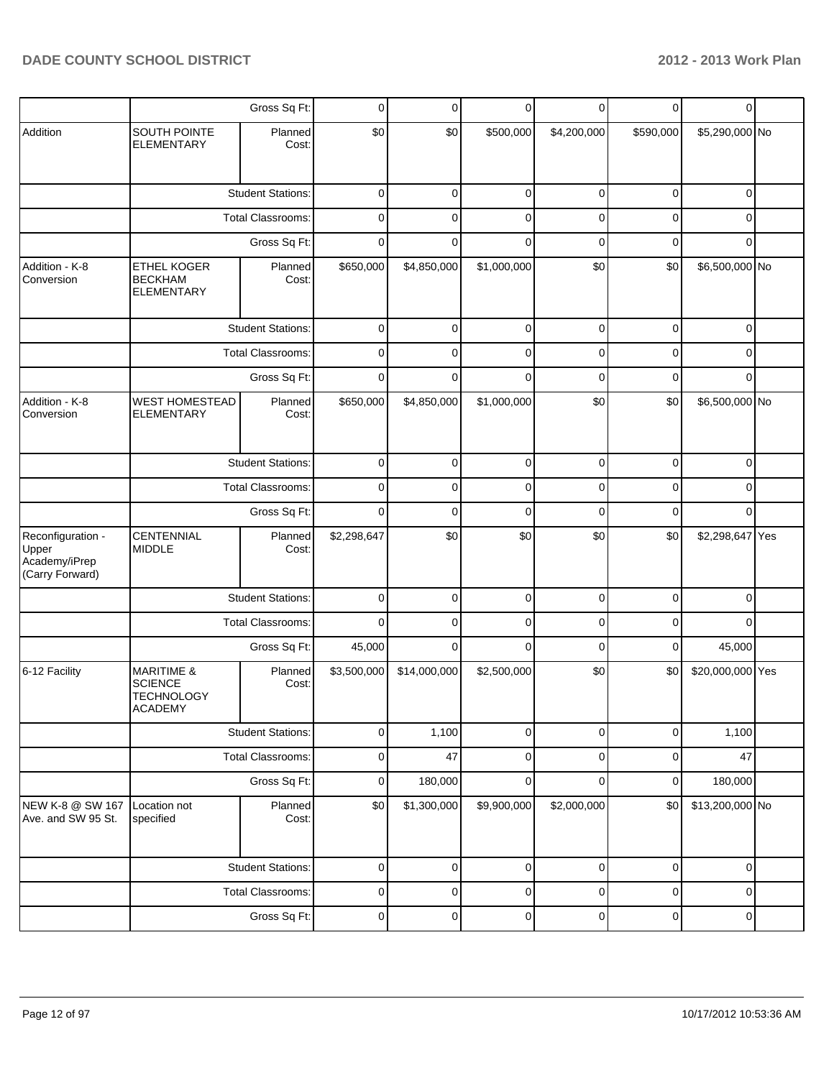|                                                                |                                                                                | Gross Sq Ft:             | 0           | 0            | 0           | 0           | 0              | 0                   |  |
|----------------------------------------------------------------|--------------------------------------------------------------------------------|--------------------------|-------------|--------------|-------------|-------------|----------------|---------------------|--|
| Addition                                                       | SOUTH POINTE<br><b>ELEMENTARY</b>                                              | Planned<br>Cost:         | \$0         | \$0          | \$500,000   | \$4,200,000 | \$590,000      | \$5,290,000 No      |  |
|                                                                |                                                                                | <b>Student Stations:</b> | 0           | 0            | 0           | 0           | $\pmb{0}$      | $\mathbf 0$         |  |
|                                                                |                                                                                | Total Classrooms:        | 0           | 0            | 0           | 0           | $\mathbf 0$    | $\mathbf 0$         |  |
|                                                                |                                                                                | Gross Sq Ft:             | $\mathbf 0$ | 0            | $\mathbf 0$ | $\mathbf 0$ | 0              | $\mathbf 0$         |  |
| Addition - K-8<br>Conversion                                   | ETHEL KOGER<br><b>BECKHAM</b><br><b>ELEMENTARY</b>                             | Planned<br>Cost:         | \$650,000   | \$4,850,000  | \$1,000,000 | \$0         | \$0            | \$6,500,000 No      |  |
|                                                                |                                                                                | <b>Student Stations:</b> | 0           | 0            | $\mathbf 0$ | $\mathbf 0$ | $\mathbf 0$    | $\mathbf 0$         |  |
|                                                                |                                                                                | Total Classrooms:        | 0           | 0            | $\mathbf 0$ | 0           | 0              | 0                   |  |
|                                                                |                                                                                | Gross Sq Ft:             | 0           | 0            | $\mathbf 0$ | $\mathbf 0$ | $\mathbf 0$    | 0                   |  |
| Addition - K-8<br>Conversion                                   | <b>WEST HOMESTEAD</b><br><b>ELEMENTARY</b>                                     | Planned<br>Cost:         | \$650,000   | \$4,850,000  | \$1,000,000 | \$0         | \$0            | \$6,500,000 No      |  |
|                                                                |                                                                                | <b>Student Stations:</b> |             | 0            | $\pmb{0}$   | $\mathbf 0$ | $\pmb{0}$      | $\overline{0}$      |  |
|                                                                |                                                                                | Total Classrooms:        | $\mathbf 0$ | 0            | $\mathbf 0$ | $\mathbf 0$ | $\pmb{0}$      | 0                   |  |
|                                                                | Gross Sq Ft:                                                                   |                          | $\mathbf 0$ | 0            | $\mathbf 0$ | $\mathbf 0$ | $\mathbf 0$    | $\Omega$            |  |
| Reconfiguration -<br>Upper<br>Academy/iPrep<br>(Carry Forward) | CENTENNIAL<br><b>MIDDLE</b>                                                    | Planned<br>Cost:         | \$2,298,647 | \$0          | \$0         | \$0         | \$0            | \$2,298,647 Yes     |  |
|                                                                |                                                                                | <b>Student Stations:</b> |             | 0            | $\mathbf 0$ | $\mathbf 0$ | $\mathbf 0$    | 0                   |  |
|                                                                |                                                                                | Total Classrooms:        | 0           | 0            | 0           | 0           | 0              | $\mathbf 0$         |  |
|                                                                |                                                                                | Gross Sq Ft:             | 45,000      | 0            | $\mathbf 0$ | $\mathbf 0$ | 0              | 45,000              |  |
| 6-12 Facility                                                  | <b>MARITIME &amp;</b><br><b>SCIENCE</b><br><b>TECHNOLOGY</b><br><b>ACADEMY</b> | Planned<br>Cost:         | \$3,500,000 | \$14,000,000 | \$2,500,000 | \$0         | \$0            | \$20,000,000 Yes    |  |
|                                                                |                                                                                | <b>Student Stations:</b> | 0           | 1,100        | $\pmb{0}$   | $\pmb{0}$   | $\pmb{0}$      | 1,100               |  |
|                                                                |                                                                                | Total Classrooms:        | 0           | 47           | $\pmb{0}$   | $\pmb{0}$   | $\pmb{0}$      | 47                  |  |
|                                                                |                                                                                | Gross Sq Ft:             | $\pmb{0}$   | 180,000      | $\pmb{0}$   | $\mathbf 0$ | $\overline{0}$ | 180,000             |  |
| NEW K-8 @ SW 167<br>Ave. and SW 95 St.                         | Location not<br>specified                                                      | Planned<br>Cost:         | \$0         | \$1,300,000  | \$9,900,000 | \$2,000,000 | \$0            | \$13,200,000 No     |  |
|                                                                |                                                                                | <b>Student Stations:</b> | 0           | 0            | 0           | 0           | 0              | $\overline{0}$      |  |
|                                                                |                                                                                | Total Classrooms:        | 0           | 0            | $\pmb{0}$   | $\pmb{0}$   | $\pmb{0}$      | 0                   |  |
|                                                                |                                                                                | Gross Sq Ft:             | $\pmb{0}$   | 0            | $\pmb{0}$   | $\pmb{0}$   | $\mathbf 0$    | $\mathsf{O}\xspace$ |  |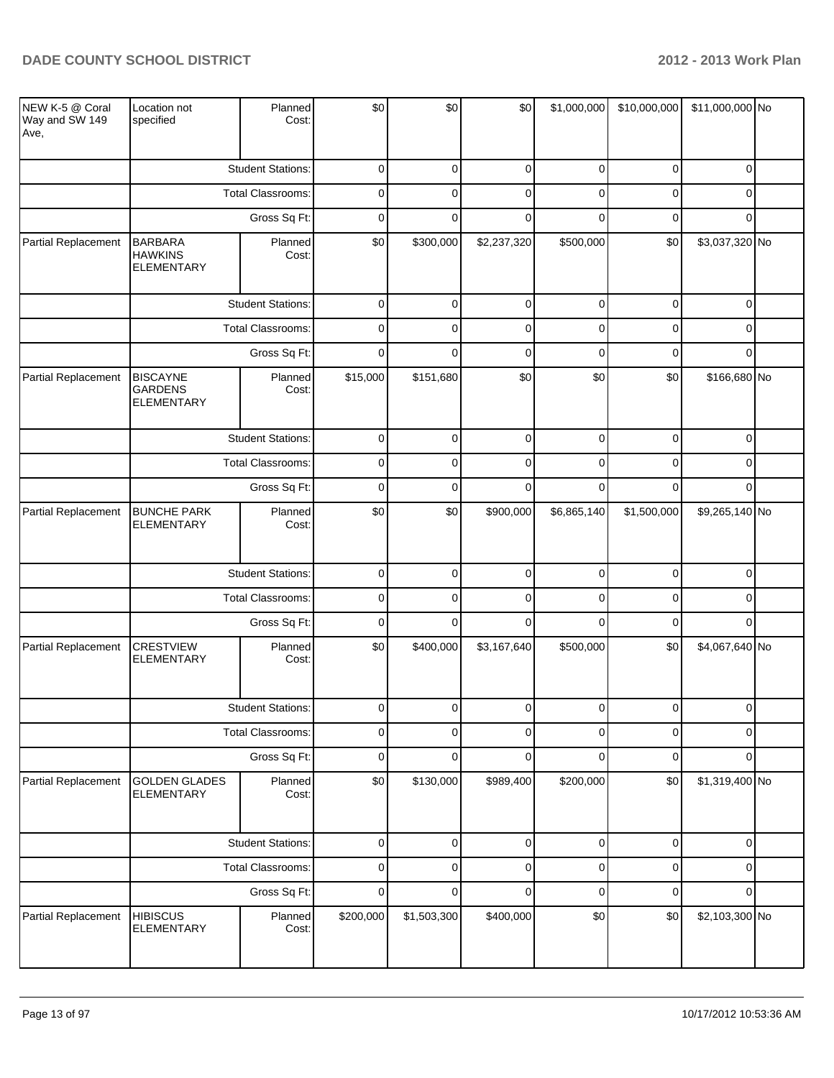| NEW K-5 @ Coral<br>Way and SW 149<br>Ave, | Location not<br>specified                              | Planned<br>Cost:         | \$0         | \$0            | \$0         | \$1,000,000 | \$10,000,000 | \$11,000,000 No |  |
|-------------------------------------------|--------------------------------------------------------|--------------------------|-------------|----------------|-------------|-------------|--------------|-----------------|--|
|                                           |                                                        | <b>Student Stations:</b> | 0           | 0              | 0           | 0           | 0            | $\mathbf 0$     |  |
|                                           |                                                        | Total Classrooms:        | 0           | 0              | 0           | 0           | 0            | 0               |  |
|                                           |                                                        | Gross Sq Ft:             | 0           | 0              | 0           | 0           | 0            | $\mathbf 0$     |  |
| Partial Replacement                       | <b>BARBARA</b><br><b>HAWKINS</b><br><b>ELEMENTARY</b>  | Planned<br>Cost:         | \$0         | \$300,000      | \$2,237,320 | \$500,000   | \$0          | \$3,037,320 No  |  |
|                                           |                                                        | <b>Student Stations:</b> | $\mathbf 0$ | 0              | $\pmb{0}$   | $\pmb{0}$   | $\pmb{0}$    | $\overline{0}$  |  |
|                                           |                                                        | Total Classrooms:        | $\mathbf 0$ | 0              | 0           | 0           | 0            | $\mathbf 0$     |  |
|                                           |                                                        | Gross Sq Ft:             | 0           | 0              | 0           | 0           | 0            | $\mathbf{0}$    |  |
| Partial Replacement                       | <b>BISCAYNE</b><br><b>GARDENS</b><br><b>ELEMENTARY</b> | Planned<br>Cost:         | \$15,000    | \$151,680      | \$0         | \$0         | \$0          | \$166,680 No    |  |
|                                           |                                                        | <b>Student Stations:</b> | 0           | 0              | 0           | 0           | 0            | $\mathbf 0$     |  |
|                                           |                                                        | Total Classrooms:        | 0           | 0              | 0           | 0           | 0            | 0               |  |
|                                           |                                                        | Gross Sq Ft:             | 0           | 0              | 0           | 0           | 0            | $\mathbf 0$     |  |
| Partial Replacement                       | <b>BUNCHE PARK</b><br><b>ELEMENTARY</b>                | Planned<br>Cost:         | \$0         | \$0            | \$900,000   | \$6,865,140 | \$1,500,000  | \$9,265,140 No  |  |
|                                           |                                                        | <b>Student Stations:</b> | $\pmb{0}$   | $\mathbf 0$    | $\pmb{0}$   | 0           | $\pmb{0}$    | $\mathbf 0$     |  |
|                                           |                                                        | Total Classrooms:        | $\mathbf 0$ | 0              | $\pmb{0}$   | 0           | $\pmb{0}$    | $\mathbf 0$     |  |
|                                           |                                                        | Gross Sq Ft:             | $\mathbf 0$ | 0              | 0           | 0           | 0            | $\mathbf 0$     |  |
| Partial Replacement                       | <b>CRESTVIEW</b><br><b>ELEMENTARY</b>                  | Planned<br>Cost:         | \$0         | \$400,000      | \$3,167,640 | \$500,000   | \$0          | \$4,067,640 No  |  |
|                                           |                                                        | <b>Student Stations:</b> | $\Omega$    | $\Omega$       | $\Omega$    | $\Omega$    | $\Omega$     | $\Omega$        |  |
|                                           |                                                        | Total Classrooms:        | 0           | 0              | 0           | 0           | 0            | $\mathbf 0$     |  |
|                                           |                                                        | Gross Sq Ft:             | 0           | $\overline{0}$ | 0           | 0           | 0            | $\mathbf 0$     |  |
| Partial Replacement                       | <b>GOLDEN GLADES</b><br><b>ELEMENTARY</b>              | Planned<br>Cost:         | \$0         | \$130,000      | \$989,400   | \$200,000   | \$0          | \$1,319,400 No  |  |
|                                           |                                                        | <b>Student Stations:</b> | $\pmb{0}$   | 0              | 0           | 0           | $\pmb{0}$    | $\mathbf 0$     |  |
|                                           |                                                        | Total Classrooms:        | $\pmb{0}$   | 0              | $\pmb{0}$   | 0           | $\pmb{0}$    | $\mathbf 0$     |  |
|                                           |                                                        | Gross Sq Ft:             | $\pmb{0}$   | 0              | $\pmb{0}$   | 0           | 0            | $\mathbf 0$     |  |
| Partial Replacement                       | <b>HIBISCUS</b><br><b>ELEMENTARY</b>                   | Planned<br>Cost:         | \$200,000   | \$1,503,300    | \$400,000   | \$0         | \$0          | \$2,103,300 No  |  |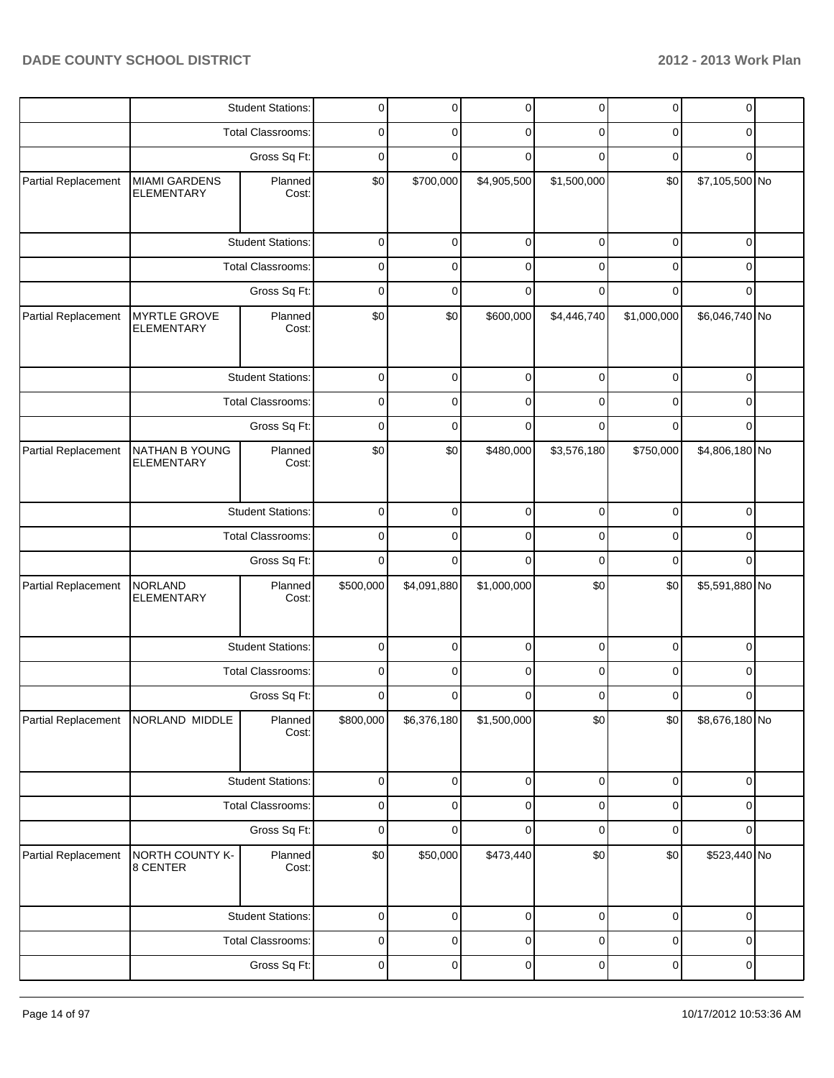|                     |                                           | <b>Student Stations:</b> | 0           | $\overline{0}$ | $\overline{0}$  | 0           | 0           | 0              |  |
|---------------------|-------------------------------------------|--------------------------|-------------|----------------|-----------------|-------------|-------------|----------------|--|
|                     |                                           | <b>Total Classrooms:</b> | 0           | 0              | 0               | 0           | 0           | 0              |  |
|                     |                                           | Gross Sq Ft:             | 0           | 0              | $\mathbf 0$     | 0           | 0           | $\mathbf 0$    |  |
| Partial Replacement | <b>MIAMI GARDENS</b><br><b>ELEMENTARY</b> | Planned<br>Cost:         | \$0         | \$700,000      | \$4,905,500     | \$1,500,000 | \$0         | \$7,105,500 No |  |
|                     |                                           | <b>Student Stations:</b> | $\mathbf 0$ | 0              | $\pmb{0}$       | $\mathbf 0$ | $\mathbf 0$ | $\mathbf 0$    |  |
|                     |                                           | <b>Total Classrooms:</b> | $\mathbf 0$ | 0              | $\pmb{0}$       | $\mathbf 0$ | $\mathbf 0$ | $\mathbf 0$    |  |
|                     |                                           | Gross Sq Ft:             | $\mathbf 0$ | 0              | $\pmb{0}$       | $\mathbf 0$ | 0           | $\mathbf 0$    |  |
| Partial Replacement | <b>MYRTLE GROVE</b><br><b>ELEMENTARY</b>  | Planned<br>Cost:         | \$0         | \$0            | \$600,000       | \$4,446,740 | \$1,000,000 | \$6,046,740 No |  |
|                     |                                           | <b>Student Stations:</b> | 0           | 0              | $\mathbf 0$     | $\mathbf 0$ | 0           | 0              |  |
|                     |                                           | <b>Total Classrooms:</b> | 0           | 0              | 0               | 0           | 0           | 0              |  |
|                     |                                           | Gross Sq Ft:             | 0           | 0              | $\mathbf 0$     | 0           | 0           | 0              |  |
| Partial Replacement | NATHAN B YOUNG<br><b>ELEMENTARY</b>       | Planned<br>Cost:         | \$0         | \$0            | \$480,000       | \$3,576,180 | \$750,000   | \$4,806,180 No |  |
|                     |                                           | <b>Student Stations:</b> | $\mathbf 0$ | 0              | $\pmb{0}$       | $\mathbf 0$ | $\mathbf 0$ | $\mathbf 0$    |  |
|                     |                                           | <b>Total Classrooms:</b> | $\mathbf 0$ | 0              | $\mathbf 0$     | $\mathbf 0$ | $\mathbf 0$ | $\mathbf 0$    |  |
|                     |                                           | Gross Sq Ft:             | $\mathbf 0$ | 0              | $\mathbf 0$     | $\mathbf 0$ | 0           | $\mathbf 0$    |  |
| Partial Replacement | <b>NORLAND</b><br><b>ELEMENTARY</b>       | Planned<br>Cost:         | \$500,000   | \$4,091,880    | \$1,000,000     | \$0         | \$0         | \$5,591,880 No |  |
|                     |                                           | <b>Student Stations:</b> | 0           | 0              | $\mathbf 0$     | $\mathbf 0$ | 0           | 0              |  |
|                     |                                           | Total Classrooms:        | 0           | 0              | 0               | 0           | 0           | 0              |  |
|                     |                                           | Gross Sq Ft:             | 0           | 0              | 0               | 0           | 0           | 0              |  |
| Partial Replacement | NORLAND MIDDLE                            | Planned<br>Cost:         | \$800,000   | \$6,376,180    | \$1,500,000     | \$0         | \$0         | \$8,676,180 No |  |
|                     |                                           | <b>Student Stations:</b> | $\pmb{0}$   | $\overline{0}$ | $\mathbf 0$     | $\pmb{0}$   | $\pmb{0}$   | $\pmb{0}$      |  |
|                     |                                           | Total Classrooms:        | $\pmb{0}$   | 0              | $\pmb{0}$       | $\pmb{0}$   | $\pmb{0}$   | $\pmb{0}$      |  |
|                     |                                           | Gross Sq Ft:             | $\pmb{0}$   | 0              | $\pmb{0}$       | $\pmb{0}$   | 0           | $\mathbf 0$    |  |
| Partial Replacement | NORTH COUNTY K-<br>8 CENTER               | Planned<br>Cost:         | \$0         | \$50,000       | \$473,440       | \$0         | \$0         | \$523,440 No   |  |
|                     |                                           | <b>Student Stations:</b> | 0           | 0              | 0               | 0           | $\mathbf 0$ | 0              |  |
|                     |                                           | <b>Total Classrooms:</b> | 0           | 0              | 0               | $\pmb{0}$   | $\mathbf 0$ | 0              |  |
|                     |                                           | Gross Sq Ft:             | $\pmb{0}$   | $\mathbf{0}$   | $\vert 0 \vert$ | $\pmb{0}$   | $\pmb{0}$   | $\mathbf 0$    |  |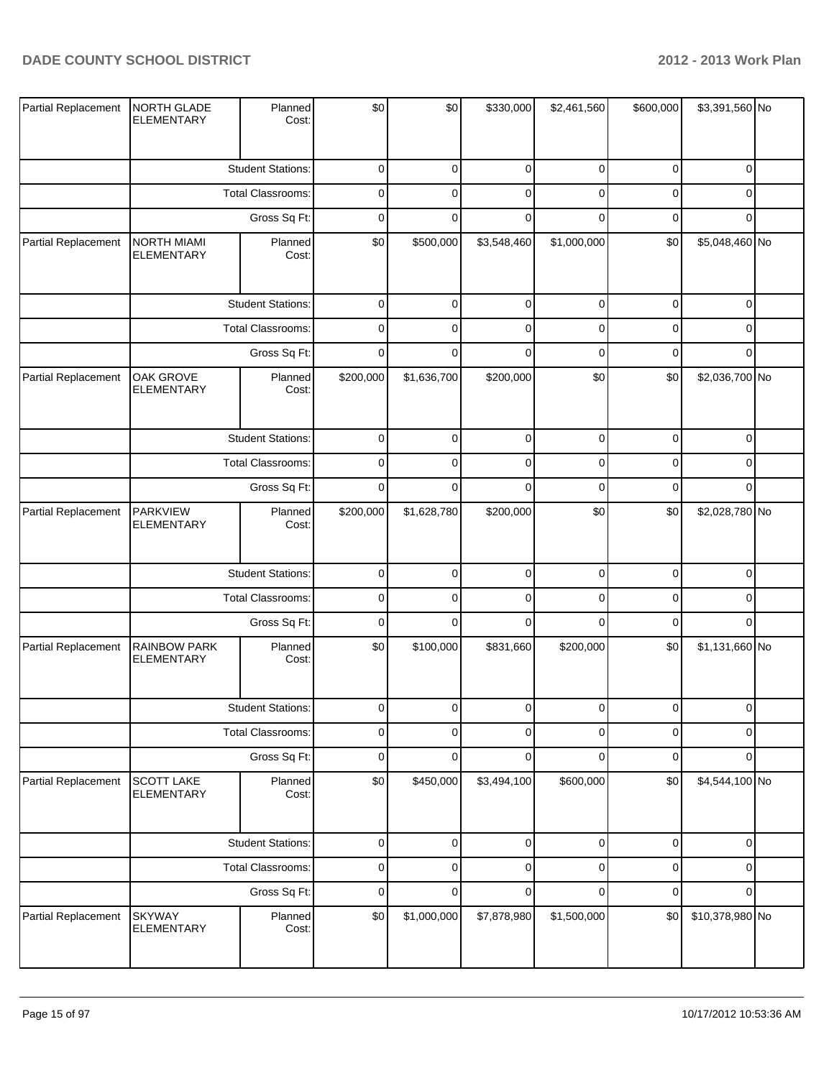| Partial Replacement | NORTH GLADE<br><b>ELEMENTARY</b>         | Planned<br>Cost:         | \$0         | \$0         | \$330,000   | \$2,461,560 | \$600,000 | \$3,391,560 No  |  |
|---------------------|------------------------------------------|--------------------------|-------------|-------------|-------------|-------------|-----------|-----------------|--|
|                     |                                          | <b>Student Stations:</b> | 0           | 0           | 0           | 0           | 0         | $\mathbf 0$     |  |
|                     |                                          | <b>Total Classrooms:</b> | 0           | 0           | 0           | 0           | 0         | 0               |  |
|                     |                                          | Gross Sq Ft:             | 0           | 0           | 0           | 0           | 0         | $\mathbf 0$     |  |
| Partial Replacement | <b>NORTH MIAMI</b><br><b>ELEMENTARY</b>  | Planned<br>Cost:         | \$0         | \$500,000   | \$3,548,460 | \$1,000,000 | \$0       | \$5,048,460 No  |  |
|                     |                                          | <b>Student Stations:</b> | $\mathbf 0$ | 0           | $\pmb{0}$   | $\pmb{0}$   | $\pmb{0}$ | $\overline{0}$  |  |
|                     |                                          | Total Classrooms:        | 0           | 0           | 0           | 0           | 0         | 0               |  |
|                     |                                          | Gross Sq Ft:             | 0           | 0           | 0           | 0           | 0         | 0               |  |
| Partial Replacement | OAK GROVE<br><b>ELEMENTARY</b>           | Planned<br>Cost:         | \$200,000   | \$1,636,700 | \$200,000   | \$0         | \$0       | \$2,036,700 No  |  |
|                     |                                          | <b>Student Stations:</b> | 0           | 0           | 0           | 0           | 0         | $\mathbf 0$     |  |
|                     |                                          | <b>Total Classrooms:</b> | 0           | 0           | 0           | 0           | 0         | 0               |  |
|                     |                                          | Gross Sq Ft:             | 0           | 0           | 0           | 0           | 0         | $\mathbf 0$     |  |
| Partial Replacement | PARKVIEW<br><b>ELEMENTARY</b>            | Planned<br>Cost:         | \$200,000   | \$1,628,780 | \$200,000   | \$0         | \$0       | \$2,028,780 No  |  |
|                     |                                          | <b>Student Stations:</b> | $\pmb{0}$   | $\mathbf 0$ | $\pmb{0}$   | $\pmb{0}$   | $\pmb{0}$ | $\mathbf 0$     |  |
|                     |                                          | Total Classrooms:        | $\pmb{0}$   | 0           | $\pmb{0}$   | 0           | $\pmb{0}$ | $\mathbf 0$     |  |
|                     |                                          | Gross Sq Ft:             | $\pmb{0}$   | 0           | 0           | 0           | 0         | $\mathbf 0$     |  |
| Partial Replacement | <b>RAINBOW PARK</b><br><b>ELEMENTARY</b> | Planned<br>Cost:         | \$0         | \$100,000   | \$831,660   | \$200,000   | \$0       | \$1,131,660 No  |  |
|                     |                                          | <b>Student Stations:</b> | $\Omega$    | $\Omega$    | $\Omega$    | $\Omega$    | $\Omega$  | $\Omega$        |  |
|                     |                                          | Total Classrooms:        | 0           | 0           | 0           | 0           | 0         | $\mathbf 0$     |  |
|                     |                                          | Gross Sq Ft:             | 0           | 0           | 0           | 0           | 0         | $\mathbf 0$     |  |
| Partial Replacement | <b>SCOTT LAKE</b><br><b>ELEMENTARY</b>   | Planned<br>Cost:         | \$0         | \$450,000   | \$3,494,100 | \$600,000   | \$0       | \$4,544,100 No  |  |
|                     |                                          | <b>Student Stations:</b> | $\pmb{0}$   | $\mathbf 0$ | $\pmb{0}$   | 0           | $\pmb{0}$ | $\overline{0}$  |  |
|                     |                                          | Total Classrooms:        | $\pmb{0}$   | 0           | $\pmb{0}$   | 0           | $\pmb{0}$ | $\mathbf 0$     |  |
|                     |                                          | Gross Sq Ft:             | $\pmb{0}$   | 0           | 0           | 0           | 0         | $\mathbf 0$     |  |
| Partial Replacement | <b>SKYWAY</b><br><b>ELEMENTARY</b>       | Planned<br>Cost:         | \$0         | \$1,000,000 | \$7,878,980 | \$1,500,000 | \$0       | \$10,378,980 No |  |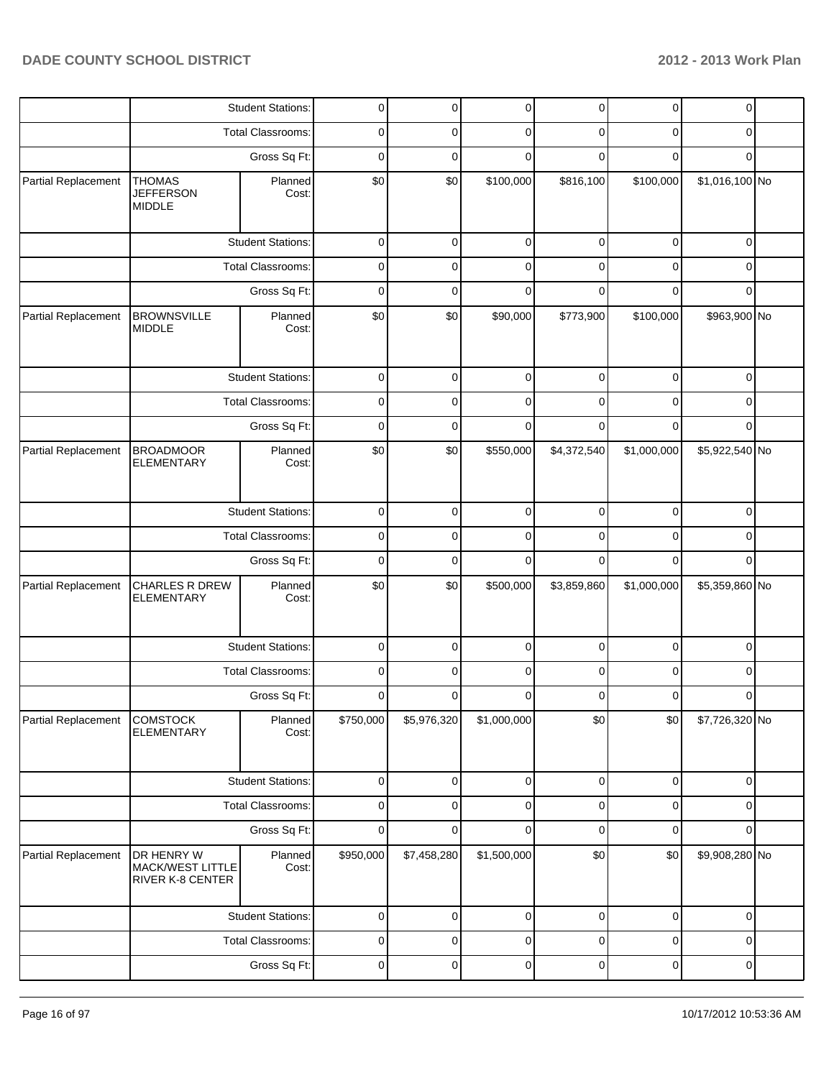|                     |                                                    | <b>Student Stations:</b> | 0           | 0           | $\mathbf 0$ | 0           | $\mathbf 0$ | $\overline{0}$ |  |
|---------------------|----------------------------------------------------|--------------------------|-------------|-------------|-------------|-------------|-------------|----------------|--|
|                     |                                                    | Total Classrooms:        | 0           | 0           | 0           | 0           | 0           | 0              |  |
|                     |                                                    | Gross Sq Ft:             | 0           | 0           | $\mathbf 0$ | 0           | 0           | 0              |  |
| Partial Replacement | <b>THOMAS</b><br><b>JEFFERSON</b><br><b>MIDDLE</b> | Planned<br>Cost:         | \$0         | \$0         | \$100,000   | \$816,100   | \$100,000   | \$1,016,100 No |  |
|                     |                                                    | <b>Student Stations:</b> | $\mathbf 0$ | $\mathbf 0$ | $\mathbf 0$ | $\mathbf 0$ | $\mathbf 0$ | $\pmb{0}$      |  |
|                     |                                                    | <b>Total Classrooms:</b> | 0           | 0           | $\mathbf 0$ | 0           | $\mathbf 0$ | $\pmb{0}$      |  |
|                     |                                                    | Gross Sq Ft:             | $\mathbf 0$ | 0           | $\mathbf 0$ | 0           | 0           | $\mathbf 0$    |  |
| Partial Replacement | <b>BROWNSVILLE</b><br><b>MIDDLE</b>                | Planned<br>Cost:         | \$0         | \$0         | \$90,000    | \$773,900   | \$100,000   | \$963,900 No   |  |
|                     |                                                    | <b>Student Stations:</b> | 0           | 0           | $\mathbf 0$ | 0           | $\mathbf 0$ | $\overline{0}$ |  |
|                     |                                                    | <b>Total Classrooms:</b> | 0           | 0           | $\mathbf 0$ | 0           | 0           | 0              |  |
|                     |                                                    | Gross Sq Ft:             | 0           | 0           | 0           | $\mathbf 0$ | 0           | 0              |  |
| Partial Replacement | <b>BROADMOOR</b><br><b>ELEMENTARY</b>              | Planned<br>Cost:         | \$0         | \$0         | \$550,000   | \$4,372,540 | \$1,000,000 | \$5,922,540 No |  |
|                     |                                                    | <b>Student Stations:</b> | $\mathbf 0$ | 0           | $\mathbf 0$ | $\mathbf 0$ | $\pmb{0}$   | $\overline{0}$ |  |
|                     |                                                    | Total Classrooms:        | 0           | 0           | $\mathbf 0$ | 0           | $\mathbf 0$ | $\pmb{0}$      |  |
|                     |                                                    | Gross Sq Ft:             | $\mathbf 0$ | $\mathbf 0$ | $\mathbf 0$ | 0           | $\mathbf 0$ | $\mathbf 0$    |  |
| Partial Replacement | <b>CHARLES R DREW</b><br><b>ELEMENTARY</b>         | Planned<br>Cost:         | \$0         | \$0         | \$500,000   | \$3,859,860 | \$1,000,000 | \$5,359,860 No |  |
|                     |                                                    | <b>Student Stations:</b> | 0           | 0           | $\mathbf 0$ | 0           | $\mathbf 0$ | $\overline{0}$ |  |
|                     |                                                    | Total Classrooms:        | 0           | 0           | $\mathbf 0$ | 0           | 0           | 0              |  |
|                     |                                                    | Gross Sq Ft:             | 0           | 0           | 0           | 0           | 0           | 0              |  |
| Partial Replacement | <b>COMSTOCK</b><br><b>ELEMENTARY</b>               | Planned<br>Cost:         | \$750,000   | \$5,976,320 | \$1,000,000 | \$0         | \$0         | \$7,726,320 No |  |
|                     |                                                    | <b>Student Stations:</b> | $\pmb{0}$   | $\pmb{0}$   | $\mathbf 0$ | $\mathbf 0$ | $\pmb{0}$   | $\overline{0}$ |  |
|                     |                                                    | <b>Total Classrooms:</b> | $\pmb{0}$   | 0           | $\mathbf 0$ | $\mathbf 0$ | $\mathbf 0$ | $\overline{0}$ |  |
|                     |                                                    | Gross Sq Ft:             | $\mathbf 0$ | 0           | $\mathbf 0$ | $\mathbf 0$ | $\pmb{0}$   | 0              |  |
| Partial Replacement | DR HENRY W<br>MACK/WEST LITTLE<br>RIVER K-8 CENTER | Planned<br>Cost:         | \$950,000   | \$7,458,280 | \$1,500,000 | \$0         | \$0         | \$9,908,280 No |  |
|                     |                                                    | <b>Student Stations:</b> | 0           | 0           | $\mathbf 0$ | 0           | 0           | $\overline{0}$ |  |
|                     |                                                    | Total Classrooms:        | 0           | 0           | $\mathbf 0$ | 0           | 0           | $\mathbf 0$    |  |
|                     |                                                    | Gross Sq Ft:             | 0           | 0           | $\pmb{0}$   | 0           | $\pmb{0}$   | $\pmb{0}$      |  |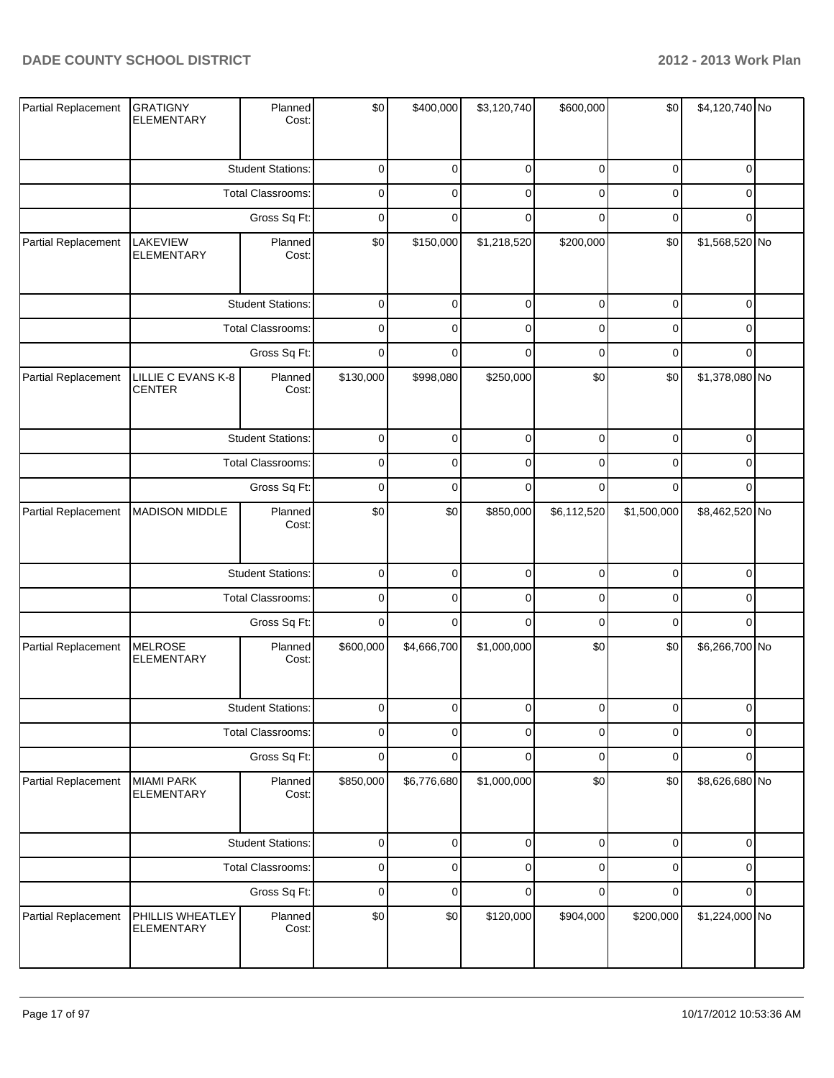| Partial Replacement        | <b>GRATIGNY</b><br><b>ELEMENTARY</b>  | Planned<br>Cost:         | \$0         | \$400,000   | \$3,120,740    | \$600,000      | \$0         | \$4,120,740 No |  |
|----------------------------|---------------------------------------|--------------------------|-------------|-------------|----------------|----------------|-------------|----------------|--|
|                            |                                       | <b>Student Stations:</b> | 0           | 0           | $\mathbf 0$    | 0              | 0           | $\overline{0}$ |  |
|                            |                                       | Total Classrooms:        | 0           | 0           | $\mathbf 0$    | 0              | 0           | 0              |  |
|                            |                                       | Gross Sq Ft:             | 0           | $\Omega$    | 0              | 0              | 0           | $\mathbf{0}$   |  |
| Partial Replacement        | LAKEVIEW<br>ELEMENTARY                | Planned<br>Cost:         | \$0         | \$150,000   | \$1,218,520    | \$200,000      | \$0         | \$1,568,520 No |  |
|                            |                                       | <b>Student Stations:</b> | 0           | $\mathbf 0$ | $\mathbf 0$    | $\overline{0}$ | $\pmb{0}$   | $\overline{0}$ |  |
|                            |                                       | Total Classrooms:        | 0           | 0           | $\mathbf 0$    | 0              | 0           | 0              |  |
|                            |                                       | Gross Sq Ft:             | $\mathbf 0$ | $\Omega$    | 0              | 0              | 0           | 0              |  |
| Partial Replacement        | LILLIE C EVANS K-8<br><b>CENTER</b>   | Planned<br>Cost:         | \$130,000   | \$998,080   | \$250,000      | \$0            | \$0         | \$1,378,080 No |  |
|                            |                                       | <b>Student Stations:</b> | 0           | 0           | $\mathbf 0$    | 0              | 0           | $\mathbf 0$    |  |
|                            |                                       | Total Classrooms:        | 0           | 0           | $\mathbf 0$    | 0              | 0           | 0              |  |
|                            |                                       | Gross Sq Ft:             | $\mathbf 0$ | 0           | $\mathbf 0$    | 0              | 0           | $\overline{0}$ |  |
| Partial Replacement        | <b>MADISON MIDDLE</b>                 | Planned<br>Cost:         | \$0         | \$0         | \$850,000      | \$6,112,520    | \$1,500,000 | \$8,462,520 No |  |
|                            |                                       | <b>Student Stations:</b> | 0           | $\mathbf 0$ | $\overline{0}$ | $\overline{0}$ | $\pmb{0}$   | $\overline{0}$ |  |
|                            |                                       | Total Classrooms:        | 0           | $\Omega$    | $\mathbf 0$    | 0              | 0           | 0              |  |
|                            |                                       | Gross Sq Ft:             | 0           | $\mathbf 0$ | $\mathbf 0$    | 0              | 0           | $\mathbf 0$    |  |
| Partial Replacement        | <b>MELROSE</b><br>ELEMENTARY          | Planned<br>Cost:         | \$600,000   | \$4,666,700 | \$1,000,000    | \$0            | \$0         | \$6,266,700 No |  |
|                            |                                       | <b>Student Stations:</b> | $\Omega$    | U           | $\Omega$       | $\Omega$       | $\Omega$    | $\Omega$       |  |
|                            |                                       | <b>Total Classrooms:</b> | $\mathbf 0$ | 0           | 0              | 0              | 0           | $\mathbf{0}$   |  |
|                            |                                       | Gross Sq Ft:             | 0           | $\mathbf 0$ | $\mathbf 0$    | $\mathbf 0$    | 0           | $\mathbf{0}$   |  |
| <b>Partial Replacement</b> | <b>MIAMI PARK</b><br>ELEMENTARY       | Planned<br>Cost:         | \$850,000   | \$6,776,680 | \$1,000,000    | \$0            | \$0         | \$8,626,680 No |  |
|                            |                                       | <b>Student Stations:</b> | 0           | $\mathbf 0$ | $\overline{0}$ | $\overline{0}$ | $\pmb{0}$   | $\overline{0}$ |  |
|                            |                                       | <b>Total Classrooms:</b> | 0           | $\mathbf 0$ | $\mathbf 0$    | 0              | 0           | $\mathbf{0}$   |  |
|                            |                                       | Gross Sq Ft:             | 0           | $\mathbf 0$ | $\mathbf 0$    | $\overline{0}$ | $\mathbf 0$ | $\mathbf{0}$   |  |
| Partial Replacement        | PHILLIS WHEATLEY<br><b>ELEMENTARY</b> | Planned<br>Cost:         | \$0         | \$0         | \$120,000      | \$904,000      | \$200,000   | \$1,224,000 No |  |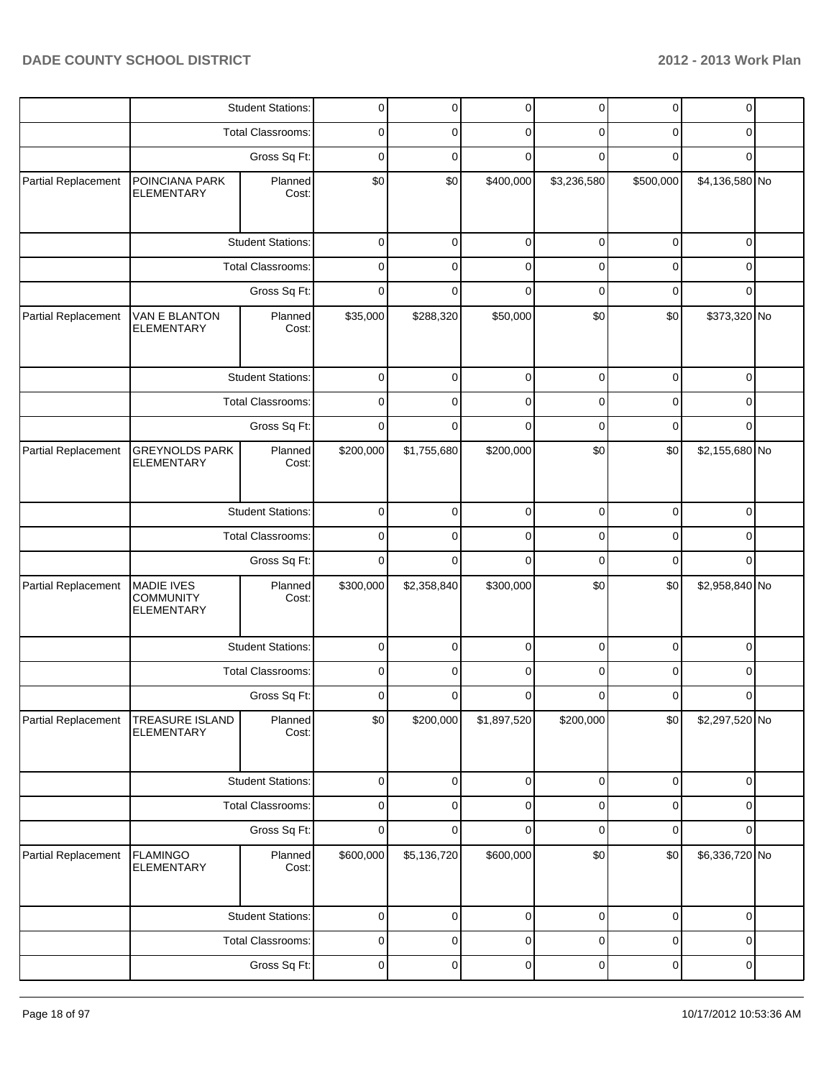|                     |                                                            | <b>Student Stations:</b> | 0           | 0            | $\mathbf 0$ | $\overline{0}$ | $\overline{0}$ | $\overline{0}$ |  |
|---------------------|------------------------------------------------------------|--------------------------|-------------|--------------|-------------|----------------|----------------|----------------|--|
|                     |                                                            | <b>Total Classrooms:</b> | 0           | 0            | $\mathbf 0$ | 0              | 0              | $\mathbf 0$    |  |
|                     |                                                            | Gross Sq Ft:             | $\mathbf 0$ | $\Omega$     | $\Omega$    | 0              | $\Omega$       | $\Omega$       |  |
| Partial Replacement | POINCIANA PARK<br><b>ELEMENTARY</b>                        | Planned<br>Cost:         | \$0         | \$0          | \$400,000   | \$3,236,580    | \$500,000      | \$4,136,580 No |  |
|                     |                                                            | <b>Student Stations:</b> | $\mathbf 0$ | $\mathbf 0$  | $\mathbf 0$ | $\mathbf 0$    | $\mathbf 0$    | $\overline{0}$ |  |
|                     |                                                            | <b>Total Classrooms:</b> | 0           | $\mathbf{0}$ | $\Omega$    | 0              | $\mathbf 0$    | 0              |  |
|                     |                                                            | Gross Sq Ft:             | 0           | $\Omega$     | $\Omega$    | $\mathbf 0$    | $\mathbf 0$    | 0              |  |
| Partial Replacement | VAN E BLANTON<br><b>ELEMENTARY</b>                         | Planned<br>Cost:         | \$35,000    | \$288,320    | \$50,000    | \$0            | \$0            | \$373,320 No   |  |
|                     |                                                            | <b>Student Stations:</b> | $\mathbf 0$ | 0            | $\mathbf 0$ | 0              | $\pmb{0}$      | $\overline{0}$ |  |
|                     |                                                            | <b>Total Classrooms:</b> | 0           | $\Omega$     | $\Omega$    | 0              | 0              | $\overline{0}$ |  |
|                     |                                                            | Gross Sq Ft:             | $\mathbf 0$ | $\Omega$     | $\Omega$    | 0              | 0              | $\overline{0}$ |  |
| Partial Replacement | <b>GREYNOLDS PARK</b><br><b>ELEMENTARY</b>                 | Planned<br>Cost:         | \$200,000   | \$1,755,680  | \$200,000   | \$0            | \$0            | \$2,155,680 No |  |
|                     |                                                            | <b>Student Stations:</b> | $\mathbf 0$ | $\mathbf 0$  | $\mathbf 0$ | $\mathbf 0$    | $\pmb{0}$      | $\overline{0}$ |  |
|                     |                                                            | <b>Total Classrooms:</b> | $\mathbf 0$ | $\mathbf{0}$ | $\Omega$    | $\overline{0}$ | $\pmb{0}$      | $\overline{0}$ |  |
|                     |                                                            | Gross Sq Ft:             | $\Omega$    | $\Omega$     | $\Omega$    | 0              | $\mathbf 0$    | 0              |  |
| Partial Replacement | <b>MADIE IVES</b><br><b>COMMUNITY</b><br><b>ELEMENTARY</b> | Planned<br>Cost:         | \$300,000   | \$2,358,840  | \$300,000   | \$0            | \$0            | \$2,958,840 No |  |
|                     |                                                            | <b>Student Stations:</b> | $\mathbf 0$ | $\Omega$     | $\mathbf 0$ | 0              | $\mathbf 0$    | $\overline{0}$ |  |
|                     |                                                            | <b>Total Classrooms:</b> | 0           | 0            | $\mathbf 0$ | 0              | $\pmb{0}$      | 0              |  |
|                     |                                                            | Gross Sq Ft:             | 0           | $\Omega$     | 0           | 0              | 0              | 0              |  |
| Partial Replacement | <b>TREASURE ISLAND</b><br><b>ELEMENTARY</b>                | Planned<br>Cost:         | \$0         | \$200,000    | \$1,897,520 | \$200,000      | \$0            | \$2,297,520 No |  |
|                     |                                                            | <b>Student Stations:</b> | $\mathbf 0$ | $\mathbf 0$  | $\mathbf 0$ | $\mathbf 0$    | $\overline{0}$ | $\mathbf 0$    |  |
|                     |                                                            | Total Classrooms:        | $\mathbf 0$ | 0            | $\mathbf 0$ | $\mathbf 0$    | $\pmb{0}$      | $\overline{0}$ |  |
|                     |                                                            | Gross Sq Ft:             | $\mathbf 0$ | 0            | $\mathbf 0$ | $\mathbf 0$    | $\overline{0}$ | $\overline{0}$ |  |
| Partial Replacement | <b>FLAMINGO</b><br><b>ELEMENTARY</b>                       | Planned<br>Cost:         | \$600,000   | \$5,136,720  | \$600,000   | \$0            | \$0            | \$6,336,720 No |  |
|                     |                                                            | <b>Student Stations:</b> | $\pmb{0}$   | 0            | $\mathbf 0$ | 0              | $\pmb{0}$      | $\overline{0}$ |  |
|                     |                                                            | Total Classrooms:        | $\pmb{0}$   | 0            | $\mathbf 0$ | 0              | 0              | $\mathbf 0$    |  |
|                     |                                                            | Gross Sq Ft:             | $\mathbf 0$ | 0            | $\pmb{0}$   | 0              | $\pmb{0}$      | $\overline{0}$ |  |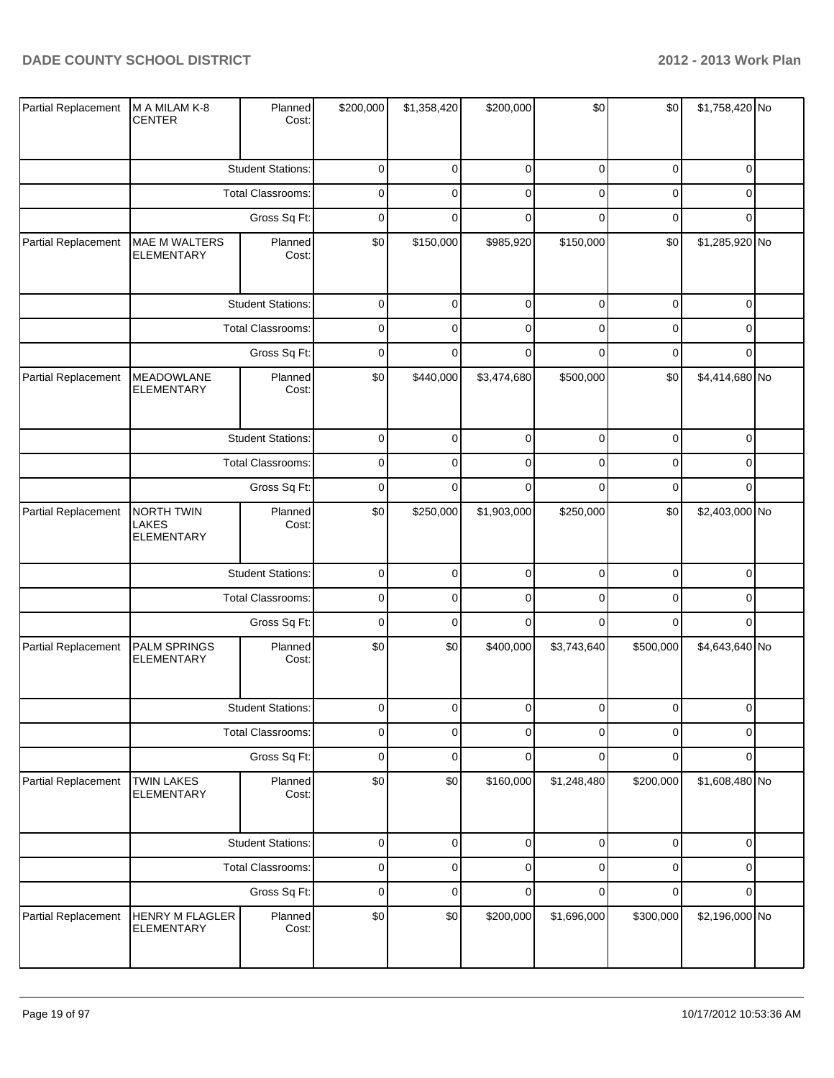| Partial Replacement | M A MILAM K-8<br><b>CENTER</b>                  | Planned<br>Cost:         | \$200,000   | \$1,358,420 | \$200,000   | \$0            | \$0         | \$1,758,420 No |  |
|---------------------|-------------------------------------------------|--------------------------|-------------|-------------|-------------|----------------|-------------|----------------|--|
|                     |                                                 | <b>Student Stations:</b> | 0           | $\mathbf 0$ | $\mathbf 0$ | $\mathbf 0$    | 0           | $\mathbf{0}$   |  |
|                     |                                                 | Total Classrooms:        | $\mathbf 0$ | 0           | $\mathbf 0$ | $\Omega$       | 0           | 0              |  |
|                     |                                                 | Gross Sq Ft:             | 0           | $\mathbf 0$ | $\mathbf 0$ | $\mathbf 0$    | 0           | 0              |  |
| Partial Replacement | MAE M WALTERS<br><b>ELEMENTARY</b>              | Planned<br>Cost:         | \$0         | \$150,000   | \$985,920   | \$150,000      | \$0         | \$1,285,920 No |  |
|                     |                                                 | <b>Student Stations:</b> | 0           | $\mathbf 0$ | $\pmb{0}$   | $\overline{0}$ | $\mathbf 0$ | $\mathbf 0$    |  |
|                     |                                                 | Total Classrooms:        | 0           | $\mathbf 0$ | $\pmb{0}$   | $\mathbf 0$    | 0           | 0              |  |
|                     |                                                 | Gross Sq Ft:             | 0           | $\mathbf 0$ | $\mathbf 0$ | $\Omega$       | 0           | 0              |  |
| Partial Replacement | <b>MEADOWLANE</b><br><b>ELEMENTARY</b>          | Planned<br>Cost:         | \$0         | \$440,000   | \$3,474,680 | \$500,000      | \$0         | \$4,414,680 No |  |
|                     |                                                 | <b>Student Stations:</b> | 0           | 0           | $\mathbf 0$ | $\mathbf 0$    | 0           | $\mathbf{0}$   |  |
|                     |                                                 | <b>Total Classrooms:</b> | 0           | $\mathbf 0$ | $\mathbf 0$ | $\mathbf 0$    | 0           | 0              |  |
|                     |                                                 | Gross Sq Ft:             | 0           | $\mathbf 0$ | 0           | $\mathbf 0$    | 0           | $\mathbf{0}$   |  |
| Partial Replacement | <b>NORTH TWIN</b><br>LAKES<br><b>ELEMENTARY</b> | Planned<br>Cost:         | \$0         | \$250,000   | \$1,903,000 | \$250,000      | \$0         | \$2,403,000 No |  |
|                     |                                                 | <b>Student Stations:</b> | 0           | $\pmb{0}$   | $\pmb{0}$   | $\mathbf 0$    | $\mathbf 0$ | 0              |  |
|                     |                                                 | Total Classrooms:        | 0           | $\mathbf 0$ | $\pmb{0}$   | $\mathbf 0$    | 0           | 0              |  |
|                     |                                                 | Gross Sq Ft:             | 0           | $\pmb{0}$   | $\pmb{0}$   | $\mathbf 0$    | 0           | 0              |  |
| Partial Replacement | <b>PALM SPRINGS</b><br><b>ELEMENTARY</b>        | Planned<br>Cost:         | \$0         | \$0         | \$400,000   | \$3,743,640    | \$500,000   | \$4,643,640 No |  |
|                     |                                                 | <b>Student Stations:</b> | $\Omega$    | $\Omega$    | $\Omega$    | $\Omega$       | $\Omega$    | $\Omega$       |  |
|                     |                                                 | Total Classrooms:        | 0           | $\mathbf 0$ | $\mathbf 0$ | $\mathbf 0$    | 0           | 0              |  |
|                     |                                                 | Gross Sq Ft:             | $\pmb{0}$   | 0           | 0           | $\mathbf 0$    | 0           | $\mathbf{0}$   |  |
| Partial Replacement | <b>TWIN LAKES</b><br><b>ELEMENTARY</b>          | Planned<br>Cost:         | \$0         | \$0         | \$160,000   | \$1,248,480    | \$200,000   | \$1,608,480 No |  |
|                     |                                                 | <b>Student Stations:</b> | 0           | $\pmb{0}$   | $\pmb{0}$   | $\mathbf 0$    | 0           | 0              |  |
|                     |                                                 | Total Classrooms:        | 0           | $\pmb{0}$   | $\pmb{0}$   | $\mathbf 0$    | 0           | 0              |  |
|                     |                                                 | Gross Sq Ft:             | $\pmb{0}$   | 0           | $\mathbf 0$ | $\mathbf 0$    | 0           | 0              |  |
| Partial Replacement | HENRY M FLAGLER<br><b>ELEMENTARY</b>            | Planned<br>Cost:         | \$0         | \$0         | \$200,000   | \$1,696,000    | \$300,000   | \$2,196,000 No |  |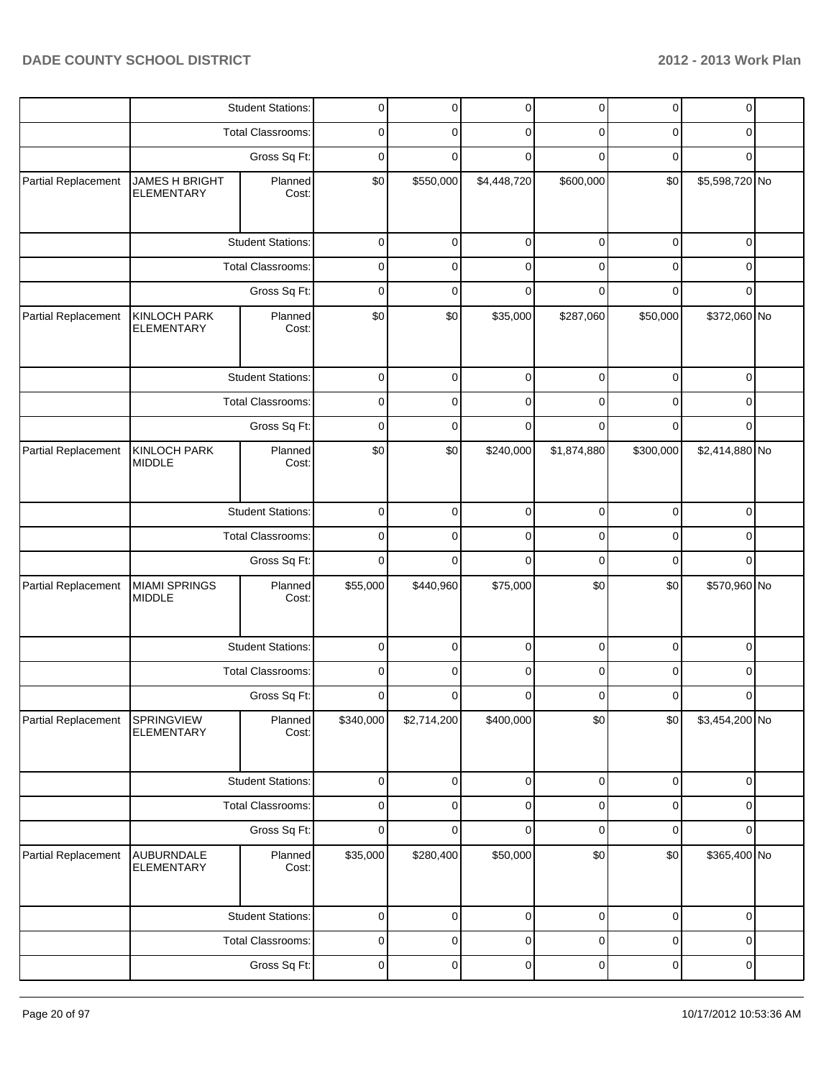|                     |                                          | <b>Student Stations:</b> | 0            | 0            | $\overline{0}$ | $\overline{0}$ | $\overline{0}$ | $\overline{0}$ |  |
|---------------------|------------------------------------------|--------------------------|--------------|--------------|----------------|----------------|----------------|----------------|--|
|                     |                                          | <b>Total Classrooms:</b> | 0            | $\Omega$     | $\mathbf 0$    | 0              | 0              | $\mathbf 0$    |  |
|                     |                                          | Gross Sq Ft:             | 0            | $\Omega$     | 0              | $\mathbf{0}$   | $\mathbf 0$    | $\Omega$       |  |
| Partial Replacement | JAMES H BRIGHT<br><b>ELEMENTARY</b>      | Planned<br>Cost:         | \$0          | \$550,000    | \$4,448,720    | \$600,000      | \$0            | \$5,598,720 No |  |
|                     |                                          | <b>Student Stations:</b> | $\mathbf 0$  | $\mathbf 0$  | $\mathbf 0$    | $\mathbf 0$    | $\pmb{0}$      | $\overline{0}$ |  |
|                     |                                          | <b>Total Classrooms:</b> | 0            | $\mathbf{0}$ | $\Omega$       | 0              | $\mathbf 0$    | 0              |  |
|                     |                                          | Gross Sq Ft:             | $\mathbf 0$  | 0            | $\Omega$       | 0              | $\mathbf 0$    | 0              |  |
| Partial Replacement | <b>KINLOCH PARK</b><br><b>ELEMENTARY</b> | Planned<br>Cost:         | \$0          | \$0          | \$35,000       | \$287,060      | \$50,000       | \$372,060 No   |  |
|                     |                                          | <b>Student Stations:</b> | $\mathbf 0$  | 0            | $\mathbf 0$    | $\mathbf 0$    | $\pmb{0}$      | $\overline{0}$ |  |
|                     |                                          | <b>Total Classrooms:</b> | 0            | $\Omega$     | $\Omega$       | $\mathbf{0}$   | 0              | $\overline{0}$ |  |
|                     |                                          | Gross Sq Ft:             | 0            | 0            | $\Omega$       | 0              | $\mathbf 0$    | $\overline{0}$ |  |
| Partial Replacement | <b>KINLOCH PARK</b><br><b>MIDDLE</b>     | Planned<br>Cost:         | \$0          | \$0          | \$240,000      | \$1,874,880    | \$300,000      | \$2,414,880 No |  |
|                     |                                          | <b>Student Stations:</b> | $\mathbf 0$  | $\mathbf 0$  | $\mathbf 0$    | $\mathbf 0$    | $\pmb{0}$      | $\overline{0}$ |  |
|                     |                                          | <b>Total Classrooms:</b> | $\mathbf 0$  | $\mathbf{0}$ | $\mathbf 0$    | $\mathbf 0$    | $\pmb{0}$      | $\overline{0}$ |  |
|                     |                                          | Gross Sq Ft:             | $\mathbf{0}$ | $\Omega$     | $\Omega$       | 0              | $\mathbf 0$    | 0              |  |
| Partial Replacement | <b>MIAMI SPRINGS</b><br><b>MIDDLE</b>    | Planned<br>Cost:         | \$55,000     | \$440,960    | \$75,000       | \$0            | \$0            | \$570,960 No   |  |
|                     |                                          | <b>Student Stations:</b> | $\mathbf 0$  | $\Omega$     | $\mathbf 0$    | 0              | $\mathbf 0$    | $\overline{0}$ |  |
|                     |                                          | <b>Total Classrooms:</b> | 0            | 0            | $\mathbf 0$    | 0              | $\pmb{0}$      | $\mathbf 0$    |  |
|                     |                                          | Gross Sq Ft:             | 0            | $\Omega$     | 0              | 0              | 0              | 0              |  |
| Partial Replacement | SPRINGVIEW<br><b>ELEMENTARY</b>          | Planned<br>Cost:         | \$340,000    | \$2,714,200  | \$400,000      | \$0            | \$0            | \$3,454,200 No |  |
|                     |                                          | <b>Student Stations:</b> | $\mathbf 0$  | $\mathbf 0$  | $\mathbf 0$    | $\mathbf 0$    | $\overline{0}$ | $\mathbf 0$    |  |
|                     |                                          | Total Classrooms:        | $\mathbf 0$  | 0            | $\mathbf 0$    | 0              | $\pmb{0}$      | $\overline{0}$ |  |
|                     |                                          | Gross Sq Ft:             | $\mathbf 0$  | 0            | $\mathbf 0$    | $\mathbf 0$    | $\overline{0}$ | $\pmb{0}$      |  |
| Partial Replacement | <b>AUBURNDALE</b><br><b>ELEMENTARY</b>   | Planned<br>Cost:         | \$35,000     | \$280,400    | \$50,000       | \$0            | \$0            | \$365,400 No   |  |
|                     |                                          | <b>Student Stations:</b> | $\pmb{0}$    | 0            | $\pmb{0}$      | $\mathbf 0$    | $\pmb{0}$      | $\overline{0}$ |  |
|                     |                                          | Total Classrooms:        | $\pmb{0}$    | 0            | $\pmb{0}$      | 0              | 0              | $\mathbf 0$    |  |
|                     |                                          | Gross Sq Ft:             | $\mathbf 0$  | 0            | $\pmb{0}$      | 0              | $\mathbf 0$    | $\overline{0}$ |  |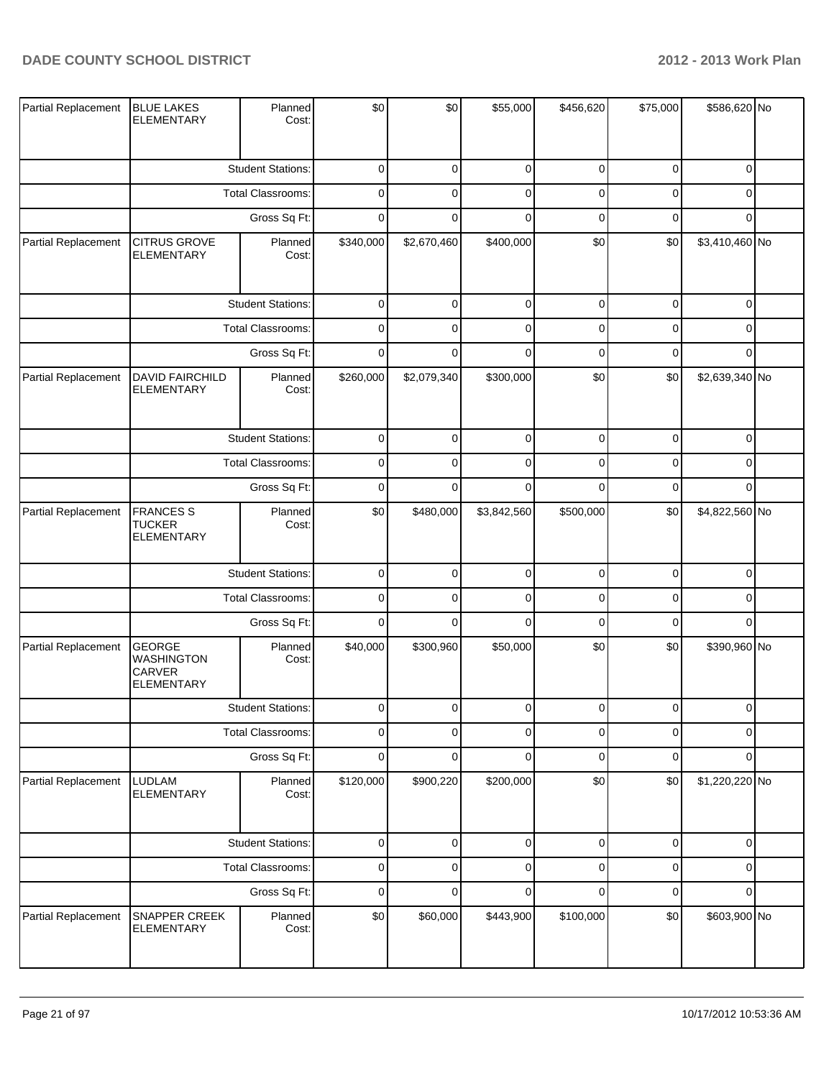| Partial Replacement | <b>BLUE LAKES</b><br><b>ELEMENTARY</b>                            | Planned<br>Cost:         | \$0         | \$0            | \$55,000    | \$456,620 | \$75,000  | \$586,620 No   |  |
|---------------------|-------------------------------------------------------------------|--------------------------|-------------|----------------|-------------|-----------|-----------|----------------|--|
|                     |                                                                   | <b>Student Stations:</b> | 0           | 0              | 0           | 0         | 0         | $\mathbf 0$    |  |
|                     |                                                                   | Total Classrooms:        | 0           | 0              | 0           | 0         | 0         | 0              |  |
|                     |                                                                   | Gross Sq Ft:             | 0           | 0              | 0           | 0         | 0         | $\mathbf 0$    |  |
| Partial Replacement | <b>CITRUS GROVE</b><br><b>ELEMENTARY</b>                          | Planned<br>Cost:         | \$340,000   | \$2,670,460    | \$400,000   | \$0       | \$0       | \$3,410,460 No |  |
|                     |                                                                   | <b>Student Stations:</b> | $\mathbf 0$ | $\overline{0}$ | $\pmb{0}$   | $\pmb{0}$ | $\pmb{0}$ | $\overline{0}$ |  |
|                     |                                                                   | Total Classrooms:        | $\mathbf 0$ | 0              | 0           | 0         | 0         | $\mathbf 0$    |  |
|                     |                                                                   | Gross Sq Ft:             | 0           | 0              | 0           | 0         | 0         | $\mathbf{0}$   |  |
| Partial Replacement | <b>DAVID FAIRCHILD</b><br><b>ELEMENTARY</b>                       | Planned<br>Cost:         | \$260,000   | \$2,079,340    | \$300,000   | \$0       | \$0       | \$2,639,340 No |  |
|                     |                                                                   | <b>Student Stations:</b> | $\pmb{0}$   | 0              | 0           | 0         | 0         | $\mathbf 0$    |  |
|                     |                                                                   | Total Classrooms:        | 0           | 0              | 0           | 0         | 0         | $\mathbf 0$    |  |
|                     |                                                                   | Gross Sq Ft:             | 0           | 0              | 0           | 0         | 0         | $\mathbf 0$    |  |
| Partial Replacement | <b>FRANCES S</b><br><b>TUCKER</b><br><b>ELEMENTARY</b>            | Planned<br>Cost:         | \$0         | \$480,000      | \$3,842,560 | \$500,000 | \$0       | \$4,822,560 No |  |
|                     |                                                                   | <b>Student Stations:</b> | $\pmb{0}$   | $\mathbf 0$    | $\pmb{0}$   | $\pmb{0}$ | $\pmb{0}$ | $\mathbf 0$    |  |
|                     |                                                                   | Total Classrooms:        | $\mathbf 0$ | 0              | $\pmb{0}$   | 0         | $\pmb{0}$ | $\mathbf 0$    |  |
|                     |                                                                   | Gross Sq Ft:             | $\mathbf 0$ | 0              | 0           | 0         | 0         | $\mathbf 0$    |  |
| Partial Replacement | <b>GEORGE</b><br><b>WASHINGTON</b><br>CARVER<br><b>ELEMENTARY</b> | Planned<br>Cost:         | \$40,000    | \$300,960      | \$50,000    | \$0       | \$0       | \$390,960 No   |  |
|                     |                                                                   | <b>Student Stations:</b> | $\Omega$    | $\Omega$       | $\Omega$    | $\Omega$  | $\Omega$  | $\Omega$       |  |
|                     |                                                                   | Total Classrooms:        | 0           | 0              | 0           | 0         | 0         | $\mathbf 0$    |  |
|                     |                                                                   | Gross Sq Ft:             | 0           | 0              | 0           | 0         | 0         | $\mathbf 0$    |  |
| Partial Replacement | LUDLAM<br><b>ELEMENTARY</b>                                       | Planned<br>Cost:         | \$120,000   | \$900,220      | \$200,000   | \$0       | \$0       | \$1,220,220 No |  |
|                     |                                                                   | <b>Student Stations:</b> | $\pmb{0}$   | 0              | $\pmb{0}$   | 0         | $\pmb{0}$ | $\mathbf 0$    |  |
|                     |                                                                   | Total Classrooms:        | $\mathbf 0$ | 0              | $\pmb{0}$   | 0         | $\pmb{0}$ | $\mathbf 0$    |  |
|                     |                                                                   | Gross Sq Ft:             | $\pmb{0}$   | 0              | 0           | 0         | 0         | $\mathbf 0$    |  |
| Partial Replacement | SNAPPER CREEK<br><b>ELEMENTARY</b>                                | Planned<br>Cost:         | \$0         | \$60,000       | \$443,900   | \$100,000 | \$0       | \$603,900 No   |  |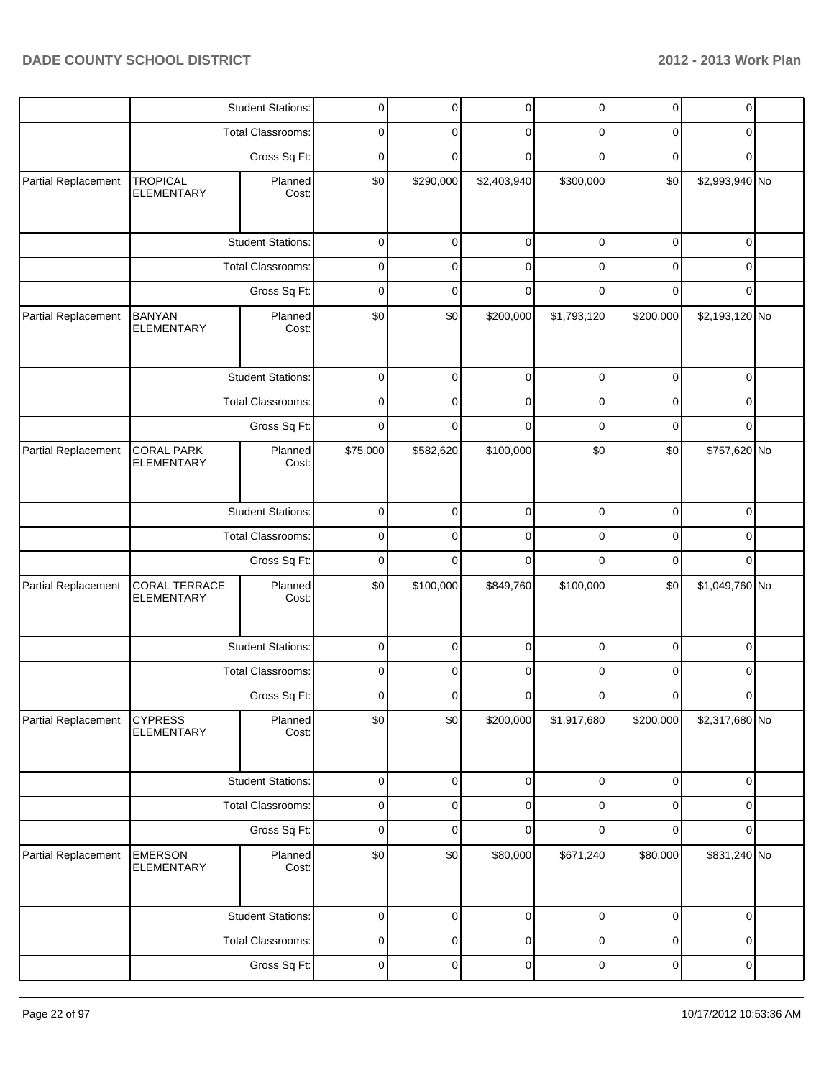|                     |                                           | <b>Student Stations:</b> | $\mathbf 0$ | $\overline{0}$ | $\overline{0}$ | $\pmb{0}$   | 0           | 0                        |  |
|---------------------|-------------------------------------------|--------------------------|-------------|----------------|----------------|-------------|-------------|--------------------------|--|
|                     |                                           | <b>Total Classrooms:</b> | 0           | 0              | 0              | 0           | 0           | 0                        |  |
|                     |                                           | Gross Sq Ft:             | 0           | 0              | $\mathbf 0$    | $\mathbf 0$ | 0           | $\mathbf 0$              |  |
| Partial Replacement | <b>TROPICAL</b><br><b>ELEMENTARY</b>      | Planned<br>Cost:         | \$0         | \$290,000      | \$2,403,940    | \$300,000   | \$0         | \$2,993,940 No           |  |
|                     |                                           | <b>Student Stations:</b> | $\mathbf 0$ | 0              | $\mathbf 0$    | $\mathbf 0$ | $\mathbf 0$ | $\pmb{0}$                |  |
|                     |                                           | <b>Total Classrooms:</b> | $\mathbf 0$ | 0              | $\pmb{0}$      | $\mathbf 0$ | $\mathbf 0$ | $\mathbf 0$              |  |
|                     |                                           | Gross Sq Ft:             | $\mathbf 0$ | 0              | $\mathbf 0$    | $\mathbf 0$ | $\mathbf 0$ | $\mathbf 0$              |  |
| Partial Replacement | <b>BANYAN</b><br><b>ELEMENTARY</b>        | Planned<br>Cost:         | \$0         | \$0            | \$200,000      | \$1,793,120 | \$200,000   | \$2,193,120 No           |  |
|                     |                                           | <b>Student Stations:</b> | $\mathbf 0$ | 0              | 0              | $\mathbf 0$ | $\mathbf 0$ | 0                        |  |
|                     |                                           | <b>Total Classrooms:</b> | 0           | 0              | $\mathbf 0$    | $\mathbf 0$ | 0           | $\mathbf 0$              |  |
|                     |                                           | Gross Sq Ft:             | $\mathbf 0$ | 0              | $\mathbf 0$    | $\mathbf 0$ | 0           | 0                        |  |
| Partial Replacement | <b>CORAL PARK</b><br><b>ELEMENTARY</b>    | Planned<br>Cost:         | \$75,000    | \$582,620      | \$100,000      | \$0         | \$0         | \$757,620 No             |  |
|                     |                                           | <b>Student Stations:</b> | $\mathbf 0$ | 0              | $\pmb{0}$      | $\mathbf 0$ | $\mathbf 0$ | $\mathbf 0$              |  |
|                     |                                           | <b>Total Classrooms:</b> | $\mathbf 0$ | $\mathbf 0$    | $\mathbf 0$    | $\mathbf 0$ | $\mathbf 0$ | $\pmb{0}$<br>$\mathbf 0$ |  |
|                     |                                           | Gross Sq Ft:             | $\mathbf 0$ | 0              | 0              | $\mathbf 0$ |             | $\mathbf 0$              |  |
| Partial Replacement | <b>CORAL TERRACE</b><br><b>ELEMENTARY</b> | Planned<br>Cost:         | \$0         | \$100,000      | \$849,760      | \$100,000   | \$0         | \$1,049,760 No           |  |
|                     |                                           | <b>Student Stations:</b> | $\mathbf 0$ | 0              | 0              | $\mathbf 0$ | $\mathbf 0$ | 0                        |  |
|                     |                                           | Total Classrooms:        | 0           | 0              | 0              | $\mathbf 0$ | 0           | 0                        |  |
|                     |                                           | Gross Sq Ft:             | 0           | 0              | $\mathbf 0$    | 0           | 0           | 0                        |  |
| Partial Replacement | <b>CYPRESS</b><br><b>ELEMENTARY</b>       | Planned<br>Cost:         | \$0         | \$0            | \$200,000      | \$1,917,680 | \$200,000   | \$2,317,680 No           |  |
|                     |                                           | <b>Student Stations:</b> | $\pmb{0}$   | $\overline{0}$ | $\overline{0}$ | $\pmb{0}$   | $\pmb{0}$   | $\pmb{0}$                |  |
|                     |                                           | <b>Total Classrooms:</b> | $\pmb{0}$   | 0              | $\pmb{0}$      | $\mathbf 0$ | $\pmb{0}$   | $\pmb{0}$                |  |
|                     |                                           | Gross Sq Ft:             | $\pmb{0}$   | 0              | $\pmb{0}$      | $\mathbf 0$ | 0           | $\pmb{0}$                |  |
| Partial Replacement | <b>EMERSON</b><br><b>ELEMENTARY</b>       | Planned<br>Cost:         | \$0         | \$0            | \$80,000       | \$671,240   | \$80,000    | \$831,240 No             |  |
|                     |                                           | <b>Student Stations:</b> | 0           | 0              | 0              | 0           | $\mathbf 0$ | $\pmb{0}$                |  |
|                     |                                           | <b>Total Classrooms:</b> | 0           | 0              | 0              | $\pmb{0}$   | $\mathbf 0$ | 0                        |  |
|                     |                                           | Gross Sq Ft:             | $\pmb{0}$   | $\mathbf{0}$   | $\pmb{0}$      | $\pmb{0}$   | $\pmb{0}$   | $\mathbf 0$              |  |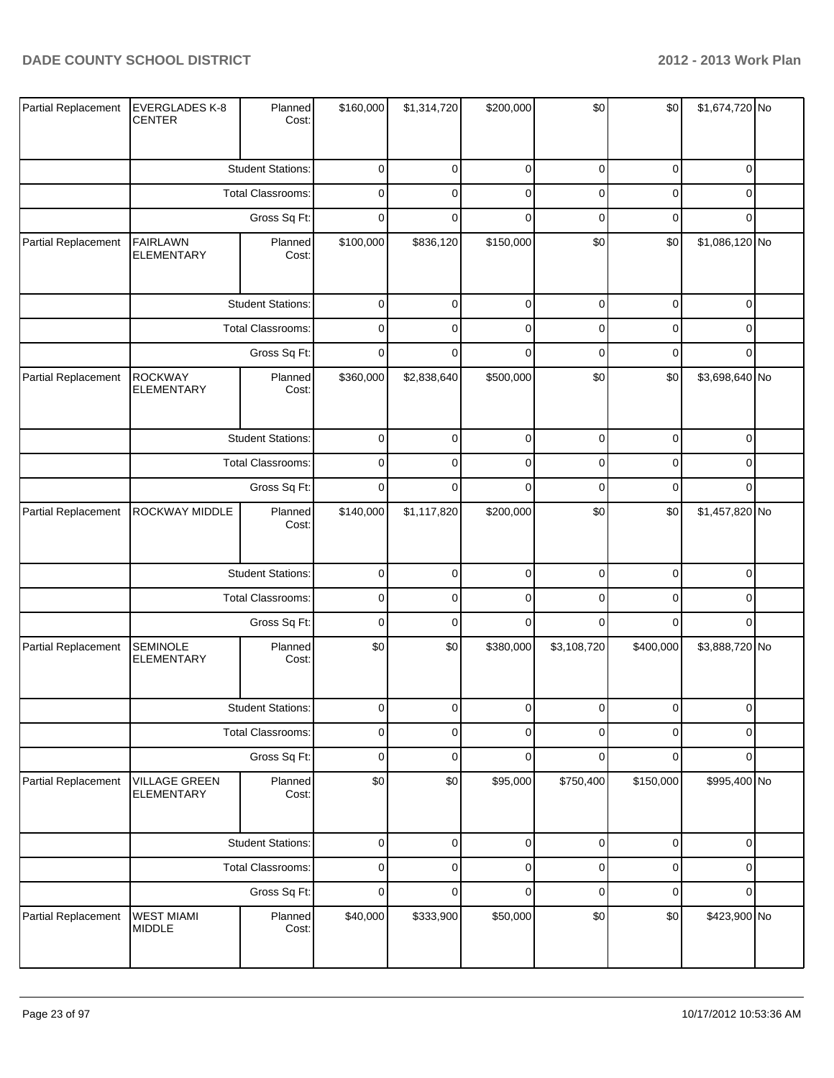| Partial Replacement | <b>EVERGLADES K-8</b><br><b>CENTER</b> | Planned<br>Cost:         | \$160,000   | \$1,314,720 | \$200,000   | \$0         | \$0            | \$1,674,720 No |  |
|---------------------|----------------------------------------|--------------------------|-------------|-------------|-------------|-------------|----------------|----------------|--|
|                     |                                        | <b>Student Stations:</b> | 0           | $\mathbf 0$ | $\mathbf 0$ | $\mathbf 0$ | 0              | 0              |  |
|                     |                                        | Total Classrooms:        | $\mathbf 0$ | 0           | $\mathbf 0$ | 0           | 0              | 0              |  |
|                     |                                        | Gross Sq Ft:             | 0           | $\mathbf 0$ | $\mathbf 0$ | $\mathbf 0$ | 0              | 0              |  |
| Partial Replacement | <b>FAIRLAWN</b><br><b>ELEMENTARY</b>   | Planned<br>Cost:         | \$100,000   | \$836,120   | \$150,000   | \$0         | \$0            | \$1,086,120 No |  |
|                     |                                        | <b>Student Stations:</b> | 0           | $\mathbf 0$ | $\pmb{0}$   | $\mathbf 0$ | 0              | $\mathbf 0$    |  |
|                     |                                        | Total Classrooms:        | 0           | $\mathbf 0$ | $\pmb{0}$   | $\mathbf 0$ | 0              | 0              |  |
|                     |                                        | Gross Sq Ft:             | $\mathbf 0$ | $\mathbf 0$ | $\mathbf 0$ | $\mathbf 0$ | 0              | $\Omega$       |  |
| Partial Replacement | <b>ROCKWAY</b><br><b>ELEMENTARY</b>    | Planned<br>Cost:         | \$360,000   | \$2,838,640 | \$500,000   | \$0         | \$0            | \$3,698,640 No |  |
|                     |                                        | <b>Student Stations:</b> | $\mathbf 0$ | $\mathbf 0$ | $\mathbf 0$ | $\mathbf 0$ | 0              | 0              |  |
|                     |                                        | <b>Total Classrooms:</b> | $\mathbf 0$ | $\mathbf 0$ | $\mathbf 0$ | $\mathbf 0$ | 0              | 0              |  |
|                     |                                        | Gross Sq Ft:             | 0           | $\mathbf 0$ | $\mathbf 0$ | $\mathbf 0$ | 0              | $\Omega$       |  |
| Partial Replacement | ROCKWAY MIDDLE                         | Planned<br>Cost:         | \$140,000   | \$1,117,820 | \$200,000   | \$0         | \$0            | \$1,457,820 No |  |
|                     |                                        | <b>Student Stations:</b> | 0           | $\pmb{0}$   | $\mathbf 0$ | $\mathbf 0$ | $\overline{0}$ | 0              |  |
|                     |                                        | Total Classrooms:        | 0           | $\mathbf 0$ | $\pmb{0}$   | $\mathbf 0$ | 0              | 0              |  |
|                     |                                        | Gross Sq Ft:             | $\pmb{0}$   | $\pmb{0}$   | $\pmb{0}$   | $\mathbf 0$ | 0              | 0              |  |
| Partial Replacement | <b>SEMINOLE</b><br><b>ELEMENTARY</b>   | Planned<br>Cost:         | \$0         | \$0         | \$380,000   | \$3,108,720 | \$400,000      | \$3,888,720 No |  |
|                     |                                        | <b>Student Stations:</b> | $\Omega$    | $\Omega$    | $\Omega$    | $\Omega$    | $\Omega$       | $\Omega$       |  |
|                     |                                        | <b>Total Classrooms:</b> | $\mathbf 0$ | $\pmb{0}$   | $\mathbf 0$ | $\mathbf 0$ | 0              | 0              |  |
|                     |                                        | Gross Sq Ft:             | 0           | $\pmb{0}$   | $\pmb{0}$   | $\mathbf 0$ | 0              | $\mathbf{0}$   |  |
| Partial Replacement | <b>VILLAGE GREEN</b><br>ELEMENTARY     | Planned<br>Cost:         | \$0         | \$0         | \$95,000    | \$750,400   | \$150,000      | \$995,400 No   |  |
|                     |                                        | <b>Student Stations:</b> | $\pmb{0}$   | $\pmb{0}$   | $\pmb{0}$   | $\mathbf 0$ | $\mathbf 0$    | 0              |  |
|                     |                                        | <b>Total Classrooms:</b> | $\pmb{0}$   | $\pmb{0}$   | $\pmb{0}$   | $\mathbf 0$ | 0              | 0              |  |
|                     |                                        | Gross Sq Ft:             | $\pmb{0}$   | $\pmb{0}$   | $\mathbf 0$ | $\mathbf 0$ | 0              | 0              |  |
| Partial Replacement | <b>WEST MIAMI</b><br><b>MIDDLE</b>     | Planned<br>Cost:         | \$40,000    | \$333,900   | \$50,000    | \$0         | \$0            | \$423,900 No   |  |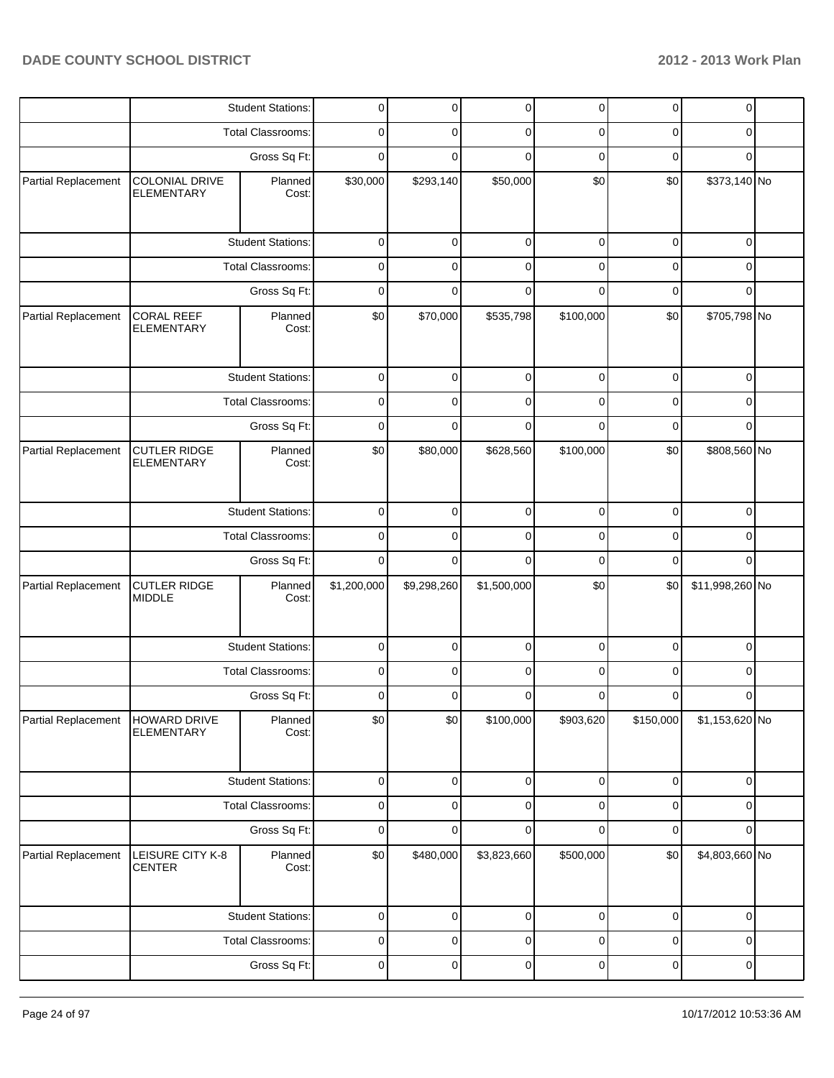|                            |                                            | <b>Student Stations:</b> | 0           | 0           | $\mathbf 0$ | 0              | $\overline{0}$   | $\mathbf 0$     |  |
|----------------------------|--------------------------------------------|--------------------------|-------------|-------------|-------------|----------------|------------------|-----------------|--|
|                            |                                            | <b>Total Classrooms:</b> | 0           | 0           | 0           | 0              | 0                | 0               |  |
|                            |                                            | Gross Sq Ft:             | 0           | 0           | 0           | 0              | 0                | 0               |  |
| Partial Replacement        | <b>COLONIAL DRIVE</b><br><b>ELEMENTARY</b> | Planned<br>Cost:         | \$30,000    | \$293,140   | \$50,000    | \$0            | \$0              | \$373,140 No    |  |
|                            |                                            | <b>Student Stations:</b> | $\mathbf 0$ | 0           | $\mathbf 0$ | $\overline{0}$ | $\pmb{0}$        | $\overline{0}$  |  |
|                            |                                            | <b>Total Classrooms:</b> | $\mathbf 0$ | 0           | $\mathbf 0$ | $\overline{0}$ | 0                | 0               |  |
|                            |                                            | Gross Sq Ft:             | $\mathbf 0$ | 0           | $\mathbf 0$ | $\overline{0}$ | 0                | $\mathbf 0$     |  |
| Partial Replacement        | <b>CORAL REEF</b><br><b>ELEMENTARY</b>     | Planned<br>Cost:         | \$0         | \$70,000    | \$535,798   | \$100,000      | \$0              | \$705,798 No    |  |
|                            |                                            | <b>Student Stations:</b> | 0           | 0           | $\mathbf 0$ | 0              | 0                | $\mathbf 0$     |  |
|                            |                                            | <b>Total Classrooms:</b> | 0           | $\Omega$    | 0           | 0              | 0                | 0               |  |
|                            |                                            | Gross Sq Ft:             | 0           | 0           | $\mathbf 0$ | 0              | 0                | 0               |  |
| Partial Replacement        | <b>CUTLER RIDGE</b><br><b>ELEMENTARY</b>   | Planned<br>Cost:         | \$0         | \$80,000    | \$628,560   | \$100,000      | \$0              | \$808,560 No    |  |
|                            |                                            | <b>Student Stations:</b> | $\mathbf 0$ | $\mathbf 0$ | $\mathbf 0$ | $\overline{0}$ | $\pmb{0}$        | $\overline{0}$  |  |
|                            |                                            | Total Classrooms:        | $\mathbf 0$ | 0           | $\mathbf 0$ | $\overline{0}$ | 0                | 0               |  |
|                            |                                            | Gross Sq Ft:             | $\mathbf 0$ | 0           | $\mathbf 0$ | 0              | $\mathbf 0$      | 0               |  |
| Partial Replacement        | <b>CUTLER RIDGE</b><br><b>MIDDLE</b>       | Planned<br>Cost:         | \$1,200,000 | \$9,298,260 | \$1,500,000 | \$0            | \$0              | \$11,998,260 No |  |
|                            |                                            | <b>Student Stations:</b> | 0           | 0           | $\mathbf 0$ | 0              | 0                | $\mathbf 0$     |  |
|                            |                                            | Total Classrooms:        | 0           | 0           | 0           | 0              | 0                | 0               |  |
|                            |                                            | Gross Sq Ft:             | 0           | 0           | 0           | 0              | 0                | 0               |  |
| <b>Partial Replacement</b> | <b>HOWARD DRIVE</b><br><b>ELEMENTARY</b>   | Planned<br>Cost:         | \$0         | \$0         | \$100,000   | \$903,620      | \$150,000        | \$1,153,620 No  |  |
|                            |                                            | <b>Student Stations:</b> | 0           | $\pmb{0}$   | $\pmb{0}$   | $\mathbf 0$    | $\boldsymbol{0}$ | $\overline{0}$  |  |
|                            |                                            | <b>Total Classrooms:</b> | $\pmb{0}$   | 0           | $\pmb{0}$   | $\mathbf 0$    | $\pmb{0}$        | $\overline{0}$  |  |
|                            |                                            | Gross Sq Ft:             | $\pmb{0}$   | 0           | $\mathbf 0$ | 0              | $\pmb{0}$        | 0               |  |
| Partial Replacement        | LEISURE CITY K-8<br><b>CENTER</b>          | Planned<br>Cost:         | \$0         | \$480,000   | \$3,823,660 | \$500,000      | \$0              | \$4,803,660 No  |  |
|                            |                                            | <b>Student Stations:</b> | 0           | 0           | $\mathbf 0$ | 0              | 0                | $\mathbf 0$     |  |
|                            |                                            | Total Classrooms:        | 0           | 0           | $\mathbf 0$ | 0              | 0                | $\mathbf 0$     |  |
|                            |                                            | Gross Sq Ft:             | $\mathbf 0$ | $\pmb{0}$   | $\pmb{0}$   | $\pmb{0}$      | $\pmb{0}$        | $\overline{0}$  |  |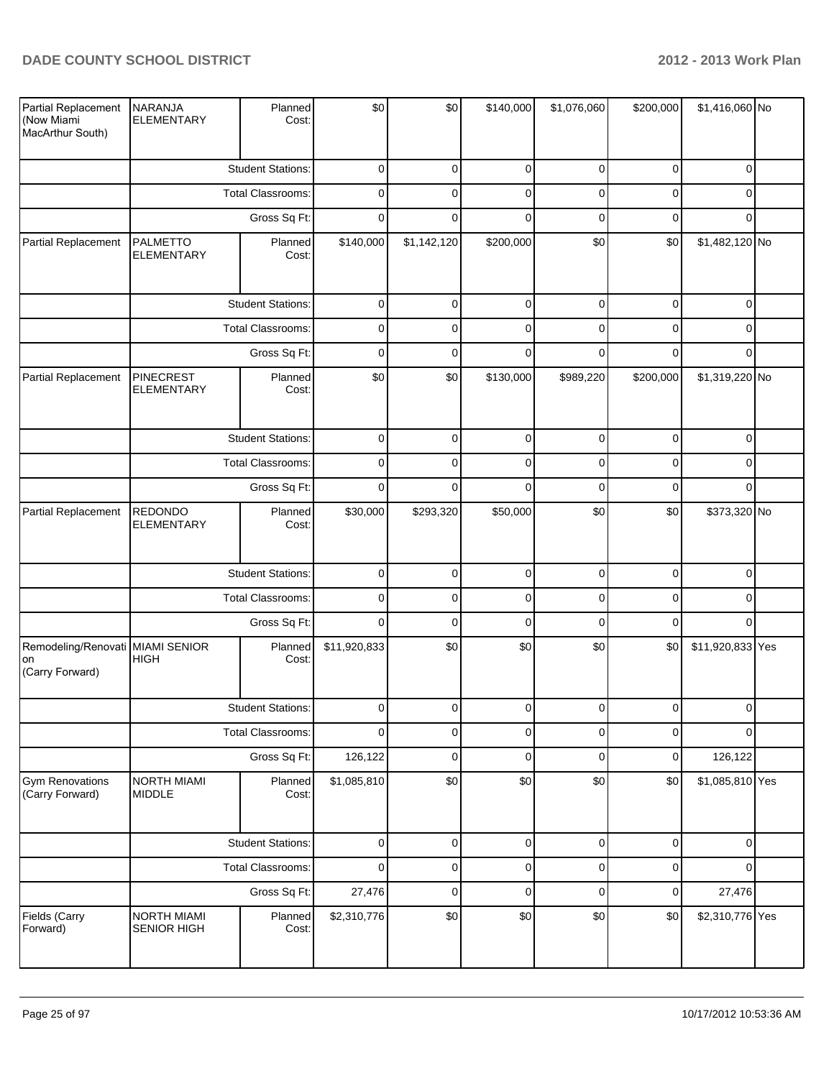| Partial Replacement<br>(Now Miami<br>MacArthur South)     | <b>NARANJA</b><br><b>ELEMENTARY</b>   | Planned<br>Cost:         | \$0          | \$0            | \$140,000   | \$1,076,060 | \$200,000   | \$1,416,060 No   |  |
|-----------------------------------------------------------|---------------------------------------|--------------------------|--------------|----------------|-------------|-------------|-------------|------------------|--|
|                                                           |                                       | <b>Student Stations:</b> | 0            | 0              | 0           | 0           | 0           | 0                |  |
|                                                           |                                       | Total Classrooms:        | 0            | 0              | 0           | 0           | 0           | 0                |  |
|                                                           |                                       | Gross Sq Ft:             | 0            | 0              | 0           | 0           | 0           | 0                |  |
| Partial Replacement                                       | <b>PALMETTO</b><br><b>ELEMENTARY</b>  | Planned<br>Cost:         | \$140,000    | \$1,142,120    | \$200,000   | \$0         | \$0         | \$1,482,120 No   |  |
|                                                           |                                       | <b>Student Stations:</b> | $\pmb{0}$    | $\overline{0}$ | $\mathbf 0$ | $\mathbf 0$ | $\mathbf 0$ | $\mathbf{0}$     |  |
|                                                           |                                       | Total Classrooms:        | $\pmb{0}$    | $\mathbf 0$    | $\mathbf 0$ | 0           | 0           | 0                |  |
|                                                           |                                       | Gross Sq Ft:             | 0            | $\mathbf 0$    | 0           | $\Omega$    | 0           | $\Omega$         |  |
| Partial Replacement                                       | <b>PINECREST</b><br><b>ELEMENTARY</b> | Planned<br>Cost:         | \$0          | \$0            | \$130,000   | \$989,220   | \$200,000   | \$1,319,220 No   |  |
|                                                           |                                       | <b>Student Stations:</b> | 0            | $\mathbf 0$    | 0           | 0           | 0           | 0                |  |
|                                                           |                                       | Total Classrooms:        | 0            | 0              | 0           | 0           | 0           | 0                |  |
|                                                           |                                       | Gross Sq Ft:             | 0            | 0              | 0           | 0           | 0           | $\Omega$         |  |
| Partial Replacement                                       | <b>REDONDO</b><br>ELEMENTARY          | Planned<br>Cost:         | \$30,000     | \$293,320      | \$50,000    | \$0         | \$0         | \$373,320 No     |  |
|                                                           |                                       | <b>Student Stations:</b> | $\pmb{0}$    | $\overline{0}$ | $\pmb{0}$   | $\mathbf 0$ | 0           | 0                |  |
|                                                           |                                       | Total Classrooms:        | $\mathbf 0$  | $\mathbf 0$    | $\mathbf 0$ | 0           | 0           | 0                |  |
|                                                           |                                       | Gross Sq Ft:             | $\mathbf 0$  | $\mathbf 0$    | 0           | 0           | 0           | 0                |  |
| Remodeling/Renovati MIAMI SENIOR<br>on<br>(Carry Forward) | <b>HIGH</b>                           | Planned<br>Cost:         | \$11,920,833 | \$0            | \$0         | \$0         | \$0         | \$11,920,833 Yes |  |
|                                                           |                                       | <b>Student Stations:</b> | $\Omega$     | $\Omega$       | $\Omega$    | $\Omega$    | $\Omega$    | $\Omega$         |  |
|                                                           |                                       | Total Classrooms:        | 0            | $\mathbf 0$    | 0           | 0           | 0           | 0                |  |
|                                                           |                                       | Gross Sq Ft:             | 126,122      | $\mathbf 0$    | 0           | 0           | 0           | 126,122          |  |
| <b>Gym Renovations</b><br>(Carry Forward)                 | <b>NORTH MIAMI</b><br><b>MIDDLE</b>   | Planned<br>Cost:         | \$1,085,810  | \$0            | \$0         | \$0         | \$0         | \$1,085,810 Yes  |  |
|                                                           |                                       | <b>Student Stations:</b> | $\pmb{0}$    | $\overline{0}$ | $\pmb{0}$   | $\mathbf 0$ | $\mathbf 0$ | 0                |  |
|                                                           |                                       | Total Classrooms:        | 0            | $\mathbf 0$    | $\pmb{0}$   | 0           | 0           | 0                |  |
|                                                           |                                       | Gross Sq Ft:             | 27,476       | $\mathbf 0$    | $\mathbf 0$ | 0           | 0           | 27,476           |  |
| Fields (Carry<br>Forward)                                 | NORTH MIAMI<br>SENIOR HIGH            | Planned<br>Cost:         | \$2,310,776  | \$0            | \$0         | \$0         | \$0         | \$2,310,776 Yes  |  |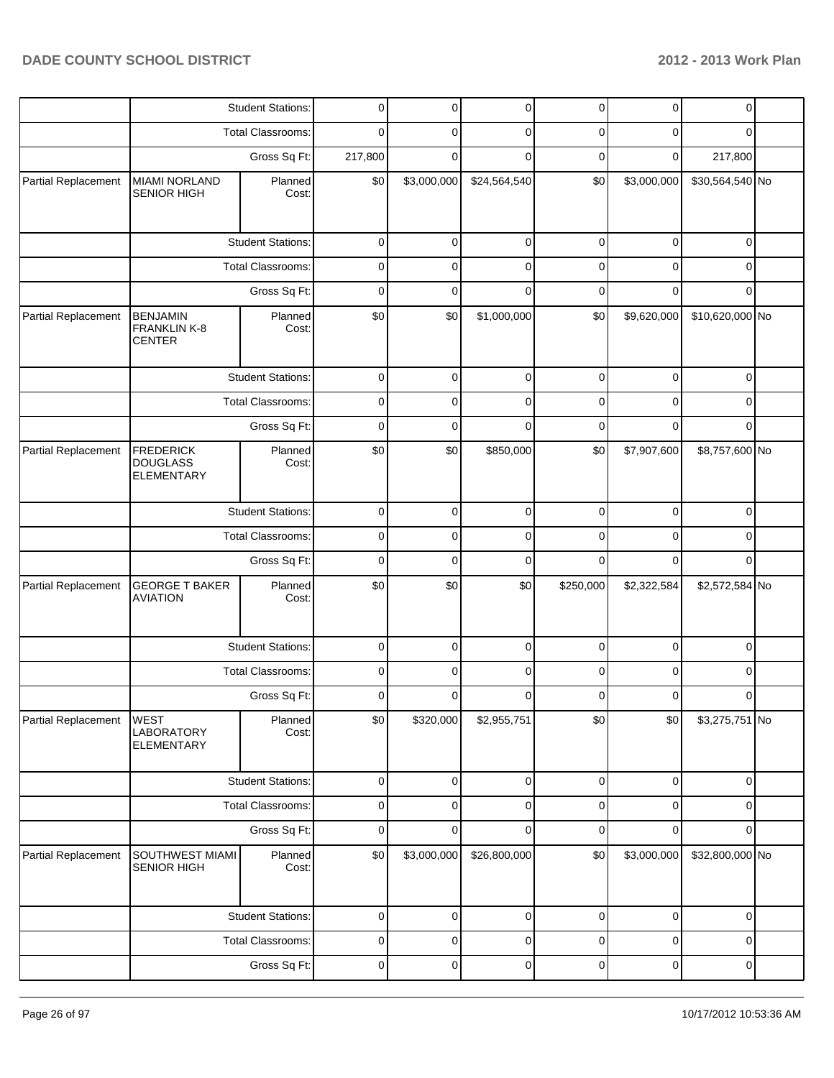|                     |                                                          | <b>Student Stations:</b> | 0              | 0            | $\mathbf 0$  | $\overline{0}$ | $\overline{0}$ | $\overline{0}$                                                                                                                                                                                                                                                                                |  |
|---------------------|----------------------------------------------------------|--------------------------|----------------|--------------|--------------|----------------|----------------|-----------------------------------------------------------------------------------------------------------------------------------------------------------------------------------------------------------------------------------------------------------------------------------------------|--|
|                     |                                                          | <b>Total Classrooms:</b> | 0              | $\Omega$     | $\mathbf 0$  | 0              | 0              | 0                                                                                                                                                                                                                                                                                             |  |
|                     |                                                          | Gross Sq Ft:             | 217,800        | $\Omega$     | $\Omega$     | 0              | $\mathbf 0$    | 217,800                                                                                                                                                                                                                                                                                       |  |
| Partial Replacement | <b>MIAMI NORLAND</b><br><b>SENIOR HIGH</b>               | Planned<br>Cost:         | \$0            | \$3,000,000  | \$24,564,540 | \$0            | \$3,000,000    | \$30,564,540 No                                                                                                                                                                                                                                                                               |  |
|                     |                                                          | <b>Student Stations:</b> | $\mathbf 0$    | $\mathbf 0$  | $\mathbf 0$  | $\mathbf 0$    | $\mathbf 0$    | $\pmb{0}$                                                                                                                                                                                                                                                                                     |  |
|                     |                                                          | Total Classrooms:        | 0              | $\mathbf{0}$ | $\Omega$     | 0              | $\mathbf 0$    | 0                                                                                                                                                                                                                                                                                             |  |
|                     |                                                          | Gross Sq Ft:             | $\overline{0}$ | $\mathbf{0}$ | $\Omega$     | 0              | $\mathbf 0$    | $\mathbf 0$                                                                                                                                                                                                                                                                                   |  |
| Partial Replacement | <b>BENJAMIN</b><br><b>FRANKLIN K-8</b><br><b>CENTER</b>  | Planned<br>Cost:         | \$0            | \$0          | \$1,000,000  | \$0            | \$9,620,000    |                                                                                                                                                                                                                                                                                               |  |
|                     |                                                          | <b>Student Stations:</b> | $\mathbf 0$    | 0            | $\mathbf 0$  | $\mathbf 0$    | $\pmb{0}$      |                                                                                                                                                                                                                                                                                               |  |
|                     |                                                          | <b>Total Classrooms:</b> | 0              | $\Omega$     | $\Omega$     | 0              | 0              |                                                                                                                                                                                                                                                                                               |  |
|                     |                                                          | Gross Sq Ft:             | 0              | 0            | $\Omega$     | 0              | $\mathbf 0$    |                                                                                                                                                                                                                                                                                               |  |
| Partial Replacement | <b>FREDERICK</b><br><b>DOUGLASS</b><br><b>ELEMENTARY</b> | Planned<br>Cost:         | \$0            | \$0          | \$850,000    | \$0            | \$7,907,600    |                                                                                                                                                                                                                                                                                               |  |
|                     |                                                          | <b>Student Stations:</b> | $\mathbf 0$    | $\mathbf 0$  | $\mathbf 0$  | $\mathbf 0$    | $\mathbf 0$    |                                                                                                                                                                                                                                                                                               |  |
|                     |                                                          | <b>Total Classrooms:</b> | $\mathbf 0$    | 0            | $\mathbf 0$  | $\overline{0}$ | $\mathbf 0$    | $\mathbf 0$                                                                                                                                                                                                                                                                                   |  |
|                     |                                                          | Gross Sq Ft:             | $\mathbf 0$    | $\mathbf{0}$ | $\mathbf 0$  | $\mathbf{0}$   | $\mathbf 0$    | 0                                                                                                                                                                                                                                                                                             |  |
| Partial Replacement | <b>GEORGE T BAKER</b><br><b>AVIATION</b>                 | Planned<br>Cost:         | \$0            | \$0          | \$0          | \$250,000      | \$2,322,584    |                                                                                                                                                                                                                                                                                               |  |
|                     |                                                          | <b>Student Stations:</b> | $\mathbf 0$    | $\Omega$     | $\mathbf 0$  | 0              | $\mathbf 0$    |                                                                                                                                                                                                                                                                                               |  |
|                     |                                                          | <b>Total Classrooms:</b> | 0              | 0            | $\mathbf 0$  | 0              | $\pmb{0}$      | \$10,620,000 No<br>$\overline{0}$<br>$\overline{0}$<br>$\overline{0}$<br>\$8,757,600 No<br>$\overline{0}$<br>\$2,572,584 No<br>$\overline{0}$<br>0<br>0<br>\$3,275,751 No<br>$\mathbf 0$<br>$\overline{0}$<br>$\overline{0}$<br>\$32,800,000 No<br>$\overline{0}$<br>$\mathbf 0$<br>$\pmb{0}$ |  |
|                     |                                                          | Gross Sq Ft:             | 0              | $\Omega$     | 0            | 0              | 0              |                                                                                                                                                                                                                                                                                               |  |
| Partial Replacement | <b>WEST</b><br>LABORATORY<br><b>ELEMENTARY</b>           | Planned<br>Cost:         | \$0            | \$320,000    | \$2,955,751  | \$0            | \$0            |                                                                                                                                                                                                                                                                                               |  |
|                     |                                                          | <b>Student Stations:</b> | $\pmb{0}$      | $\mathbf 0$  | $\mathbf 0$  | $\mathbf 0$    | $\pmb{0}$      |                                                                                                                                                                                                                                                                                               |  |
|                     |                                                          | <b>Total Classrooms:</b> | $\pmb{0}$      | 0            | $\mathbf 0$  | $\mathbf 0$    | $\pmb{0}$      |                                                                                                                                                                                                                                                                                               |  |
|                     |                                                          | Gross Sq Ft:             | $\pmb{0}$      | 0            | $\mathbf 0$  | $\mathbf 0$    | $\pmb{0}$      |                                                                                                                                                                                                                                                                                               |  |
| Partial Replacement | SOUTHWEST MIAMI<br>SENIOR HIGH                           | Planned<br>Cost:         | \$0            | \$3,000,000  | \$26,800,000 | \$0            | \$3,000,000    |                                                                                                                                                                                                                                                                                               |  |
|                     |                                                          | <b>Student Stations:</b> | 0              | 0            | $\mathbf 0$  | 0              | $\pmb{0}$      |                                                                                                                                                                                                                                                                                               |  |
|                     |                                                          | Total Classrooms:        | $\pmb{0}$      | 0            | $\mathbf 0$  | 0              | $\pmb{0}$      |                                                                                                                                                                                                                                                                                               |  |
|                     |                                                          | Gross Sq Ft:             | $\mathbf 0$    | 0            | $\pmb{0}$    | 0              | $\pmb{0}$      |                                                                                                                                                                                                                                                                                               |  |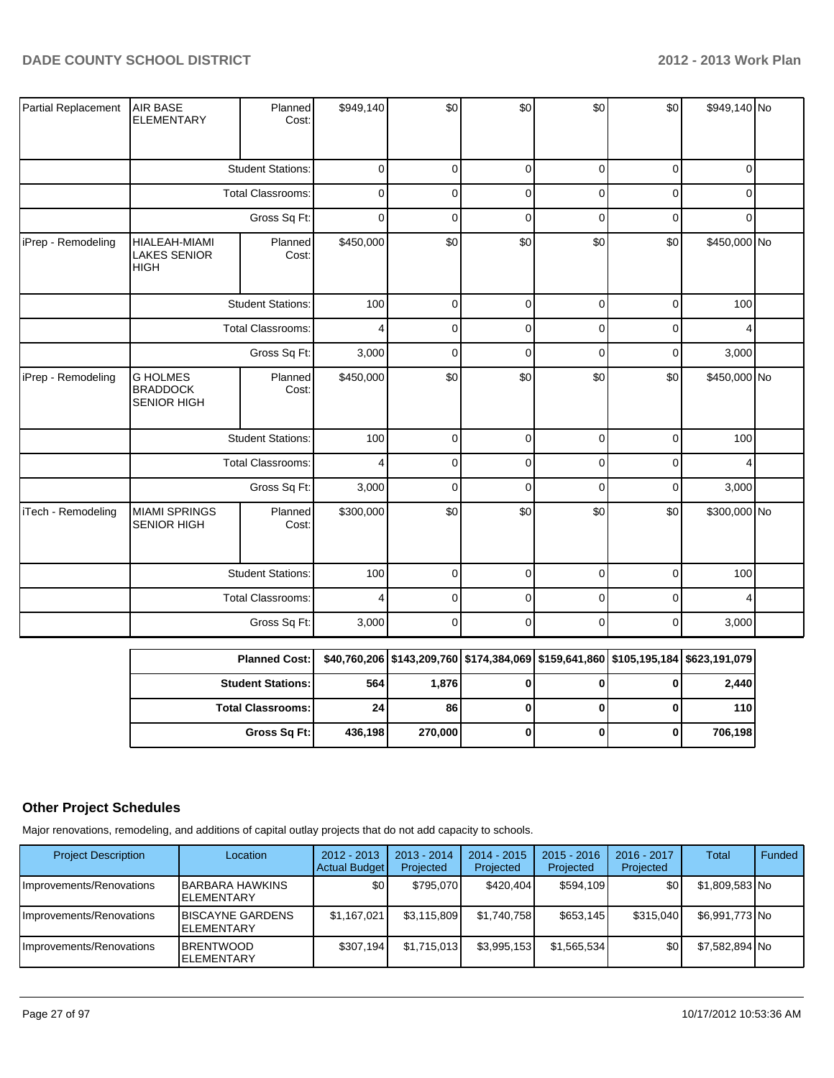| Partial Replacement | <b>AIR BASE</b><br><b>ELEMENTARY</b>                     | Planned<br>Cost:         | \$949,140      | \$0         | \$0            | \$0         | \$0         | \$949,140 No |  |
|---------------------|----------------------------------------------------------|--------------------------|----------------|-------------|----------------|-------------|-------------|--------------|--|
|                     |                                                          | <b>Student Stations:</b> | $\mathbf 0$    | $\mathbf 0$ | $\mathbf 0$    | $\Omega$    | $\mathbf 0$ | $\mathbf 0$  |  |
|                     |                                                          | <b>Total Classrooms:</b> | $\mathbf 0$    | $\mathbf 0$ | $\overline{0}$ | $\mathbf 0$ | $\pmb{0}$   | $\mathbf 0$  |  |
|                     | Gross Sq Ft:                                             |                          | 0              | $\mathbf 0$ | $\mathbf 0$    | $\mathbf 0$ | $\mathbf 0$ | $\pmb{0}$    |  |
| iPrep - Remodeling  | HIALEAH-MIAMI<br>LAKES SENIOR<br><b>HIGH</b>             | Planned<br>Cost:         | \$450,000      | \$0         | \$0            | \$0         | \$0         | \$450,000 No |  |
|                     |                                                          | <b>Student Stations:</b> | 100            | $\mathbf 0$ | $\overline{0}$ | 0           | $\pmb{0}$   | 100          |  |
|                     |                                                          | <b>Total Classrooms:</b> | $\overline{4}$ | $\Omega$    | $\overline{0}$ | $\Omega$    | $\mathbf 0$ | 4            |  |
|                     |                                                          | Gross Sq Ft:             | 3,000          | $\mathbf 0$ | $\overline{0}$ | $\mathbf 0$ | $\pmb{0}$   | 3,000        |  |
| iPrep - Remodeling  | <b>G HOLMES</b><br><b>BRADDOCK</b><br><b>SENIOR HIGH</b> | Planned<br>Cost:         | \$450,000      | \$0         | \$0            | \$0         | \$0         | \$450,000 No |  |
|                     |                                                          | <b>Student Stations:</b> | 100            | $\Omega$    | $\overline{0}$ | $\mathbf 0$ | $\mathbf 0$ | 100          |  |
|                     |                                                          | <b>Total Classrooms:</b> | 4              | $\Omega$    | $\mathbf 0$    | $\mathbf 0$ | $\mathbf 0$ | 4            |  |
|                     |                                                          | Gross Sq Ft:             | 3,000          | $\mathbf 0$ | $\mathbf 0$    | $\mathbf 0$ | $\mathbf 0$ | 3,000        |  |
| iTech - Remodeling  | <b>MIAMI SPRINGS</b><br><b>SENIOR HIGH</b>               | Planned<br>Cost:         | \$300,000      | \$0         | \$0            | \$0         | \$0         | \$300,000 No |  |
|                     |                                                          | <b>Student Stations:</b> | 100            | $\mathbf 0$ | $\mathbf 0$    | $\mathbf 0$ | 0           | 100          |  |
|                     |                                                          | <b>Total Classrooms:</b> | 4              | $\mathbf 0$ | $\overline{0}$ | $\mathbf 0$ | $\pmb{0}$   | 4            |  |
|                     |                                                          | Gross Sq Ft:             | 3,000          | $\Omega$    | $\overline{0}$ | $\Omega$    | $\mathbf 0$ | 3,000        |  |

| <b>Planned Cost:</b>     |                 |         |  | \$40,760,206   \$143,209,760   \$174,384,069   \$159,641,860   \$105,195,184   \$623,191,079 |         |
|--------------------------|-----------------|---------|--|----------------------------------------------------------------------------------------------|---------|
| <b>Student Stations:</b> | 564             | 1.876 l |  |                                                                                              | 2,440   |
| <b>Total Classrooms:</b> | 24 <sub>1</sub> | 86      |  |                                                                                              | 110     |
| Gross Sq Ft:             | 436,198         | 270,000 |  |                                                                                              | 706,198 |

# **Other Project Schedules**

Major renovations, remodeling, and additions of capital outlay projects that do not add capacity to schools.

| <b>Project Description</b> | Location                                      | 2012 - 2013<br><b>Actual Budget</b> | $2013 - 2014$<br>Projected | $2014 - 2015$<br>Projected | $2015 - 2016$<br>Projected | 2016 - 2017<br>Projected | Total          | Funded |
|----------------------------|-----------------------------------------------|-------------------------------------|----------------------------|----------------------------|----------------------------|--------------------------|----------------|--------|
| Improvements/Renovations   | BARBARA HAWKINS<br><b>IELEMENTARY</b>         | \$0 <sub>1</sub>                    | \$795,070                  | \$420.404]                 | \$594,109                  | \$٥Ι                     | \$1,809,583 No |        |
| Improvements/Renovations   | <b>BISCAYNE GARDENS</b><br><b>IELEMENTARY</b> | \$1,167,021                         | \$3,115,809                | \$1.740.758                | \$653.145                  | \$315.040                | \$6,991,773 No |        |
| Ilmprovements/Renovations  | <b>BRENTWOOD</b><br><b>IELEMENTARY</b>        | \$307.194                           | \$1,715,013                | \$3,995,153                | \$1,565,534                | \$٥Ι                     | \$7,582,894 No |        |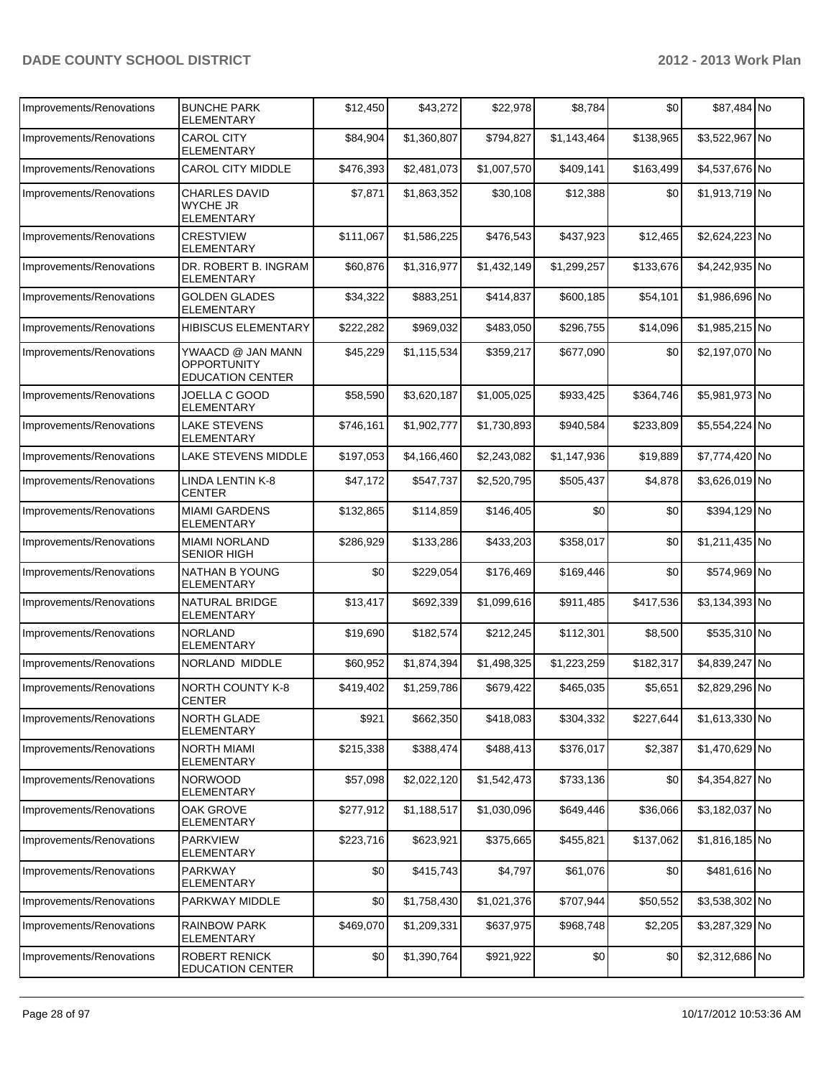| Improvements/Renovations | <b>BUNCHE PARK</b><br><b>ELEMENTARY</b>                            | \$12,450  | \$43,272    | \$22,978    | \$8,784     | \$0       | \$87,484 No     |  |
|--------------------------|--------------------------------------------------------------------|-----------|-------------|-------------|-------------|-----------|-----------------|--|
| Improvements/Renovations | <b>CAROL CITY</b><br>ELEMENTARY                                    | \$84,904  | \$1,360,807 | \$794,827   | \$1,143,464 | \$138,965 | \$3,522,967 No  |  |
| Improvements/Renovations | <b>CAROL CITY MIDDLE</b>                                           | \$476,393 | \$2,481,073 | \$1,007,570 | \$409,141   | \$163,499 | \$4,537,676 No  |  |
| Improvements/Renovations | <b>CHARLES DAVID</b><br>WYCHE JR<br><b>ELEMENTARY</b>              | \$7,871   | \$1,863,352 | \$30,108    | \$12,388    | \$0       | \$1,913,719 No  |  |
| Improvements/Renovations | <b>CRESTVIEW</b><br>ELEMENTARY                                     | \$111,067 | \$1,586,225 | \$476,543   | \$437,923   | \$12,465  | \$2,624,223 No  |  |
| Improvements/Renovations | DR. ROBERT B. INGRAM<br><b>ELEMENTARY</b>                          | \$60,876  | \$1,316,977 | \$1,432,149 | \$1,299,257 | \$133,676 | \$4,242,935 No  |  |
| Improvements/Renovations | <b>GOLDEN GLADES</b><br><b>ELEMENTARY</b>                          | \$34,322  | \$883,251   | \$414,837   | \$600,185   | \$54,101  | \$1,986,696 No  |  |
| Improvements/Renovations | <b>HIBISCUS ELEMENTARY</b>                                         | \$222,282 | \$969,032   | \$483,050   | \$296,755   | \$14,096  | \$1,985,215 No  |  |
| Improvements/Renovations | YWAACD @ JAN MANN<br><b>OPPORTUNITY</b><br><b>EDUCATION CENTER</b> | \$45,229  | \$1,115,534 | \$359,217   | \$677,090   | \$0       | \$2,197,070 No  |  |
| Improvements/Renovations | JOELLA C GOOD<br><b>ELEMENTARY</b>                                 | \$58,590  | \$3,620,187 | \$1,005,025 | \$933,425   | \$364,746 | \$5.981.973 No  |  |
| Improvements/Renovations | <b>LAKE STEVENS</b><br><b>ELEMENTARY</b>                           | \$746,161 | \$1,902,777 | \$1,730,893 | \$940,584   | \$233,809 | \$5,554,224 No  |  |
| Improvements/Renovations | LAKE STEVENS MIDDLE                                                | \$197,053 | \$4,166,460 | \$2,243,082 | \$1,147,936 | \$19,889  | \$7,774,420 No  |  |
| Improvements/Renovations | LINDA LENTIN K-8<br>CENTER                                         | \$47,172  | \$547,737   | \$2,520,795 | \$505,437   | \$4,878   | \$3,626,019 No  |  |
| Improvements/Renovations | MIAMI GARDENS<br><b>ELEMENTARY</b>                                 | \$132,865 | \$114,859   | \$146,405   | \$0         | \$0       | \$394,129 No    |  |
| Improvements/Renovations | <b>MIAMI NORLAND</b><br>SENIOR HIGH                                | \$286,929 | \$133,286   | \$433,203   | \$358,017   | \$0       | $$1,211,435$ No |  |
| Improvements/Renovations | NATHAN B YOUNG<br><b>ELEMENTARY</b>                                | \$0       | \$229,054   | \$176,469   | \$169,446   | \$0       | \$574,969 No    |  |
| Improvements/Renovations | NATURAL BRIDGE<br><b>ELEMENTARY</b>                                | \$13,417  | \$692,339   | \$1,099,616 | \$911,485   | \$417,536 | \$3,134,393 No  |  |
| Improvements/Renovations | <b>NORLAND</b><br><b>ELEMENTARY</b>                                | \$19,690  | \$182,574   | \$212,245   | \$112,301   | \$8,500   | \$535,310 No    |  |
| Improvements/Renovations | NORLAND MIDDLE                                                     | \$60,952  | \$1,874,394 | \$1,498,325 | \$1,223,259 | \$182,317 | \$4,839,247 No  |  |
| Improvements/Renovations | <b>NORTH COUNTY K-8</b><br><b>CENTER</b>                           | \$419,402 | \$1,259,786 | \$679,422   | \$465,035   | \$5,651   | \$2,829,296 No  |  |
| Improvements/Renovations | <b>NORTH GLADE</b><br><b>ELEMENTARY</b>                            | \$921     | \$662,350   | \$418,083   | \$304,332   | \$227,644 | \$1,613,330 No  |  |
| Improvements/Renovations | <b>NORTH MIAMI</b><br>ELEMENTARY                                   | \$215,338 | \$388,474   | \$488,413   | \$376,017   | \$2,387   | \$1,470,629 No  |  |
| Improvements/Renovations | <b>NORWOOD</b><br><b>ELEMENTARY</b>                                | \$57,098  | \$2,022,120 | \$1,542,473 | \$733,136   | \$0       | \$4,354,827 No  |  |
| Improvements/Renovations | OAK GROVE<br><b>ELEMENTARY</b>                                     | \$277,912 | \$1,188,517 | \$1,030,096 | \$649,446   | \$36,066  | \$3,182,037 No  |  |
| Improvements/Renovations | <b>PARKVIEW</b><br>ELEMENTARY                                      | \$223,716 | \$623,921   | \$375,665   | \$455,821   | \$137,062 | \$1,816,185 No  |  |
| Improvements/Renovations | <b>PARKWAY</b><br>ELEMENTARY                                       | \$0       | \$415,743   | \$4,797     | \$61,076    | \$0       | \$481,616 No    |  |
| Improvements/Renovations | PARKWAY MIDDLE                                                     | \$0       | \$1,758,430 | \$1,021,376 | \$707,944   | \$50,552  | \$3,538,302 No  |  |
| Improvements/Renovations | <b>RAINBOW PARK</b><br><b>ELEMENTARY</b>                           | \$469,070 | \$1,209,331 | \$637,975   | \$968,748   | \$2,205   | \$3,287,329 No  |  |
| Improvements/Renovations | <b>ROBERT RENICK</b><br><b>EDUCATION CENTER</b>                    | \$0       | \$1,390,764 | \$921,922   | \$0         | \$0       | \$2,312,686 No  |  |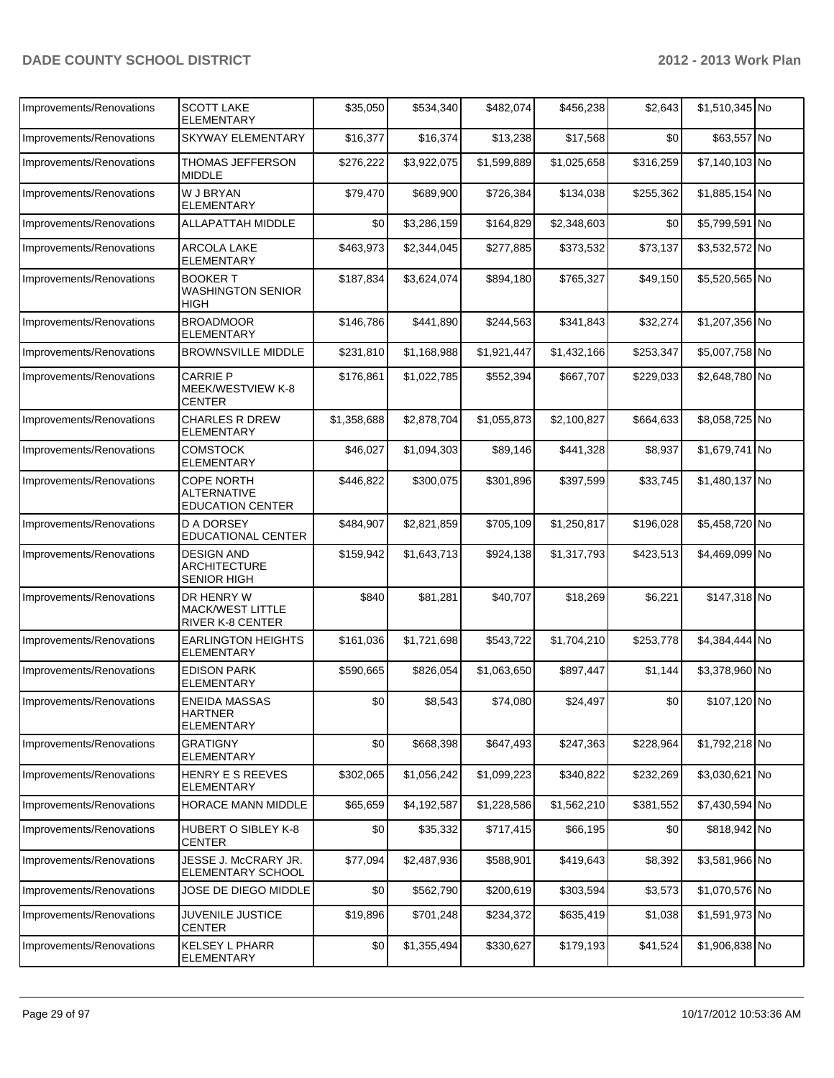| Improvements/Renovations | <b>SCOTT LAKE</b><br><b>ELEMENTARY</b>                             | \$35,050    | \$534,340   | \$482,074   | \$456,238   | \$2,643   | \$1,510,345 No |  |
|--------------------------|--------------------------------------------------------------------|-------------|-------------|-------------|-------------|-----------|----------------|--|
| Improvements/Renovations | <b>SKYWAY ELEMENTARY</b>                                           | \$16,377    | \$16,374    | \$13,238    | \$17,568    | \$0       | \$63,557 No    |  |
| Improvements/Renovations | THOMAS JEFFERSON<br><b>MIDDLE</b>                                  | \$276,222   | \$3,922,075 | \$1,599,889 | \$1,025,658 | \$316,259 | \$7,140,103 No |  |
| Improvements/Renovations | W J BRYAN<br><b>ELEMENTARY</b>                                     | \$79,470    | \$689,900   | \$726,384   | \$134,038   | \$255,362 | \$1,885,154 No |  |
| Improvements/Renovations | ALLAPATTAH MIDDLE                                                  | \$0         | \$3,286,159 | \$164,829   | \$2,348,603 | \$0       | \$5,799,591 No |  |
| Improvements/Renovations | <b>ARCOLA LAKE</b><br><b>ELEMENTARY</b>                            | \$463,973   | \$2,344,045 | \$277,885   | \$373,532   | \$73,137  | \$3,532,572 No |  |
| Improvements/Renovations | <b>BOOKER T</b><br><b>WASHINGTON SENIOR</b><br><b>HIGH</b>         | \$187,834   | \$3,624,074 | \$894,180   | \$765,327   | \$49,150  | \$5,520,565 No |  |
| Improvements/Renovations | <b>BROADMOOR</b><br><b>ELEMENTARY</b>                              | \$146,786   | \$441,890   | \$244,563   | \$341,843   | \$32,274  | \$1,207,356 No |  |
| Improvements/Renovations | <b>BROWNSVILLE MIDDLE</b>                                          | \$231,810   | \$1,168,988 | \$1,921,447 | \$1,432,166 | \$253,347 | \$5,007,758 No |  |
| Improvements/Renovations | <b>CARRIE P</b><br>MEEK/WESTVIEW K-8<br><b>CENTER</b>              | \$176,861   | \$1,022,785 | \$552,394   | \$667,707   | \$229,033 | \$2,648,780 No |  |
| Improvements/Renovations | <b>CHARLES R DREW</b><br><b>ELEMENTARY</b>                         | \$1,358,688 | \$2,878,704 | \$1,055,873 | \$2,100,827 | \$664,633 | \$8,058,725 No |  |
| Improvements/Renovations | <b>COMSTOCK</b><br><b>ELEMENTARY</b>                               | \$46.027    | \$1,094,303 | \$89,146    | \$441,328   | \$8,937   | \$1,679,741 No |  |
| Improvements/Renovations | <b>COPE NORTH</b><br><b>ALTERNATIVE</b><br><b>EDUCATION CENTER</b> | \$446,822   | \$300,075   | \$301,896   | \$397,599   | \$33,745  | \$1,480,137 No |  |
| Improvements/Renovations | <b>D A DORSEY</b><br><b>EDUCATIONAL CENTER</b>                     | \$484,907   | \$2,821,859 | \$705,109   | \$1,250,817 | \$196,028 | \$5,458,720 No |  |
| Improvements/Renovations | <b>DESIGN AND</b><br><b>ARCHITECTURE</b><br><b>SENIOR HIGH</b>     | \$159,942   | \$1,643,713 | \$924,138   | \$1,317,793 | \$423,513 | \$4,469,099 No |  |
| Improvements/Renovations | DR HENRY W<br>MACK/WEST LITTLE<br><b>RIVER K-8 CENTER</b>          | \$840       | \$81,281    | \$40,707    | \$18,269    | \$6,221   | \$147,318 No   |  |
| Improvements/Renovations | <b>EARLINGTON HEIGHTS</b><br><b>ELEMENTARY</b>                     | \$161,036   | \$1,721,698 | \$543,722   | \$1,704,210 | \$253,778 | \$4,384,444 No |  |
| Improvements/Renovations | <b>EDISON PARK</b><br><b>ELEMENTARY</b>                            | \$590,665   | \$826,054   | \$1,063,650 | \$897,447   | \$1,144   | \$3,378,960 No |  |
| Improvements/Renovations | <b>ENEIDA MASSAS</b><br><b>HARTNER</b><br><b>ELEMENTARY</b>        | \$0         | \$8,543     | \$74,080    | \$24,497    | \$0       | \$107,120 No   |  |
| Improvements/Renovations | <b>GRATIGNY</b><br><b>ELEMENTARY</b>                               | \$0         | \$668,398   | \$647,493   | \$247,363   | \$228,964 | \$1,792,218 No |  |
| Improvements/Renovations | HENRY E S REEVES<br><b>ELEMENTARY</b>                              | \$302,065   | \$1,056,242 | \$1,099,223 | \$340,822   | \$232,269 | \$3,030,621 No |  |
| Improvements/Renovations | HORACE MANN MIDDLE                                                 | \$65,659    | \$4,192,587 | \$1,228,586 | \$1,562,210 | \$381,552 | \$7,430,594 No |  |
| Improvements/Renovations | HUBERT O SIBLEY K-8<br><b>CENTER</b>                               | \$0         | \$35,332    | \$717,415   | \$66,195    | \$0       | \$818,942 No   |  |
| Improvements/Renovations | JESSE J. McCRARY JR.<br>ELEMENTARY SCHOOL                          | \$77,094    | \$2,487,936 | \$588,901   | \$419,643   | \$8,392   | \$3,581,966 No |  |
| Improvements/Renovations | JOSE DE DIEGO MIDDLE                                               | \$0         | \$562,790   | \$200,619   | \$303,594   | \$3,573   | \$1,070,576 No |  |
| Improvements/Renovations | JUVENILE JUSTICE<br><b>CENTER</b>                                  | \$19,896    | \$701,248   | \$234,372   | \$635,419   | \$1,038   | \$1,591,973 No |  |
| Improvements/Renovations | KELSEY L PHARR<br><b>ELEMENTARY</b>                                | \$0         | \$1,355,494 | \$330,627   | \$179,193   | \$41,524  | \$1,906,838 No |  |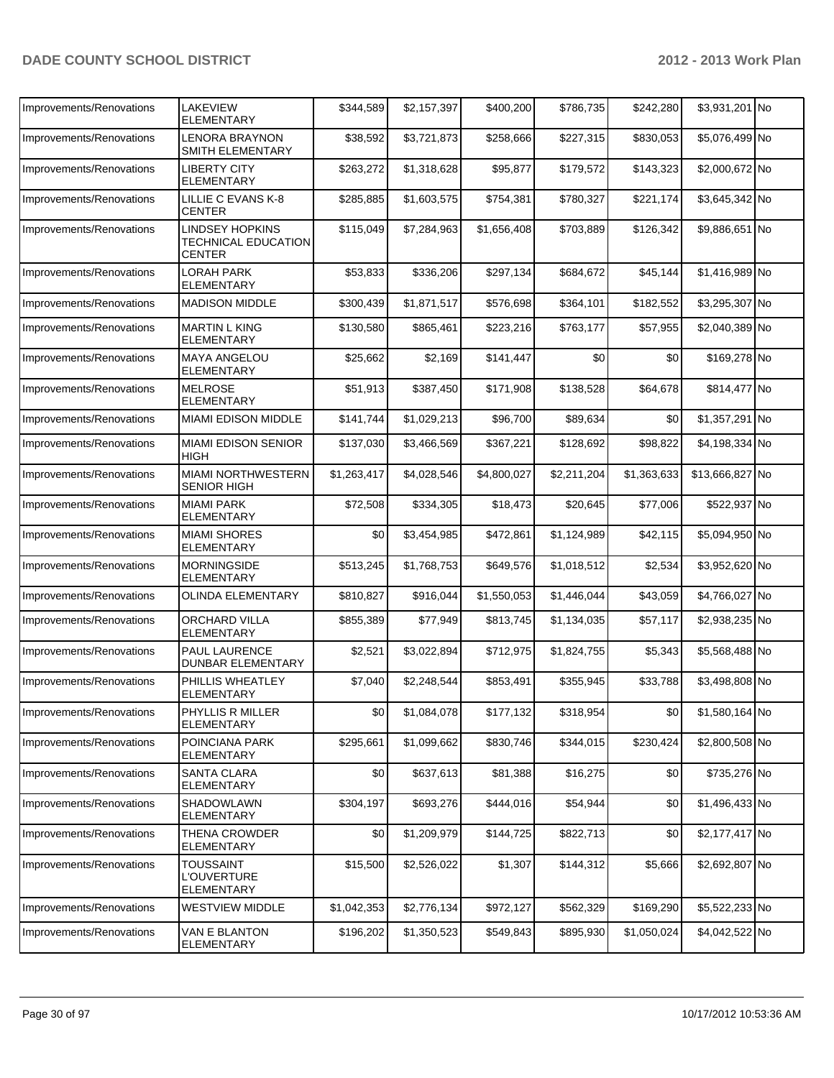| Improvements/Renovations | LAKEVIEW<br><b>ELEMENTARY</b>                                  | \$344,589   | \$2,157,397 | \$400,200   | \$786,735   | \$242,280   | \$3,931,201 No  |  |
|--------------------------|----------------------------------------------------------------|-------------|-------------|-------------|-------------|-------------|-----------------|--|
| Improvements/Renovations | <b>LENORA BRAYNON</b><br>SMITH ELEMENTARY                      | \$38,592    | \$3,721,873 | \$258,666   | \$227,315   | \$830,053   | \$5,076,499 No  |  |
| Improvements/Renovations | <b>LIBERTY CITY</b><br><b>ELEMENTARY</b>                       | \$263,272   | \$1,318,628 | \$95,877    | \$179,572   | \$143,323   | \$2,000,672 No  |  |
| Improvements/Renovations | LILLIE C EVANS K-8<br><b>CENTER</b>                            | \$285,885   | \$1,603,575 | \$754,381   | \$780,327   | \$221,174   | \$3,645,342 No  |  |
| Improvements/Renovations | <b>LINDSEY HOPKINS</b><br>TECHNICAL EDUCATION<br><b>CENTER</b> | \$115,049   | \$7,284,963 | \$1,656,408 | \$703,889   | \$126,342   | \$9,886,651 No  |  |
| Improvements/Renovations | <b>LORAH PARK</b><br><b>ELEMENTARY</b>                         | \$53,833    | \$336,206   | \$297,134   | \$684,672   | \$45,144    | \$1,416,989 No  |  |
| Improvements/Renovations | <b>MADISON MIDDLE</b>                                          | \$300,439   | \$1,871,517 | \$576,698   | \$364,101   | \$182,552   | \$3,295,307 No  |  |
| Improvements/Renovations | <b>MARTIN L KING</b><br><b>ELEMENTARY</b>                      | \$130,580   | \$865,461   | \$223,216   | \$763,177   | \$57,955    | \$2,040,389 No  |  |
| Improvements/Renovations | <b>MAYA ANGELOU</b><br><b>ELEMENTARY</b>                       | \$25,662    | \$2,169     | \$141,447   | \$0         | \$0         | \$169,278 No    |  |
| Improvements/Renovations | <b>MELROSE</b><br><b>ELEMENTARY</b>                            | \$51,913    | \$387,450   | \$171,908   | \$138,528   | \$64,678    | \$814,477 No    |  |
| Improvements/Renovations | <b>MIAMI EDISON MIDDLE</b>                                     | \$141,744   | \$1,029,213 | \$96,700    | \$89,634    | \$0         | $$1,357,291$ No |  |
| Improvements/Renovations | <b>MIAMI EDISON SENIOR</b><br><b>HIGH</b>                      | \$137,030   | \$3,466,569 | \$367,221   | \$128,692   | \$98,822    | \$4,198,334 No  |  |
| Improvements/Renovations | <b>MIAMI NORTHWESTERN</b><br><b>SENIOR HIGH</b>                | \$1,263,417 | \$4,028,546 | \$4,800,027 | \$2,211,204 | \$1,363,633 | \$13,666,827 No |  |
| Improvements/Renovations | <b>MIAMI PARK</b><br><b>ELEMENTARY</b>                         | \$72,508    | \$334,305   | \$18,473    | \$20,645    | \$77,006    | \$522,937 No    |  |
| Improvements/Renovations | <b>MIAMI SHORES</b><br><b>ELEMENTARY</b>                       | \$0         | \$3,454,985 | \$472,861   | \$1,124,989 | \$42,115    | \$5,094,950 No  |  |
| Improvements/Renovations | <b>MORNINGSIDE</b><br><b>ELEMENTARY</b>                        | \$513,245   | \$1,768,753 | \$649,576   | \$1,018,512 | \$2,534     | \$3,952,620 No  |  |
| Improvements/Renovations | <b>OLINDA ELEMENTARY</b>                                       | \$810,827   | \$916,044   | \$1,550,053 | \$1,446,044 | \$43,059    | \$4,766,027 No  |  |
| Improvements/Renovations | ORCHARD VILLA<br><b>ELEMENTARY</b>                             | \$855,389   | \$77,949    | \$813,745   | \$1,134,035 | \$57,117    | \$2,938,235 No  |  |
| Improvements/Renovations | <b>PAUL LAURENCE</b><br><b>DUNBAR ELEMENTARY</b>               | \$2,521     | \$3,022,894 | \$712,975   | \$1,824,755 | \$5,343     | \$5,568,488 No  |  |
| Improvements/Renovations | PHILLIS WHEATLEY<br><b>ELEMENTARY</b>                          | \$7,040     | \$2,248,544 | \$853,491   | \$355,945   | \$33,788    | \$3,498,808 No  |  |
| Improvements/Renovations | PHYLLIS R MILLER<br><b>ELEMENTARY</b>                          | \$0         | \$1,084,078 | \$177,132   | \$318,954   | \$01        | \$1,580,164 No  |  |
| Improvements/Renovations | POINCIANA PARK<br><b>ELEMENTARY</b>                            | \$295,661   | \$1,099,662 | \$830,746   | \$344,015   | \$230,424   | \$2,800,508 No  |  |
| Improvements/Renovations | <b>SANTA CLARA</b><br><b>ELEMENTARY</b>                        | \$0         | \$637,613   | \$81,388    | \$16,275    | \$0         | \$735,276 No    |  |
| Improvements/Renovations | <b>SHADOWLAWN</b><br><b>ELEMENTARY</b>                         | \$304,197   | \$693,276   | \$444,016   | \$54,944    | \$0         | \$1,496,433 No  |  |
| Improvements/Renovations | <b>THENA CROWDER</b><br><b>ELEMENTARY</b>                      | \$0         | \$1,209,979 | \$144,725   | \$822,713   | \$0         | \$2,177,417 No  |  |
| Improvements/Renovations | <b>TOUSSAINT</b><br><b>L'OUVERTURE</b><br><b>ELEMENTARY</b>    | \$15,500    | \$2,526,022 | \$1,307     | \$144,312   | \$5,666     | \$2,692,807 No  |  |
| Improvements/Renovations | <b>WESTVIEW MIDDLE</b>                                         | \$1,042,353 | \$2,776,134 | \$972,127   | \$562,329   | \$169,290   | \$5,522,233 No  |  |
| Improvements/Renovations | VAN E BLANTON<br>ELEMENTARY                                    | \$196,202   | \$1,350,523 | \$549,843   | \$895,930   | \$1,050,024 | \$4,042,522 No  |  |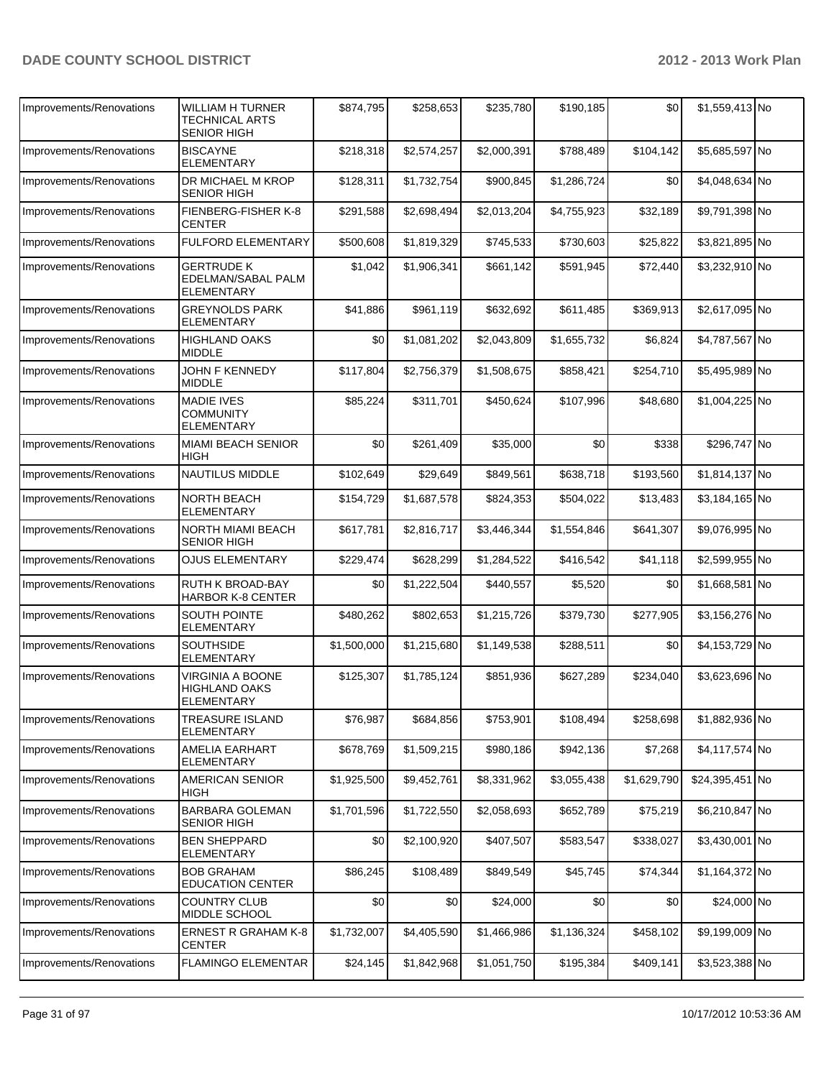| Improvements/Renovations | WILLIAM H TURNER<br>TECHNICAL ARTS<br><b>SENIOR HIGH</b>      | \$874,795   | \$258,653   | \$235,780   | \$190,185   | \$0         | \$1,559,413 No  |  |
|--------------------------|---------------------------------------------------------------|-------------|-------------|-------------|-------------|-------------|-----------------|--|
| Improvements/Renovations | <b>BISCAYNE</b><br>ELEMENTARY                                 | \$218,318   | \$2,574,257 | \$2,000,391 | \$788,489   | \$104,142   | \$5,685,597 No  |  |
| Improvements/Renovations | DR MICHAEL M KROP<br>SENIOR HIGH                              | \$128,311   | \$1,732,754 | \$900,845   | \$1,286,724 | \$0         | \$4,048,634 No  |  |
| Improvements/Renovations | FIENBERG-FISHER K-8<br>CENTER                                 | \$291,588   | \$2,698,494 | \$2,013,204 | \$4,755,923 | \$32,189    | \$9,791,398 No  |  |
| Improvements/Renovations | <b>FULFORD ELEMENTARY</b>                                     | \$500,608   | \$1,819,329 | \$745,533   | \$730,603   | \$25,822    | \$3,821,895 No  |  |
| Improvements/Renovations | GERTRUDE K<br>EDELMAN/SABAL PALM<br><b>ELEMENTARY</b>         | \$1,042     | \$1,906,341 | \$661,142   | \$591,945   | \$72,440    | \$3,232,910 No  |  |
| Improvements/Renovations | <b>GREYNOLDS PARK</b><br>ELEMENTARY                           | \$41,886    | \$961,119   | \$632,692   | \$611,485   | \$369,913   | \$2,617,095 No  |  |
| Improvements/Renovations | <b>HIGHLAND OAKS</b><br><b>MIDDLE</b>                         | \$0         | \$1,081,202 | \$2,043,809 | \$1,655,732 | \$6,824     | \$4,787,567 No  |  |
| Improvements/Renovations | <b>JOHN F KENNEDY</b><br>MIDDLE                               | \$117,804   | \$2,756,379 | \$1,508,675 | \$858,421   | \$254,710   | \$5,495,989 No  |  |
| Improvements/Renovations | <b>MADIE IVES</b><br><b>COMMUNITY</b><br><b>ELEMENTARY</b>    | \$85,224    | \$311,701   | \$450,624   | \$107,996   | \$48,680    | \$1,004,225 No  |  |
| Improvements/Renovations | <b>MIAMI BEACH SENIOR</b><br>HIGH                             | \$0         | \$261,409   | \$35,000    | \$0         | \$338       | \$296,747 No    |  |
| Improvements/Renovations | NAUTILUS MIDDLE                                               | \$102,649   | \$29,649    | \$849,561   | \$638,718   | \$193,560   | \$1,814,137 No  |  |
| Improvements/Renovations | <b>NORTH BEACH</b><br>ELEMENTARY                              | \$154,729   | \$1,687,578 | \$824,353   | \$504,022   | \$13,483    | \$3,184,165 No  |  |
| Improvements/Renovations | NORTH MIAMI BEACH<br><b>SENIOR HIGH</b>                       | \$617,781   | \$2,816,717 | \$3,446,344 | \$1,554,846 | \$641,307   | \$9,076,995 No  |  |
| Improvements/Renovations | OJUS ELEMENTARY                                               | \$229,474   | \$628,299   | \$1,284,522 | \$416,542   | \$41,118    | \$2,599,955 No  |  |
| Improvements/Renovations | RUTH K BROAD-BAY<br>HARBOR K-8 CENTER                         | \$0         | \$1,222,504 | \$440,557   | \$5,520     | \$0         | \$1,668,581 No  |  |
| Improvements/Renovations | <b>SOUTH POINTE</b><br>ELEMENTARY                             | \$480,262   | \$802,653   | \$1,215,726 | \$379,730   | \$277,905   | \$3,156,276 No  |  |
| Improvements/Renovations | SOUTHSIDE<br><b>ELEMENTARY</b>                                | \$1,500,000 | \$1,215,680 | \$1,149,538 | \$288,511   | \$0         | \$4,153,729 No  |  |
| Improvements/Renovations | VIRGINIA A BOONE<br><b>HIGHLAND OAKS</b><br><b>ELEMENTARY</b> | \$125,307   | \$1,785,124 | \$851,936   | \$627,289   | \$234,040   | \$3,623,696 No  |  |
| Improvements/Renovations | <b>TREASURE ISLAND</b><br><b>ELEMENTARY</b>                   | \$76,987    | \$684,856   | \$753,901   | \$108,494   | \$258,698   | \$1,882,936 No  |  |
| Improvements/Renovations | AMELIA EARHART<br><b>ELEMENTARY</b>                           | \$678,769   | \$1,509,215 | \$980,186   | \$942,136   | \$7,268     | \$4,117,574 No  |  |
| Improvements/Renovations | AMERICAN SENIOR<br>HIGH                                       | \$1,925,500 | \$9,452,761 | \$8,331,962 | \$3,055,438 | \$1,629,790 | \$24,395,451 No |  |
| Improvements/Renovations | <b>BARBARA GOLEMAN</b><br><b>SENIOR HIGH</b>                  | \$1,701,596 | \$1,722,550 | \$2,058,693 | \$652,789   | \$75,219    | \$6,210,847 No  |  |
| Improvements/Renovations | <b>BEN SHEPPARD</b><br><b>ELEMENTARY</b>                      | \$0         | \$2,100,920 | \$407,507   | \$583,547   | \$338,027   | \$3,430,001 No  |  |
| Improvements/Renovations | <b>BOB GRAHAM</b><br><b>EDUCATION CENTER</b>                  | \$86,245    | \$108,489   | \$849,549   | \$45,745    | \$74,344    | \$1,164,372 No  |  |
| Improvements/Renovations | <b>COUNTRY CLUB</b><br>MIDDLE SCHOOL                          | \$0         | \$0         | \$24,000    | \$0         | \$0         | \$24,000 No     |  |
| Improvements/Renovations | <b>ERNEST R GRAHAM K-8</b><br><b>CENTER</b>                   | \$1,732,007 | \$4,405,590 | \$1,466,986 | \$1,136,324 | \$458,102   | \$9,199,009 No  |  |
| Improvements/Renovations | <b>FLAMINGO ELEMENTAR</b>                                     | \$24,145    | \$1,842,968 | \$1,051,750 | \$195,384   | \$409,141   | \$3,523,388 No  |  |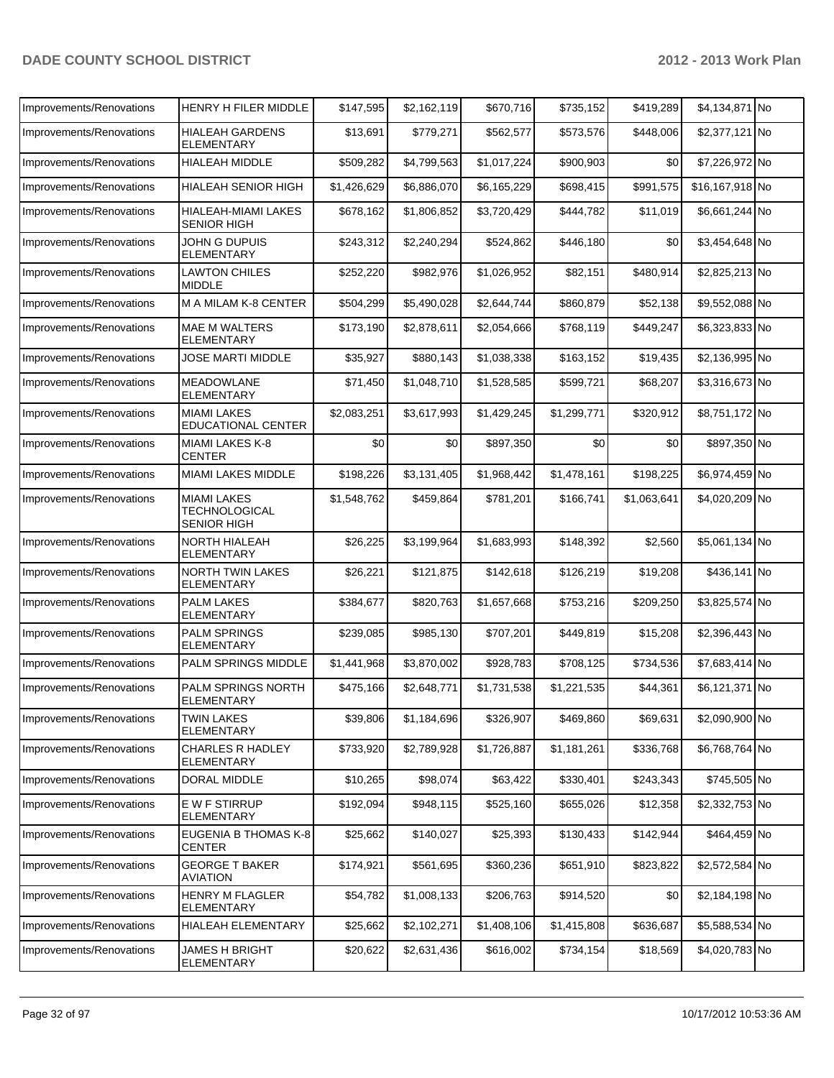| Improvements/Renovations | <b>HENRY H FILER MIDDLE</b>                               | \$147,595   | \$2,162,119 | \$670,716   | \$735,152   | \$419,289   | \$4,134,871 No  |  |
|--------------------------|-----------------------------------------------------------|-------------|-------------|-------------|-------------|-------------|-----------------|--|
| Improvements/Renovations | <b>HIALEAH GARDENS</b><br><b>ELEMENTARY</b>               | \$13,691    | \$779,271   | \$562,577   | \$573,576   | \$448,006   | \$2,377,121 No  |  |
| Improvements/Renovations | <b>HIALEAH MIDDLE</b>                                     | \$509,282   | \$4,799,563 | \$1,017,224 | \$900,903   | \$0         | \$7,226,972 No  |  |
| Improvements/Renovations | HIALEAH SENIOR HIGH                                       | \$1,426,629 | \$6,886,070 | \$6,165,229 | \$698,415   | \$991,575   | \$16,167,918 No |  |
| Improvements/Renovations | HIALEAH-MIAMI LAKES<br>SENIOR HIGH                        | \$678,162   | \$1,806,852 | \$3,720,429 | \$444,782   | \$11,019    | \$6,661,244 No  |  |
| Improvements/Renovations | JOHN G DUPUIS<br><b>ELEMENTARY</b>                        | \$243,312   | \$2,240,294 | \$524,862   | \$446,180   | \$0         | \$3,454,648 No  |  |
| Improvements/Renovations | <b>LAWTON CHILES</b><br><b>MIDDLE</b>                     | \$252,220   | \$982,976   | \$1,026,952 | \$82,151    | \$480,914   | \$2,825,213 No  |  |
| Improvements/Renovations | M A MILAM K-8 CENTER                                      | \$504,299   | \$5,490,028 | \$2,644,744 | \$860,879   | \$52,138    | \$9,552,088 No  |  |
| Improvements/Renovations | <b>MAE M WALTERS</b><br>ELEMENTARY                        | \$173,190   | \$2,878,611 | \$2,054,666 | \$768,119   | \$449,247   | \$6,323,833 No  |  |
| Improvements/Renovations | JOSE MARTI MIDDLE                                         | \$35,927    | \$880,143   | \$1,038,338 | \$163,152   | \$19,435    | \$2,136,995 No  |  |
| Improvements/Renovations | <b>MEADOWLANE</b><br>ELEMENTARY                           | \$71,450    | \$1,048,710 | \$1,528,585 | \$599,721   | \$68,207    | \$3,316,673 No  |  |
| Improvements/Renovations | <b>MIAMI LAKES</b><br><b>EDUCATIONAL CENTER</b>           | \$2,083,251 | \$3,617,993 | \$1,429,245 | \$1,299,771 | \$320,912   | \$8,751,172 No  |  |
| Improvements/Renovations | MIAMI LAKES K-8<br>CENTER                                 | \$0         | \$0         | \$897,350   | \$0         | \$0         | \$897,350 No    |  |
| Improvements/Renovations | MIAMI LAKES MIDDLE                                        | \$198,226   | \$3,131,405 | \$1,968,442 | \$1,478,161 | \$198,225   | \$6,974,459 No  |  |
| Improvements/Renovations | <b>MIAMI LAKES</b><br>TECHNOLOGICAL<br><b>SENIOR HIGH</b> | \$1,548,762 | \$459,864   | \$781,201   | \$166,741   | \$1,063,641 | \$4,020,209 No  |  |
| Improvements/Renovations | NORTH HIALEAH<br>ELEMENTARY                               | \$26,225    | \$3,199,964 | \$1,683,993 | \$148,392   | \$2,560     | \$5,061,134 No  |  |
| Improvements/Renovations | <b>NORTH TWIN LAKES</b><br><b>ELEMENTARY</b>              | \$26,221    | \$121,875   | \$142,618   | \$126,219   | \$19,208    | \$436,141 No    |  |
| Improvements/Renovations | PALM LAKES<br>ELEMENTARY                                  | \$384,677   | \$820,763   | \$1,657,668 | \$753,216   | \$209,250   | \$3,825,574 No  |  |
| Improvements/Renovations | <b>PALM SPRINGS</b><br><b>ELEMENTARY</b>                  | \$239,085   | \$985,130   | \$707,201   | \$449,819   | \$15,208    | \$2,396,443 No  |  |
| Improvements/Renovations | PALM SPRINGS MIDDLE                                       | \$1,441,968 | \$3,870,002 | \$928,783   | \$708,125   | \$734,536   | \$7,683,414 No  |  |
| Improvements/Renovations | PALM SPRINGS NORTH<br>ELEMENTARY                          | \$475,166   | \$2,648,771 | \$1,731,538 | \$1,221,535 | \$44,361    | \$6,121,371 No  |  |
| Improvements/Renovations | <b>TWIN LAKES</b><br><b>ELEMENTARY</b>                    | \$39,806    | \$1,184,696 | \$326,907   | \$469,860   | \$69,631    | \$2,090,900 No  |  |
| Improvements/Renovations | CHARLES R HADLEY<br>ELEMENTARY                            | \$733,920   | \$2,789,928 | \$1,726,887 | \$1,181,261 | \$336,768   | \$6,768,764 No  |  |
| Improvements/Renovations | DORAL MIDDLE                                              | \$10,265    | \$98,074    | \$63,422    | \$330,401   | \$243,343   | \$745,505 No    |  |
| Improvements/Renovations | <b>EWF STIRRUP</b><br>ELEMENTARY                          | \$192,094   | \$948,115   | \$525,160   | \$655,026   | \$12,358    | \$2,332,753 No  |  |
| Improvements/Renovations | EUGENIA B THOMAS K-8<br><b>CENTER</b>                     | \$25,662    | \$140,027   | \$25,393    | \$130,433   | \$142,944   | \$464,459 No    |  |
| Improvements/Renovations | <b>GEORGE T BAKER</b><br><b>AVIATION</b>                  | \$174,921   | \$561,695   | \$360,236   | \$651,910   | \$823,822   | \$2,572,584 No  |  |
| Improvements/Renovations | <b>HENRY M FLAGLER</b><br><b>ELEMENTARY</b>               | \$54,782    | \$1,008,133 | \$206,763   | \$914,520   | \$0         | \$2,184,198 No  |  |
| Improvements/Renovations | HIALEAH ELEMENTARY                                        | \$25,662    | \$2,102,271 | \$1,408,106 | \$1,415,808 | \$636,687   | \$5,588,534 No  |  |
| Improvements/Renovations | <b>JAMES H BRIGHT</b><br>ELEMENTARY                       | \$20,622    | \$2,631,436 | \$616,002   | \$734,154   | \$18,569    | \$4,020,783 No  |  |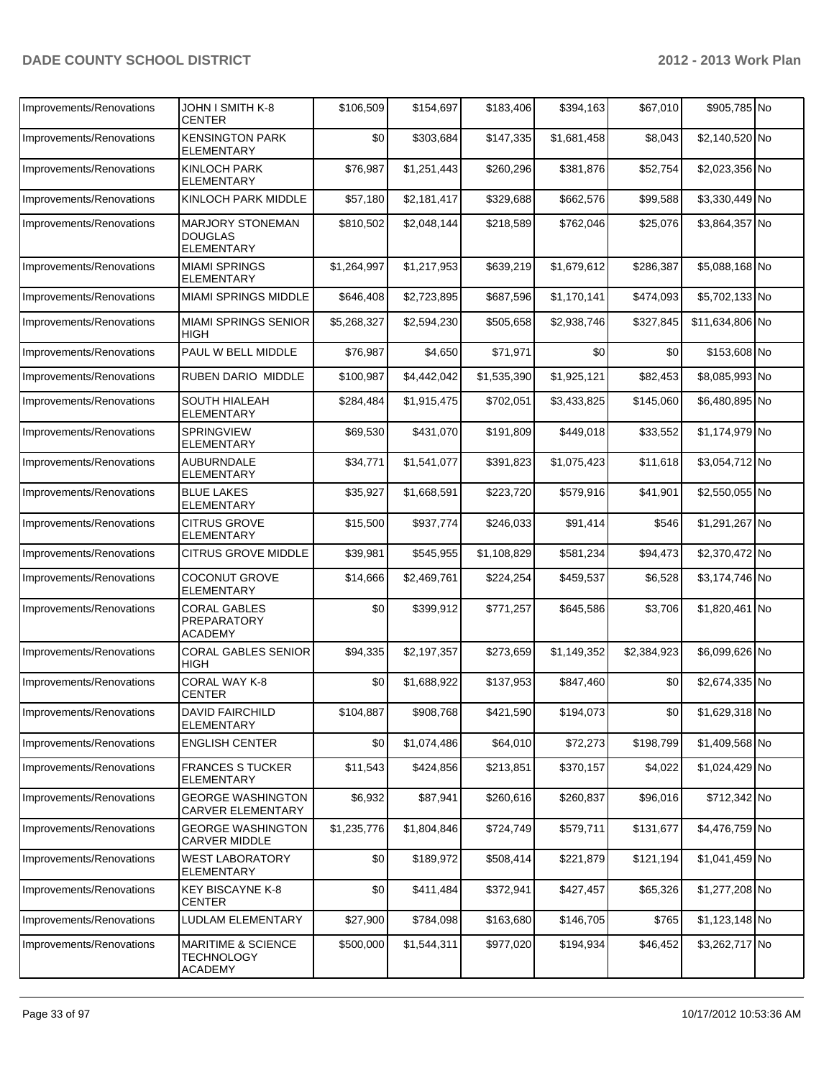| Improvements/Renovations | JOHN I SMITH K-8<br><b>CENTER</b>                                    | \$106,509   | \$154,697   | \$183,406   | \$394,163   | \$67,010    | \$905,785 No    |  |
|--------------------------|----------------------------------------------------------------------|-------------|-------------|-------------|-------------|-------------|-----------------|--|
| Improvements/Renovations | <b>KENSINGTON PARK</b><br><b>ELEMENTARY</b>                          | \$0         | \$303,684   | \$147,335   | \$1,681,458 | \$8,043     | \$2,140,520 No  |  |
| Improvements/Renovations | KINLOCH PARK<br><b>ELEMENTARY</b>                                    | \$76,987    | \$1,251,443 | \$260,296   | \$381,876   | \$52,754    | \$2,023,356 No  |  |
| Improvements/Renovations | KINLOCH PARK MIDDLE                                                  | \$57,180    | \$2,181,417 | \$329,688   | \$662,576   | \$99,588    | \$3,330,449 No  |  |
| Improvements/Renovations | <b>MARJORY STONEMAN</b><br><b>DOUGLAS</b><br><b>ELEMENTARY</b>       | \$810,502   | \$2,048,144 | \$218,589   | \$762,046   | \$25,076    | \$3,864,357 No  |  |
| Improvements/Renovations | <b>MIAMI SPRINGS</b><br><b>ELEMENTARY</b>                            | \$1,264,997 | \$1,217,953 | \$639,219   | \$1,679,612 | \$286,387   | \$5,088,168 No  |  |
| Improvements/Renovations | MIAMI SPRINGS MIDDLE                                                 | \$646,408   | \$2,723,895 | \$687,596   | \$1,170,141 | \$474,093   | \$5,702,133 No  |  |
| Improvements/Renovations | <b>MIAMI SPRINGS SENIOR</b><br>HIGH                                  | \$5,268,327 | \$2,594,230 | \$505,658   | \$2,938,746 | \$327,845   | \$11,634,806 No |  |
| Improvements/Renovations | PAUL W BELL MIDDLE                                                   | \$76,987    | \$4,650     | \$71,971    | \$0         | \$0         | \$153,608 No    |  |
| Improvements/Renovations | RUBEN DARIO MIDDLE                                                   | \$100.987   | \$4,442,042 | \$1,535,390 | \$1,925,121 | \$82,453    | \$8,085,993 No  |  |
| Improvements/Renovations | <b>SOUTH HIALEAH</b><br><b>ELEMENTARY</b>                            | \$284,484   | \$1,915,475 | \$702,051   | \$3,433,825 | \$145,060   | \$6,480,895 No  |  |
| Improvements/Renovations | SPRINGVIEW<br><b>ELEMENTARY</b>                                      | \$69,530    | \$431,070   | \$191,809   | \$449,018   | \$33,552    | \$1,174,979 No  |  |
| Improvements/Renovations | <b>AUBURNDALE</b><br><b>ELEMENTARY</b>                               | \$34,771    | \$1,541,077 | \$391,823   | \$1,075,423 | \$11,618    | \$3,054,712 No  |  |
| Improvements/Renovations | <b>BLUE LAKES</b><br><b>ELEMENTARY</b>                               | \$35,927    | \$1,668,591 | \$223,720   | \$579,916   | \$41,901    | \$2,550,055 No  |  |
| Improvements/Renovations | <b>CITRUS GROVE</b><br><b>ELEMENTARY</b>                             | \$15,500    | \$937,774   | \$246,033   | \$91,414    | \$546       | \$1,291,267 No  |  |
| Improvements/Renovations | <b>CITRUS GROVE MIDDLE</b>                                           | \$39,981    | \$545,955   | \$1,108,829 | \$581,234   | \$94,473    | \$2,370,472 No  |  |
| Improvements/Renovations | <b>COCONUT GROVE</b><br><b>ELEMENTARY</b>                            | \$14,666    | \$2,469,761 | \$224,254   | \$459,537   | \$6,528     | \$3,174,746 No  |  |
| Improvements/Renovations | <b>CORAL GABLES</b><br>PREPARATORY<br><b>ACADEMY</b>                 | \$0         | \$399,912   | \$771,257   | \$645,586   | \$3,706     | \$1,820,461 No  |  |
| Improvements/Renovations | <b>CORAL GABLES SENIOR</b><br>HIGH                                   | \$94,335    | \$2,197,357 | \$273,659   | \$1,149,352 | \$2,384,923 | \$6,099,626 No  |  |
| Improvements/Renovations | <b>CORAL WAY K-8</b><br><b>CENTER</b>                                | \$0         | \$1,688,922 | \$137,953   | \$847,460   | \$0         | \$2,674,335 No  |  |
| Improvements/Renovations | <b>DAVID FAIRCHILD</b><br><b>ELEMENTARY</b>                          | \$104,887   | \$908,768   | \$421,590   | \$194,073   | \$0         | \$1,629,318 No  |  |
| Improvements/Renovations | <b>ENGLISH CENTER</b>                                                | \$0         | \$1,074,486 | \$64,010    | \$72,273    | \$198,799   | \$1,409,568 No  |  |
| Improvements/Renovations | <b>FRANCES S TUCKER</b><br><b>ELEMENTARY</b>                         | \$11,543    | \$424,856   | \$213,851   | \$370,157   | \$4,022     | \$1,024,429 No  |  |
| Improvements/Renovations | <b>GEORGE WASHINGTON</b><br>CARVER ELEMENTARY                        | \$6,932     | \$87,941    | \$260,616   | \$260,837   | \$96,016    | \$712,342 No    |  |
| Improvements/Renovations | <b>GEORGE WASHINGTON</b><br><b>CARVER MIDDLE</b>                     | \$1,235,776 | \$1,804,846 | \$724,749   | \$579,711   | \$131,677   | \$4,476,759 No  |  |
| Improvements/Renovations | <b>WEST LABORATORY</b><br>ELEMENTARY                                 | \$0         | \$189,972   | \$508,414   | \$221,879   | \$121,194   | \$1,041,459 No  |  |
| Improvements/Renovations | <b>KEY BISCAYNE K-8</b><br><b>CENTER</b>                             | \$0         | \$411,484   | \$372,941   | \$427,457   | \$65,326    | \$1,277,208 No  |  |
| Improvements/Renovations | LUDLAM ELEMENTARY                                                    | \$27,900    | \$784,098   | \$163,680   | \$146,705   | \$765       | $$1,123,148$ No |  |
| Improvements/Renovations | <b>MARITIME &amp; SCIENCE</b><br><b>TECHNOLOGY</b><br><b>ACADEMY</b> | \$500,000   | \$1,544,311 | \$977,020   | \$194,934   | \$46,452    | \$3,262,717 No  |  |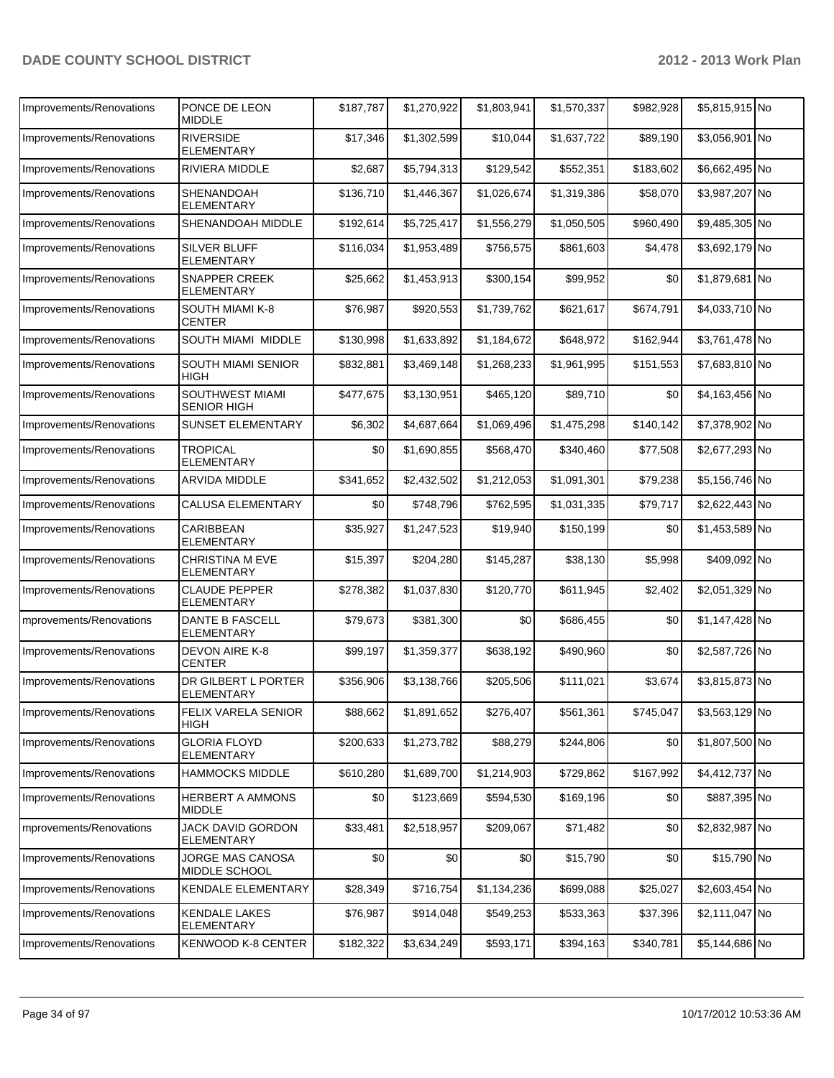| Improvements/Renovations | PONCE DE LEON<br><b>MIDDLE</b>            | \$187,787 | \$1,270,922 | \$1,803,941 | \$1,570,337 | \$982,928 | \$5,815,915 No |  |
|--------------------------|-------------------------------------------|-----------|-------------|-------------|-------------|-----------|----------------|--|
| Improvements/Renovations | <b>RIVERSIDE</b><br><b>ELEMENTARY</b>     | \$17,346  | \$1,302,599 | \$10,044    | \$1,637,722 | \$89,190  | \$3,056,901 No |  |
| Improvements/Renovations | RIVIERA MIDDLE                            | \$2,687   | \$5,794,313 | \$129,542   | \$552,351   | \$183,602 | \$6,662,495 No |  |
| Improvements/Renovations | <b>SHENANDOAH</b><br><b>ELEMENTARY</b>    | \$136,710 | \$1,446,367 | \$1,026,674 | \$1,319,386 | \$58,070  | \$3,987,207 No |  |
| Improvements/Renovations | SHENANDOAH MIDDLE                         | \$192,614 | \$5,725,417 | \$1,556,279 | \$1,050,505 | \$960,490 | \$9,485,305 No |  |
| Improvements/Renovations | SILVER BLUFF<br><b>ELEMENTARY</b>         | \$116,034 | \$1,953,489 | \$756,575   | \$861,603   | \$4,478   | \$3,692,179 No |  |
| Improvements/Renovations | <b>SNAPPER CREEK</b><br><b>ELEMENTARY</b> | \$25,662  | \$1,453,913 | \$300,154   | \$99,952    | \$0       | \$1,879,681 No |  |
| Improvements/Renovations | SOUTH MIAMI K-8<br>CENTER                 | \$76,987  | \$920,553   | \$1,739,762 | \$621,617   | \$674,791 | \$4,033,710 No |  |
| Improvements/Renovations | SOUTH MIAMI MIDDLE                        | \$130,998 | \$1,633,892 | \$1,184,672 | \$648,972   | \$162,944 | \$3,761,478 No |  |
| Improvements/Renovations | SOUTH MIAMI SENIOR<br>HIGH                | \$832,881 | \$3,469,148 | \$1,268,233 | \$1,961,995 | \$151,553 | \$7,683,810 No |  |
| Improvements/Renovations | SOUTHWEST MIAMI<br><b>SENIOR HIGH</b>     | \$477,675 | \$3,130,951 | \$465,120   | \$89,710    | \$0       | \$4,163,456 No |  |
| Improvements/Renovations | <b>SUNSET ELEMENTARY</b>                  | \$6,302   | \$4,687,664 | \$1,069,496 | \$1,475,298 | \$140.142 | \$7,378,902 No |  |
| Improvements/Renovations | <b>TROPICAL</b><br><b>ELEMENTARY</b>      | \$0       | \$1,690,855 | \$568,470   | \$340,460   | \$77,508  | \$2,677,293 No |  |
| Improvements/Renovations | ARVIDA MIDDLE                             | \$341,652 | \$2,432,502 | \$1,212,053 | \$1,091,301 | \$79,238  | \$5,156,746 No |  |
| Improvements/Renovations | CALUSA ELEMENTARY                         | \$0       | \$748,796   | \$762,595   | \$1,031,335 | \$79,717  | \$2,622,443 No |  |
| Improvements/Renovations | CARIBBEAN<br>ELEMENTARY                   | \$35,927  | \$1,247,523 | \$19,940    | \$150,199   | \$0       | \$1,453,589 No |  |
| Improvements/Renovations | CHRISTINA M EVE<br><b>ELEMENTARY</b>      | \$15,397  | \$204,280   | \$145,287   | \$38,130    | \$5,998   | \$409,092 No   |  |
| Improvements/Renovations | <b>CLAUDE PEPPER</b><br><b>ELEMENTARY</b> | \$278,382 | \$1,037,830 | \$120,770   | \$611,945   | \$2,402   | \$2,051,329 No |  |
| mprovements/Renovations  | DANTE B FASCELL<br><b>ELEMENTARY</b>      | \$79,673  | \$381,300   | \$0         | \$686,455   | \$0       | \$1,147,428 No |  |
| Improvements/Renovations | DEVON AIRE K-8<br><b>CENTER</b>           | \$99,197  | \$1,359,377 | \$638,192   | \$490,960   | \$0       | \$2,587,726 No |  |
| Improvements/Renovations | DR GILBERT L PORTER<br><b>ELEMENTARY</b>  | \$356,906 | \$3,138,766 | \$205,506   | \$111,021   | \$3,674   | \$3,815,873 No |  |
| Improvements/Renovations | FELIX VARELA SENIOR<br>HIGH               | \$88,662  | \$1,891,652 | \$276,407   | \$561,361   | \$745,047 | \$3,563,129 No |  |
| Improvements/Renovations | <b>GLORIA FLOYD</b><br><b>ELEMENTARY</b>  | \$200,633 | \$1,273,782 | \$88,279    | \$244,806   | \$0       | \$1,807,500 No |  |
| Improvements/Renovations | <b>HAMMOCKS MIDDLE</b>                    | \$610,280 | \$1,689,700 | \$1,214,903 | \$729,862   | \$167,992 | \$4,412,737 No |  |
| Improvements/Renovations | HERBERT A AMMONS<br><b>MIDDLE</b>         | \$0       | \$123,669   | \$594,530   | \$169,196   | \$0       | \$887,395 No   |  |
| mprovements/Renovations  | JACK DAVID GORDON<br><b>ELEMENTARY</b>    | \$33,481  | \$2,518,957 | \$209,067   | \$71,482    | \$0       | \$2,832,987 No |  |
| Improvements/Renovations | JORGE MAS CANOSA<br>MIDDLE SCHOOL         | \$0       | \$0         | \$0         | \$15,790    | \$0       | \$15,790 No    |  |
| Improvements/Renovations | <b>KENDALE ELEMENTARY</b>                 | \$28,349  | \$716,754   | \$1,134,236 | \$699,088   | \$25,027  | \$2,603,454 No |  |
| Improvements/Renovations | <b>KENDALE LAKES</b><br><b>ELEMENTARY</b> | \$76,987  | \$914,048   | \$549,253   | \$533,363   | \$37,396  | \$2,111,047 No |  |
| Improvements/Renovations | KENWOOD K-8 CENTER                        | \$182,322 | \$3,634,249 | \$593,171   | \$394,163   | \$340,781 | \$5,144,686 No |  |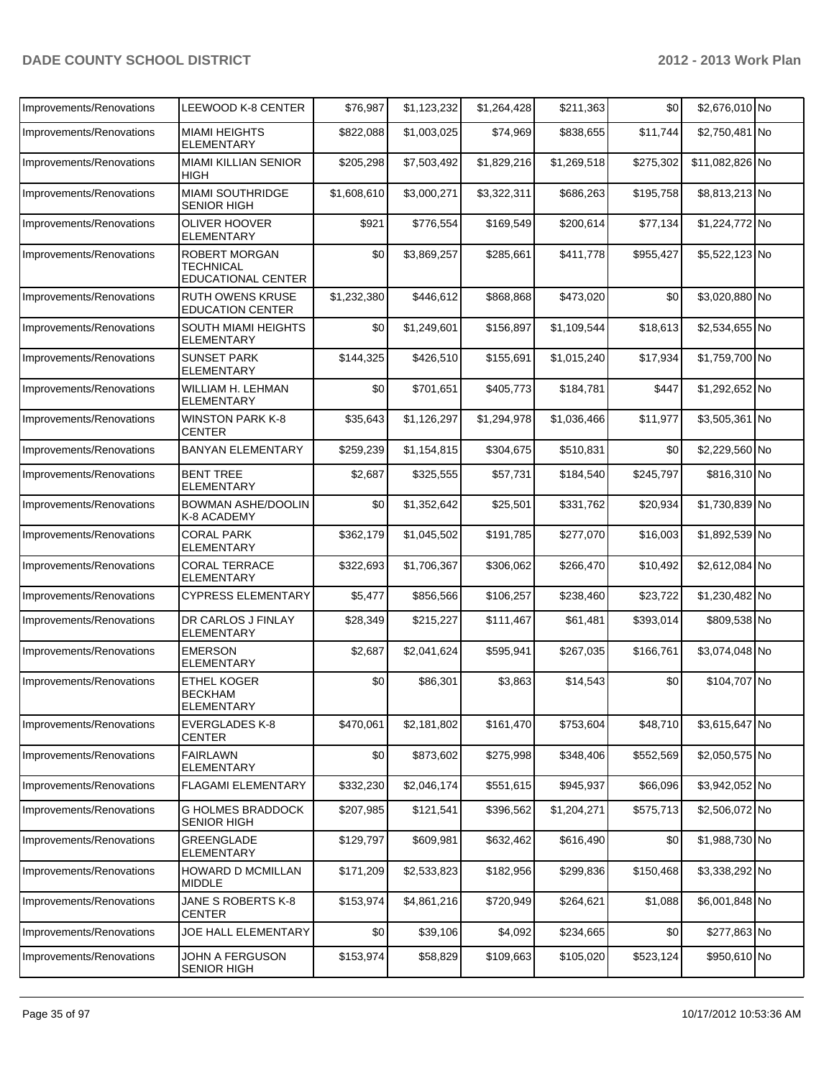| Improvements/Renovations | LEEWOOD K-8 CENTER                                      | \$76,987    | \$1,123,232 | \$1,264,428 | \$211,363   | \$0       | \$2,676,010 No  |  |
|--------------------------|---------------------------------------------------------|-------------|-------------|-------------|-------------|-----------|-----------------|--|
| Improvements/Renovations | <b>MIAMI HEIGHTS</b><br><b>ELEMENTARY</b>               | \$822,088   | \$1,003,025 | \$74,969    | \$838,655   | \$11,744  | \$2,750,481 No  |  |
| Improvements/Renovations | <b>MIAMI KILLIAN SENIOR</b><br>HIGH                     | \$205,298   | \$7,503,492 | \$1,829,216 | \$1,269,518 | \$275,302 | \$11,082,826 No |  |
| Improvements/Renovations | <b>MIAMI SOUTHRIDGE</b><br><b>SENIOR HIGH</b>           | \$1,608,610 | \$3,000,271 | \$3,322,311 | \$686,263   | \$195,758 | \$8,813,213 No  |  |
| Improvements/Renovations | <b>OLIVER HOOVER</b><br><b>ELEMENTARY</b>               | \$921       | \$776,554   | \$169,549   | \$200,614   | \$77,134  | \$1,224,772 No  |  |
| Improvements/Renovations | ROBERT MORGAN<br>TECHNICAL<br><b>EDUCATIONAL CENTER</b> | \$0         | \$3,869,257 | \$285,661   | \$411,778   | \$955,427 | \$5,522,123 No  |  |
| Improvements/Renovations | <b>RUTH OWENS KRUSE</b><br><b>EDUCATION CENTER</b>      | \$1,232,380 | \$446,612   | \$868,868   | \$473,020   | \$0       | \$3,020,880 No  |  |
| Improvements/Renovations | SOUTH MIAMI HEIGHTS<br><b>ELEMENTARY</b>                | \$0         | \$1,249,601 | \$156,897   | \$1,109,544 | \$18,613  | \$2,534,655 No  |  |
| Improvements/Renovations | <b>SUNSET PARK</b><br>ELEMENTARY                        | \$144,325   | \$426,510   | \$155,691   | \$1,015,240 | \$17,934  | \$1,759,700 No  |  |
| Improvements/Renovations | WILLIAM H. LEHMAN<br><b>ELEMENTARY</b>                  | \$0         | \$701,651   | \$405,773   | \$184,781   | \$447     | \$1,292,652 No  |  |
| Improvements/Renovations | <b>WINSTON PARK K-8</b><br><b>CENTER</b>                | \$35,643    | \$1,126,297 | \$1,294,978 | \$1,036,466 | \$11,977  | \$3,505,361 No  |  |
| Improvements/Renovations | <b>BANYAN ELEMENTARY</b>                                | \$259,239   | \$1,154,815 | \$304,675   | \$510,831   | \$0       | \$2,229,560 No  |  |
| Improvements/Renovations | <b>BENT TREE</b><br><b>ELEMENTARY</b>                   | \$2,687     | \$325,555   | \$57,731    | \$184,540   | \$245,797 | \$816,310 No    |  |
| Improvements/Renovations | BOWMAN ASHE/DOOLIN<br>K-8 ACADEMY                       | \$0         | \$1,352,642 | \$25,501    | \$331,762   | \$20,934  | \$1,730,839 No  |  |
| Improvements/Renovations | <b>CORAL PARK</b><br><b>ELEMENTARY</b>                  | \$362,179   | \$1,045,502 | \$191,785   | \$277,070   | \$16,003  | \$1,892,539 No  |  |
| Improvements/Renovations | <b>CORAL TERRACE</b><br>ELEMENTARY                      | \$322,693   | \$1,706,367 | \$306,062   | \$266,470   | \$10,492  | \$2,612,084 No  |  |
| Improvements/Renovations | <b>CYPRESS ELEMENTARY</b>                               | \$5,477     | \$856,566   | \$106,257   | \$238,460   | \$23,722  | \$1,230,482 No  |  |
| Improvements/Renovations | DR CARLOS J FINLAY<br><b>ELEMENTARY</b>                 | \$28,349    | \$215,227   | \$111,467   | \$61,481    | \$393,014 | \$809,538 No    |  |
| Improvements/Renovations | <b>EMERSON</b><br>ELEMENTARY                            | \$2,687     | \$2,041,624 | \$595,941   | \$267,035   | \$166,761 | \$3,074,048 No  |  |
| Improvements/Renovations | <b>ETHEL KOGER</b><br>BECKHAM<br>ELEMENTARY             | \$0         | \$86,301    | \$3,863     | \$14,543    | \$0       | \$104,707 No    |  |
| Improvements/Renovations | <b>EVERGLADES K-8</b><br><b>CENTER</b>                  | \$470,061   | \$2,181,802 | \$161,470   | \$753,604   | \$48,710  | \$3,615,647 No  |  |
| Improvements/Renovations | <b>FAIRLAWN</b><br><b>ELEMENTARY</b>                    | \$0         | \$873,602   | \$275,998   | \$348,406   | \$552,569 | \$2,050,575 No  |  |
| Improvements/Renovations | FLAGAMI ELEMENTARY                                      | \$332,230   | \$2,046,174 | \$551,615   | \$945,937   | \$66,096  | \$3,942,052 No  |  |
| Improvements/Renovations | <b>G HOLMES BRADDOCK</b><br><b>SENIOR HIGH</b>          | \$207,985   | \$121,541   | \$396,562   | \$1,204,271 | \$575,713 | \$2,506,072 No  |  |
| Improvements/Renovations | <b>GREENGLADE</b><br>ELEMENTARY                         | \$129,797   | \$609,981   | \$632,462   | \$616,490   | \$0       | \$1,988,730 No  |  |
| Improvements/Renovations | <b>HOWARD D MCMILLAN</b><br><b>MIDDLE</b>               | \$171,209   | \$2,533,823 | \$182,956   | \$299,836   | \$150,468 | \$3,338,292 No  |  |
| Improvements/Renovations | JANE S ROBERTS K-8<br><b>CENTER</b>                     | \$153,974   | \$4,861,216 | \$720,949   | \$264,621   | \$1,088   | \$6,001,848 No  |  |
| Improvements/Renovations | JOE HALL ELEMENTARY                                     | \$0         | \$39,106    | \$4,092     | \$234,665   | \$0       | \$277,863 No    |  |
| Improvements/Renovations | JOHN A FERGUSON<br><b>SENIOR HIGH</b>                   | \$153,974   | \$58,829    | \$109,663   | \$105,020   | \$523,124 | \$950,610 No    |  |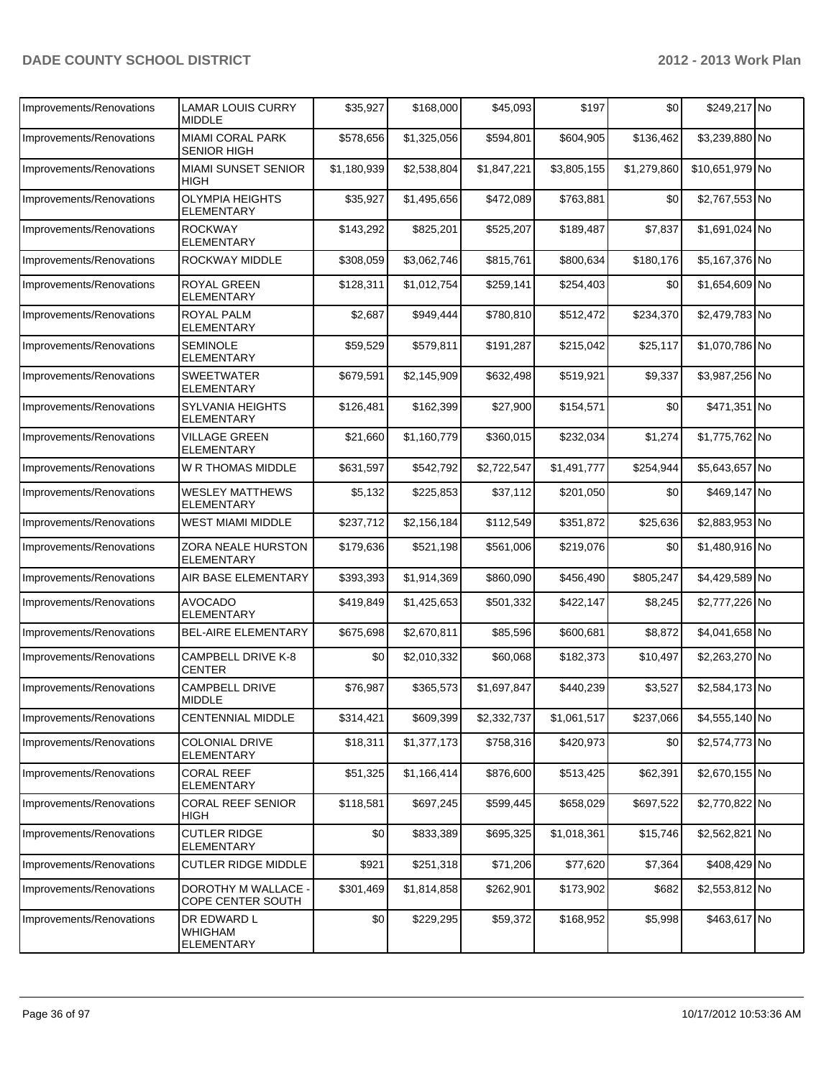| Improvements/Renovations | LAMAR LOUIS CURRY<br><b>MIDDLE</b>            | \$35,927    | \$168,000   | \$45,093    | \$197       | \$0         | \$249,217 No    |  |
|--------------------------|-----------------------------------------------|-------------|-------------|-------------|-------------|-------------|-----------------|--|
| Improvements/Renovations | <b>MIAMI CORAL PARK</b><br><b>SENIOR HIGH</b> | \$578,656   | \$1,325,056 | \$594,801   | \$604,905   | \$136,462   | \$3,239,880 No  |  |
| Improvements/Renovations | <b>MIAMI SUNSET SENIOR</b><br><b>HIGH</b>     | \$1,180,939 | \$2,538,804 | \$1,847,221 | \$3,805,155 | \$1,279,860 | \$10,651,979 No |  |
| Improvements/Renovations | <b>OLYMPIA HEIGHTS</b><br><b>ELEMENTARY</b>   | \$35,927    | \$1,495,656 | \$472,089   | \$763,881   | \$0         | \$2,767,553 No  |  |
| Improvements/Renovations | <b>ROCKWAY</b><br><b>ELEMENTARY</b>           | \$143,292   | \$825,201   | \$525,207   | \$189,487   | \$7,837     | \$1,691,024 No  |  |
| Improvements/Renovations | ROCKWAY MIDDLE                                | \$308,059   | \$3,062,746 | \$815,761   | \$800,634   | \$180,176   | \$5,167,376 No  |  |
| Improvements/Renovations | ROYAL GREEN<br>ELEMENTARY                     | \$128,311   | \$1,012,754 | \$259,141   | \$254,403   | \$0         | \$1,654,609 No  |  |
| Improvements/Renovations | ROYAL PALM<br><b>ELEMENTARY</b>               | \$2,687     | \$949,444   | \$780,810   | \$512,472   | \$234,370   | \$2,479,783 No  |  |
| Improvements/Renovations | <b>SEMINOLE</b><br>ELEMENTARY                 | \$59,529    | \$579,811   | \$191,287   | \$215,042   | \$25,117    | \$1,070,786 No  |  |
| Improvements/Renovations | <b>SWEETWATER</b><br><b>ELEMENTARY</b>        | \$679,591   | \$2,145,909 | \$632,498   | \$519,921   | \$9,337     | \$3,987,256 No  |  |
| Improvements/Renovations | <b>SYLVANIA HEIGHTS</b><br>ELEMENTARY         | \$126,481   | \$162,399   | \$27,900    | \$154,571   | \$0         | \$471,351 No    |  |
| Improvements/Renovations | <b>VILLAGE GREEN</b><br><b>ELEMENTARY</b>     | \$21,660    | \$1,160,779 | \$360,015   | \$232,034   | \$1,274     | \$1,775,762 No  |  |
| Improvements/Renovations | W R THOMAS MIDDLE                             | \$631,597   | \$542,792   | \$2,722,547 | \$1,491,777 | \$254,944   | \$5,643,657 No  |  |
| Improvements/Renovations | WESLEY MATTHEWS<br><b>ELEMENTARY</b>          | \$5,132     | \$225,853   | \$37,112    | \$201,050   | \$0         | \$469,147 No    |  |
| Improvements/Renovations | <b>WEST MIAMI MIDDLE</b>                      | \$237,712   | \$2,156,184 | \$112,549   | \$351,872   | \$25,636    | \$2,883,953 No  |  |
| Improvements/Renovations | ZORA NEALE HURSTON<br><b>ELEMENTARY</b>       | \$179,636   | \$521,198   | \$561,006   | \$219,076   | \$0         | \$1,480,916 No  |  |
| Improvements/Renovations | AIR BASE ELEMENTARY                           | \$393,393   | \$1,914,369 | \$860,090   | \$456,490   | \$805,247   | \$4,429,589 No  |  |
| Improvements/Renovations | <b>AVOCADO</b><br><b>ELEMENTARY</b>           | \$419,849   | \$1,425,653 | \$501,332   | \$422,147   | \$8,245     | \$2,777,226 No  |  |
| Improvements/Renovations | <b>BEL-AIRE ELEMENTARY</b>                    | \$675,698   | \$2,670,811 | \$85,596    | \$600,681   | \$8,872     | \$4,041,658 No  |  |
| Improvements/Renovations | CAMPBELL DRIVE K-8<br><b>CENTER</b>           | \$0         | \$2,010,332 | \$60,068    | \$182,373   | \$10,497    | \$2,263,270 No  |  |
| Improvements/Renovations | <b>CAMPBELL DRIVE</b><br><b>MIDDLE</b>        | \$76,987    | \$365,573   | \$1,697,847 | \$440,239   | \$3,527     | \$2,584,173 No  |  |
| Improvements/Renovations | <b>CENTENNIAL MIDDLE</b>                      | \$314,421   | \$609,399   | \$2,332,737 | \$1,061,517 | \$237,066   | \$4,555,140 No  |  |
| Improvements/Renovations | <b>COLONIAL DRIVE</b><br>ELEMENTARY           | \$18,311    | \$1,377,173 | \$758,316   | \$420,973   | \$0         | \$2,574,773 No  |  |
| Improvements/Renovations | <b>CORAL REEF</b><br>ELEMENTARY               | \$51,325    | \$1,166,414 | \$876,600   | \$513,425   | \$62,391    | \$2,670,155 No  |  |
| Improvements/Renovations | CORAL REEF SENIOR<br>HIGH                     | \$118,581   | \$697,245   | \$599,445   | \$658,029   | \$697,522   | \$2,770,822 No  |  |
| Improvements/Renovations | <b>CUTLER RIDGE</b><br><b>ELEMENTARY</b>      | \$0         | \$833,389   | \$695,325   | \$1,018,361 | \$15,746    | \$2,562,821 No  |  |
| Improvements/Renovations | <b>CUTLER RIDGE MIDDLE</b>                    | \$921       | \$251,318   | \$71,206    | \$77,620    | \$7,364     | \$408,429 No    |  |
| Improvements/Renovations | DOROTHY M WALLACE -<br>COPE CENTER SOUTH      | \$301,469   | \$1,814,858 | \$262,901   | \$173,902   | \$682       | \$2,553,812 No  |  |
| Improvements/Renovations | DR EDWARD L<br>WHIGHAM<br>ELEMENTARY          | \$0         | \$229,295   | \$59,372    | \$168,952   | \$5,998     | \$463,617 No    |  |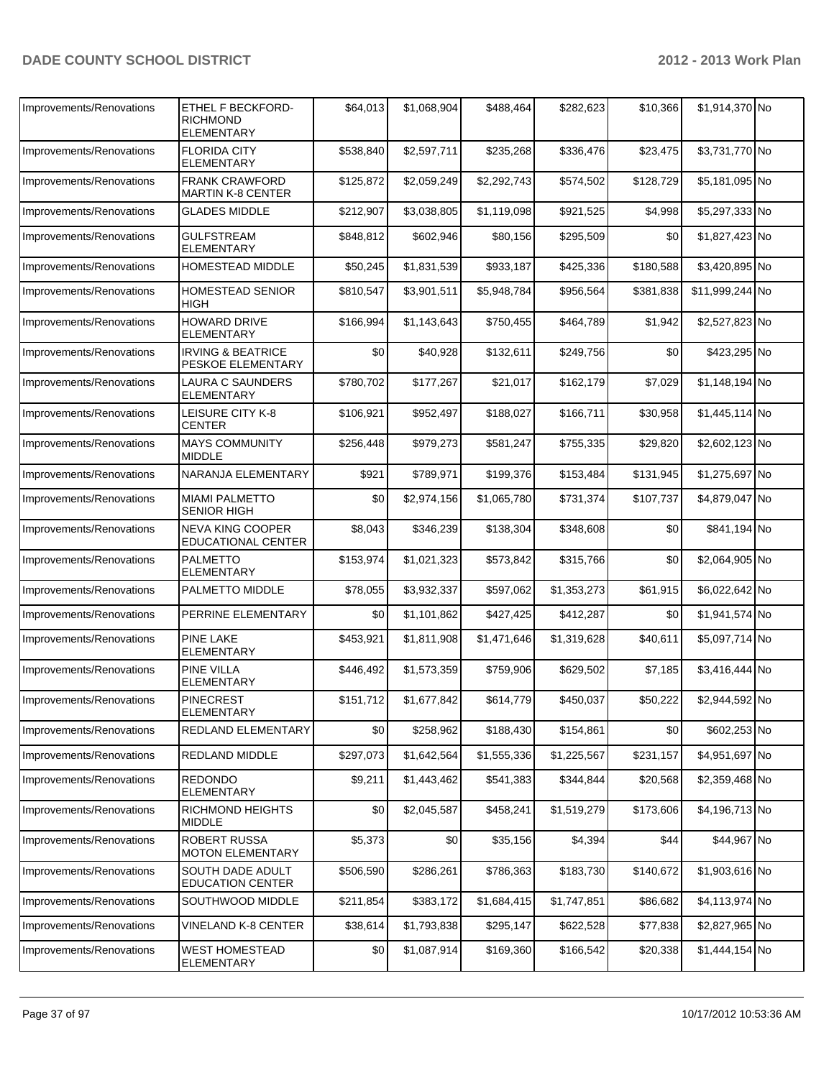| Improvements/Renovations | ETHEL F BECKFORD-<br><b>RICHMOND</b><br><b>ELEMENTARY</b> | \$64,013  | \$1,068,904 | \$488,464   | \$282,623   | \$10,366  | \$1,914,370 No  |  |
|--------------------------|-----------------------------------------------------------|-----------|-------------|-------------|-------------|-----------|-----------------|--|
| Improvements/Renovations | <b>FLORIDA CITY</b><br>ELEMENTARY                         | \$538,840 | \$2,597,711 | \$235,268   | \$336,476   | \$23,475  | \$3,731,770 No  |  |
| Improvements/Renovations | <b>FRANK CRAWFORD</b><br><b>MARTIN K-8 CENTER</b>         | \$125,872 | \$2,059,249 | \$2,292,743 | \$574,502   | \$128,729 | \$5,181,095 No  |  |
| Improvements/Renovations | <b>GLADES MIDDLE</b>                                      | \$212,907 | \$3,038,805 | \$1,119,098 | \$921,525   | \$4,998   | \$5,297,333 No  |  |
| Improvements/Renovations | <b>GULFSTREAM</b><br><b>ELEMENTARY</b>                    | \$848,812 | \$602,946   | \$80,156    | \$295,509   | \$0       | \$1,827,423 No  |  |
| Improvements/Renovations | <b>HOMESTEAD MIDDLE</b>                                   | \$50,245  | \$1,831,539 | \$933,187   | \$425,336   | \$180,588 | \$3,420,895 No  |  |
| Improvements/Renovations | <b>HOMESTEAD SENIOR</b><br><b>HIGH</b>                    | \$810,547 | \$3,901,511 | \$5,948,784 | \$956,564   | \$381,838 | \$11,999,244 No |  |
| Improvements/Renovations | <b>HOWARD DRIVE</b><br>ELEMENTARY                         | \$166,994 | \$1,143,643 | \$750,455   | \$464,789   | \$1,942   | \$2,527,823 No  |  |
| Improvements/Renovations | <b>IRVING &amp; BEATRICE</b><br>PESKOE ELEMENTARY         | \$0       | \$40,928    | \$132,611   | \$249,756   | \$0       | \$423,295 No    |  |
| Improvements/Renovations | LAURA C SAUNDERS<br><b>ELEMENTARY</b>                     | \$780,702 | \$177,267   | \$21,017    | \$162,179   | \$7,029   | \$1,148,194 No  |  |
| Improvements/Renovations | LEISURE CITY K-8<br><b>CENTER</b>                         | \$106,921 | \$952,497   | \$188,027   | \$166,711   | \$30,958  | $$1,445,114$ No |  |
| Improvements/Renovations | <b>MAYS COMMUNITY</b><br><b>MIDDLE</b>                    | \$256,448 | \$979,273   | \$581,247   | \$755,335   | \$29,820  | \$2,602,123 No  |  |
| Improvements/Renovations | NARANJA ELEMENTARY                                        | \$921     | \$789,971   | \$199,376   | \$153,484   | \$131,945 | \$1,275,697 No  |  |
| Improvements/Renovations | <b>MIAMI PALMETTO</b><br>SENIOR HIGH                      | \$0       | \$2,974,156 | \$1,065,780 | \$731,374   | \$107,737 | \$4,879,047 No  |  |
| Improvements/Renovations | NEVA KING COOPER<br><b>EDUCATIONAL CENTER</b>             | \$8,043   | \$346,239   | \$138,304   | \$348,608   | \$0       | \$841,194 No    |  |
| Improvements/Renovations | <b>PALMETTO</b><br><b>ELEMENTARY</b>                      | \$153,974 | \$1,021,323 | \$573,842   | \$315,766   | \$0       | \$2,064,905 No  |  |
| Improvements/Renovations | PALMETTO MIDDLE                                           | \$78,055  | \$3,932,337 | \$597,062   | \$1,353,273 | \$61,915  | \$6,022,642 No  |  |
| Improvements/Renovations | PERRINE ELEMENTARY                                        | \$0       | \$1,101,862 | \$427,425   | \$412,287   | \$0       | \$1,941,574 No  |  |
| Improvements/Renovations | <b>PINE LAKE</b><br><b>ELEMENTARY</b>                     | \$453,921 | \$1,811,908 | \$1,471,646 | \$1,319,628 | \$40,611  | \$5,097,714 No  |  |
| Improvements/Renovations | <b>PINE VILLA</b><br><b>ELEMENTARY</b>                    | \$446,492 | \$1,573,359 | \$759,906   | \$629,502   | \$7,185   | \$3,416,444 No  |  |
| Improvements/Renovations | <b>PINECREST</b><br><b>ELEMENTARY</b>                     | \$151,712 | \$1,677,842 | \$614,779   | \$450,037   | \$50,222  | \$2,944,592 No  |  |
| Improvements/Renovations | REDLAND ELEMENTARY                                        | \$0       | \$258,962   | \$188,430   | \$154,861   | \$0       | \$602,253 No    |  |
| Improvements/Renovations | <b>REDLAND MIDDLE</b>                                     | \$297,073 | \$1,642,564 | \$1,555,336 | \$1,225,567 | \$231,157 | \$4,951,697 No  |  |
| Improvements/Renovations | <b>REDONDO</b><br><b>ELEMENTARY</b>                       | \$9,211   | \$1,443,462 | \$541,383   | \$344,844   | \$20,568  | \$2,359,468 No  |  |
| Improvements/Renovations | <b>RICHMOND HEIGHTS</b><br><b>MIDDLE</b>                  | \$0       | \$2,045,587 | \$458,241   | \$1,519,279 | \$173,606 | \$4,196,713 No  |  |
| Improvements/Renovations | <b>ROBERT RUSSA</b><br><b>MOTON ELEMENTARY</b>            | \$5,373   | \$0         | \$35,156    | \$4,394     | \$44      | \$44,967 No     |  |
| Improvements/Renovations | SOUTH DADE ADULT<br><b>EDUCATION CENTER</b>               | \$506,590 | \$286,261   | \$786,363   | \$183,730   | \$140,672 | \$1,903,616 No  |  |
| Improvements/Renovations | SOUTHWOOD MIDDLE                                          | \$211,854 | \$383,172   | \$1,684,415 | \$1,747,851 | \$86,682  | \$4,113,974 No  |  |
| Improvements/Renovations | <b>VINELAND K-8 CENTER</b>                                | \$38,614  | \$1,793,838 | \$295,147   | \$622,528   | \$77,838  | \$2,827,965 No  |  |
| Improvements/Renovations | <b>WEST HOMESTEAD</b><br>ELEMENTARY                       | \$0       | \$1,087,914 | \$169,360   | \$166,542   | \$20,338  | \$1,444,154 No  |  |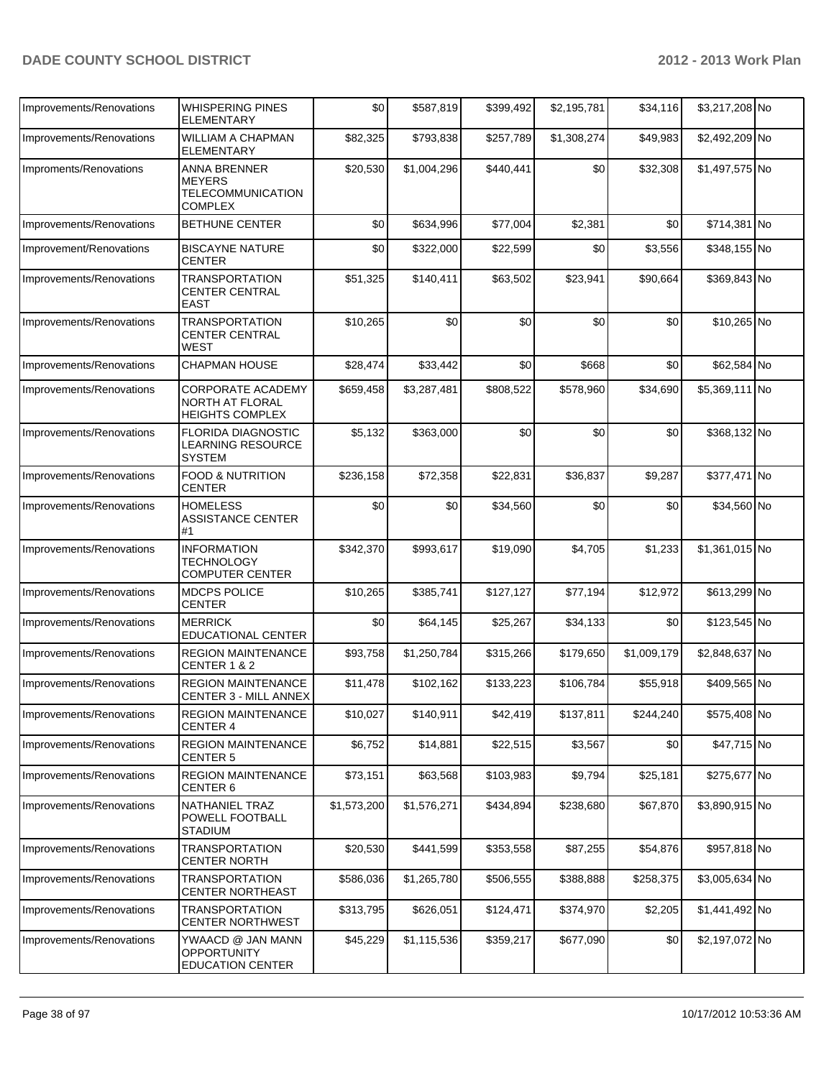| Improvements/Renovations | <b>WHISPERING PINES</b><br><b>ELEMENTARY</b>                                       | \$0         | \$587,819   | \$399,492 | \$2,195,781 | \$34,116    | \$3,217,208 No |  |
|--------------------------|------------------------------------------------------------------------------------|-------------|-------------|-----------|-------------|-------------|----------------|--|
| Improvements/Renovations | WILLIAM A CHAPMAN<br><b>ELEMENTARY</b>                                             | \$82,325    | \$793,838   | \$257,789 | \$1,308,274 | \$49,983    | \$2,492,209 No |  |
| Improments/Renovations   | <b>ANNA BRENNER</b><br><b>MEYERS</b><br><b>TELECOMMUNICATION</b><br><b>COMPLEX</b> | \$20,530    | \$1,004,296 | \$440,441 | \$0         | \$32,308    | \$1,497,575 No |  |
| Improvements/Renovations | <b>BETHUNE CENTER</b>                                                              | \$0         | \$634,996   | \$77,004  | \$2,381     | \$0         | \$714,381 No   |  |
| Improvement/Renovations  | <b>BISCAYNE NATURE</b><br><b>CENTER</b>                                            | \$0         | \$322,000   | \$22,599  | \$0         | \$3,556     | \$348,155 No   |  |
| Improvements/Renovations | <b>TRANSPORTATION</b><br><b>CENTER CENTRAL</b><br><b>EAST</b>                      | \$51,325    | \$140,411   | \$63,502  | \$23,941    | \$90,664    | \$369,843 No   |  |
| Improvements/Renovations | <b>TRANSPORTATION</b><br><b>CENTER CENTRAL</b><br>WEST                             | \$10,265    | \$0         | \$0       | \$0         | \$0         | \$10,265 No    |  |
| Improvements/Renovations | <b>CHAPMAN HOUSE</b>                                                               | \$28,474    | \$33,442    | \$0       | \$668       | \$0         | \$62,584 No    |  |
| Improvements/Renovations | <b>CORPORATE ACADEMY</b><br>NORTH AT FLORAL<br><b>HEIGHTS COMPLEX</b>              | \$659,458   | \$3,287,481 | \$808,522 | \$578,960   | \$34,690    | \$5,369,111 No |  |
| Improvements/Renovations | FLORIDA DIAGNOSTIC<br>LEARNING RESOURCE<br><b>SYSTEM</b>                           | \$5,132     | \$363,000   | \$0       | \$0         | \$0         | \$368,132 No   |  |
| Improvements/Renovations | <b>FOOD &amp; NUTRITION</b><br><b>CENTER</b>                                       | \$236,158   | \$72,358    | \$22,831  | \$36,837    | \$9,287     | \$377,471 No   |  |
| Improvements/Renovations | HOMELESS<br><b>ASSISTANCE CENTER</b><br>#1                                         | \$0         | \$0         | \$34,560  | \$0         | \$0         | \$34,560 No    |  |
| Improvements/Renovations | <b>INFORMATION</b><br>TECHNOLOGY<br><b>COMPUTER CENTER</b>                         | \$342,370   | \$993,617   | \$19,090  | \$4,705     | \$1,233     | \$1,361,015 No |  |
| Improvements/Renovations | <b>MDCPS POLICE</b><br><b>CENTER</b>                                               | \$10,265    | \$385,741   | \$127,127 | \$77,194    | \$12,972    | \$613,299 No   |  |
| Improvements/Renovations | <b>MERRICK</b><br>EDUCATIONAL CENTER                                               | \$0         | \$64,145    | \$25,267  | \$34,133    | \$0         | \$123,545 No   |  |
| Improvements/Renovations | <b>REGION MAINTENANCE</b><br>CENTER 1 & 2                                          | \$93,758    | \$1,250,784 | \$315,266 | \$179,650   | \$1,009,179 | \$2,848,637 No |  |
| Improvements/Renovations | <b>REGION MAINTENANCE</b><br><b>CENTER 3 - MILL ANNEX</b>                          | \$11,478    | \$102,162   | \$133,223 | \$106,784   | \$55,918    | \$409,565 No   |  |
| Improvements/Renovations | <b>REGION MAINTENANCE</b><br><b>CENTER 4</b>                                       | \$10,027    | \$140,911   | \$42,419  | \$137,811   | \$244,240   | \$575,408 No   |  |
| Improvements/Renovations | REGION MAINTENANCE<br><b>CENTER 5</b>                                              | \$6,752     | \$14,881    | \$22,515  | \$3,567     | \$0         | \$47,715 No    |  |
| Improvements/Renovations | <b>REGION MAINTENANCE</b><br><b>CENTER 6</b>                                       | \$73,151    | \$63,568    | \$103,983 | \$9,794     | \$25,181    | \$275,677 No   |  |
| Improvements/Renovations | NATHANIEL TRAZ<br>POWELL FOOTBALL<br><b>STADIUM</b>                                | \$1,573,200 | \$1,576,271 | \$434,894 | \$238,680   | \$67,870    | \$3,890,915 No |  |
| Improvements/Renovations | <b>TRANSPORTATION</b><br><b>CENTER NORTH</b>                                       | \$20,530    | \$441,599   | \$353,558 | \$87,255    | \$54,876    | \$957,818 No   |  |
| Improvements/Renovations | <b>TRANSPORTATION</b><br><b>CENTER NORTHEAST</b>                                   | \$586,036   | \$1,265,780 | \$506,555 | \$388,888   | \$258,375   | \$3,005,634 No |  |
| Improvements/Renovations | <b>TRANSPORTATION</b><br><b>CENTER NORTHWEST</b>                                   | \$313,795   | \$626,051   | \$124,471 | \$374,970   | \$2,205     | \$1,441,492 No |  |
| Improvements/Renovations | YWAACD @ JAN MANN<br><b>OPPORTUNITY</b><br><b>EDUCATION CENTER</b>                 | \$45,229    | \$1,115,536 | \$359,217 | \$677,090   | \$0         | \$2,197,072 No |  |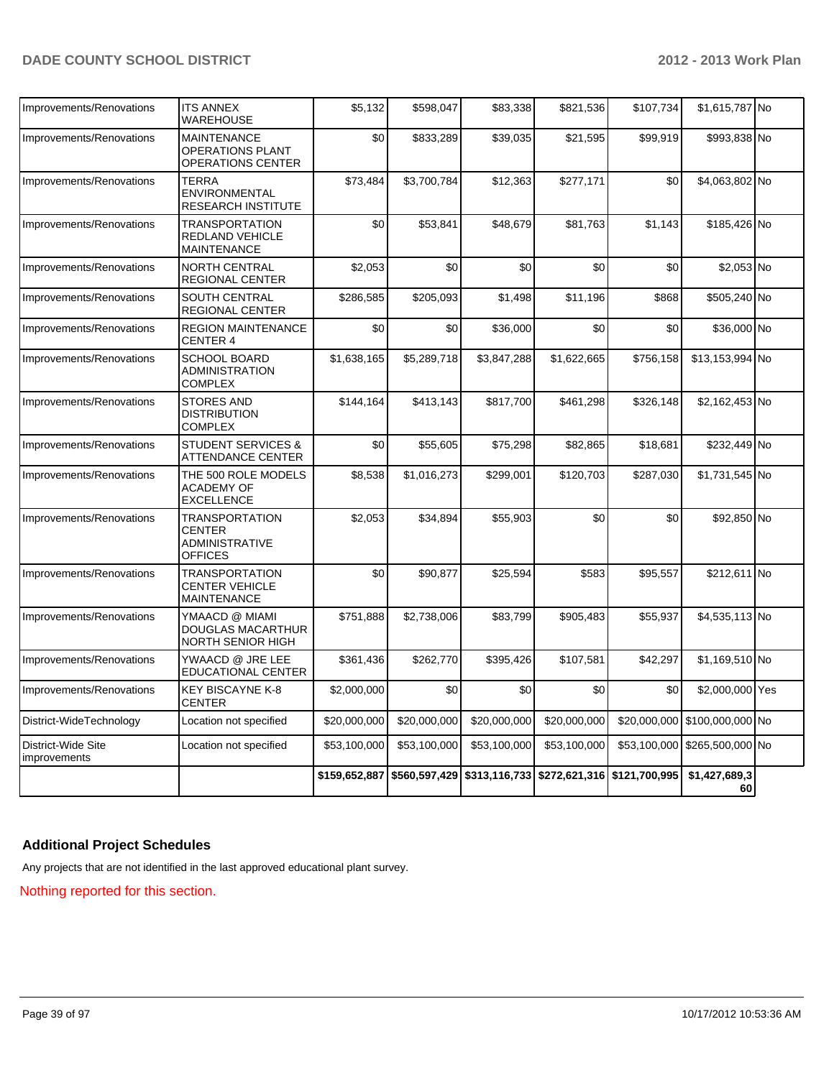|                                    |                                                                                   | \$159,652,887 | \$560,597,429 |              |              | \$313,116,733 \$272,621,316 \$121,700,995 | \$1,427,689,3<br>60           |  |
|------------------------------------|-----------------------------------------------------------------------------------|---------------|---------------|--------------|--------------|-------------------------------------------|-------------------------------|--|
| District-Wide Site<br>improvements | Location not specified                                                            | \$53,100,000  | \$53,100,000  | \$53,100,000 | \$53,100,000 | \$53,100,000                              | \$265,500,000 No              |  |
| District-WideTechnology            | Location not specified                                                            | \$20,000,000  | \$20,000,000  | \$20,000,000 | \$20,000,000 |                                           | \$20,000,000 \$100,000,000 No |  |
| Improvements/Renovations           | <b>KEY BISCAYNE K-8</b><br><b>CENTER</b>                                          | \$2,000,000   | \$0           | \$0          | \$0          | \$0                                       | \$2,000,000 Yes               |  |
| Improvements/Renovations           | YWAACD @ JRE LEE<br><b>EDUCATIONAL CENTER</b>                                     | \$361,436     | \$262,770     | \$395,426    | \$107,581    | \$42,297                                  | $$1,169,510$ No               |  |
| Improvements/Renovations           | YMAACD @ MIAMI<br><b>DOUGLAS MACARTHUR</b><br>NORTH SENIOR HIGH                   | \$751,888     | \$2,738,006   | \$83,799     | \$905,483    | \$55,937                                  | \$4,535,113 No                |  |
| Improvements/Renovations           | <b>TRANSPORTATION</b><br><b>CENTER VEHICLE</b><br><b>MAINTENANCE</b>              | \$0           | \$90,877      | \$25,594     | \$583        | \$95,557                                  | \$212,611 No                  |  |
| Improvements/Renovations           | <b>TRANSPORTATION</b><br><b>CENTER</b><br><b>ADMINISTRATIVE</b><br><b>OFFICES</b> | \$2,053       | \$34,894      | \$55,903     | \$0          | \$0                                       | \$92,850 No                   |  |
| Improvements/Renovations           | THE 500 ROLE MODELS<br><b>ACADEMY OF</b><br><b>EXCELLENCE</b>                     | \$8,538       | \$1,016,273   | \$299,001    | \$120,703    | \$287,030                                 | $$1,731,545$ No               |  |
| Improvements/Renovations           | <b>STUDENT SERVICES &amp;</b><br><b>ATTENDANCE CENTER</b>                         | \$0           | \$55,605      | \$75,298     | \$82,865     | \$18,681                                  | \$232,449 No                  |  |
| Improvements/Renovations           | <b>STORES AND</b><br><b>DISTRIBUTION</b><br><b>COMPLEX</b>                        | \$144,164     | \$413,143     | \$817,700    | \$461,298    | \$326,148                                 | \$2,162,453 No                |  |
| Improvements/Renovations           | <b>SCHOOL BOARD</b><br>ADMINISTRATION<br><b>COMPLEX</b>                           | \$1,638,165   | \$5,289,718   | \$3,847,288  | \$1,622,665  | \$756,158                                 | \$13,153,994 No               |  |
| Improvements/Renovations           | <b>REGION MAINTENANCE</b><br><b>CENTER 4</b>                                      | \$0           | \$0           | \$36,000     | \$0          | \$0                                       | \$36,000 No                   |  |
| Improvements/Renovations           | <b>SOUTH CENTRAL</b><br><b>REGIONAL CENTER</b>                                    | \$286,585     | \$205,093     | \$1,498      | \$11,196     | \$868                                     | \$505,240 No                  |  |
| Improvements/Renovations           | NORTH CENTRAL<br><b>REGIONAL CENTER</b>                                           | \$2,053       | \$0           | \$0          | \$0          | \$0                                       | \$2,053 No                    |  |
| Improvements/Renovations           | <b>TRANSPORTATION</b><br><b>REDLAND VEHICLE</b><br><b>MAINTENANCE</b>             | \$0           | \$53,841      | \$48,679     | \$81,763     | \$1,143                                   | \$185,426 No                  |  |
| Improvements/Renovations           | <b>TERRA</b><br>ENVIRONMENTAL<br><b>RESEARCH INSTITUTE</b>                        | \$73,484      | \$3,700,784   | \$12,363     | \$277,171    | \$0                                       | \$4,063,802 No                |  |
| Improvements/Renovations           | <b>MAINTENANCE</b><br><b>OPERATIONS PLANT</b><br>OPERATIONS CENTER                | \$0           | \$833,289     | \$39,035     | \$21,595     | \$99,919                                  | \$993,838 No                  |  |
| Improvements/Renovations           | <b>ITS ANNEX</b><br><b>WAREHOUSE</b>                                              | \$5,132       | \$598,047     | \$83,338     | \$821,536    | \$107,734                                 | \$1,615,787 No                |  |

# **Additional Project Schedules**

Any projects that are not identified in the last approved educational plant survey.

Nothing reported for this section.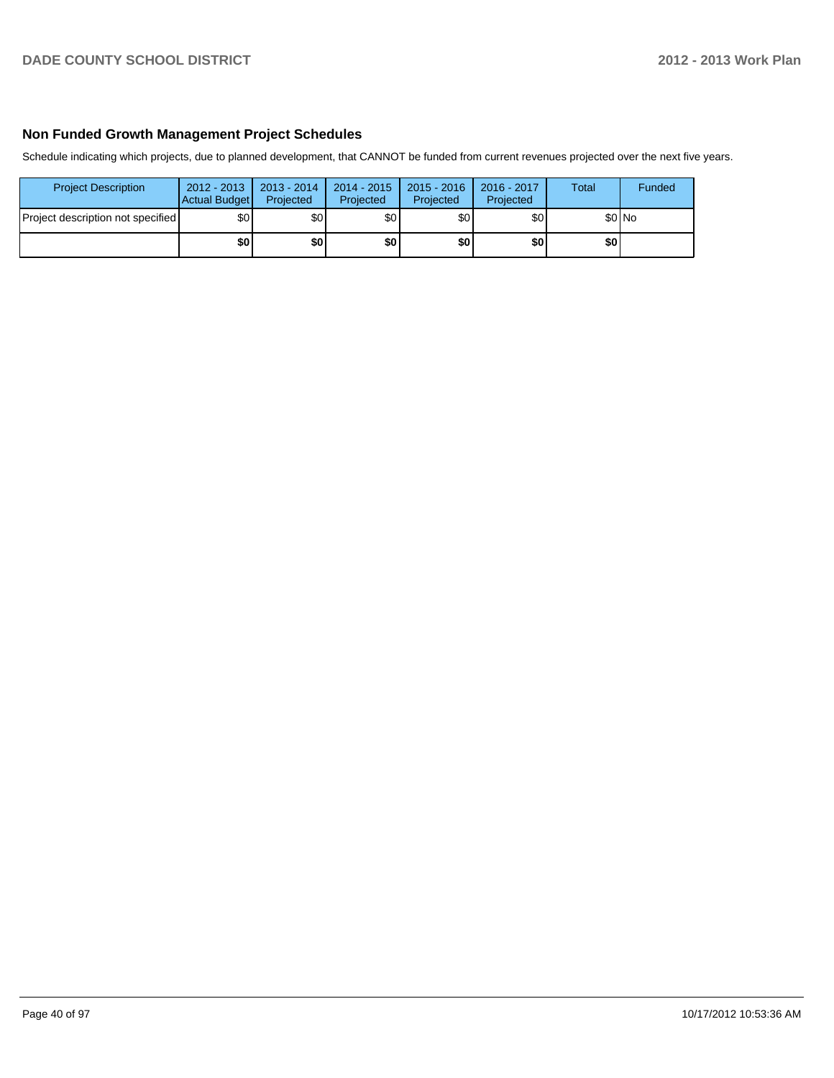#### **Non Funded Growth Management Project Schedules**

Schedule indicating which projects, due to planned development, that CANNOT be funded from current revenues projected over the next five years.

| <b>Project Description</b>               | $2012 - 2013$<br>Actual Budget | $2013 - 2014$<br>Projected | 2014 - 2015<br>Projected | $2015 - 2016$<br>Projected | 2016 - 2017<br>Projected | Total | Funded |
|------------------------------------------|--------------------------------|----------------------------|--------------------------|----------------------------|--------------------------|-------|--------|
| <b>Project description not specified</b> | \$0                            | \$OI                       | \$0 <sub>1</sub>         | \$0 <sub>1</sub>           | \$0 <sub>1</sub>         |       | \$0 No |
|                                          | \$0                            | \$0 <sub>1</sub>           | \$0                      | \$0                        | \$0                      | \$0 l |        |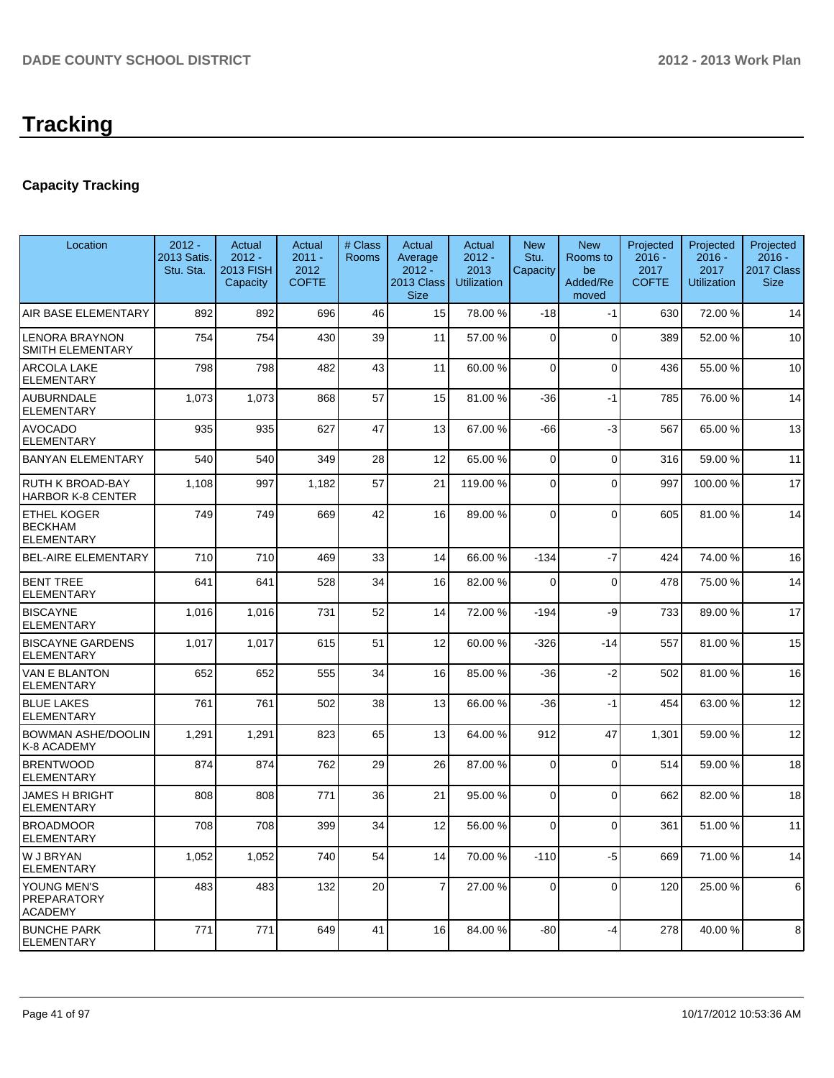# **Capacity Tracking**

| Location                                                  | $2012 -$<br>2013 Satis.<br>Stu. Sta. | Actual<br>$2012 -$<br><b>2013 FISH</b><br>Capacity | Actual<br>$2011 -$<br>2012<br><b>COFTE</b> | # Class<br>Rooms | Actual<br>Average<br>$2012 -$<br>2013 Class<br><b>Size</b> | Actual<br>$2012 -$<br>2013<br><b>Utilization</b> | <b>New</b><br>Stu.<br>Capacity | <b>New</b><br>Rooms to<br>be<br>Added/Re<br>moved | Projected<br>$2016 -$<br>2017<br><b>COFTE</b> | Projected<br>$2016 -$<br>2017<br>Utilization | Projected<br>$2016 -$<br>2017 Class<br><b>Size</b> |
|-----------------------------------------------------------|--------------------------------------|----------------------------------------------------|--------------------------------------------|------------------|------------------------------------------------------------|--------------------------------------------------|--------------------------------|---------------------------------------------------|-----------------------------------------------|----------------------------------------------|----------------------------------------------------|
| AIR BASE ELEMENTARY                                       | 892                                  | 892                                                | 696                                        | 46               | 15                                                         | 78.00 %                                          | $-18$                          | $-1$                                              | 630                                           | 72.00 %                                      | 14                                                 |
| LENORA BRAYNON<br><b>SMITH ELEMENTARY</b>                 | 754                                  | 754                                                | 430                                        | 39               | 11                                                         | 57.00 %                                          | 0                              | $\Omega$                                          | 389                                           | 52.00 %                                      | 10                                                 |
| <b>ARCOLA LAKE</b><br><b>ELEMENTARY</b>                   | 798                                  | 798                                                | 482                                        | 43               | 11                                                         | 60.00 %                                          | 0                              | $\Omega$                                          | 436                                           | 55.00 %                                      | 10                                                 |
| <b>AUBURNDALE</b><br>ELEMENTARY                           | 1,073                                | 1,073                                              | 868                                        | 57               | 15                                                         | 81.00 %                                          | $-36$                          | $-1$                                              | 785                                           | 76.00%                                       | 14                                                 |
| <b>AVOCADO</b><br><b>ELEMENTARY</b>                       | 935                                  | 935                                                | 627                                        | 47               | 13                                                         | 67.00 %                                          | $-66$                          | $-3$                                              | 567                                           | 65.00 %                                      | 13                                                 |
| <b>BANYAN ELEMENTARY</b>                                  | 540                                  | 540                                                | 349                                        | 28               | 12                                                         | 65.00 %                                          | $\mathbf 0$                    | $\Omega$                                          | 316                                           | 59.00 %                                      | 11                                                 |
| RUTH K BROAD-BAY<br><b>HARBOR K-8 CENTER</b>              | 1,108                                | 997                                                | 1,182                                      | 57               | 21                                                         | 119.00 %                                         | 0                              | $\Omega$                                          | 997                                           | 100.00%                                      | 17                                                 |
| <b>ETHEL KOGER</b><br><b>BECKHAM</b><br><b>ELEMENTARY</b> | 749                                  | 749                                                | 669                                        | 42               | 16                                                         | 89.00 %                                          | $\Omega$                       | $\Omega$                                          | 605                                           | 81.00%                                       | 14                                                 |
| <b>BEL-AIRE ELEMENTARY</b>                                | 710                                  | 710                                                | 469                                        | 33               | 14                                                         | 66.00 %                                          | $-134$                         | $-7$                                              | 424                                           | 74.00 %                                      | 16                                                 |
| <b>BENT TREE</b><br><b>ELEMENTARY</b>                     | 641                                  | 641                                                | 528                                        | 34               | 16                                                         | 82.00 %                                          | $\Omega$                       | $\Omega$                                          | 478                                           | 75.00 %                                      | 14                                                 |
| <b>BISCAYNE</b><br><b>ELEMENTARY</b>                      | 1,016                                | 1,016                                              | 731                                        | 52               | 14                                                         | 72.00 %                                          | $-194$                         | -9                                                | 733                                           | 89.00 %                                      | 17                                                 |
| <b>BISCAYNE GARDENS</b><br>ELEMENTARY                     | 1,017                                | 1,017                                              | 615                                        | 51               | 12                                                         | 60.00 %                                          | $-326$                         | $-14$                                             | 557                                           | 81.00%                                       | 15                                                 |
| <b>VAN E BLANTON</b><br><b>ELEMENTARY</b>                 | 652                                  | 652                                                | 555                                        | 34               | 16                                                         | 85.00 %                                          | $-36$                          | $-2$                                              | 502                                           | 81.00%                                       | 16                                                 |
| <b>BLUE LAKES</b><br><b>ELEMENTARY</b>                    | 761                                  | 761                                                | 502                                        | 38               | 13                                                         | 66.00 %                                          | $-36$                          | $-1$                                              | 454                                           | 63.00 %                                      | 12                                                 |
| <b>BOWMAN ASHE/DOOLIN</b><br>K-8 ACADEMY                  | 1,291                                | 1,291                                              | 823                                        | 65               | 13                                                         | 64.00 %                                          | 912                            | 47                                                | 1,301                                         | 59.00 %                                      | 12                                                 |
| <b>BRENTWOOD</b><br><b>ELEMENTARY</b>                     | 874                                  | 874                                                | 762                                        | 29               | 26                                                         | 87.00 %                                          | 0                              | $\Omega$                                          | 514                                           | 59.00 %                                      | 18                                                 |
| <b>JAMES H BRIGHT</b><br><b>ELEMENTARY</b>                | 808                                  | 808                                                | 771                                        | 36               | 21                                                         | 95.00 %                                          | $\Omega$                       | $\Omega$                                          | 662                                           | 82.00%                                       | 18                                                 |
| <b>BROADMOOR</b><br><b>ELEMENTARY</b>                     | 708                                  | 708                                                | 399                                        | 34               | 12                                                         | 56.00 %                                          | $\mathbf 0$                    | $\Omega$                                          | 361                                           | 51.00%                                       | 11                                                 |
| W J BRYAN<br><b>ELEMENTARY</b>                            | 1,052                                | 1,052                                              | 740                                        | 54               | 14                                                         | 70.00 %                                          | $-110$                         | $-5$                                              | 669                                           | 71.00 %                                      | 14                                                 |
| YOUNG MEN'S<br><b>PREPARATORY</b><br><b>ACADEMY</b>       | 483                                  | 483                                                | 132                                        | 20               | 7                                                          | 27.00 %                                          | 0                              | $\mathbf 0$                                       | 120                                           | 25.00 %                                      | 6                                                  |
| <b>BUNCHE PARK</b><br><b>ELEMENTARY</b>                   | 771                                  | 771                                                | 649                                        | 41               | 16                                                         | 84.00 %                                          | $-80$                          | $-4$                                              | 278                                           | 40.00%                                       | 8                                                  |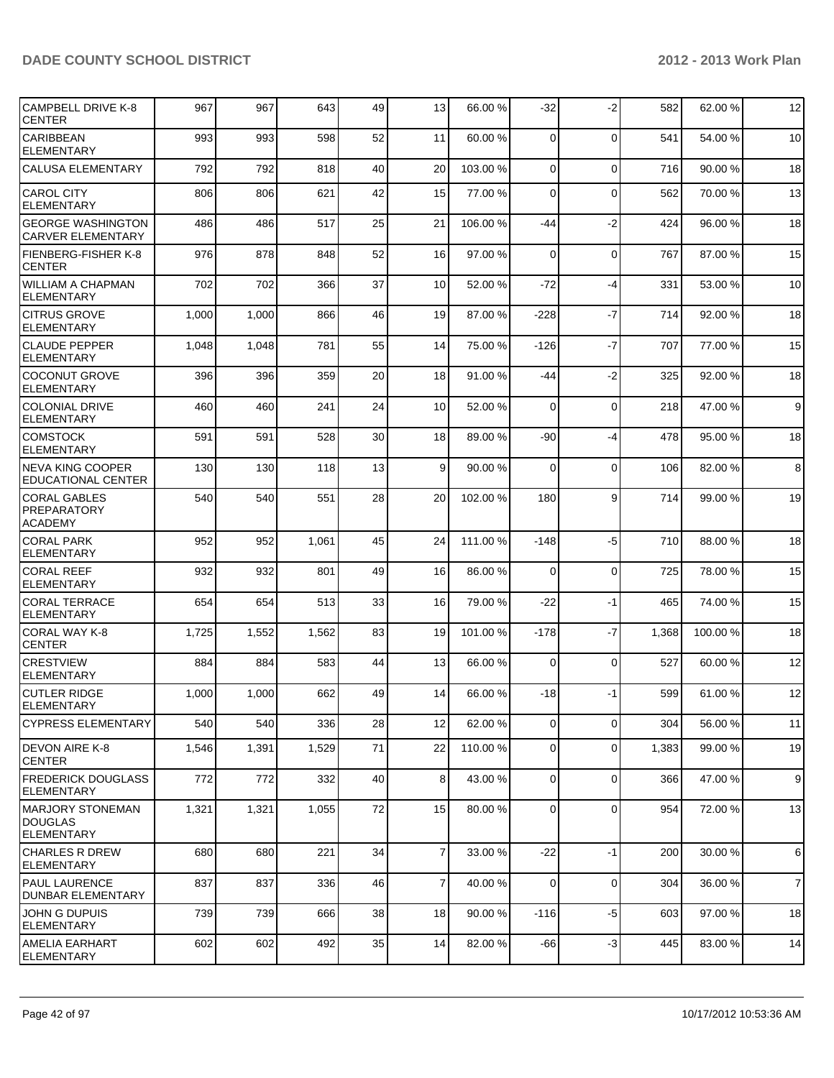| <b>CAMPBELL DRIVE K-8</b><br><b>CENTER</b>                      | 967   | 967   | 643   | 49 | 13             | 66.00 %  | $-32$       | $-2$        | 582   | 62.00 % | 12             |
|-----------------------------------------------------------------|-------|-------|-------|----|----------------|----------|-------------|-------------|-------|---------|----------------|
| <b>CARIBBEAN</b><br><b>ELEMENTARY</b>                           | 993   | 993   | 598   | 52 | 11             | 60.00 %  | $\mathbf 0$ | $\Omega$    | 541   | 54.00 % | 10             |
| <b>CALUSA ELEMENTARY</b>                                        | 792   | 792   | 818   | 40 | 20             | 103.00 % | $\mathbf 0$ | $\mathbf 0$ | 716   | 90.00 % | 18             |
| <b>CAROL CITY</b><br><b>ELEMENTARY</b>                          | 806   | 806   | 621   | 42 | 15             | 77.00 %  | 0           | $\mathbf 0$ | 562   | 70.00 % | 13             |
| <b>GEORGE WASHINGTON</b><br><b>CARVER ELEMENTARY</b>            | 486   | 486   | 517   | 25 | 21             | 106.00 % | -44         | $-2$        | 424   | 96.00%  | 18             |
| FIENBERG-FISHER K-8<br><b>CENTER</b>                            | 976   | 878   | 848   | 52 | 16             | 97.00 %  | 0           | 0           | 767   | 87.00 % | 15             |
| <b>WILLIAM A CHAPMAN</b><br><b>ELEMENTARY</b>                   | 702   | 702   | 366   | 37 | 10             | 52.00 %  | $-72$       | $-4$        | 331   | 53.00 % | 10             |
| <b>CITRUS GROVE</b><br><b>ELEMENTARY</b>                        | 1,000 | 1,000 | 866   | 46 | 19             | 87.00 %  | $-228$      | $-7$        | 714   | 92.00 % | 18             |
| <b>CLAUDE PEPPER</b><br><b>ELEMENTARY</b>                       | 1,048 | 1,048 | 781   | 55 | 14             | 75.00 %  | $-126$      | $-7$        | 707   | 77.00 % | 15             |
| <b>COCONUT GROVE</b><br><b>ELEMENTARY</b>                       | 396   | 396   | 359   | 20 | 18             | 91.00 %  | -44         | $-2$        | 325   | 92.00 % | 18             |
| <b>COLONIAL DRIVE</b><br><b>ELEMENTARY</b>                      | 460   | 460   | 241   | 24 | 10             | 52.00 %  | $\mathbf 0$ | $\mathbf 0$ | 218   | 47.00%  | 9              |
| <b>COMSTOCK</b><br><b>ELEMENTARY</b>                            | 591   | 591   | 528   | 30 | 18             | 89.00 %  | -90         | $-4$        | 478   | 95.00 % | 18             |
| <b>NEVA KING COOPER</b><br>EDUCATIONAL CENTER                   | 130   | 130   | 118   | 13 | 9              | 90.00 %  | $\Omega$    | $\mathbf 0$ | 106   | 82.00%  | $\bf8$         |
| <b>CORAL GABLES</b><br><b>PREPARATORY</b><br><b>ACADEMY</b>     | 540   | 540   | 551   | 28 | 20             | 102.00 % | 180         | 9           | 714   | 99.00 % | 19             |
| <b>CORAL PARK</b><br><b>ELEMENTARY</b>                          | 952   | 952   | 1,061 | 45 | 24             | 111.00 % | $-148$      | $-5$        | 710   | 88.00 % | 18             |
| <b>CORAL REEF</b><br><b>ELEMENTARY</b>                          | 932   | 932   | 801   | 49 | 16             | 86.00 %  | $\Omega$    | $\mathbf 0$ | 725   | 78.00 % | 15             |
| <b>CORAL TERRACE</b><br><b>ELEMENTARY</b>                       | 654   | 654   | 513   | 33 | 16             | 79.00 %  | $-22$       | $-1$        | 465   | 74.00%  | 15             |
| CORAL WAY K-8<br><b>CENTER</b>                                  | 1,725 | 1,552 | 1,562 | 83 | 19             | 101.00%  | $-178$      | $-7$        | 1,368 | 100.00% | 18             |
| <b>CRESTVIEW</b><br><b>ELEMENTARY</b>                           | 884   | 884   | 583   | 44 | 13             | 66.00 %  | 0           | $\mathbf 0$ | 527   | 60.00%  | 12             |
| <b>CUTLER RIDGE</b><br>ELEMENTARY                               | 1,000 | 1,000 | 662   | 49 | 14             | 66.00 %  | -18         | $-1$        | 599   | 61.00%  | 12             |
| <b>CYPRESS ELEMENTARY</b>                                       | 540   | 540   | 336   | 28 | 12             | 62.00 %  | $\mathbf 0$ | $\mathbf 0$ | 304   | 56.00 % | 11             |
| <b>DEVON AIRE K-8</b><br><b>CENTER</b>                          | 1,546 | 1,391 | 1,529 | 71 | 22             | 110.00 % | 0           | $\mathbf 0$ | 1,383 | 99.00 % | 19             |
| <b>FREDERICK DOUGLASS</b><br><b>ELEMENTARY</b>                  | 772   | 772   | 332   | 40 | 8              | 43.00 %  | $\mathbf 0$ | $\Omega$    | 366   | 47.00%  | 9              |
| <b>IMARJORY STONEMAN</b><br><b>DOUGLAS</b><br><b>ELEMENTARY</b> | 1,321 | 1,321 | 1,055 | 72 | 15             | 80.00 %  | 0           | 0           | 954   | 72.00 % | 13             |
| <b>CHARLES R DREW</b><br>ELEMENTARY                             | 680   | 680   | 221   | 34 | $\overline{7}$ | 33.00 %  | $-22$       | $-1$        | 200   | 30.00 % | 6              |
| <b>PAUL LAURENCE</b><br><b>DUNBAR ELEMENTARY</b>                | 837   | 837   | 336   | 46 | $\overline{7}$ | 40.00 %  | 0           | 0           | 304   | 36.00 % | $\overline{7}$ |
| JOHN G DUPUIS<br><b>ELEMENTARY</b>                              | 739   | 739   | 666   | 38 | 18             | 90.00 %  | $-116$      | $-5$        | 603   | 97.00 % | 18             |
| AMELIA EARHART<br><b>ELEMENTARY</b>                             | 602   | 602   | 492   | 35 | 14             | 82.00 %  | $-66$       | $-3$        | 445   | 83.00 % | 14             |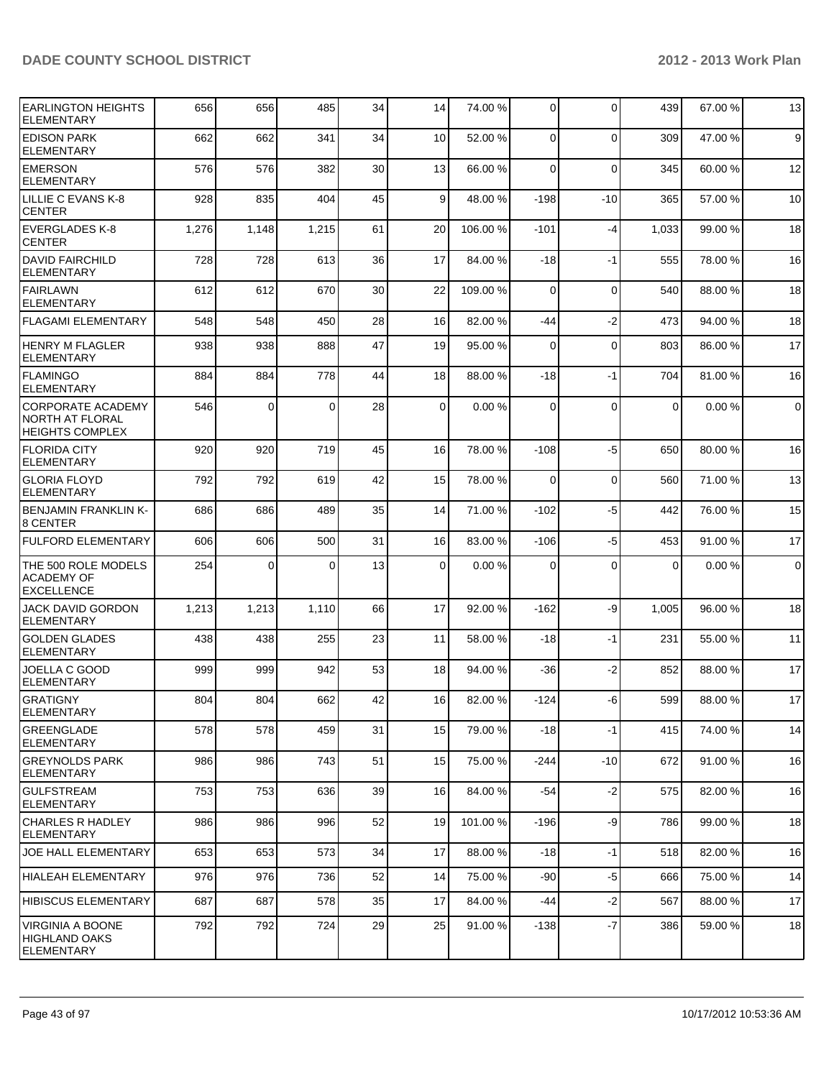| <b>EARLINGTON HEIGHTS</b><br><b>ELEMENTARY</b>                 | 656   | 656         | 485      | 34 | 14              | 74.00 %  | 0              | $\Omega$    | 439         | 67.00 % | 13        |
|----------------------------------------------------------------|-------|-------------|----------|----|-----------------|----------|----------------|-------------|-------------|---------|-----------|
| <b>EDISON PARK</b><br>ELEMENTARY                               | 662   | 662         | 341      | 34 | 10 <sup>1</sup> | 52.00 %  | $\Omega$       | $\mathbf 0$ | 309         | 47.00%  | 9         |
| <b>EMERSON</b><br>ELEMENTARY                                   | 576   | 576         | 382      | 30 | 13              | 66.00 %  | $\overline{0}$ | $\mathbf 0$ | 345         | 60.00 % | 12        |
| LILLIE C EVANS K-8<br><b>CENTER</b>                            | 928   | 835         | 404      | 45 | $\vert 9 \vert$ | 48.00 %  | $-198$         | $-10$       | 365         | 57.00 % | 10        |
| IEVERGLADES K-8<br><b>CENTER</b>                               | 1,276 | 1,148       | 1,215    | 61 | 20              | 106.00 % | $-101$         | $-4$        | 1,033       | 99.00 % | 18        |
| <b>DAVID FAIRCHILD</b><br>ELEMENTARY                           | 728   | 728         | 613      | 36 | 17              | 84.00 %  | $-18$          | $-1$        | 555         | 78.00 % | 16        |
| FAIRLAWN<br>ELEMENTARY                                         | 612   | 612         | 670      | 30 | 22              | 109.00 % | $\mathbf 0$    | $\mathbf 0$ | 540         | 88.00 % | 18        |
| FLAGAMI ELEMENTARY                                             | 548   | 548         | 450      | 28 | 16              | 82.00 %  | -44            | $-2$        | 473         | 94.00%  | 18        |
| <b>HENRY M FLAGLER</b><br><b>ELEMENTARY</b>                    | 938   | 938         | 888      | 47 | 19              | 95.00 %  | 0              | $\mathbf 0$ | 803         | 86.00 % | 17        |
| FLAMINGO<br>ELEMENTARY                                         | 884   | 884         | 778      | 44 | 18              | 88.00 %  | -18            | -1          | 704         | 81.00%  | 16        |
| CORPORATE ACADEMY<br>NORTH AT FLORAL<br><b>HEIGHTS COMPLEX</b> | 546   | $\mathbf 0$ | $\Omega$ | 28 | $\overline{0}$  | 0.00%    | $\Omega$       | $\mathbf 0$ | $\mathbf 0$ | 0.00%   | $\pmb{0}$ |
| <b>FLORIDA CITY</b><br>ELEMENTARY                              | 920   | 920         | 719      | 45 | 16              | 78.00 %  | $-108$         | $-5$        | 650         | 80.00 % | 16        |
| <b>GLORIA FLOYD</b><br>ELEMENTARY                              | 792   | 792         | 619      | 42 | 15              | 78.00 %  | $\Omega$       | $\mathbf 0$ | 560         | 71.00 % | 13        |
| <b>BENJAMIN FRANKLIN K-</b><br>8 CENTER                        | 686   | 686         | 489      | 35 | 14              | 71.00 %  | $-102$         | $-5$        | 442         | 76.00%  | 15        |
| <b>FULFORD ELEMENTARY</b>                                      | 606   | 606         | 500      | 31 | 16              | 83.00 %  | $-106$         | $-5$        | 453         | 91.00%  | 17        |
| THE 500 ROLE MODELS<br><b>ACADEMY OF</b><br>EXCELLENCE         | 254   | $\Omega$    | $\Omega$ | 13 | $\Omega$        | 0.00%    | $\Omega$       | $\Omega$    | 0           | 0.00%   | $\pmb{0}$ |
| JACK DAVID GORDON<br>ELEMENTARY                                | 1,213 | 1,213       | 1,110    | 66 | 17              | 92.00 %  | $-162$         | -9          | 1,005       | 96.00 % | 18        |
| <b>GOLDEN GLADES</b><br>ELEMENTARY                             | 438   | 438         | 255      | 23 | 11              | 58.00 %  | $-18$          | $-1$        | 231         | 55.00 % | 11        |
| JOELLA C GOOD<br>ELEMENTARY                                    | 999   | 999         | 942      | 53 | 18              | 94.00 %  | -36            | $-2$        | 852         | 88.00 % | 17        |
| <b>GRATIGNY</b><br>ELEMENTARY                                  | 804   | 804         | 662      | 42 | 16              | 82.00 %  | $-124$         | $-6$        | 599         | 88.00 % | 17        |
| <b>GREENGLADE</b><br>ELEMENTARY                                | 578   | 578         | 459      | 31 | 15              | 79.00 %  | $-18$          | $-1$        | 415         | 74.00%  | 14        |
| GREYNOLDS PARK<br><b>ELEMENTARY</b>                            | 986   | 986         | 743      | 51 | 15              | 75.00 %  | $-244$         | $-10$       | 672         | 91.00 % | 16        |
| <b>GULFSTREAM</b><br>ELEMENTARY                                | 753   | 753         | 636      | 39 | 16              | 84.00 %  | $-54$          | $-2$        | 575         | 82.00%  | 16        |
| CHARLES R HADLEY<br><b>ELEMENTARY</b>                          | 986   | 986         | 996      | 52 | 19              | 101.00%  | $-196$         | -9          | 786         | 99.00 % | 18        |
| JOE HALL ELEMENTARY                                            | 653   | 653         | 573      | 34 | 17              | 88.00 %  | $-18$          | $-1$        | 518         | 82.00 % | 16        |
| HIALEAH ELEMENTARY                                             | 976   | 976         | 736      | 52 | 14              | 75.00 %  | $-90$          | $-5$        | 666         | 75.00 % | 14        |
| HIBISCUS ELEMENTARY                                            | 687   | 687         | 578      | 35 | 17              | 84.00 %  | -44            | $-2$        | 567         | 88.00 % | 17        |
| VIRGINIA A BOONE<br>HIGHLAND OAKS<br><b>ELEMENTARY</b>         | 792   | 792         | 724      | 29 | 25              | 91.00 %  | $-138$         | $-7$        | 386         | 59.00 % | 18        |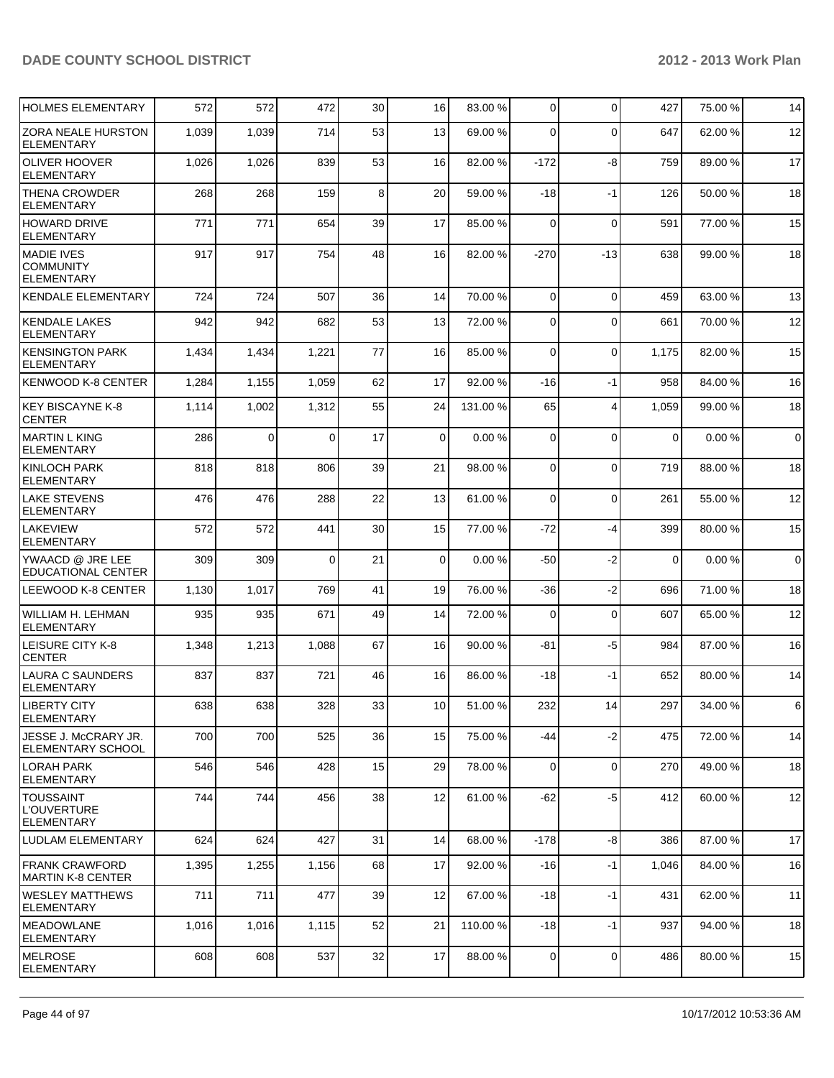| <b>HOLMES ELEMENTARY</b>                                    | 572   | 572      | 472      | 30 <sup>2</sup> | 16       | 83.00 %  | $\overline{0}$ | $\mathbf 0$    | 427         | 75.00 % | 14             |
|-------------------------------------------------------------|-------|----------|----------|-----------------|----------|----------|----------------|----------------|-------------|---------|----------------|
| <b>ZORA NEALE HURSTON</b><br><b>ELEMENTARY</b>              | 1,039 | 1,039    | 714      | 53              | 13       | 69.00 %  | $\Omega$       | $\Omega$       | 647         | 62.00 % | 12             |
| <b>OLIVER HOOVER</b><br><b>ELEMENTARY</b>                   | 1,026 | 1,026    | 839      | 53              | 16       | 82.00 %  | $-172$         | -8             | 759         | 89.00 % | 17             |
| <b>THENA CROWDER</b><br><b>ELEMENTARY</b>                   | 268   | 268      | 159      | 8               | 20       | 59.00 %  | $-18$          | $-1$           | 126         | 50.00%  | 18             |
| <b>HOWARD DRIVE</b><br><b>ELEMENTARY</b>                    | 771   | 771      | 654      | 39              | 17       | 85.00 %  | $\Omega$       | $\mathbf 0$    | 591         | 77.00 % | 15             |
| <b>MADIE IVES</b><br><b>COMMUNITY</b><br><b>ELEMENTARY</b>  | 917   | 917      | 754      | 48              | 16       | 82.00 %  | $-270$         | $-13$          | 638         | 99.00 % | 18             |
| <b>KENDALE ELEMENTARY</b>                                   | 724   | 724      | 507      | 36              | 14       | 70.00 %  | $\Omega$       | $\Omega$       | 459         | 63.00 % | 13             |
| <b>KENDALE LAKES</b><br><b>ELEMENTARY</b>                   | 942   | 942      | 682      | 53              | 13       | 72.00 %  | $\Omega$       | $\mathbf 0$    | 661         | 70.00%  | 12             |
| <b>KENSINGTON PARK</b><br><b>ELEMENTARY</b>                 | 1,434 | 1,434    | 1,221    | 77              | 16       | 85.00 %  | $\Omega$       | $\mathbf 0$    | 1,175       | 82.00%  | 15             |
| <b>KENWOOD K-8 CENTER</b>                                   | 1,284 | 1,155    | 1,059    | 62              | 17       | 92.00 %  | $-16$          | $-1$           | 958         | 84.00%  | 16             |
| <b>KEY BISCAYNE K-8</b><br><b>CENTER</b>                    | 1,114 | 1,002    | 1,312    | 55              | 24       | 131.00 % | 65             | $\overline{4}$ | 1,059       | 99.00 % | 18             |
| <b>MARTIN L KING</b><br><b>ELEMENTARY</b>                   | 286   | $\Omega$ | $\Omega$ | 17              | $\Omega$ | 0.00%    | $\Omega$       | $\Omega$       | $\Omega$    | 0.00%   | $\mathbf 0$    |
| <b>KINLOCH PARK</b><br><b>ELEMENTARY</b>                    | 818   | 818      | 806      | 39              | 21       | 98.00 %  | $\Omega$       | $\mathbf 0$    | 719         | 88.00 % | 18             |
| <b>LAKE STEVENS</b><br><b>ELEMENTARY</b>                    | 476   | 476      | 288      | 22              | 13       | 61.00 %  | $\Omega$       | $\mathbf 0$    | 261         | 55.00 % | 12             |
| <b>LAKEVIEW</b><br><b>ELEMENTARY</b>                        | 572   | 572      | 441      | 30              | 15       | 77.00 %  | -72            | $-4$           | 399         | 80.00 % | 15             |
| YWAACD @ JRE LEE<br><b>EDUCATIONAL CENTER</b>               | 309   | 309      | $\Omega$ | 21              | $\Omega$ | 0.00%    | $-50$          | $-2$           | $\mathbf 0$ | 0.00%   | $\overline{0}$ |
| LEEWOOD K-8 CENTER                                          | 1,130 | 1,017    | 769      | 41              | 19       | 76.00 %  | -36            | $-2$           | 696         | 71.00%  | 18             |
| WILLIAM H. LEHMAN<br><b>ELEMENTARY</b>                      | 935   | 935      | 671      | 49              | 14       | 72.00 %  | 0              | $\mathbf 0$    | 607         | 65.00 % | 12             |
| <b>LEISURE CITY K-8</b><br><b>CENTER</b>                    | 1,348 | 1,213    | 1,088    | 67              | 16       | 90.00 %  | -81            | $-5$           | 984         | 87.00%  | 16             |
| LAURA C SAUNDERS<br><b>ELEMENTARY</b>                       | 837   | 837      | 721      | 46              | 16       | 86.00 %  | $-18$          | $-1$           | 652         | 80.00 % | 14             |
| <b>ILIBERTY CITY</b><br>ELEMENTARY                          | 638   | 638      | 328      | 33              | 10       | 51.00 %  | 232            | 14             | 297         | 34.00 % | 6              |
| JESSE J. McCRARY JR.<br>ELEMENTARY SCHOOL                   | 700   | 700      | 525      | 36              | 15       | 75.00 %  | -44            | $-2$           | 475         | 72.00 % | 14             |
| LORAH PARK<br><b>ELEMENTARY</b>                             | 546   | 546      | 428      | 15              | 29       | 78.00 %  | $\overline{0}$ | $\mathbf 0$    | 270         | 49.00%  | 18             |
| <b>TOUSSAINT</b><br><b>L'OUVERTURE</b><br><b>ELEMENTARY</b> | 744   | 744      | 456      | 38              | 12       | 61.00 %  | $-62$          | $-5$           | 412         | 60.00 % | 12             |
| LUDLAM ELEMENTARY                                           | 624   | 624      | 427      | 31              | 14       | 68.00 %  | $-178$         | -8             | 386         | 87.00 % | 17             |
| <b>IFRANK CRAWFORD</b><br> MARTIN K-8 CENTER                | 1,395 | 1,255    | 1,156    | 68              | 17       | 92.00 %  | $-16$          | $-1$           | 1,046       | 84.00%  | 16             |
| <b>WESLEY MATTHEWS</b><br><b>ELEMENTARY</b>                 | 711   | 711      | 477      | 39              | 12       | 67.00 %  | $-18$          | $-1$           | 431         | 62.00 % | 11             |
| MEADOWLANE<br>ELEMENTARY                                    | 1,016 | 1,016    | 1,115    | 52              | 21       | 110.00 % | $-18$          | $-1$           | 937         | 94.00 % | 18             |
| MELROSE<br><b>ELEMENTARY</b>                                | 608   | 608      | 537      | 32              | 17       | 88.00 %  | $\overline{0}$ | $\mathbf 0$    | 486         | 80.00%  | 15             |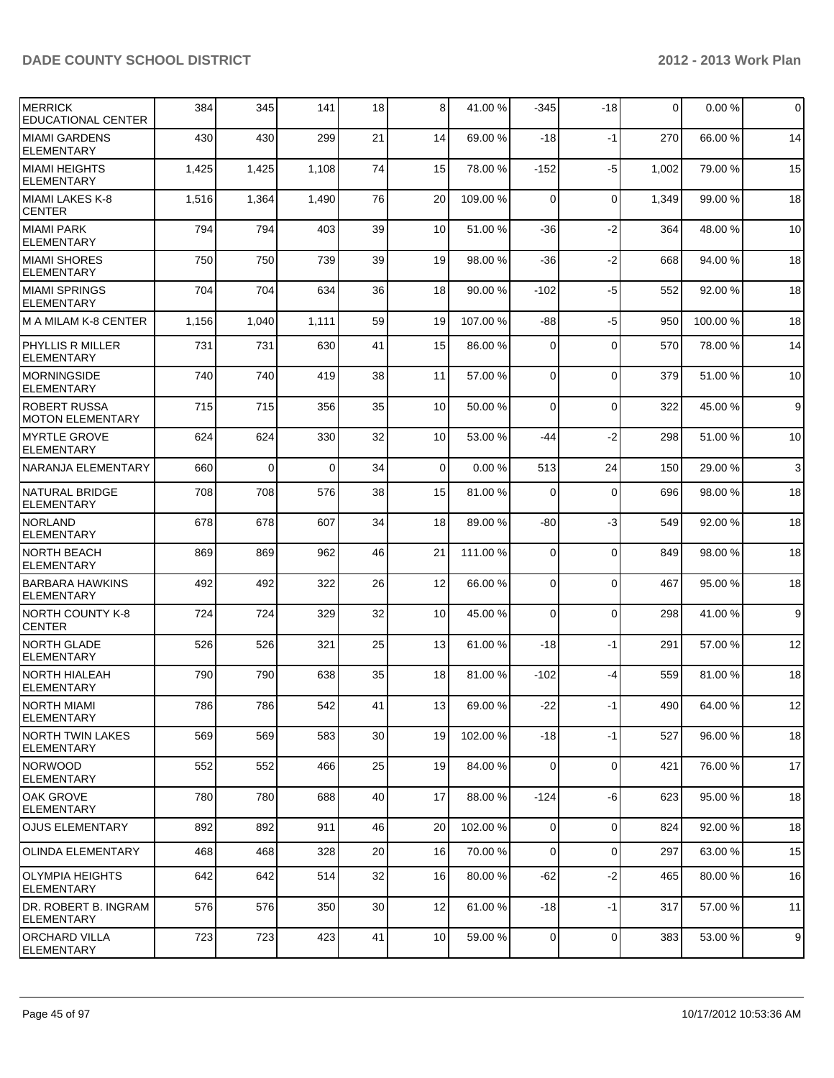| IMERRICK<br>EDUCATIONAL CENTER                 | 384   | 345      | 141      | 18 | 8 <sup>1</sup>  | 41.00 %  | -345           | $-18$       | $\mathbf 0$ | 0.00%   | $\mathsf{O}\xspace$ |
|------------------------------------------------|-------|----------|----------|----|-----------------|----------|----------------|-------------|-------------|---------|---------------------|
| <b>MIAMI GARDENS</b><br>ELEMENTARY             | 430   | 430      | 299      | 21 | 14              | 69.00 %  | $-18$          | $-1$        | 270         | 66.00 % | 14                  |
| <b>MIAMI HEIGHTS</b><br><b>ELEMENTARY</b>      | 1,425 | 1,425    | 1,108    | 74 | 15              | 78.00 %  | $-152$         | $-5$        | 1,002       | 79.00 % | 15                  |
| MIAMI LAKES K-8<br><b>CENTER</b>               | 1,516 | 1,364    | 1,490    | 76 | 20              | 109.00 % | $\Omega$       | $\mathbf 0$ | 1,349       | 99.00 % | 18                  |
| MIAMI PARK<br><b>ELEMENTARY</b>                | 794   | 794      | 403      | 39 | 10 <sup>1</sup> | 51.00 %  | $-36$          | $-2$        | 364         | 48.00%  | 10                  |
| MIAMI SHORES<br><b>ELEMENTARY</b>              | 750   | 750      | 739      | 39 | 19              | 98.00 %  | $-36$          | $-2$        | 668         | 94.00%  | 18                  |
| <b>MIAMI SPRINGS</b><br><b>ELEMENTARY</b>      | 704   | 704      | 634      | 36 | 18              | 90.00 %  | $-102$         | $-5$        | 552         | 92.00%  | 18                  |
| IM A MILAM K-8 CENTER                          | 1,156 | 1,040    | 1,111    | 59 | 19              | 107.00 % | $-88$          | $-5$        | 950         | 100.00% | 18                  |
| <b>PHYLLIS R MILLER</b><br><b>ELEMENTARY</b>   | 731   | 731      | 630      | 41 | 15              | 86.00 %  | $\Omega$       | $\mathbf 0$ | 570         | 78.00 % | 14                  |
| <b>MORNINGSIDE</b><br><b>ELEMENTARY</b>        | 740   | 740      | 419      | 38 | 11              | 57.00 %  | $\Omega$       | $\mathbf 0$ | 379         | 51.00 % | 10                  |
| <b>ROBERT RUSSA</b><br><b>MOTON ELEMENTARY</b> | 715   | 715      | 356      | 35 | 10 <sup>1</sup> | 50.00 %  | $\Omega$       | $\mathbf 0$ | 322         | 45.00 % | 9                   |
| IMYRTLE GROVE<br><b>ELEMENTARY</b>             | 624   | 624      | 330      | 32 | 10 <sup>1</sup> | 53.00 %  | -44            | $-2$        | 298         | 51.00%  | 10                  |
| NARANJA ELEMENTARY                             | 660   | $\Omega$ | $\Omega$ | 34 | $\Omega$        | 0.00%    | 513            | 24          | 150         | 29.00 % | $\mathbf{3}$        |
| <b>NATURAL BRIDGE</b><br><b>ELEMENTARY</b>     | 708   | 708      | 576      | 38 | 15              | 81.00%   | $\Omega$       | 0           | 696         | 98.00%  | 18                  |
| <b>NORLAND</b><br><b>ELEMENTARY</b>            | 678   | 678      | 607      | 34 | 18              | 89.00 %  | -80            | -3          | 549         | 92.00 % | 18                  |
| <b>NORTH BEACH</b><br><b>ELEMENTARY</b>        | 869   | 869      | 962      | 46 | 21              | 111.00 % | $\Omega$       | $\mathbf 0$ | 849         | 98.00 % | 18                  |
| <b>BARBARA HAWKINS</b><br><b>ELEMENTARY</b>    | 492   | 492      | 322      | 26 | 12              | 66.00 %  | $\Omega$       | 0           | 467         | 95.00 % | 18                  |
| NORTH COUNTY K-8<br><b>CENTER</b>              | 724   | 724      | 329      | 32 | 10              | 45.00 %  | $\Omega$       | $\mathbf 0$ | 298         | 41.00%  | $\mathsf g$         |
| <b>NORTH GLADE</b><br><b>ELEMENTARY</b>        | 526   | 526      | 321      | 25 | 13              | 61.00 %  | -18            | -1          | 291         | 57.00 % | 12                  |
| NORTH HIALEAH<br>ELEMENTARY                    | 790   | 790      | 638      | 35 | 18              | 81.00 %  | $-102$         | $-4$        | 559         | 81.00%  | 18                  |
| NORTH MIAMI<br> ELEMENTARY                     | 786   | 786      | 542      | 41 | 13              | 69.00 %  | $-22$          |             | 490         | 64.00%  | 12                  |
| <b>INORTH TWIN LAKES</b><br><b>ELEMENTARY</b>  | 569   | 569      | 583      | 30 | 19              | 102.00 % | $-18$          | $-1$        | 527         | 96.00 % | 18                  |
| NORWOOD<br>ELEMENTARY                          | 552   | 552      | 466      | 25 | 19              | 84.00 %  | $\Omega$       | $\mathbf 0$ | 421         | 76.00 % | 17                  |
| OAK GROVE<br>ELEMENTARY                        | 780   | 780      | 688      | 40 | 17              | 88.00 %  | $-124$         | $-6$        | 623         | 95.00 % | 18                  |
| <b>OJUS ELEMENTARY</b>                         | 892   | 892      | 911      | 46 | 20              | 102.00%  | $\Omega$       | 0           | 824         | 92.00%  | 18                  |
| <b>OLINDA ELEMENTARY</b>                       | 468   | 468      | 328      | 20 | 16              | 70.00 %  | $\Omega$       | 0           | 297         | 63.00%  | 15                  |
| <b>OLYMPIA HEIGHTS</b><br> ELEMENTARY          | 642   | 642      | 514      | 32 | 16              | 80.00 %  | $-62$          | $-2$        | 465         | 80.00%  | 16                  |
| DR. ROBERT B. INGRAM<br><b>ELEMENTARY</b>      | 576   | 576      | 350      | 30 | 12              | 61.00 %  | $-18$          | $-1$        | 317         | 57.00 % | 11                  |
| ORCHARD VILLA<br><b>ELEMENTARY</b>             | 723   | 723      | 423      | 41 | 10 <sup>1</sup> | 59.00 %  | $\overline{0}$ | 0           | 383         | 53.00 % | $\boldsymbol{9}$    |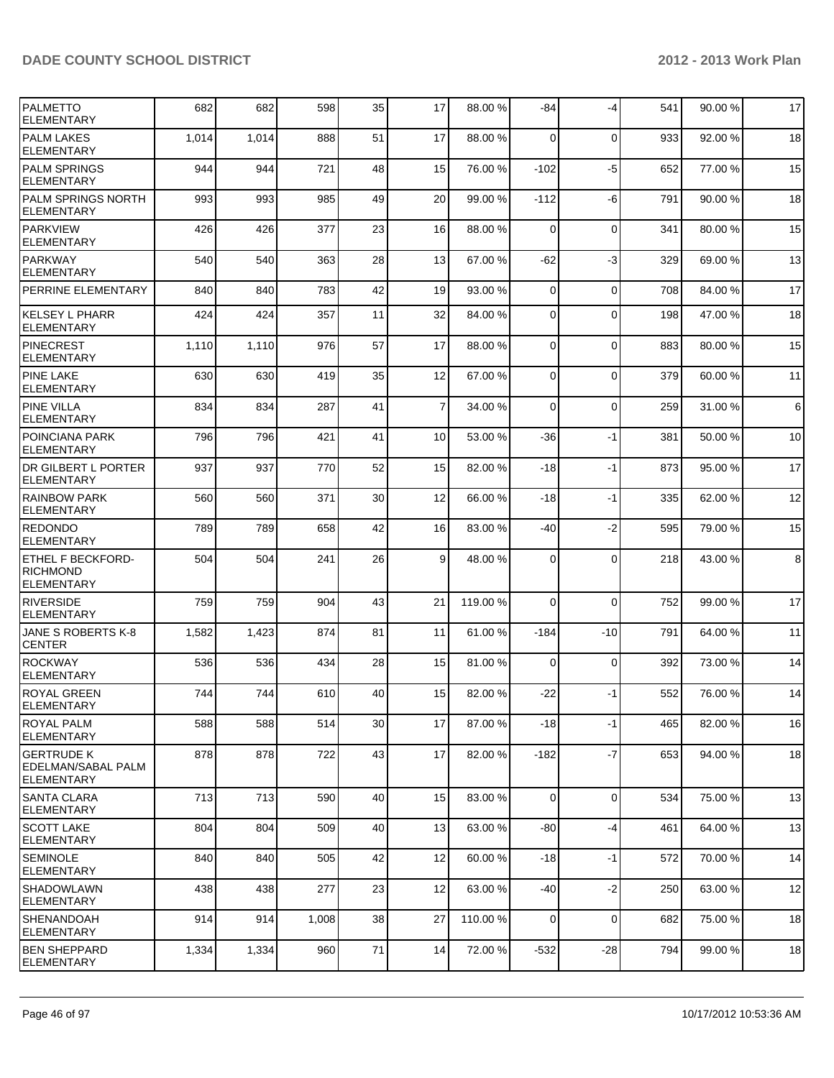| <b>PALMETTO</b><br><b>ELEMENTARY</b>                             | 682   | 682   | 598   | 35 | 17              | 88.00 %  | -84            | $-4$        | 541 | 90.00 % | 17 |
|------------------------------------------------------------------|-------|-------|-------|----|-----------------|----------|----------------|-------------|-----|---------|----|
| <b>PALM LAKES</b><br><b>ELEMENTARY</b>                           | 1,014 | 1,014 | 888   | 51 | 17              | 88.00 %  | 0              | $\mathbf 0$ | 933 | 92.00 % | 18 |
| <b>PALM SPRINGS</b><br>ELEMENTARY                                | 944   | 944   | 721   | 48 | 15              | 76.00 %  | $-102$         | $-5$        | 652 | 77.00 % | 15 |
| <b>PALM SPRINGS NORTH</b><br><b>ELEMENTARY</b>                   | 993   | 993   | 985   | 49 | 20              | 99.00 %  | $-112$         | -6          | 791 | 90.00%  | 18 |
| <b>PARKVIEW</b><br><b>ELEMENTARY</b>                             | 426   | 426   | 377   | 23 | 16              | 88.00 %  | $\mathbf 0$    | $\mathbf 0$ | 341 | 80.00%  | 15 |
| PARKWAY<br><b>ELEMENTARY</b>                                     | 540   | 540   | 363   | 28 | 13              | 67.00 %  | -62            | $-3$        | 329 | 69.00%  | 13 |
| PERRINE ELEMENTARY                                               | 840   | 840   | 783   | 42 | 19              | 93.00 %  | $\overline{0}$ | $\mathbf 0$ | 708 | 84.00%  | 17 |
| KELSEY L PHARR<br>ELEMENTARY                                     | 424   | 424   | 357   | 11 | 32              | 84.00 %  | 0              | $\mathbf 0$ | 198 | 47.00 % | 18 |
| IPINECREST<br><b>ELEMENTARY</b>                                  | 1,110 | 1,110 | 976   | 57 | 17              | 88.00 %  | $\Omega$       | $\mathbf 0$ | 883 | 80.00%  | 15 |
| <b>PINE LAKE</b><br><b>ELEMENTARY</b>                            | 630   | 630   | 419   | 35 | 12              | 67.00 %  | $\Omega$       | $\mathbf 0$ | 379 | 60.00 % | 11 |
| <b>PINE VILLA</b><br><b>ELEMENTARY</b>                           | 834   | 834   | 287   | 41 | $\overline{7}$  | 34.00 %  | $\Omega$       | $\mathbf 0$ | 259 | 31.00%  | 6  |
| <b>POINCIANA PARK</b><br><b>ELEMENTARY</b>                       | 796   | 796   | 421   | 41 | 10 <sup>1</sup> | 53.00 %  | $-36$          | $-1$        | 381 | 50.00 % | 10 |
| <b>DR GILBERT L PORTER</b><br><b>ELEMENTARY</b>                  | 937   | 937   | 770   | 52 | 15              | 82.00 %  | $-18$          | $-1$        | 873 | 95.00 % | 17 |
| <b>RAINBOW PARK</b><br><b>ELEMENTARY</b>                         | 560   | 560   | 371   | 30 | 12              | 66.00 %  | $-18$          | $-1$        | 335 | 62.00 % | 12 |
| <b>REDONDO</b><br><b>ELEMENTARY</b>                              | 789   | 789   | 658   | 42 | 16              | 83.00 %  | -40            | $-2$        | 595 | 79.00 % | 15 |
| <b>ETHEL F BECKFORD-</b><br><b>RICHMOND</b><br><b>ELEMENTARY</b> | 504   | 504   | 241   | 26 | $\vert$ 9       | 48.00 %  | 0              | $\mathbf 0$ | 218 | 43.00 % | 8  |
| <b>RIVERSIDE</b><br><b>ELEMENTARY</b>                            | 759   | 759   | 904   | 43 | 21              | 119.00 % | $\Omega$       | $\Omega$    | 752 | 99.00 % | 17 |
| JANE S ROBERTS K-8<br><b>CENTER</b>                              | 1,582 | 1,423 | 874   | 81 | 11              | 61.00%   | $-184$         | $-10$       | 791 | 64.00 % | 11 |
| <b>ROCKWAY</b><br><b>ELEMENTARY</b>                              | 536   | 536   | 434   | 28 | 15              | 81.00 %  | $\mathbf 0$    | $\mathbf 0$ | 392 | 73.00 % | 14 |
| <b>ROYAL GREEN</b><br>ELEMENTARY                                 | 744   | 744   | 610   | 40 | 15              | 82.00 %  | -22            | $-1$        | 552 | 76.00 % | 14 |
| ROYAL PALM<br><b>ELEMENTARY</b>                                  | 588   | 588   | 514   | 30 | 17              | 87.00 %  | $-18$          | $-1$        | 465 | 82.00 % | 16 |
| <b>GERTRUDE K</b><br>EDELMAN/SABAL PALM<br><b>ELEMENTARY</b>     | 878   | 878   | 722   | 43 | 17              | 82.00 %  | $-182$         | $-7$        | 653 | 94.00 % | 18 |
| ISANTA CLARA<br><b>ELEMENTARY</b>                                | 713   | 713   | 590   | 40 | 15              | 83.00 %  | $\overline{0}$ | $\mathbf 0$ | 534 | 75.00 % | 13 |
| <b>SCOTT LAKE</b><br><b>ELEMENTARY</b>                           | 804   | 804   | 509   | 40 | 13              | 63.00 %  | $-80$          | -4          | 461 | 64.00 % | 13 |
| <b>SEMINOLE</b><br><b>ELEMENTARY</b>                             | 840   | 840   | 505   | 42 | 12              | 60.00 %  | $-18$          | $-1$        | 572 | 70.00 % | 14 |
| <b>SHADOWLAWN</b><br>ELEMENTARY                                  | 438   | 438   | 277   | 23 | 12              | 63.00 %  | $-40$          | $-2$        | 250 | 63.00 % | 12 |
| SHENANDOAH<br><b>ELEMENTARY</b>                                  | 914   | 914   | 1,008 | 38 | 27              | 110.00%  | $\overline{0}$ | $\mathbf 0$ | 682 | 75.00 % | 18 |
| <b>BEN SHEPPARD</b><br><b>ELEMENTARY</b>                         | 1,334 | 1,334 | 960   | 71 | 14              | 72.00 %  | $-532$         | $-28$       | 794 | 99.00 % | 18 |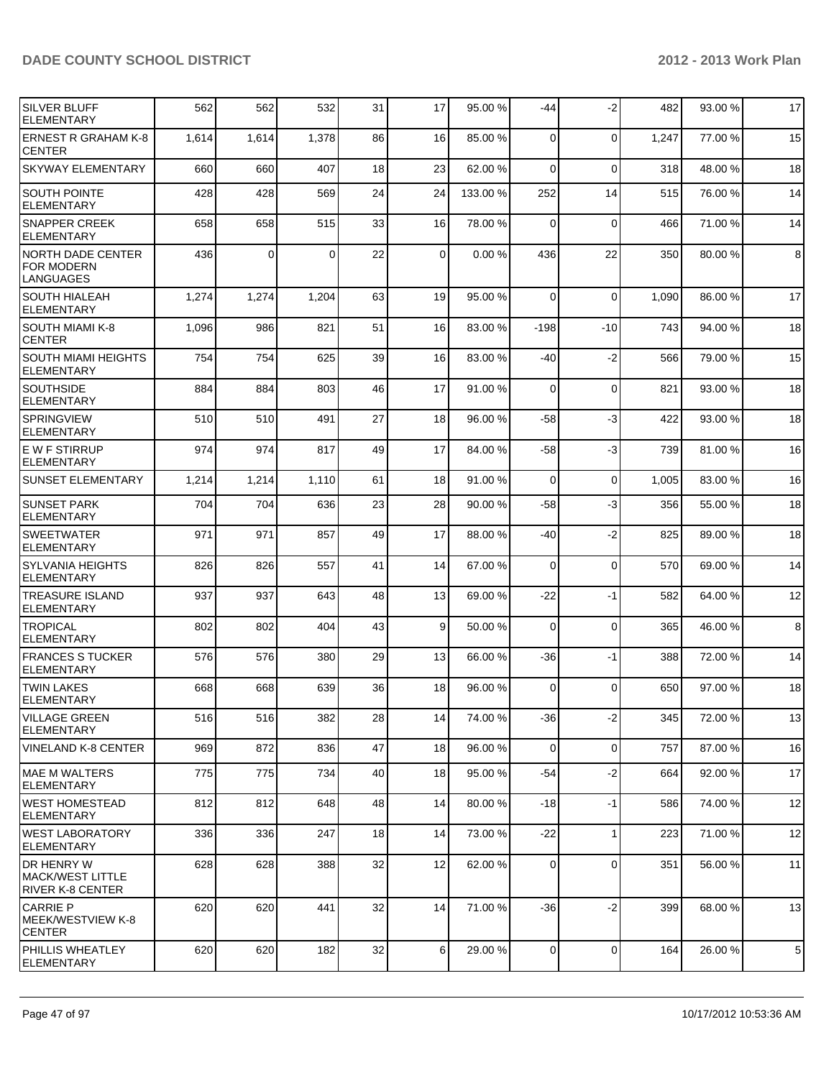| SILVER BLUFF<br><b>ELEMENTARY</b>                           | 562   | 562      | 532   | 31 | 17              | 95.00 %  | $-44$          | $-2$        | 482   | 93.00 % | 17              |
|-------------------------------------------------------------|-------|----------|-------|----|-----------------|----------|----------------|-------------|-------|---------|-----------------|
| <b>ERNEST R GRAHAM K-8</b><br><b>CENTER</b>                 | 1,614 | 1,614    | 1,378 | 86 | 16              | 85.00 %  | $\Omega$       | $\mathbf 0$ | 1,247 | 77.00 % | 15              |
| <b>SKYWAY ELEMENTARY</b>                                    | 660   | 660      | 407   | 18 | 23              | 62.00 %  | $\Omega$       | $\Omega$    | 318   | 48.00 % | 18              |
| SOUTH POINTE<br><b>ELEMENTARY</b>                           | 428   | 428      | 569   | 24 | 24              | 133.00 % | 252            | 14          | 515   | 76.00 % | 14              |
| <b>SNAPPER CREEK</b><br><b>ELEMENTARY</b>                   | 658   | 658      | 515   | 33 | 16              | 78.00 %  | $\Omega$       | $\Omega$    | 466   | 71.00%  | 14              |
| <b>NORTH DADE CENTER</b><br>FOR MODERN<br>LANGUAGES         | 436   | $\Omega$ | 0     | 22 | $\Omega$        | 0.00%    | 436            | 22          | 350   | 80.00%  | 8               |
| ISOUTH HIALEAH<br><b>ELEMENTARY</b>                         | 1,274 | 1,274    | 1,204 | 63 | 19              | 95.00 %  | $\Omega$       | $\Omega$    | 1,090 | 86.00 % | 17              |
| <b>SOUTH MIAMI K-8</b><br><b>CENTER</b>                     | 1,096 | 986      | 821   | 51 | 16              | 83.00 %  | $-198$         | $-10$       | 743   | 94.00%  | 18              |
| <b>SOUTH MIAMI HEIGHTS</b><br><b>ELEMENTARY</b>             | 754   | 754      | 625   | 39 | 16              | 83.00 %  | -40            | $-2$        | 566   | 79.00 % | 15              |
| <b>SOUTHSIDE</b><br><b>ELEMENTARY</b>                       | 884   | 884      | 803   | 46 | 17              | 91.00 %  | $\Omega$       | $\Omega$    | 821   | 93.00%  | 18              |
| <b>SPRINGVIEW</b><br><b>ELEMENTARY</b>                      | 510   | 510      | 491   | 27 | 18              | 96.00 %  | $-58$          | -3          | 422   | 93.00 % | 18              |
| <b>EWFSTIRRUP</b><br><b>ELEMENTARY</b>                      | 974   | 974      | 817   | 49 | 17              | 84.00 %  | $-58$          | $-3$        | 739   | 81.00%  | 16              |
| <b>SUNSET ELEMENTARY</b>                                    | 1,214 | 1,214    | 1,110 | 61 | 18              | 91.00 %  | $\Omega$       | $\mathbf 0$ | 1,005 | 83.00 % | 16              |
| <b>SUNSET PARK</b><br>ELEMENTARY                            | 704   | 704      | 636   | 23 | 28              | 90.00 %  | -58            | $-3$        | 356   | 55.00 % | 18              |
| <b>SWEETWATER</b><br><b>ELEMENTARY</b>                      | 971   | 971      | 857   | 49 | 17              | 88.00 %  | -40            | $-2$        | 825   | 89.00 % | 18              |
| SYLVANIA HEIGHTS<br><b>ELEMENTARY</b>                       | 826   | 826      | 557   | 41 | 14              | 67.00 %  | $\Omega$       | 0           | 570   | 69.00 % | 14              |
| <b>TREASURE ISLAND</b><br><b>ELEMENTARY</b>                 | 937   | 937      | 643   | 48 | 13              | 69.00 %  | $-22$          | $-1$        | 582   | 64.00 % | 12              |
| TROPICAL<br>ELEMENTARY                                      | 802   | 802      | 404   | 43 | $\vert 9 \vert$ | 50.00 %  | $\Omega$       | $\mathbf 0$ | 365   | 46.00%  | 8               |
| <b>FRANCES S TUCKER</b><br><b>ELEMENTARY</b>                | 576   | 576      | 380   | 29 | 13              | 66.00 %  | -36            | $-1$        | 388   | 72.00 % | 14              |
| <b>TWIN LAKES</b><br>ELEMENTARY                             | 668   | 668      | 639   | 36 | 18              | 96.00 %  | $\Omega$       | $\Omega$    | 650   | 97.00 % | 18              |
| VILLAGE GREEN<br><b>ELEMENTARY</b>                          | 516   | 516      | 382   | 28 | 14              | 74.00 %  | $-36$          | $-2$        | 345   | 72.00 % | 13              |
| <b>VINELAND K-8 CENTER</b>                                  | 969   | 872      | 836   | 47 | 18              | 96.00 %  | $\overline{0}$ | $\mathbf 0$ | 757   | 87.00%  | 16              |
| IMAE M WALTERS<br> ELEMENTARY                               | 775   | 775      | 734   | 40 | 18              | 95.00 %  | $-54$          | $-2$        | 664   | 92.00 % | 17              |
| WEST HOMESTEAD<br><b>ELEMENTARY</b>                         | 812   | 812      | 648   | 48 | 14              | 80.00 %  | $-18$          | $-1$        | 586   | 74.00 % | 12              |
| <b>WEST LABORATORY</b><br><b>ELEMENTARY</b>                 | 336   | 336      | 247   | 18 | 14              | 73.00 %  | $-22$          | 1           | 223   | 71.00%  | 12              |
| IDR HENRY W<br>IMACK/WEST LITTLE<br><b>RIVER K-8 CENTER</b> | 628   | 628      | 388   | 32 | 12              | 62.00 %  | $\Omega$       | 0           | 351   | 56.00 % | 11              |
| <b>CARRIE P</b><br>IMEEK/WESTVIEW K-8<br><b>CENTER</b>      | 620   | 620      | 441   | 32 | 14              | 71.00 %  | $-36$          | $-2$        | 399   | 68.00 % | 13              |
| <b>PHILLIS WHEATLEY</b><br><b>ELEMENTARY</b>                | 620   | 620      | 182   | 32 | $6 \mid$        | 29.00 %  | $\overline{0}$ | $\mathbf 0$ | 164   | 26.00%  | $5\phantom{.0}$ |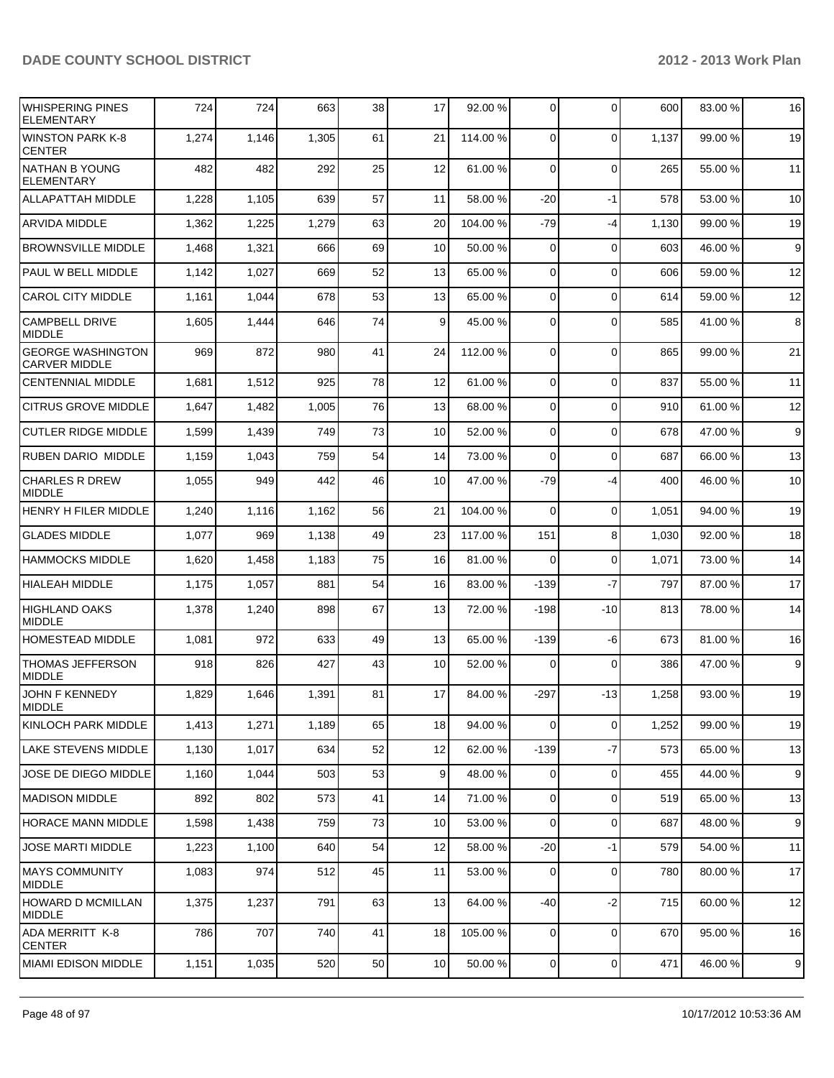| <b>WHISPERING PINES</b><br><b>ELEMENTARY</b>     | 724   | 724   | 663   | 38 | 17              | 92.00 %  | $\Omega$       | $\Omega$    | 600   | 83.00 % | 16               |
|--------------------------------------------------|-------|-------|-------|----|-----------------|----------|----------------|-------------|-------|---------|------------------|
| WINSTON PARK K-8<br><b>CENTER</b>                | 1,274 | 1,146 | 1,305 | 61 | 21              | 114.00 % | $\Omega$       | $\mathbf 0$ | 1,137 | 99.00 % | 19               |
| <b>NATHAN B YOUNG</b><br>ELEMENTARY              | 482   | 482   | 292   | 25 | 12              | 61.00 %  | $\overline{0}$ | $\Omega$    | 265   | 55.00 % | 11               |
| <b>ALLAPATTAH MIDDLE</b>                         | 1,228 | 1,105 | 639   | 57 | 11              | 58.00 %  | $-20$          | $-1$        | 578   | 53.00 % | 10               |
| <b>ARVIDA MIDDLE</b>                             | 1,362 | 1,225 | 1,279 | 63 | 20              | 104.00%  | $-79$          | $-4$        | 1,130 | 99.00 % | 19               |
| <b>BROWNSVILLE MIDDLE</b>                        | 1,468 | 1,321 | 666   | 69 | 10              | 50.00 %  | $\overline{0}$ | $\Omega$    | 603   | 46.00%  | 9                |
| PAUL W BELL MIDDLE                               | 1,142 | 1,027 | 669   | 52 | 13              | 65.00 %  | $\overline{0}$ | $\Omega$    | 606   | 59.00 % | 12               |
| <b>CAROL CITY MIDDLE</b>                         | 1,161 | 1,044 | 678   | 53 | 13              | 65.00 %  | $\overline{0}$ | $\Omega$    | 614   | 59.00 % | 12               |
| <b>CAMPBELL DRIVE</b><br><b>MIDDLE</b>           | 1,605 | 1,444 | 646   | 74 | $\vert$ 9       | 45.00 %  | $\overline{0}$ | $\Omega$    | 585   | 41.00 % | $\bf 8$          |
| <b>GEORGE WASHINGTON</b><br><b>CARVER MIDDLE</b> | 969   | 872   | 980   | 41 | 24              | 112.00 % | $\overline{0}$ | $\Omega$    | 865   | 99.00 % | 21               |
| <b>CENTENNIAL MIDDLE</b>                         | 1,681 | 1,512 | 925   | 78 | 12              | 61.00 %  | $\overline{0}$ | $\mathbf 0$ | 837   | 55.00 % | 11               |
| ICITRUS GROVE MIDDLE                             | 1,647 | 1,482 | 1,005 | 76 | 13              | 68.00 %  | $\overline{0}$ | $\Omega$    | 910   | 61.00%  | 12               |
| <b>CUTLER RIDGE MIDDLE</b>                       | 1,599 | 1,439 | 749   | 73 | 10 <sup>1</sup> | 52.00 %  | $\overline{0}$ | $\Omega$    | 678   | 47.00 % | 9                |
| <b>RUBEN DARIO MIDDLE</b>                        | 1,159 | 1,043 | 759   | 54 | 14              | 73.00 %  | $\Omega$       | $\Omega$    | 687   | 66.00 % | 13               |
| <b>CHARLES R DREW</b><br><b>MIDDLE</b>           | 1,055 | 949   | 442   | 46 | 10 <sup>1</sup> | 47.00 %  | $-79$          | $-4$        | 400   | 46.00 % | 10               |
| <b>HENRY H FILER MIDDLE</b>                      | 1,240 | 1,116 | 1,162 | 56 | 21              | 104.00 % | $\Omega$       | $\mathbf 0$ | 1,051 | 94.00 % | 19               |
| <b>GLADES MIDDLE</b>                             | 1,077 | 969   | 1,138 | 49 | 23              | 117.00 % | 151            | 8           | 1,030 | 92.00 % | 18               |
| <b>HAMMOCKS MIDDLE</b>                           | 1,620 | 1,458 | 1,183 | 75 | 16              | 81.00 %  | $\overline{0}$ | 0           | 1,071 | 73.00 % | 14               |
| <b>HIALEAH MIDDLE</b>                            | 1,175 | 1,057 | 881   | 54 | 16              | 83.00 %  | $-139$         | $-7$        | 797   | 87.00 % | 17               |
| <b>HIGHLAND OAKS</b><br><b>MIDDLE</b>            | 1,378 | 1,240 | 898   | 67 | 13              | 72.00 %  | $-198$         | $-10$       | 813   | 78.00 % | 14               |
| <b>HOMESTEAD MIDDLE</b>                          | 1,081 | 972   | 633   | 49 | 13              | 65.00 %  | $-139$         | -6          | 673   | 81.00%  | 16               |
| <b>THOMAS JEFFERSON</b><br><b>MIDDLE</b>         | 918   | 826   | 427   | 43 | 10              | 52.00 %  | 0              | $\mathbf 0$ | 386   | 47.00 % | $\boldsymbol{9}$ |
| <b>JOHN F KENNEDY</b><br>MIDDLE                  | 1,829 | 1,646 | 1,391 | 81 | 17              | 84.00 %  | $-297$         | -13         | 1,258 | 93.00 % | 19               |
| KINLOCH PARK MIDDLE                              | 1,413 | 1,271 | 1,189 | 65 | 18              | 94.00 %  | $\overline{0}$ | $\pmb{0}$   | 1,252 | 99.00 % | 19               |
| LAKE STEVENS MIDDLE                              | 1,130 | 1,017 | 634   | 52 | 12              | 62.00 %  | $-139$         | $-7$        | 573   | 65.00 % | 13               |
| JOSE DE DIEGO MIDDLE                             | 1,160 | 1,044 | 503   | 53 | $\vert$ 9       | 48.00 %  | $\overline{0}$ | $\pmb{0}$   | 455   | 44.00%  | $\boldsymbol{9}$ |
| <b>MADISON MIDDLE</b>                            | 892   | 802   | 573   | 41 | 14              | 71.00 %  | $\overline{0}$ | $\pmb{0}$   | 519   | 65.00 % | 13               |
| <b>HORACE MANN MIDDLE</b>                        | 1,598 | 1,438 | 759   | 73 | 10              | 53.00 %  | $\overline{0}$ | $\mathbf 0$ | 687   | 48.00 % | $\boldsymbol{9}$ |
| <b>JOSE MARTI MIDDLE</b>                         | 1,223 | 1,100 | 640   | 54 | 12              | 58.00 %  | $-20$          | $-1$        | 579   | 54.00 % | 11               |
| <b>MAYS COMMUNITY</b><br><b>MIDDLE</b>           | 1,083 | 974   | 512   | 45 | 11              | 53.00 %  | $\overline{0}$ | $\mathbf 0$ | 780   | 80.00 % | 17               |
| HOWARD D MCMILLAN<br><b>MIDDLE</b>               | 1,375 | 1,237 | 791   | 63 | 13              | 64.00 %  | $-40$          | $-2$        | 715   | 60.00 % | 12               |
| ADA MERRITT K-8<br><b>CENTER</b>                 | 786   | 707   | 740   | 41 | 18              | 105.00 % | $\overline{0}$ | $\mathbf 0$ | 670   | 95.00 % | 16               |
| MIAMI EDISON MIDDLE                              | 1,151 | 1,035 | 520   | 50 | 10              | 50.00 %  | $\overline{0}$ | 0           | 471   | 46.00%  | $\boldsymbol{9}$ |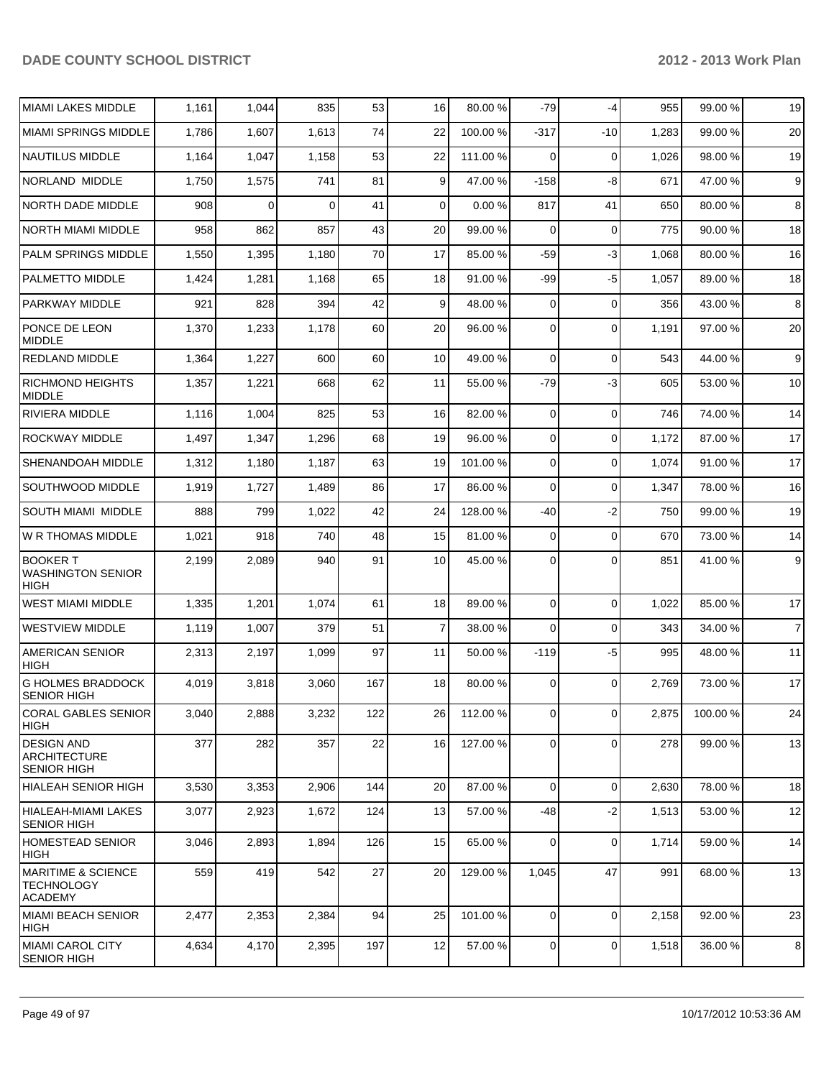| <b>MIAMI LAKES MIDDLE</b>                                            | 1,161 | 1,044    | 835      | 53  | 16             | 80.00 %  | $-79$          | $-4$           | 955   | 99.00 % | 19               |
|----------------------------------------------------------------------|-------|----------|----------|-----|----------------|----------|----------------|----------------|-------|---------|------------------|
| <b>MIAMI SPRINGS MIDDLE</b>                                          | 1,786 | 1,607    | 1,613    | 74  | 22             | 100.00%  | $-317$         | $-10$          | 1,283 | 99.00 % | 20               |
| <b>NAUTILUS MIDDLE</b>                                               | 1,164 | 1,047    | 1,158    | 53  | 22             | 111.00 % | $\Omega$       | $\mathbf 0$    | 1,026 | 98.00 % | 19               |
| NORLAND MIDDLE                                                       | 1,750 | 1,575    | 741      | 81  | 9              | 47.00 %  | $-158$         | -8             | 671   | 47.00 % | $\boldsymbol{9}$ |
| NORTH DADE MIDDLE                                                    | 908   | $\Omega$ | $\Omega$ | 41  | $\mathbf 0$    | 0.00%    | 817            | 41             | 650   | 80.00 % | 8                |
| NORTH MIAMI MIDDLE                                                   | 958   | 862      | 857      | 43  | 20             | 99.00 %  | $\Omega$       | $\mathbf 0$    | 775   | 90.00 % | 18               |
| PALM SPRINGS MIDDLE                                                  | 1,550 | 1,395    | 1,180    | 70  | 17             | 85.00 %  | $-59$          | $-3$           | 1,068 | 80.00%  | 16               |
| PALMETTO MIDDLE                                                      | 1,424 | 1,281    | 1,168    | 65  | 18             | 91.00 %  | -99            | $-5$           | 1,057 | 89.00 % | 18               |
| PARKWAY MIDDLE                                                       | 921   | 828      | 394      | 42  | 9              | 48.00 %  | $\mathbf 0$    | $\Omega$       | 356   | 43.00 % | 8                |
| PONCE DE LEON<br><b>MIDDLE</b>                                       | 1,370 | 1,233    | 1,178    | 60  | 20             | 96.00 %  | $\Omega$       | $\Omega$       | 1,191 | 97.00 % | 20               |
| <b>REDLAND MIDDLE</b>                                                | 1,364 | 1,227    | 600      | 60  | 10             | 49.00 %  | $\mathbf 0$    | $\mathbf 0$    | 543   | 44.00%  | 9                |
| <b>RICHMOND HEIGHTS</b><br><b>MIDDLE</b>                             | 1,357 | 1,221    | 668      | 62  | 11             | 55.00 %  | -79            | $-3$           | 605   | 53.00 % | 10               |
| RIVIERA MIDDLE                                                       | 1,116 | 1,004    | 825      | 53  | 16             | 82.00 %  | $\mathbf 0$    | $\Omega$       | 746   | 74.00%  | 14               |
| <b>ROCKWAY MIDDLE</b>                                                | 1,497 | 1,347    | 1,296    | 68  | 19             | 96.00 %  | $\mathbf 0$    | $\mathbf 0$    | 1,172 | 87.00 % | 17               |
| SHENANDOAH MIDDLE                                                    | 1,312 | 1,180    | 1,187    | 63  | 19             | 101.00 % | 0              | $\Omega$       | 1,074 | 91.00%  | 17               |
| SOUTHWOOD MIDDLE                                                     | 1,919 | 1,727    | 1,489    | 86  | 17             | 86.00 %  | $\mathbf 0$    | $\Omega$       | 1,347 | 78.00%  | 16               |
| <b>SOUTH MIAMI MIDDLE</b>                                            | 888   | 799      | 1,022    | 42  | 24             | 128.00 % | -40            | $-2$           | 750   | 99.00 % | 19               |
| W R THOMAS MIDDLE                                                    | 1,021 | 918      | 740      | 48  | 15             | 81.00 %  | $\mathbf 0$    | $\mathbf 0$    | 670   | 73.00 % | 14               |
| <b>BOOKER T</b><br><b>WASHINGTON SENIOR</b><br><b>HIGH</b>           | 2,199 | 2,089    | 940      | 91  | 10             | 45.00 %  | $\Omega$       | $\Omega$       | 851   | 41.00 % | $\boldsymbol{9}$ |
| <b>WEST MIAMI MIDDLE</b>                                             | 1,335 | 1,201    | 1,074    | 61  | 18             | 89.00 %  | $\mathbf 0$    | $\mathbf 0$    | 1,022 | 85.00 % | 17               |
| <b>WESTVIEW MIDDLE</b>                                               | 1,119 | 1,007    | 379      | 51  | $\overline{7}$ | 38.00 %  | 0              | $\Omega$       | 343   | 34.00 % | $\overline{7}$   |
| <b>AMERICAN SENIOR</b><br><b>HIGH</b>                                | 2,313 | 2,197    | 1,099    | 97  | 11             | 50.00 %  | $-119$         | $-5$           | 995   | 48.00 % | 11               |
| <b>G HOLMES BRADDOCK</b><br><b>SENIOR HIGH</b>                       | 4,019 | 3,818    | 3,060    | 167 | 18             | 80.00 %  | $\mathbf 0$    | $\Omega$       | 2,769 | 73.00 % | 17               |
| <b>CORAL GABLES SENIOR</b><br>HIGH                                   | 3,040 | 2,888    | 3,232    | 122 | 26             | 112.00 % | $\overline{0}$ | $\overline{0}$ | 2,875 | 100.00% | 24               |
| <b>DESIGN AND</b><br><b>ARCHITECTURE</b><br><b>SENIOR HIGH</b>       | 377   | 282      | 357      | 22  | 16             | 127.00 % | $\Omega$       | $\Omega$       | 278   | 99.00 % | 13               |
| <b>HIALEAH SENIOR HIGH</b>                                           | 3,530 | 3,353    | 2,906    | 144 | 20             | 87.00 %  | $\mathbf 0$    | $\mathbf 0$    | 2,630 | 78.00 % | 18               |
| HIALEAH-MIAMI LAKES<br><b>SENIOR HIGH</b>                            | 3,077 | 2,923    | 1,672    | 124 | 13             | 57.00 %  | $-48$          | $-2$           | 1,513 | 53.00 % | 12               |
| HOMESTEAD SENIOR<br> HIGH                                            | 3,046 | 2,893    | 1,894    | 126 | 15             | 65.00 %  | 0              | $\Omega$       | 1,714 | 59.00 % | 14               |
| <b>MARITIME &amp; SCIENCE</b><br><b>TECHNOLOGY</b><br><b>ACADEMY</b> | 559   | 419      | 542      | 27  | 20             | 129.00 % | 1,045          | 47             | 991   | 68.00 % | 13               |
| <b>MIAMI BEACH SENIOR</b><br> HIGH                                   | 2,477 | 2,353    | 2,384    | 94  | 25             | 101.00 % | $\Omega$       | $\Omega$       | 2,158 | 92.00 % | 23               |
| MIAMI CAROL CITY<br><b>SENIOR HIGH</b>                               | 4,634 | 4,170    | 2,395    | 197 | 12             | 57.00 %  | 0              | $\overline{0}$ | 1,518 | 36.00 % | 8                |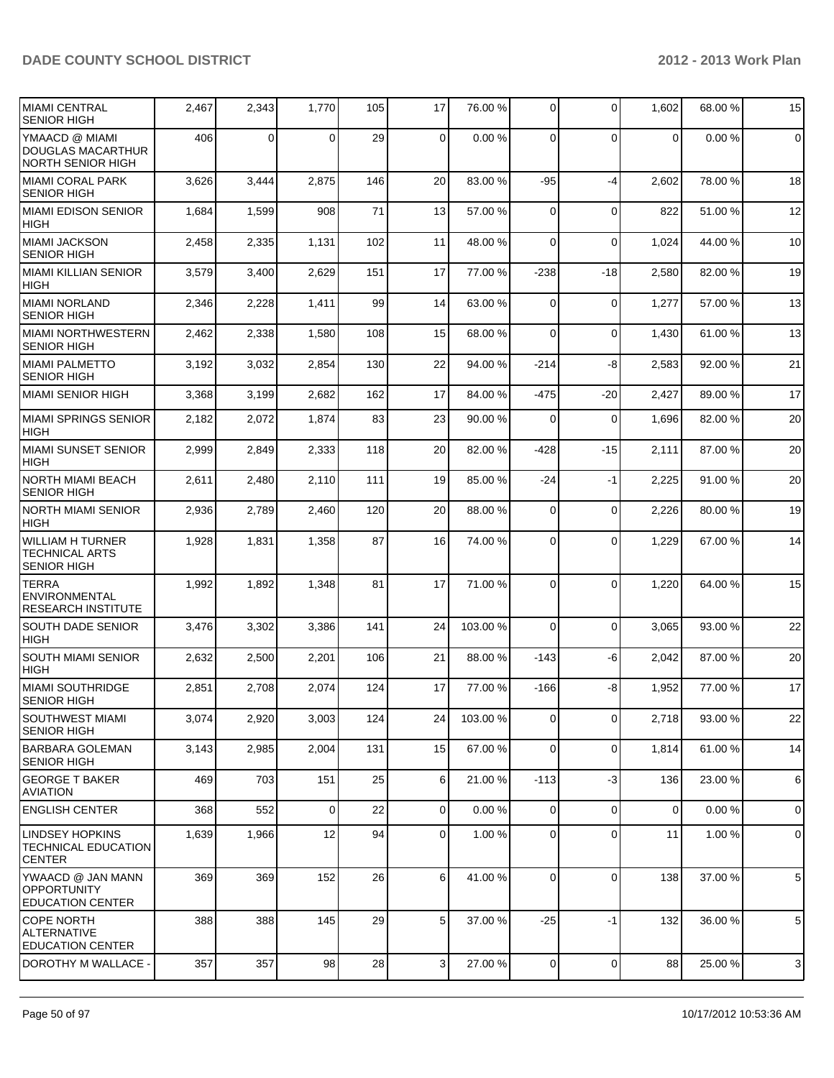| MIAMI CENTRAL<br><b>SENIOR HIGH</b>                                | 2,467 | 2,343       | 1,770          | 105 | 17              | 76.00 %  | $\overline{0}$ | $\mathbf{0}$ | 1,602       | 68.00%  | 15             |
|--------------------------------------------------------------------|-------|-------------|----------------|-----|-----------------|----------|----------------|--------------|-------------|---------|----------------|
| YMAACD @ MIAMI<br>DOUGLAS MACARTHUR<br><b>NORTH SENIOR HIGH</b>    | 406   | $\mathbf 0$ | $\Omega$       | 29  | $\Omega$        | 0.00%    | $\Omega$       | $\mathbf{0}$ | $\mathbf 0$ | 0.00%   | $\overline{0}$ |
| MIAMI CORAL PARK<br><b>SENIOR HIGH</b>                             | 3,626 | 3,444       | 2,875          | 146 | 20              | 83.00 %  | $-95$          | $-4$         | 2,602       | 78.00 % | 18             |
| MIAMI EDISON SENIOR<br><b>HIGH</b>                                 | 1,684 | 1,599       | 908            | 71  | 13              | 57.00 %  | $\Omega$       | $\mathbf{0}$ | 822         | 51.00 % | 12             |
| MIAMI JACKSON<br><b>SENIOR HIGH</b>                                | 2,458 | 2,335       | 1,131          | 102 | 11              | 48.00 %  | $\Omega$       | $\Omega$     | 1,024       | 44.00%  | 10             |
| MIAMI KILLIAN SENIOR<br><b>HIGH</b>                                | 3,579 | 3,400       | 2,629          | 151 | 17              | 77.00 %  | $-238$         | $-18$        | 2,580       | 82.00%  | 19             |
| MIAMI NORLAND<br><b>SENIOR HIGH</b>                                | 2,346 | 2,228       | 1,411          | 99  | 14              | 63.00 %  | $\Omega$       | $\mathbf 0$  | 1,277       | 57.00 % | 13             |
| MIAMI NORTHWESTERN<br><b>SENIOR HIGH</b>                           | 2,462 | 2,338       | 1,580          | 108 | 15              | 68.00 %  | $\Omega$       | $\Omega$     | 1,430       | 61.00%  | 13             |
| <b>MIAMI PALMETTO</b><br>SENIOR HIGH                               | 3,192 | 3,032       | 2,854          | 130 | 22              | 94.00 %  | $-214$         | -8           | 2,583       | 92.00%  | 21             |
| İMIAMI SENIOR HIGH                                                 | 3,368 | 3,199       | 2,682          | 162 | 17              | 84.00 %  | $-475$         | -20          | 2,427       | 89.00 % | 17             |
| MIAMI SPRINGS SENIOR<br><b>HIGH</b>                                | 2,182 | 2,072       | 1,874          | 83  | 23              | 90.00 %  | $\Omega$       | $\Omega$     | 1,696       | 82.00%  | 20             |
| MIAMI SUNSET SENIOR<br><b>HIGH</b>                                 | 2,999 | 2,849       | 2,333          | 118 | 20              | 82.00%   | $-428$         | $-15$        | 2,111       | 87.00 % | 20             |
| <b>NORTH MIAMI BEACH</b><br><b>SENIOR HIGH</b>                     | 2,611 | 2,480       | 2,110          | 111 | 19              | 85.00 %  | -24            | $-1$         | 2,225       | 91.00%  | 20             |
| NORTH MIAMI SENIOR<br><b>HIGH</b>                                  | 2,936 | 2,789       | 2,460          | 120 | 20 <sup>2</sup> | 88.00 %  | $\Omega$       | $\mathbf 0$  | 2,226       | 80.00 % | 19             |
| WILLIAM H TURNER<br><b>TECHNICAL ARTS</b><br><b>SENIOR HIGH</b>    | 1,928 | 1,831       | 1,358          | 87  | 16              | 74.00 %  | $\Omega$       | $\Omega$     | 1,229       | 67.00 % | 14             |
| <b>TERRA</b><br><b>ENVIRONMENTAL</b><br><b>RESEARCH INSTITUTE</b>  | 1,992 | 1,892       | 1,348          | 81  | 17              | 71.00 %  | $\Omega$       | $\Omega$     | 1,220       | 64.00 % | 15             |
| <b>SOUTH DADE SENIOR</b><br><b>HIGH</b>                            | 3,476 | 3,302       | 3,386          | 141 | 24              | 103.00 % | $\Omega$       | $\Omega$     | 3,065       | 93.00 % | 22             |
| <b>SOUTH MIAMI SENIOR</b><br><b>HIGH</b>                           | 2,632 | 2,500       | 2,201          | 106 | 21              | 88.00 %  | $-143$         | -6           | 2,042       | 87.00 % | 20             |
| MIAMI SOUTHRIDGE<br>SENIOR HIGH                                    | 2,851 | 2,708       | 2,074          | 124 | 17              | 77.00 %  | $-166$         | -8           | 1,952       | 77.00 % | 17             |
| <b>SOUTHWEST MIAMI</b><br><b>SENIOR HIGH</b>                       | 3,074 | 2,920       | 3,003          | 124 | 24              | 103.00 % | $\overline{0}$ | 0            | 2,718       | 93.00 % | 22             |
| <b>BARBARA GOLEMAN</b><br><b>SENIOR HIGH</b>                       | 3,143 | 2,985       | 2,004          | 131 | 15              | 67.00 %  | $\overline{0}$ | $\mathbf 0$  | 1,814       | 61.00%  | 14             |
| <b>GEORGE T BAKER</b><br><b>AVIATION</b>                           | 469   | 703         | 151            | 25  | $6 \mid$        | 21.00 %  | $-113$         | $-3$         | 136         | 23.00 % | 6              |
| <b>ENGLISH CENTER</b>                                              | 368   | 552         | $\overline{0}$ | 22  | $\overline{0}$  | 0.00%    | $\overline{0}$ | 0            | $\mathbf 0$ | 0.00%   | $\overline{0}$ |
| <b>LINDSEY HOPKINS</b><br>TECHNICAL EDUCATION<br><b>CENTER</b>     | 1,639 | 1,966       | 12             | 94  | $\Omega$        | 1.00 %   | $\overline{0}$ | $\mathbf 0$  | 11          | 1.00%   | $\mathbf 0$    |
| YWAACD @ JAN MANN<br><b>OPPORTUNITY</b><br><b>EDUCATION CENTER</b> | 369   | 369         | 152            | 26  | 6 <sup>1</sup>  | 41.00 %  | $\Omega$       | $\Omega$     | 138         | 37.00 % | 5              |
| ICOPE NORTH<br><b>ALTERNATIVE</b><br><b>EDUCATION CENTER</b>       | 388   | 388         | 145            | 29  | 5 <sup>1</sup>  | 37.00 %  | $-25$          | $-1$         | 132         | 36.00 % | 5 <sup>5</sup> |
| DOROTHY M WALLACE -                                                | 357   | 357         | 98             | 28  | $\overline{3}$  | 27.00 %  | $\overline{0}$ | $\mathbf 0$  | 88          | 25.00 % | 3              |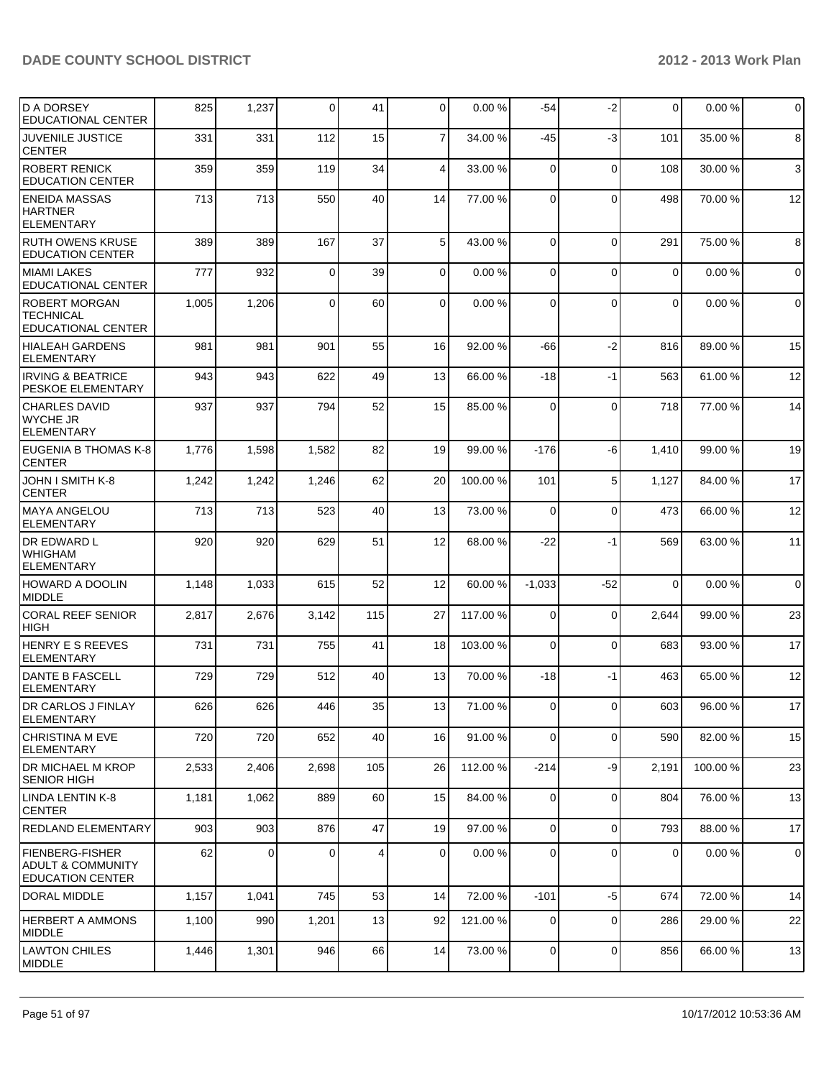| <b>D A DORSEY</b><br>EDUCATIONAL CENTER                                    | 825   | 1,237    | $\Omega$ | 41  | $\overline{0}$ | 0.00%    | -54            | -2          | $\mathbf 0$    | 0.00%   | $\overline{0}$ |
|----------------------------------------------------------------------------|-------|----------|----------|-----|----------------|----------|----------------|-------------|----------------|---------|----------------|
| JUVENILE JUSTICE<br><b>CENTER</b>                                          | 331   | 331      | 112      | 15  | $\overline{7}$ | 34.00 %  | -45            | -3          | 101            | 35.00 % | 8              |
| <b>ROBERT RENICK</b><br><b>EDUCATION CENTER</b>                            | 359   | 359      | 119      | 34  | $\vert$        | 33.00 %  | $\overline{0}$ | $\mathbf 0$ | 108            | 30.00%  | 3              |
| <b>ENEIDA MASSAS</b><br><b>HARTNER</b><br><b>ELEMENTARY</b>                | 713   | 713      | 550      | 40  | 14             | 77.00 %  | $\Omega$       | $\Omega$    | 498            | 70.00%  | 12             |
| <b>RUTH OWENS KRUSE</b><br><b>EDUCATION CENTER</b>                         | 389   | 389      | 167      | 37  | 5 <sub>1</sub> | 43.00 %  | $\Omega$       | $\Omega$    | 291            | 75.00 % | 8              |
| <b>MIAMI LAKES</b><br>EDUCATIONAL CENTER                                   | 777   | 932      | $\Omega$ | 39  | $\overline{0}$ | 0.00%    | $\overline{0}$ | 0           | $\mathbf 0$    | 0.00%   | $\overline{0}$ |
| <b>ROBERT MORGAN</b><br><b>ITECHNICAL</b><br><b>EDUCATIONAL CENTER</b>     | 1,005 | 1,206    | $\Omega$ | 60  | $\Omega$       | 0.00%    | $\Omega$       | 0           | 0              | 0.00%   | $\overline{0}$ |
| HIALEAH GARDENS<br><b>ELEMENTARY</b>                                       | 981   | 981      | 901      | 55  | 16             | 92.00 %  | $-66$          | $-2$        | 816            | 89.00 % | 15             |
| <b>IRVING &amp; BEATRICE</b><br><b>PESKOE ELEMENTARY</b>                   | 943   | 943      | 622      | 49  | 13             | 66.00 %  | $-18$          | -1          | 563            | 61.00%  | 12             |
| <b>CHARLES DAVID</b><br><b>WYCHE JR</b><br><b>ELEMENTARY</b>               | 937   | 937      | 794      | 52  | 15             | 85.00 %  | $\Omega$       | $\mathbf 0$ | 718            | 77.00 % | 14             |
| EUGENIA B THOMAS K-8<br><b>CENTER</b>                                      | 1,776 | 1,598    | 1,582    | 82  | 19             | 99.00 %  | -176           | -6          | 1,410          | 99.00 % | 19             |
| JOHN I SMITH K-8<br><b>CENTER</b>                                          | 1,242 | 1,242    | 1,246    | 62  | 20             | 100.00%  | 101            | 5           | 1,127          | 84.00%  | 17             |
| MAYA ANGELOU<br>ELEMENTARY                                                 | 713   | 713      | 523      | 40  | 13             | 73.00 %  | $\overline{0}$ | 0           | 473            | 66.00 % | 12             |
| <b>DR EDWARD L</b><br><b>WHIGHAM</b><br><b>ELEMENTARY</b>                  | 920   | 920      | 629      | 51  | 12             | 68.00 %  | $-22$          | -1          | 569            | 63.00 % | 11             |
| <b>HOWARD A DOOLIN</b><br><b>MIDDLE</b>                                    | 1,148 | 1,033    | 615      | 52  | 12             | 60.00 %  | $-1,033$       | $-52$       | $\mathbf 0$    | 0.00%   | $\overline{0}$ |
| CORAL REEF SENIOR<br><b>HIGH</b>                                           | 2,817 | 2,676    | 3,142    | 115 | 27             | 117.00 % | $\mathbf 0$    | $\mathbf 0$ | 2,644          | 99.00 % | 23             |
| <b>HENRY E S REEVES</b><br><b>ELEMENTARY</b>                               | 731   | 731      | 755      | 41  | 18             | 103.00 % | $\Omega$       | 0           | 683            | 93.00 % | 17             |
| <b>DANTE B FASCELL</b><br>ELEMENTARY                                       | 729   | 729      | 512      | 40  | 13             | 70.00 %  | $-18$          | $-1$        | 463            | 65.00 % | 12             |
| DR CARLOS J FINLAY<br>ELEMENTARY                                           | 626   | 626      | 446      | 35  | 13             | 71.00 %  | $\overline{0}$ | 0           | 603            | 96.00%  | $17\,$         |
| ICHRISTINA M EVE<br><b>ELEMENTARY</b>                                      | 720   | 720      | 652      | 40  | 16             | 91.00 %  | $\overline{0}$ | 0           | 590            | 82.00%  | 15             |
| <b>DR MICHAEL M KROP</b><br><b>SENIOR HIGH</b>                             | 2,533 | 2,406    | 2,698    | 105 | 26             | 112.00 % | $-214$         | -9          | 2,191          | 100.00% | 23             |
| LINDA LENTIN K-8<br><b>CENTER</b>                                          | 1,181 | 1,062    | 889      | 60  | 15             | 84.00 %  | $\overline{0}$ | 0           | 804            | 76.00%  | 13             |
| REDLAND ELEMENTARY                                                         | 903   | 903      | 876      | 47  | 19             | 97.00 %  | $\overline{0}$ | $\mathbf 0$ | 793            | 88.00%  | 17             |
| FIENBERG-FISHER<br><b>ADULT &amp; COMMUNITY</b><br><b>EDUCATION CENTER</b> | 62    | $\Omega$ | $\Omega$ | 4   | $\overline{0}$ | 0.00%    | $\overline{0}$ | 0           | $\overline{0}$ | 0.00%   | $\pmb{0}$      |
| DORAL MIDDLE                                                               | 1,157 | 1,041    | 745      | 53  | 14             | 72.00 %  | $-101$         | $-5$        | 674            | 72.00 % | 14             |
| <b>HERBERT A AMMONS</b><br>MIDDLE                                          | 1,100 | 990      | 1,201    | 13  | 92             | 121.00%  | $\overline{0}$ | 0           | 286            | 29.00 % | 22             |
| LAWTON CHILES<br>MIDDLE                                                    | 1,446 | 1,301    | 946      | 66  | 14             | 73.00 %  | $\overline{0}$ | 0           | 856            | 66.00%  | 13             |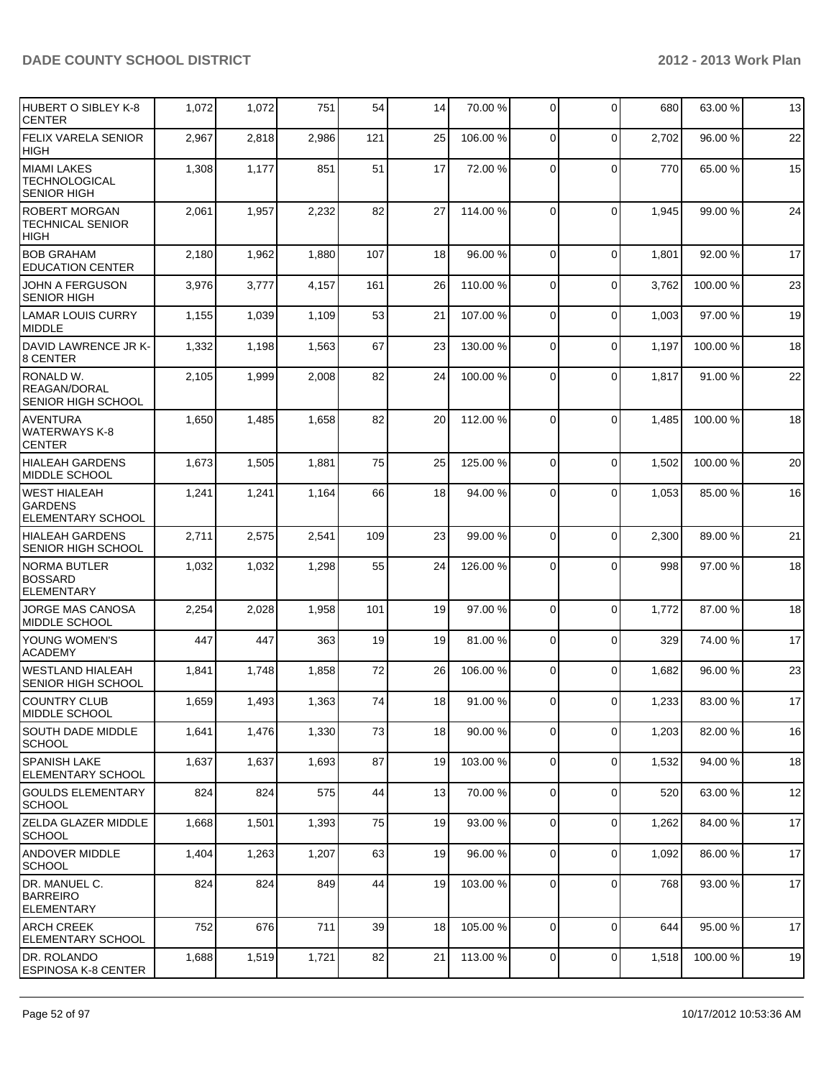| HUBERT O SIBLEY K-8<br><b>CENTER</b>                           | 1,072 | 1,072 | 751   | 54  | 14 | 70.00 %  | $\overline{0}$ | 0              | 680   | 63.00 % | 13 |
|----------------------------------------------------------------|-------|-------|-------|-----|----|----------|----------------|----------------|-------|---------|----|
| <b>FELIX VARELA SENIOR</b><br><b>HIGH</b>                      | 2,967 | 2,818 | 2,986 | 121 | 25 | 106.00 % | $\overline{0}$ | $\mathbf 0$    | 2,702 | 96.00%  | 22 |
| MIAMI LAKES<br><b>TECHNOLOGICAL</b><br><b>SENIOR HIGH</b>      | 1,308 | 1,177 | 851   | 51  | 17 | 72.00 %  | $\overline{0}$ | 0              | 770   | 65.00 % | 15 |
| <b>ROBERT MORGAN</b><br><b>TECHNICAL SENIOR</b><br><b>HIGH</b> | 2,061 | 1,957 | 2,232 | 82  | 27 | 114.00 % | $\Omega$       | $\mathbf 0$    | 1,945 | 99.00 % | 24 |
| <b>BOB GRAHAM</b><br><b>EDUCATION CENTER</b>                   | 2,180 | 1,962 | 1,880 | 107 | 18 | 96.00 %  | $\Omega$       | $\mathbf 0$    | 1,801 | 92.00 % | 17 |
| <b>JOHN A FERGUSON</b><br><b>SENIOR HIGH</b>                   | 3,976 | 3,777 | 4,157 | 161 | 26 | 110.00%  | $\overline{0}$ | $\mathbf 0$    | 3,762 | 100.00% | 23 |
| LAMAR LOUIS CURRY<br>MIDDLE                                    | 1,155 | 1,039 | 1,109 | 53  | 21 | 107.00 % | $\overline{0}$ | 0              | 1,003 | 97.00 % | 19 |
| DAVID LAWRENCE JR K-<br>8 CENTER                               | 1,332 | 1,198 | 1,563 | 67  | 23 | 130.00 % | 0              | $\mathbf 0$    | 1,197 | 100.00% | 18 |
| <b>RONALD W.</b><br>REAGAN/DORAL<br>SENIOR HIGH SCHOOL         | 2,105 | 1,999 | 2,008 | 82  | 24 | 100.00 % | $\Omega$       | 0              | 1,817 | 91.00 % | 22 |
| AVENTURA<br>WATERWAYS K-8<br><b>CENTER</b>                     | 1,650 | 1,485 | 1,658 | 82  | 20 | 112.00 % | $\mathbf 0$    | $\mathbf 0$    | 1,485 | 100.00% | 18 |
| <b>HIALEAH GARDENS</b><br>MIDDLE SCHOOL                        | 1,673 | 1,505 | 1,881 | 75  | 25 | 125.00 % | $\overline{0}$ | $\mathbf 0$    | 1,502 | 100.00% | 20 |
| WEST HIALEAH<br><b>GARDENS</b><br><b>ELEMENTARY SCHOOL</b>     | 1,241 | 1,241 | 1,164 | 66  | 18 | 94.00 %  | 0              | $\mathbf 0$    | 1,053 | 85.00 % | 16 |
| HIALEAH GARDENS<br>SENIOR HIGH SCHOOL                          | 2,711 | 2,575 | 2,541 | 109 | 23 | 99.00 %  | $\overline{0}$ | 0              | 2,300 | 89.00 % | 21 |
| NORMA BUTLER<br><b>BOSSARD</b><br><b>ELEMENTARY</b>            | 1,032 | 1,032 | 1,298 | 55  | 24 | 126.00 % | 0              | $\mathbf 0$    | 998   | 97.00 % | 18 |
| <b>JORGE MAS CANOSA</b><br>MIDDLE SCHOOL                       | 2,254 | 2,028 | 1,958 | 101 | 19 | 97.00 %  | $\overline{0}$ | $\mathbf 0$    | 1,772 | 87.00 % | 18 |
| <b>YOUNG WOMEN'S</b><br><b>ACADEMY</b>                         | 447   | 447   | 363   | 19  | 19 | 81.00 %  | 0              | $\mathbf 0$    | 329   | 74.00%  | 17 |
| WESTLAND HIALEAH<br>SENIOR HIGH SCHOOL                         | 1,841 | 1,748 | 1,858 | 72  | 26 | 106.00 % | $\Omega$       | 0              | 1,682 | 96.00 % | 23 |
| COUNTRY CLUB<br>MIDDLE SCHOOL                                  | 1,659 | 1,493 | 1,363 | 74  | 18 | 91.00 %  | $\overline{0}$ | $\overline{0}$ | 1,233 | 83.00 % | 17 |
| <b>SOUTH DADE MIDDLE</b><br><b>SCHOOL</b>                      | 1,641 | 1,476 | 1,330 | 73  | 18 | 90.00 %  | $\overline{0}$ | 0              | 1,203 | 82.00 % | 16 |
| <b>SPANISH LAKE</b><br><b>ELEMENTARY SCHOOL</b>                | 1,637 | 1,637 | 1,693 | 87  | 19 | 103.00 % | $\mathbf 0$    | 0              | 1,532 | 94.00 % | 18 |
| <b>GOULDS ELEMENTARY</b><br><b>SCHOOL</b>                      | 824   | 824   | 575   | 44  | 13 | 70.00 %  | $\Omega$       | 0              | 520   | 63.00 % | 12 |
| <b>IZELDA GLAZER MIDDLE</b><br><b>SCHOOL</b>                   | 1,668 | 1,501 | 1,393 | 75  | 19 | 93.00 %  | $\overline{0}$ | 0              | 1,262 | 84.00%  | 17 |
| <b>ANDOVER MIDDLE</b><br><b>SCHOOL</b>                         | 1,404 | 1,263 | 1,207 | 63  | 19 | 96.00 %  | $\overline{0}$ | 0              | 1,092 | 86.00%  | 17 |
| DR. MANUEL C.<br>BARREIRO<br>ELEMENTARY                        | 824   | 824   | 849   | 44  | 19 | 103.00 % | $\overline{0}$ | 0              | 768   | 93.00 % | 17 |
| <b>ARCH CREEK</b><br><b>ELEMENTARY SCHOOL</b>                  | 752   | 676   | 711   | 39  | 18 | 105.00 % | $\overline{0}$ | $\mathbf 0$    | 644   | 95.00 % | 17 |
| DR. ROLANDO<br>ESPINOSA K-8 CENTER                             | 1,688 | 1,519 | 1,721 | 82  | 21 | 113.00 % | $\overline{0}$ | 0              | 1,518 | 100.00% | 19 |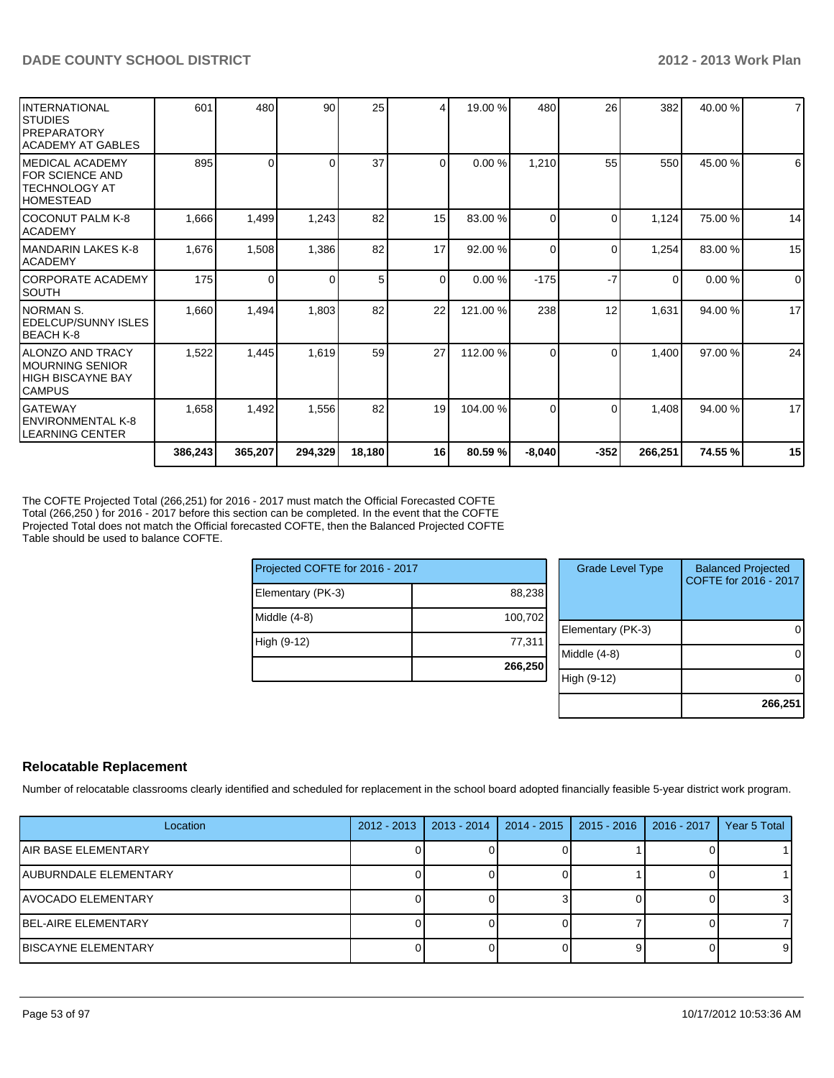| IINTERNATIONAL<br>ISTUDIES<br><b>IPREPARATORY</b><br>IACADEMY AT GABLES           | 601     | 480      | 90 <sub>1</sub> | 25     | 4               | 19.00 %  | 480      | 26       | 382      | 40.00 % | $\overline{7}$ |
|-----------------------------------------------------------------------------------|---------|----------|-----------------|--------|-----------------|----------|----------|----------|----------|---------|----------------|
| IMEDICAL ACADEMY<br><b>IFOR SCIENCE AND</b><br>ITECHNOLOGY AT<br><b>HOMESTEAD</b> | 895     | U        | $\Omega$        | 37     | $\Omega$        | 0.00%    | 1,210    | 55       | 550      | 45.00 % | 6              |
| ICOCONUT PALM K-8<br>IACADEMY                                                     | 1,666   | 1,499    | 1,243           | 82     | 15              | 83.00 %  | $\Omega$ | 0        | 1,124    | 75.00 % | 14             |
| IMANDARIN LAKES K-8<br> ACADEMY                                                   | 1,676   | 1,508    | 1,386           | 82     | 17              | 92.00 %  | $\Omega$ | 0        | 1,254    | 83.00 % | 15             |
| ICORPORATE ACADEMY<br>Isouth                                                      | 175     | $\Omega$ | $\Omega$        | 5      | $\Omega$        | 0.00%    | $-175$   | -7       | $\Omega$ | 0.00%   | $\overline{0}$ |
| INORMAN S.<br><b>IEDELCUP/SUNNY ISLES</b><br>IBEACH K-8                           | 1,660   | 1,494    | 1,803           | 82     | 22              | 121.00 % | 238      | 12       | 1,631    | 94.00 % | 17             |
| IALONZO AND TRACY<br>IMOURNING SENIOR<br>IHIGH BISCAYNE BAY<br><b>CAMPUS</b>      | 1,522   | 1,445    | 1,619           | 59     | 27              | 112.00 % | $\Omega$ | $\Omega$ | 1,400    | 97.00 % | 24             |
| lGATEWAY<br>IENVIRONMENTAL K-8<br><b>LEARNING CENTER</b>                          | 1,658   | 1,492    | 1,556           | 82     | 19              | 104.00 % | $\Omega$ | $\Omega$ | 1,408    | 94.00 % | 17             |
|                                                                                   | 386,243 | 365,207  | 294,329         | 18,180 | 16 <sup>1</sup> | 80.59 %  | $-8,040$ | $-352$   | 266,251  | 74.55 % | 15             |

The COFTE Projected Total (266,251) for 2016 - 2017 must match the Official Forecasted COFTE Total (266,250 ) for 2016 - 2017 before this section can be completed. In the event that the COFTE Projected Total does not match the Official forecasted COFTE, then the Balanced Projected COFTE Table should be used to balance COFTE.

| Projected COFTE for 2016 - 2017 |         | <b>Grade Level Type</b> | <b>Balanced Projected</b><br>COFTE for 2016 - 2017 |
|---------------------------------|---------|-------------------------|----------------------------------------------------|
| Elementary (PK-3)               | 88,238  |                         |                                                    |
| Middle (4-8)                    | 100.702 |                         |                                                    |
|                                 |         | Elementary (PK-3)       |                                                    |
| High (9-12)                     | 77,311  |                         |                                                    |
|                                 |         | Middle (4-8)            |                                                    |
|                                 | 266,250 |                         |                                                    |
|                                 |         | High (9-12)             |                                                    |
|                                 |         |                         |                                                    |
|                                 |         |                         | 266.251                                            |

#### **Relocatable Replacement**

Number of relocatable classrooms clearly identified and scheduled for replacement in the school board adopted financially feasible 5-year district work program.

| Location                     | $2012 - 2013$ | 2013 - 2014 | 2014 - 2015 | 2015 - 2016 | 2016 - 2017 | Year 5 Total |
|------------------------------|---------------|-------------|-------------|-------------|-------------|--------------|
| IAIR BASE ELEMENTARY         |               |             |             |             |             |              |
| <b>AUBURNDALE ELEMENTARY</b> |               |             |             |             |             |              |
| <b>AVOCADO ELEMENTARY</b>    |               |             |             |             |             |              |
| <b>BEL-AIRE ELEMENTARY</b>   |               |             |             |             |             |              |
| <b>BISCAYNE ELEMENTARY</b>   |               |             |             |             |             | 91           |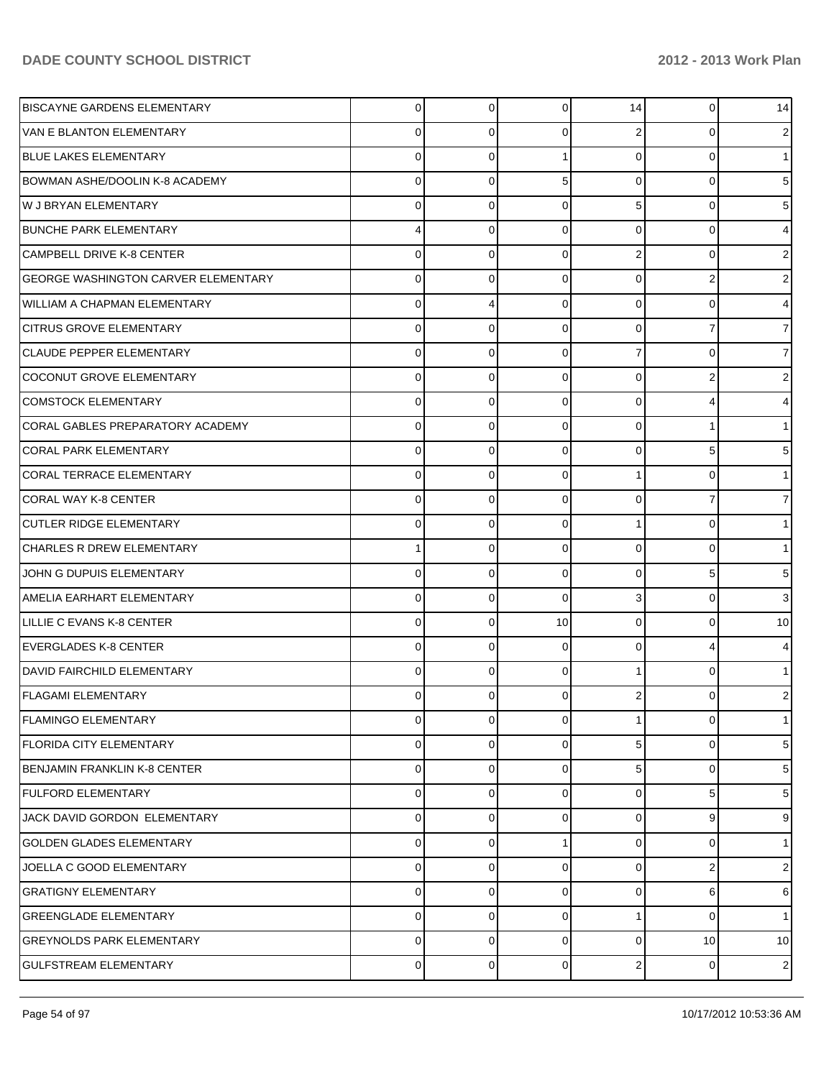| <b>BISCAYNE GARDENS ELEMENTARY</b>         | 0           | 0           | $\overline{0}$ | 14             | $\overline{0}$ | 14              |
|--------------------------------------------|-------------|-------------|----------------|----------------|----------------|-----------------|
| VAN E BLANTON ELEMENTARY                   | 0           | 0           | 0              | 2              | 0              | 2               |
| <b>BLUE LAKES ELEMENTARY</b>               | 0           | 0           |                | $\Omega$       | O              | 1.              |
| BOWMAN ASHE/DOOLIN K-8 ACADEMY             | 0           | $\Omega$    | 5              | 0              | 0              | 5               |
| W J BRYAN ELEMENTARY                       | 0           | 0           | 0              | 5              | $\Omega$       | 5               |
| <b>BUNCHE PARK ELEMENTARY</b>              | 4           | 0           | $\Omega$       | 0              | 0              | 4               |
| CAMPBELL DRIVE K-8 CENTER                  | 0           | 0           | $\Omega$       | 2              | $\Omega$       | 2               |
| <b>GEORGE WASHINGTON CARVER ELEMENTARY</b> | 0           | 0           | $\Omega$       | $\Omega$       | 2              | 2               |
| <b>WILLIAM A CHAPMAN ELEMENTARY</b>        | 0           |             | $\Omega$       | 0              | O              | 4               |
| <b>CITRUS GROVE ELEMENTARY</b>             | 0           | $\Omega$    | $\Omega$       | 0              |                | 7               |
| CLAUDE PEPPER ELEMENTARY                   | 0           | 0           | $\Omega$       | 7              | 0              | 7               |
| COCONUT GROVE ELEMENTARY                   | 0           | $\Omega$    | $\Omega$       | 0              | 2              | 2               |
| <b>COMSTOCK ELEMENTARY</b>                 | 0           | 0           | $\Omega$       | $\Omega$       |                | 4               |
| CORAL GABLES PREPARATORY ACADEMY           | 0           | $\Omega$    | $\Omega$       | $\Omega$       |                |                 |
| <b>CORAL PARK ELEMENTARY</b>               | 0           | 0           | $\Omega$       | $\Omega$       |                | 5               |
| <b>CORAL TERRACE ELEMENTARY</b>            | 0           | $\Omega$    | $\Omega$       |                | $\Omega$       |                 |
| CORAL WAY K-8 CENTER                       | 0           | 0           | $\Omega$       | $\Omega$       |                | 7               |
| <b>CUTLER RIDGE ELEMENTARY</b>             | 0           | $\Omega$    | $\Omega$       |                | 0              |                 |
| <b>CHARLES R DREW ELEMENTARY</b>           |             | 0           | $\Omega$       | $\Omega$       | $\Omega$       |                 |
| JOHN G DUPUIS ELEMENTARY                   | $\mathbf 0$ | $\Omega$    | $\Omega$       | $\Omega$       | 5              | 5               |
| AMELIA EARHART ELEMENTARY                  | 0           | 0           | $\Omega$       | 3              | $\Omega$       | 3               |
| LILLIE C EVANS K-8 CENTER                  | 0           | $\Omega$    | 10             | $\Omega$       | 0              | 10              |
| EVERGLADES K-8 CENTER                      | 0           | 0           | $\Omega$       | $\Omega$       |                | 4               |
| DAVID FAIRCHILD ELEMENTARY                 | 0           | $\Omega$    | $\Omega$       |                | $\Omega$       | 1               |
| <b>FLAGAMI ELEMENTARY</b>                  | 0           | 0           | 0              | 2              | 0              | 2               |
| <b>FLAMINGO ELEMENTARY</b>                 | $\mathbf 0$ | $\mathbf 0$ | $\mathbf 0$    | 1              | 0              | 1               |
| <b>FLORIDA CITY ELEMENTARY</b>             | 0           | 0           | 0              | 5              | $\Omega$       | 5               |
| <b>BENJAMIN FRANKLIN K-8 CENTER</b>        | 0           | 0           | 0              | 5              | 0              | 5               |
| <b>FULFORD ELEMENTARY</b>                  | 0           | 0           | 0              | 0              | 5              | 5               |
| JACK DAVID GORDON ELEMENTARY               | 0           | 0           | $\Omega$       | $\Omega$       | 9              | 9               |
| <b>GOLDEN GLADES ELEMENTARY</b>            | 0           | 0           |                | $\overline{0}$ | $\Omega$       | 1 <sup>1</sup>  |
| JOELLA C GOOD ELEMENTARY                   | 0           | $\Omega$    | 0              | $\Omega$       | 2              | 2 <sub>1</sub>  |
| <b>GRATIGNY ELEMENTARY</b>                 | 0           | 0           | 0              | $\overline{0}$ | 6              | 6               |
| <b>GREENGLADE ELEMENTARY</b>               | 0           | 0           | $\Omega$       |                | $\Omega$       | 1               |
| <b>GREYNOLDS PARK ELEMENTARY</b>           | 0           | 0           | $\mathbf 0$    | 0              | 10             | 10 <sup>1</sup> |
| <b>GULFSTREAM ELEMENTARY</b>               | $\pmb{0}$   | 0           | $\mathbf 0$    | $\mathbf{2}$   | 0              | $2\vert$        |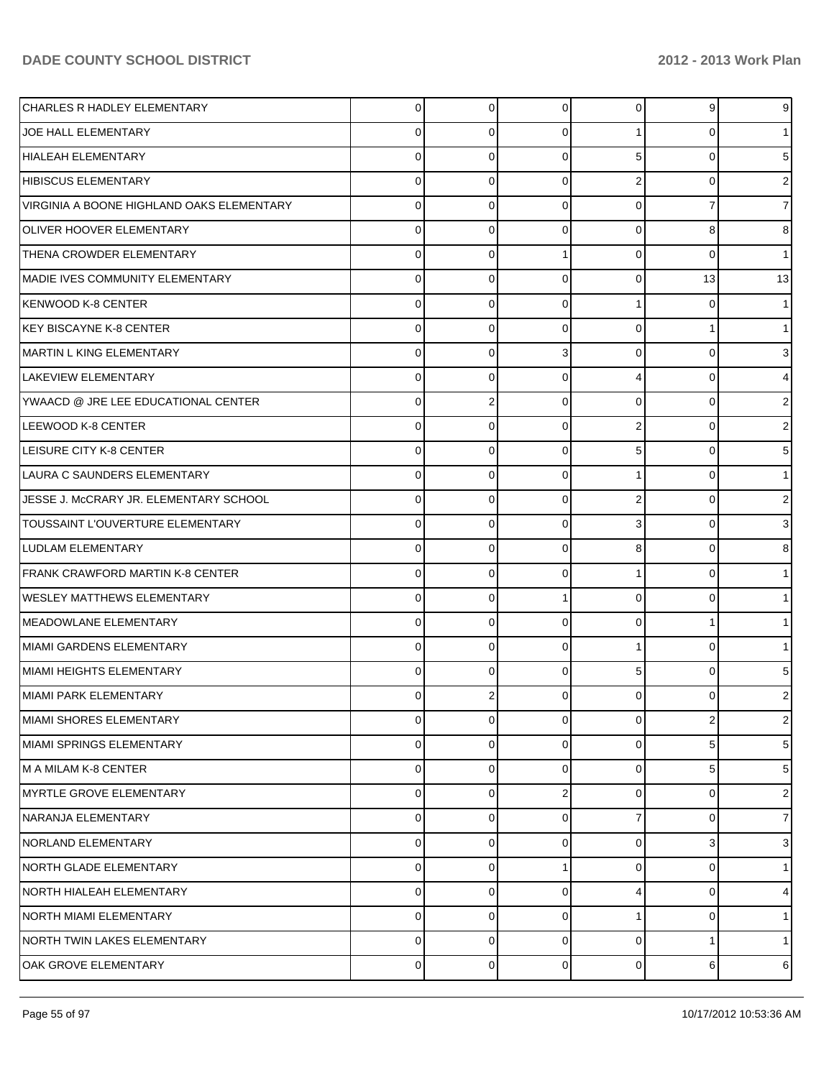| CHARLES R HADLEY ELEMENTARY               | 0           | 0        | $\overline{0}$ | $\overline{0}$ | 9                       | 9                |
|-------------------------------------------|-------------|----------|----------------|----------------|-------------------------|------------------|
| JOE HALL ELEMENTARY                       | 0           | 0        | $\Omega$       |                | 0                       |                  |
| HIALEAH ELEMENTARY                        | 0           | 0        | 0              | 5              | O                       | 5                |
| <b>HIBISCUS ELEMENTARY</b>                | 0           | 0        | $\Omega$       | 2              | 0                       | 2                |
| VIRGINIA A BOONE HIGHLAND OAKS ELEMENTARY | 0           | 0        | $\Omega$       | $\Omega$       |                         | 7                |
| <b>OLIVER HOOVER ELEMENTARY</b>           | 0           | $\Omega$ | $\Omega$       | 0              | 8                       | 8                |
| THENA CROWDER ELEMENTARY                  | 0           | 0        |                | $\Omega$       | 0                       | 1                |
| MADIE IVES COMMUNITY ELEMENTARY           | 0           | 0        | $\Omega$       | $\Omega$       | 13                      | 13               |
| KENWOOD K-8 CENTER                        | 0           | 0        | 0              |                | $\Omega$                | 1.               |
| KEY BISCAYNE K-8 CENTER                   | 0           | $\Omega$ | $\Omega$       | 0              |                         |                  |
| MARTIN L KING ELEMENTARY                  | 0           | 0        | 3              | 0              | $\Omega$                | 3                |
| LAKEVIEW ELEMENTARY                       | 0           | $\Omega$ | $\Omega$       | 4              | 0                       | 4                |
| YWAACD @ JRE LEE EDUCATIONAL CENTER       | 0           | 2        | $\Omega$       | 0              | 0                       | 2                |
| LEEWOOD K-8 CENTER                        | 0           | $\Omega$ | $\Omega$       | 2              | 0                       | 2                |
| LEISURE CITY K-8 CENTER                   | 0           | 0        | $\Omega$       | 5              | 0                       | 5                |
| LAURA C SAUNDERS ELEMENTARY               | 0           | $\Omega$ | $\Omega$       |                | 0                       |                  |
| JESSE J. McCRARY JR. ELEMENTARY SCHOOL    | 0           | 0        | $\Omega$       | $\overline{2}$ | 0                       | 2                |
| TOUSSAINT L'OUVERTURE ELEMENTARY          | 0           | $\Omega$ | $\Omega$       | 3              | $\Omega$                | 3                |
| <b>LUDLAM ELEMENTARY</b>                  | 0           | 0        | $\Omega$       | 8              | 0                       | 8                |
| FRANK CRAWFORD MARTIN K-8 CENTER          | 0           | $\Omega$ | $\Omega$       |                | 0                       |                  |
| <b>WESLEY MATTHEWS ELEMENTARY</b>         | 0           | 0        |                | 0              | O                       |                  |
| MEADOWLANE ELEMENTARY                     | 0           | 0        | $\Omega$       | 0              |                         |                  |
| MIAMI GARDENS ELEMENTARY                  | 0           | 0        | $\Omega$       |                | 0                       |                  |
| MIAMI HEIGHTS ELEMENTARY                  | 0           | 0        | $\Omega$       | 5              | 0                       | 5                |
| MIAMI PARK ELEMENTARY                     | 0           | 2        | 0              | 0              | 0                       | 2                |
| MIAMI SHORES ELEMENTARY                   | $\mathbf 0$ | 0        | $\mathbf 0$    | $\overline{0}$ | $\overline{\mathbf{c}}$ | 2 <sub>1</sub>   |
| MIAMI SPRINGS ELEMENTARY                  | 0           | 0        | $\Omega$       | 0              | 5                       | 5                |
| M A MILAM K-8 CENTER                      | 0           | 0        | $\Omega$       | $\Omega$       | 5                       | 5                |
| <b>MYRTLE GROVE ELEMENTARY</b>            | 0           | 0        | 2              | 0              | $\Omega$                | 21               |
| NARANJA ELEMENTARY                        | 0           | $\Omega$ | $\Omega$       | 7              | 0                       | 71               |
| NORLAND ELEMENTARY                        | 0           | 0        | $\Omega$       | $\Omega$       | 3                       | 3                |
| NORTH GLADE ELEMENTARY                    | 0           | 0        |                | $\Omega$       | 0                       | 1                |
| NORTH HIALEAH ELEMENTARY                  | 0           | 0        | $\Omega$       | 4              | $\Omega$                | 4                |
| NORTH MIAMI ELEMENTARY                    | 0           | 0        | $\Omega$       |                | 0                       | 1                |
| NORTH TWIN LAKES ELEMENTARY               | 0           | 0        | 0              | 0              |                         | 1                |
| OAK GROVE ELEMENTARY                      | $\pmb{0}$   | 0        | $\mathbf 0$    | $\overline{0}$ | 6                       | $6 \overline{6}$ |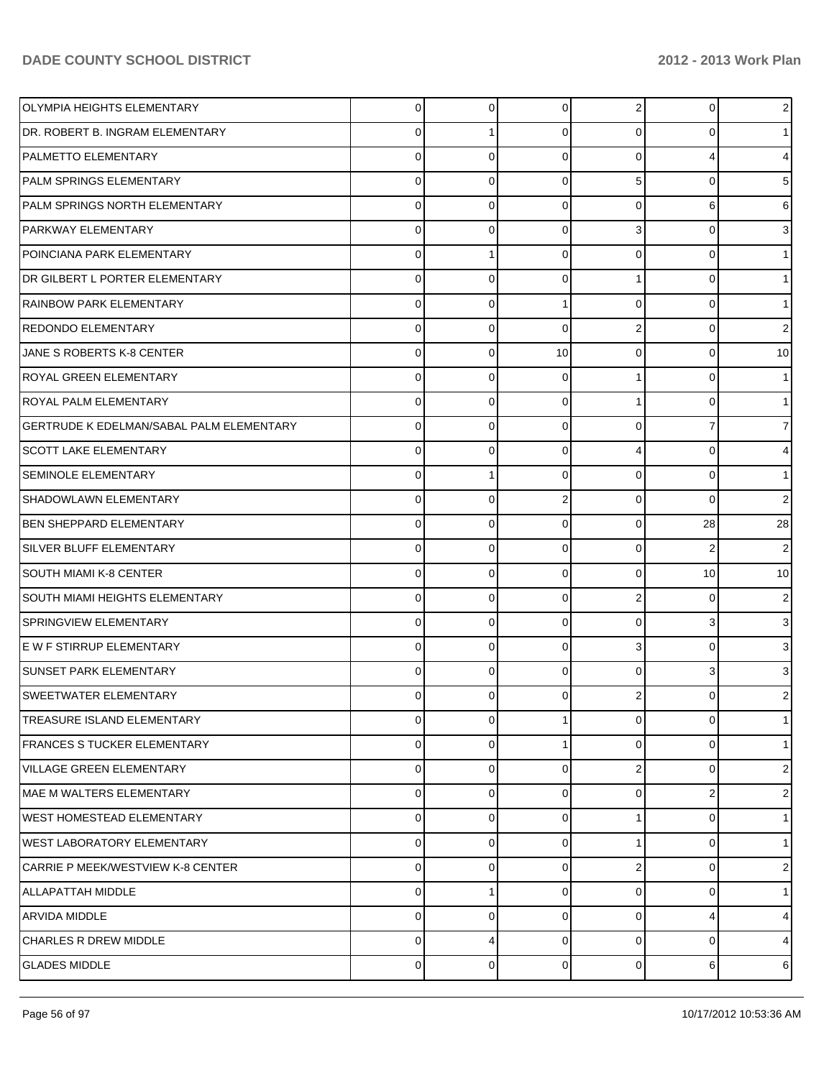| OLYMPIA HEIGHTS ELEMENTARY               | $\overline{0}$ | 0           | $\Omega$       | 2              | $\overline{0}$ | $\overline{2}$   |
|------------------------------------------|----------------|-------------|----------------|----------------|----------------|------------------|
| DR. ROBERT B. INGRAM ELEMENTARY          | 0              |             | 0              | $\Omega$       | 0              |                  |
| <b>PALMETTO ELEMENTARY</b>               | 0              | 0           | $\Omega$       | $\Omega$       |                | 4                |
| <b>PALM SPRINGS ELEMENTARY</b>           | 0              | 0           | $\Omega$       | 5              | 0              | 5                |
| PALM SPRINGS NORTH ELEMENTARY            | 0              | 0           | $\Omega$       | $\Omega$       | 6              | 6                |
| <b>PARKWAY ELEMENTARY</b>                | 0              | 0           | $\Omega$       | 3              | 0              | 3                |
| POINCIANA PARK ELEMENTARY                | 0              |             | $\Omega$       | $\Omega$       | 0              |                  |
| DR GILBERT L PORTER ELEMENTARY           | 0              | 0           | $\Omega$       |                | 0              |                  |
| <b>RAINBOW PARK ELEMENTARY</b>           | 0              | 0           |                | $\Omega$       | 0              |                  |
| REDONDO ELEMENTARY                       | 0              | 0           | $\mathbf 0$    | 2              | $\Omega$       | 2                |
| JANE S ROBERTS K-8 CENTER                | 0              | 0           | 10             | $\Omega$       | 0              | 10               |
| <b>ROYAL GREEN ELEMENTARY</b>            | 0              | $\mathbf 0$ | $\mathbf 0$    |                | 0              |                  |
| <b>ROYAL PALM ELEMENTARY</b>             | 0              | 0           | $\Omega$       |                | 0              |                  |
| GERTRUDE K EDELMAN/SABAL PALM ELEMENTARY | 0              | 0           | $\mathbf 0$    | $\Omega$       |                | 7                |
| <b>SCOTT LAKE ELEMENTARY</b>             | 0              | 0           | $\Omega$       | 4              | 0              | 4                |
| <b>SEMINOLE ELEMENTARY</b>               | 0              |             | $\Omega$       | $\Omega$       | $\Omega$       | 1                |
| SHADOWLAWN ELEMENTARY                    | 0              | 0           | $\overline{2}$ | $\Omega$       | $\Omega$       | 2                |
| <b>BEN SHEPPARD ELEMENTARY</b>           | 0              | $\mathbf 0$ | $\mathbf 0$    | 0              | 28             | 28               |
| <b>SILVER BLUFF ELEMENTARY</b>           | 0              | 0           | $\Omega$       | $\Omega$       | 2              | 2                |
| SOUTH MIAMI K-8 CENTER                   | 0              | $\mathbf 0$ | $\mathbf 0$    | 0              | 10             | 10               |
| SOUTH MIAMI HEIGHTS ELEMENTARY           | 0              | 0           | $\Omega$       | 2              | 0              | 2                |
| SPRINGVIEW ELEMENTARY                    | 0              | 0           | $\Omega$       | $\Omega$       | 3              | 3 <sup>1</sup>   |
| E W F STIRRUP ELEMENTARY                 | 0              | 0           | $\Omega$       | 3              | 0              | 3                |
| <b>SUNSET PARK ELEMENTARY</b>            | 0              | 0           | $\Omega$       | $\Omega$       | 3              | 3                |
| <b>SWEETWATER ELEMENTARY</b>             | 0              | 0           | ſ              | 2              |                | 2                |
| TREASURE ISLAND ELEMENTARY               | 0              | 0           | 1              | $\overline{0}$ | $\overline{0}$ | 1 <sup>1</sup>   |
| <b>FRANCES S TUCKER ELEMENTARY</b>       | 0              | 0           |                | 0              | 0              | 1                |
| VILLAGE GREEN ELEMENTARY                 | 0              | 0           | $\Omega$       | 2              | 0              | 21               |
| MAE M WALTERS ELEMENTARY                 | 0              | 0           | $\mathbf 0$    | 0              | 2              | 2 <sub>1</sub>   |
| WEST HOMESTEAD ELEMENTARY                | 0              | 0           | $\mathbf 0$    |                | 0              | 1                |
| <b>WEST LABORATORY ELEMENTARY</b>        | 0              | 0           | $\mathbf 0$    |                | 0              | 1                |
| CARRIE P MEEK/WESTVIEW K-8 CENTER        | 0              | 0           | $\mathbf 0$    | 2              | 0              | 2 <sub>1</sub>   |
| ALLAPATTAH MIDDLE                        | 0              |             | $\mathbf 0$    | 0              | 0              | 1                |
| <b>ARVIDA MIDDLE</b>                     | 0              | 0           | $\Omega$       | $\Omega$       |                | 4                |
| <b>CHARLES R DREW MIDDLE</b>             | 0              | 4           | $\mathbf 0$    | 0              | 0              | $\overline{4}$   |
| <b>GLADES MIDDLE</b>                     |                | 0           | $\mathbf 0$    | $\overline{0}$ | 6              | $6 \overline{6}$ |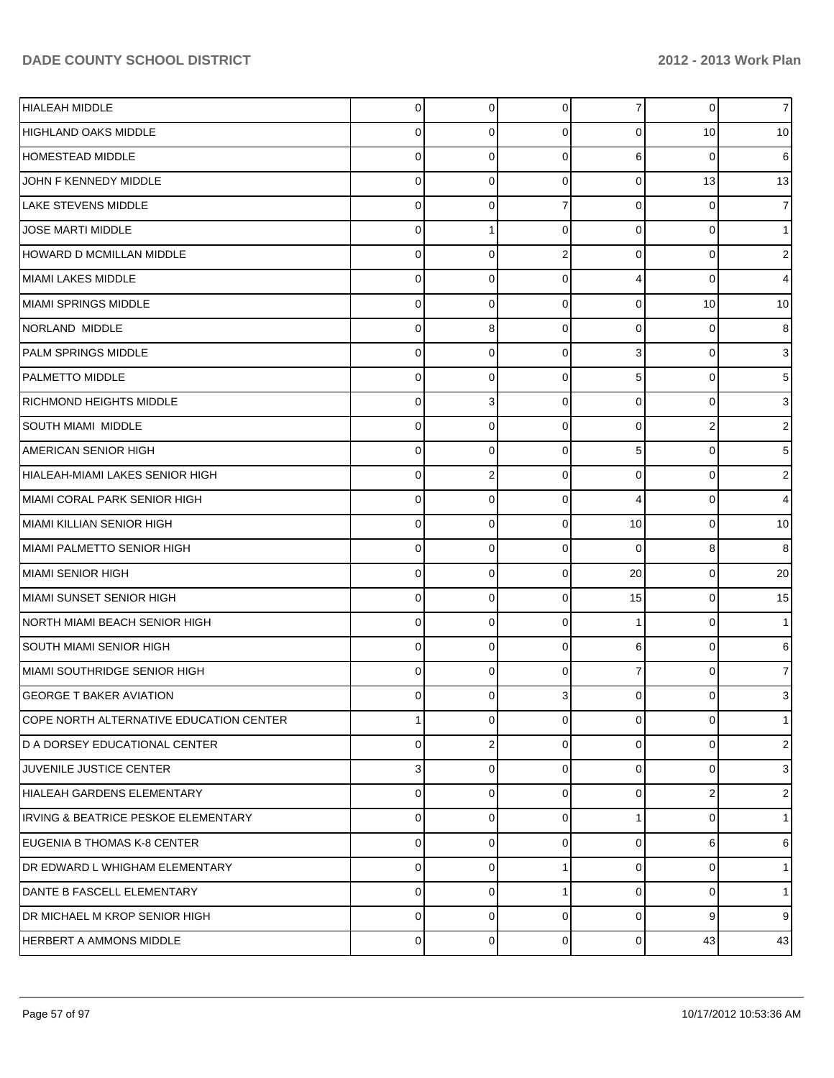| <b>HIALEAH MIDDLE</b>                          | 0 | 0        | 0              | 7              | 0              | 7 <sup>1</sup> |
|------------------------------------------------|---|----------|----------------|----------------|----------------|----------------|
| <b>HIGHLAND OAKS MIDDLE</b>                    | 0 | 0        | $\Omega$       | $\Omega$       | 10             | 10             |
| <b>HOMESTEAD MIDDLE</b>                        | 0 | $\Omega$ | $\Omega$       | 6              | $\Omega$       | 6              |
| JOHN F KENNEDY MIDDLE                          | 0 | $\Omega$ | $\Omega$       | $\Omega$       | 13             | 13             |
| <b>LAKE STEVENS MIDDLE</b>                     | 0 | $\Omega$ | 7              | $\Omega$       | $\Omega$       | 7              |
| <b>JOSE MARTI MIDDLE</b>                       | 0 |          | $\Omega$       | $\Omega$       | $\Omega$       |                |
| <b>HOWARD D MCMILLAN MIDDLE</b>                | 0 | $\Omega$ | $\overline{2}$ | $\Omega$       | $\Omega$       | 2              |
| <b>MIAMI LAKES MIDDLE</b>                      | 0 | 0        | $\Omega$       | 4              | $\Omega$       | 4              |
| <b>MIAMI SPRINGS MIDDLE</b>                    | 0 | $\Omega$ | $\Omega$       | $\Omega$       | 10             | 10             |
| NORLAND MIDDLE                                 | 0 | 8        | $\Omega$       | $\Omega$       | $\Omega$       | 8              |
| <b>PALM SPRINGS MIDDLE</b>                     | 0 | $\Omega$ | $\Omega$       | 3              | 0              | 3              |
| <b>PALMETTO MIDDLE</b>                         | 0 | $\Omega$ | $\Omega$       | 5              | $\Omega$       | 5              |
| <b>RICHMOND HEIGHTS MIDDLE</b>                 | 0 | 3        | $\Omega$       | $\Omega$       | $\Omega$       | 3              |
| <b>SOUTH MIAMI MIDDLE</b>                      | 0 | 0        | $\Omega$       | $\Omega$       | 2              | 2              |
| AMERICAN SENIOR HIGH                           | 0 | $\Omega$ | $\Omega$       | 5              | $\Omega$       | 5              |
| HIALEAH-MIAMI LAKES SENIOR HIGH                | 0 | 2        | $\Omega$       | $\Omega$       | $\Omega$       | 2              |
| MIAMI CORAL PARK SENIOR HIGH                   | 0 | 0        | $\Omega$       | 4              | $\Omega$       | 4              |
| <b>MIAMI KILLIAN SENIOR HIGH</b>               | 0 | 0        | $\Omega$       | 10             | $\Omega$       | 10             |
| MIAMI PALMETTO SENIOR HIGH                     | 0 | $\Omega$ | $\Omega$       | $\Omega$       | 8              | 8              |
| <b>MIAMI SENIOR HIGH</b>                       | 0 | 0        | $\Omega$       | 20             | 0              | 20             |
| MIAMI SUNSET SENIOR HIGH                       | 0 | $\Omega$ | $\Omega$       | 15             | $\Omega$       | 15             |
| NORTH MIAMI BEACH SENIOR HIGH                  | 0 | $\Omega$ | $\Omega$       |                | $\Omega$       |                |
| <b>SOUTH MIAMI SENIOR HIGH</b>                 | 0 | $\Omega$ | $\Omega$       | 6              | $\Omega$       | 6              |
| <b>MIAMI SOUTHRIDGE SENIOR HIGH</b>            | 0 | $\Omega$ | $\Omega$       |                | $\Omega$       | 7              |
| <b>GEORGE T BAKER AVIATION</b>                 | 0 | 0        |                | 0              | 0              | 3              |
| COPE NORTH ALTERNATIVE EDUCATION CENTER        | 1 | 0        | 0              | $\overline{0}$ | $\overline{0}$ | 1 <sup>1</sup> |
| D A DORSEY EDUCATIONAL CENTER                  | 0 | 2        | $\Omega$       | $\overline{0}$ | 0              | 2 <sub>1</sub> |
| JUVENILE JUSTICE CENTER                        | 3 | 0        | $\Omega$       | $\Omega$       | 0              | 3              |
| HIALEAH GARDENS ELEMENTARY                     | 0 | 0        | $\Omega$       | $\overline{0}$ | 2              | 2 <sub>1</sub> |
| <b>IRVING &amp; BEATRICE PESKOE ELEMENTARY</b> | 0 | 0        | $\Omega$       |                | $\Omega$       | 1              |
| EUGENIA B THOMAS K-8 CENTER                    | 0 | 0        | $\Omega$       | 0              | 6              | 6              |
| DR EDWARD L WHIGHAM ELEMENTARY                 | 0 | 0        |                | $\Omega$       | 0              | 1              |
| DANTE B FASCELL ELEMENTARY                     | 0 | 0        |                | $\overline{0}$ | $\Omega$       | 1              |
| DR MICHAEL M KROP SENIOR HIGH                  | 0 | 0        | $\mathbf 0$    | $\Omega$       | 9              | 9              |
| HERBERT A AMMONS MIDDLE                        | 0 | 0        | 0              | $\overline{0}$ | 43             | 43             |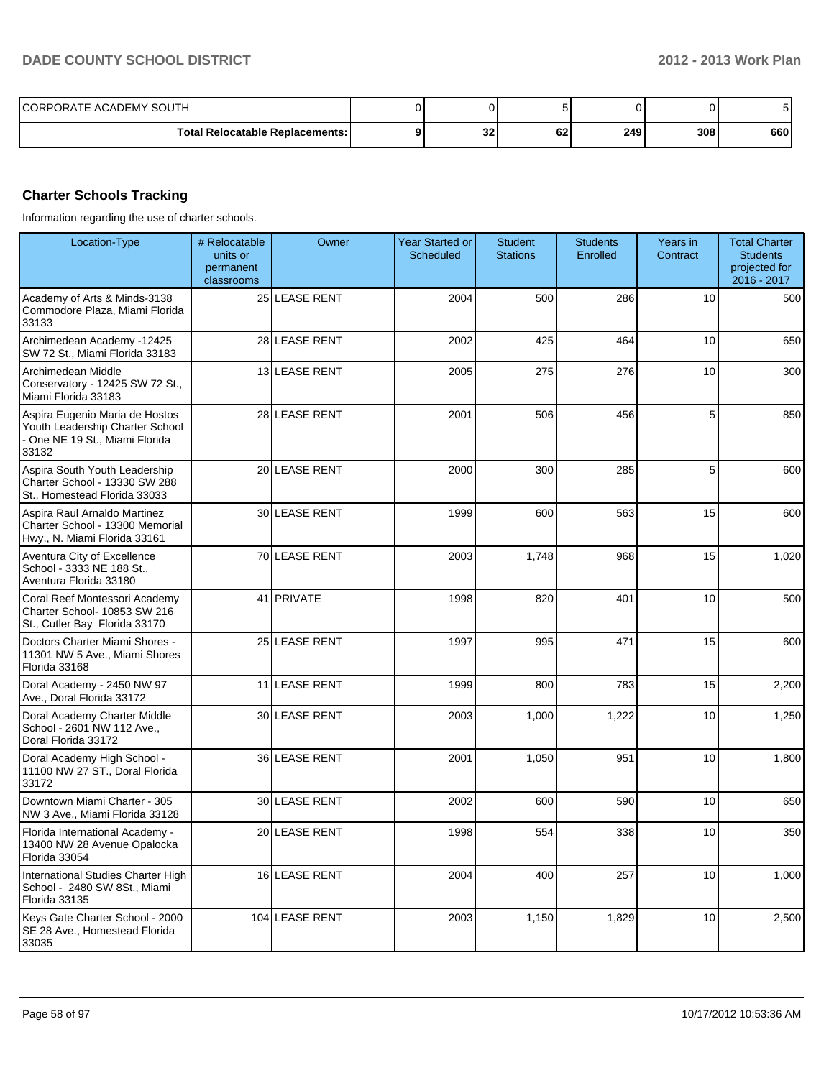| ICORPORATE ACADEMY SOUTH        |           |          |     |     |     |
|---------------------------------|-----------|----------|-----|-----|-----|
| Total Relocatable Replacements: | nn.<br>JZ | c0<br>04 | 249 | 308 | 660 |

#### **Charter Schools Tracking**

Information regarding the use of charter schools.

| Location-Type                                                                                              | # Relocatable<br>units or<br>permanent<br>classrooms | Owner          | <b>Year Started or</b><br><b>Scheduled</b> | <b>Student</b><br><b>Stations</b> | <b>Students</b><br>Enrolled | Years in<br>Contract | <b>Total Charter</b><br><b>Students</b><br>projected for<br>2016 - 2017 |
|------------------------------------------------------------------------------------------------------------|------------------------------------------------------|----------------|--------------------------------------------|-----------------------------------|-----------------------------|----------------------|-------------------------------------------------------------------------|
| Academy of Arts & Minds-3138<br>Commodore Plaza, Miami Florida<br>33133                                    |                                                      | 25 LEASE RENT  | 2004                                       | 500                               | 286                         | 10                   | 500                                                                     |
| Archimedean Academy -12425<br>SW 72 St., Miami Florida 33183                                               |                                                      | 28 LEASE RENT  | 2002                                       | 425                               | 464                         | 10                   | 650                                                                     |
| Archimedean Middle<br>Conservatory - 12425 SW 72 St.,<br>Miami Florida 33183                               |                                                      | 13 LEASE RENT  | 2005                                       | 275                               | 276                         | 10                   | 300                                                                     |
| Aspira Eugenio Maria de Hostos<br>Youth Leadership Charter School<br>One NE 19 St., Miami Florida<br>33132 |                                                      | 28 LEASE RENT  | 2001                                       | 506                               | 456                         | 5                    | 850                                                                     |
| Aspira South Youth Leadership<br>Charter School - 13330 SW 288<br>St., Homestead Florida 33033             |                                                      | 20 LEASE RENT  | 2000                                       | 300                               | 285                         | 5                    | 600                                                                     |
| Aspira Raul Arnaldo Martinez<br>Charter School - 13300 Memorial<br>Hwy., N. Miami Florida 33161            |                                                      | 30 LEASE RENT  | 1999                                       | 600                               | 563                         | 15                   | 600                                                                     |
| Aventura City of Excellence<br>School - 3333 NE 188 St.,<br>Aventura Florida 33180                         |                                                      | 70 LEASE RENT  | 2003                                       | 1,748                             | 968                         | 15                   | 1,020                                                                   |
| Coral Reef Montessori Academy<br>Charter School- 10853 SW 216<br>St., Cutler Bay Florida 33170             |                                                      | 41 PRIVATE     | 1998                                       | 820                               | 401                         | 10                   | 500                                                                     |
| Doctors Charter Miami Shores -<br>11301 NW 5 Ave., Miami Shores<br>Florida 33168                           |                                                      | 25 LEASE RENT  | 1997                                       | 995                               | 471                         | 15                   | 600                                                                     |
| Doral Academy - 2450 NW 97<br>Ave., Doral Florida 33172                                                    |                                                      | 11 LEASE RENT  | 1999                                       | 800                               | 783                         | 15                   | 2,200                                                                   |
| Doral Academy Charter Middle<br>School - 2601 NW 112 Ave.,<br>Doral Florida 33172                          |                                                      | 30 LEASE RENT  | 2003                                       | 1,000                             | 1,222                       | 10                   | 1,250                                                                   |
| Doral Academy High School -<br>11100 NW 27 ST., Doral Florida<br>33172                                     |                                                      | 36 LEASE RENT  | 2001                                       | 1,050                             | 951                         | 10                   | 1,800                                                                   |
| Downtown Miami Charter - 305<br>NW 3 Ave., Miami Florida 33128                                             |                                                      | 30 LEASE RENT  | 2002                                       | 600                               | 590                         | 10                   | 650                                                                     |
| Florida International Academy -<br>13400 NW 28 Avenue Opalocka<br>Florida 33054                            |                                                      | 20 LEASE RENT  | 1998                                       | 554                               | 338                         | 10                   | 350                                                                     |
| International Studies Charter High<br>School - 2480 SW 8St., Miami<br>Florida 33135                        |                                                      | 16 LEASE RENT  | 2004                                       | 400                               | 257                         | 10                   | 1,000                                                                   |
| Keys Gate Charter School - 2000<br>SE 28 Ave., Homestead Florida<br>33035                                  |                                                      | 104 LEASE RENT | 2003                                       | 1,150                             | 1,829                       | 10                   | 2,500                                                                   |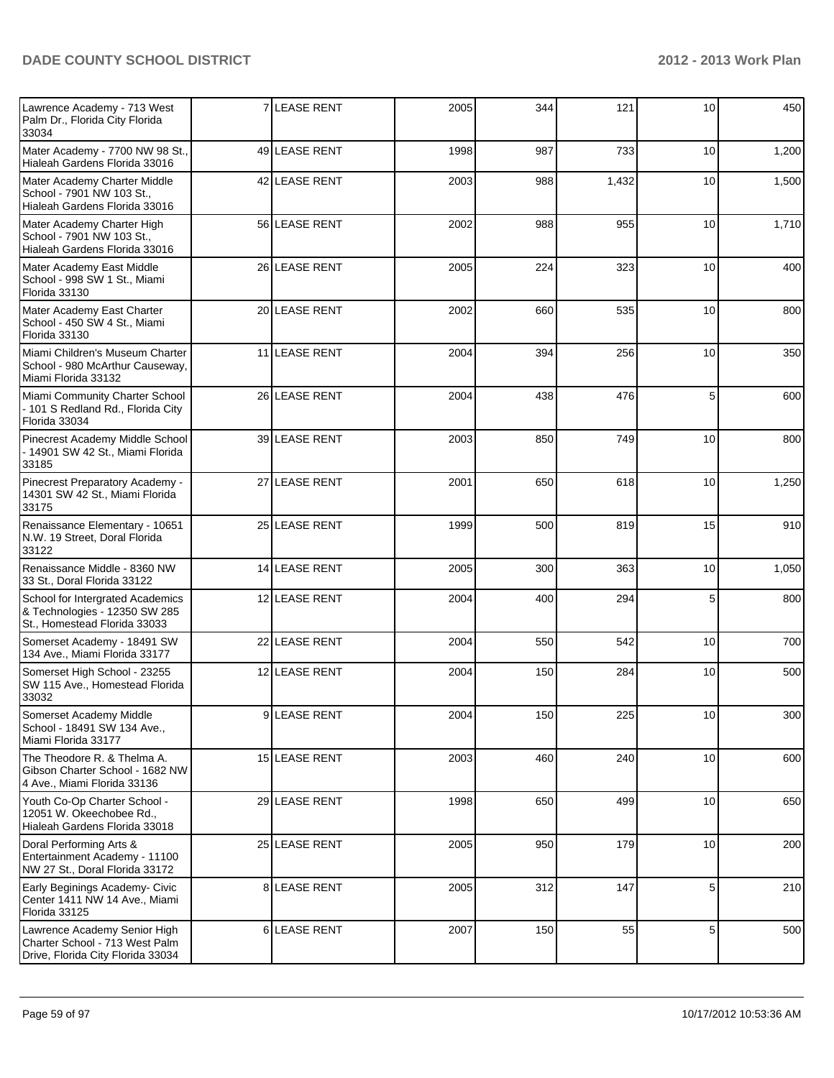| Lawrence Academy - 713 West<br>Palm Dr., Florida City Florida<br>33034                              | <b>7 ILEASE RENT</b> | 2005 | 344 | 121   | 10              | 450   |
|-----------------------------------------------------------------------------------------------------|----------------------|------|-----|-------|-----------------|-------|
| Mater Academy - 7700 NW 98 St.,<br>Hialeah Gardens Florida 33016                                    | 49 LEASE RENT        | 1998 | 987 | 733   | 10              | 1,200 |
| Mater Academy Charter Middle<br>School - 7901 NW 103 St.,<br>Hialeah Gardens Florida 33016          | 42 LEASE RENT        | 2003 | 988 | 1,432 | 10              | 1,500 |
| Mater Academy Charter High<br>School - 7901 NW 103 St.,<br>Hialeah Gardens Florida 33016            | 56 LEASE RENT        | 2002 | 988 | 955   | 10              | 1,710 |
| Mater Academy East Middle<br>School - 998 SW 1 St., Miami<br>Florida 33130                          | 26 LEASE RENT        | 2005 | 224 | 323   | 10              | 400   |
| Mater Academy East Charter<br>School - 450 SW 4 St., Miami<br>Florida 33130                         | 20 LEASE RENT        | 2002 | 660 | 535   | 10              | 800   |
| Miami Children's Museum Charter<br>School - 980 McArthur Causeway,<br>Miami Florida 33132           | 11 LEASE RENT        | 2004 | 394 | 256   | 10              | 350   |
| Miami Community Charter School<br>- 101 S Redland Rd., Florida City<br>Florida 33034                | 26 LEASE RENT        | 2004 | 438 | 476   | 5               | 600   |
| Pinecrest Academy Middle School<br>- 14901 SW 42 St., Miami Florida<br>33185                        | 39 LEASE RENT        | 2003 | 850 | 749   | 10              | 800   |
| Pinecrest Preparatory Academy -<br>14301 SW 42 St., Miami Florida<br>33175                          | 27 LEASE RENT        | 2001 | 650 | 618   | 10              | 1,250 |
| Renaissance Elementary - 10651<br>N.W. 19 Street, Doral Florida<br>33122                            | 25 LEASE RENT        | 1999 | 500 | 819   | 15              | 910   |
| Renaissance Middle - 8360 NW<br>33 St., Doral Florida 33122                                         | 14 LEASE RENT        | 2005 | 300 | 363   | 10              | 1,050 |
| School for Intergrated Academics<br>& Technologies - 12350 SW 285<br>St., Homestead Florida 33033   | 12 LEASE RENT        | 2004 | 400 | 294   | 5               | 800   |
| Somerset Academy - 18491 SW<br>134 Ave., Miami Florida 33177                                        | 22 LEASE RENT        | 2004 | 550 | 542   | 10              | 700   |
| Somerset High School - 23255<br>SW 115 Ave., Homestead Florida<br>33032                             | 12 LEASE RENT        | 2004 | 150 | 284   | 10              | 500   |
| Somerset Academy Middle<br>School - 18491 SW 134 Ave.,<br>Miami Florida 33177                       | 9LEASE RENT          | 2004 | 150 | 225   | 10              | 300   |
| The Theodore R. & Thelma A.<br>Gibson Charter School - 1682 NW<br>4 Ave., Miami Florida 33136       | 15 LEASE RENT        | 2003 | 460 | 240   | 10 <sup>1</sup> | 600   |
| Youth Co-Op Charter School -<br>12051 W. Okeechobee Rd.,<br>Hialeah Gardens Florida 33018           | 29 LEASE RENT        | 1998 | 650 | 499   | 10              | 650   |
| Doral Performing Arts &<br>Entertainment Academy - 11100<br>NW 27 St., Doral Florida 33172          | 25 LEASE RENT        | 2005 | 950 | 179   | 10              | 200   |
| Early Beginings Academy- Civic<br>Center 1411 NW 14 Ave., Miami<br>Florida 33125                    | 8 LEASE RENT         | 2005 | 312 | 147   | 5               | 210   |
| Lawrence Academy Senior High<br>Charter School - 713 West Palm<br>Drive, Florida City Florida 33034 | 6 LEASE RENT         | 2007 | 150 | 55    | 5               | 500   |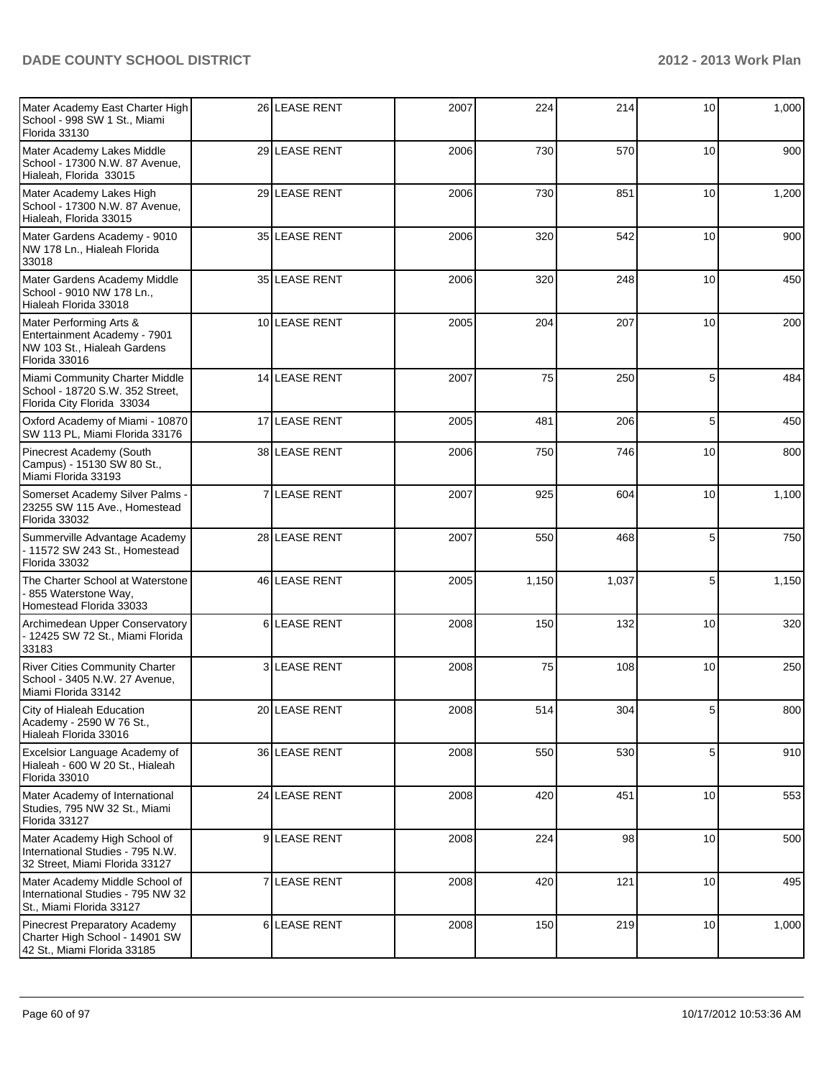| Mater Academy East Charter High<br>School - 998 SW 1 St., Miami<br>Florida 33130                        | 26 LEASE RENT | 2007 | 224   | 214   | 10              | 1,000 |
|---------------------------------------------------------------------------------------------------------|---------------|------|-------|-------|-----------------|-------|
| Mater Academy Lakes Middle<br>School - 17300 N.W. 87 Avenue,<br>Hialeah, Florida 33015                  | 29 LEASE RENT | 2006 | 730   | 570   | 10              | 900   |
| Mater Academy Lakes High<br>School - 17300 N.W. 87 Avenue,<br>Hialeah, Florida 33015                    | 29 LEASE RENT | 2006 | 730   | 851   | 10              | 1,200 |
| Mater Gardens Academy - 9010<br>NW 178 Ln., Hialeah Florida<br>33018                                    | 35 LEASE RENT | 2006 | 320   | 542   | 10              | 900   |
| Mater Gardens Academy Middle<br>School - 9010 NW 178 Ln.,<br>Hialeah Florida 33018                      | 35 LEASE RENT | 2006 | 320   | 248   | 10              | 450   |
| Mater Performing Arts &<br>Entertainment Academy - 7901<br>NW 103 St., Hialeah Gardens<br>Florida 33016 | 10 LEASE RENT | 2005 | 204   | 207   | 10 <sup>1</sup> | 200   |
| Miami Community Charter Middle<br>School - 18720 S.W. 352 Street,<br>Florida City Florida 33034         | 14 LEASE RENT | 2007 | 75    | 250   | 5               | 484   |
| Oxford Academy of Miami - 10870<br>SW 113 PL, Miami Florida 33176                                       | 17 LEASE RENT | 2005 | 481   | 206   | 5               | 450   |
| Pinecrest Academy (South<br>Campus) - 15130 SW 80 St.,<br>Miami Florida 33193                           | 38 LEASE RENT | 2006 | 750   | 746   | 10              | 800   |
| Somerset Academy Silver Palms<br>23255 SW 115 Ave., Homestead<br>Florida 33032                          | 7 LEASE RENT  | 2007 | 925   | 604   | 10              | 1,100 |
| Summerville Advantage Academy<br>- 11572 SW 243 St., Homestead<br>Florida 33032                         | 28 LEASE RENT | 2007 | 550   | 468   | 5               | 750   |
| The Charter School at Waterstone<br>- 855 Waterstone Way,<br>Homestead Florida 33033                    | 46 LEASE RENT | 2005 | 1,150 | 1,037 | 5               | 1,150 |
| Archimedean Upper Conservatory<br>- 12425 SW 72 St., Miami Florida<br>33183                             | 6 LEASE RENT  | 2008 | 150   | 132   | 10              | 320   |
| <b>River Cities Community Charter</b><br>School - 3405 N.W. 27 Avenue,<br>Miami Florida 33142           | 3 LEASE RENT  | 2008 | 75    | 108   | 10              | 250   |
| City of Hialeah Education<br>Academy - 2590 W 76 St.,<br>Hialeah Florida 33016                          | 20 LEASE RENT | 2008 | 514   | 304   | 5               | 800   |
| Excelsior Language Academy of<br>Hialeah - 600 W 20 St., Hialeah<br>Florida 33010                       | 36 LEASE RENT | 2008 | 550   | 530   | 5               | 910   |
| Mater Academy of International<br>Studies, 795 NW 32 St., Miami<br>Florida 33127                        | 24 LEASE RENT | 2008 | 420   | 451   | 10              | 553   |
| Mater Academy High School of<br>International Studies - 795 N.W.<br>32 Street, Miami Florida 33127      | 9LEASE RENT   | 2008 | 224   | 98    | 10              | 500   |
| Mater Academy Middle School of<br>International Studies - 795 NW 32<br>St., Miami Florida 33127         | 7 LEASE RENT  | 2008 | 420   | 121   | 10 <sup>1</sup> | 495   |
| Pinecrest Preparatory Academy<br>Charter High School - 14901 SW<br>42 St., Miami Florida 33185          | 6 LEASE RENT  | 2008 | 150   | 219   | 10              | 1,000 |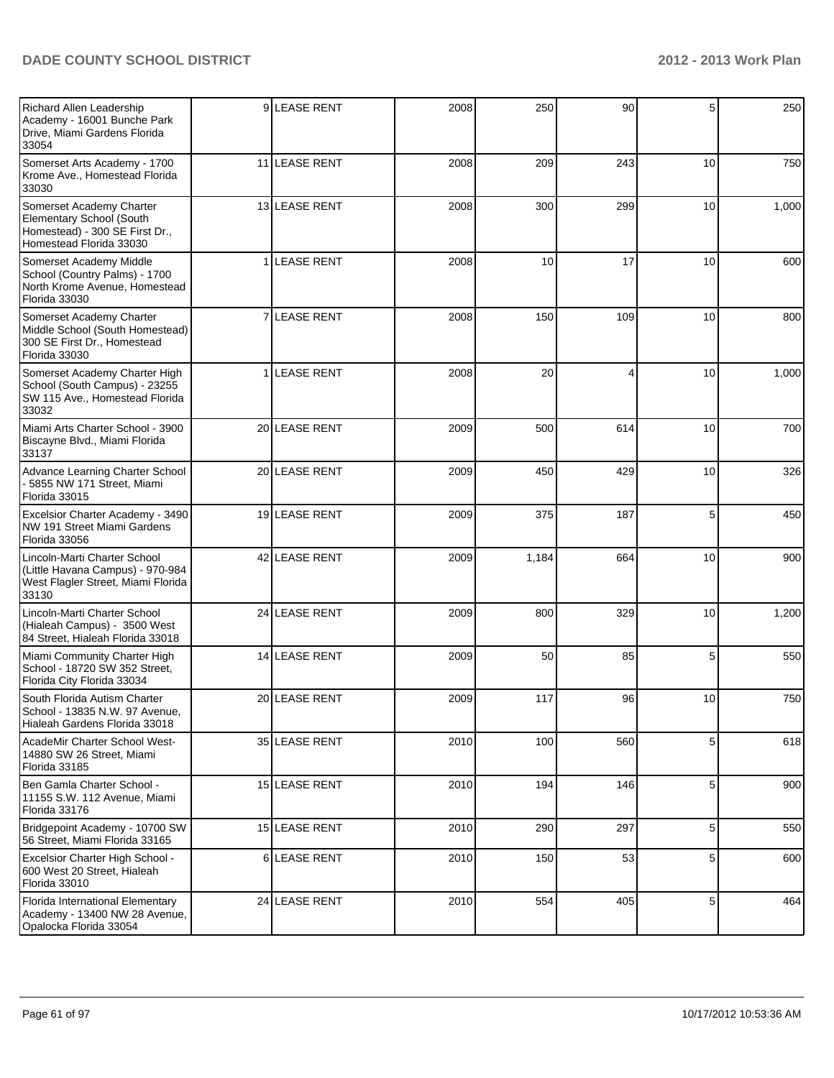| <b>Richard Allen Leadership</b><br>Academy - 16001 Bunche Park<br>Drive, Miami Gardens Florida<br>33054           | 9LEASE RENT   | 2008 | 250   | 90             | 5               | 250   |
|-------------------------------------------------------------------------------------------------------------------|---------------|------|-------|----------------|-----------------|-------|
| Somerset Arts Academy - 1700<br>Krome Ave., Homestead Florida<br>33030                                            | 11 LEASE RENT | 2008 | 209   | 243            | 10 <sup>1</sup> | 750   |
| Somerset Academy Charter<br>Elementary School (South<br>Homestead) - 300 SE First Dr.,<br>Homestead Florida 33030 | 13 LEASE RENT | 2008 | 300   | 299            | 10 <sup>1</sup> | 1,000 |
| Somerset Academy Middle<br>School (Country Palms) - 1700<br>North Krome Avenue, Homestead<br>Florida 33030        | 1 LEASE RENT  | 2008 | 10    | 17             | 10 <sup>1</sup> | 600   |
| Somerset Academy Charter<br>Middle School (South Homestead)<br>300 SE First Dr., Homestead<br>Florida 33030       | 7 LEASE RENT  | 2008 | 150   | 109            | 10              | 800   |
| Somerset Academy Charter High<br>School (South Campus) - 23255<br>SW 115 Ave., Homestead Florida<br>33032         | 1 LEASE RENT  | 2008 | 20    | $\overline{4}$ | 10              | 1,000 |
| Miami Arts Charter School - 3900<br>Biscayne Blvd., Miami Florida<br>33137                                        | 20 LEASE RENT | 2009 | 500   | 614            | 10              | 700   |
| Advance Learning Charter School<br>- 5855 NW 171 Street, Miami<br>Florida 33015                                   | 20 LEASE RENT | 2009 | 450   | 429            | 10              | 326   |
| Excelsior Charter Academy - 3490<br>NW 191 Street Miami Gardens<br>Florida 33056                                  | 19 LEASE RENT | 2009 | 375   | 187            | 5               | 450   |
| Lincoln-Marti Charter School<br>(Little Havana Campus) - 970-984<br>West Flagler Street, Miami Florida<br>33130   | 42 LEASE RENT | 2009 | 1,184 | 664            | 10              | 900   |
| Lincoln-Marti Charter School<br>(Hialeah Campus) - 3500 West<br>84 Street, Hialeah Florida 33018                  | 24 LEASE RENT | 2009 | 800   | 329            | 10              | 1,200 |
| Miami Community Charter High<br>School - 18720 SW 352 Street,<br>Florida City Florida 33034                       | 14 LEASE RENT | 2009 | 50    | 85             | 5               | 550   |
| South Florida Autism Charter<br>School - 13835 N.W. 97 Avenue,<br>Hialeah Gardens Florida 33018                   | 20 LEASE RENT | 2009 | 117   | 96             | 10              | 750   |
| AcadeMir Charter School West-<br>14880 SW 26 Street, Miami<br>Florida 33185                                       | 35 LEASE RENT | 2010 | 100   | 560            | 5               | 618   |
| Ben Gamla Charter School -<br>11155 S.W. 112 Avenue, Miami<br>Florida 33176                                       | 15 LEASE RENT | 2010 | 194   | 146            | 5               | 900   |
| Bridgepoint Academy - 10700 SW<br>56 Street, Miami Florida 33165                                                  | 15 LEASE RENT | 2010 | 290   | 297            | 5               | 550   |
| Excelsior Charter High School -<br>600 West 20 Street, Hialeah<br>Florida 33010                                   | 6LEASE RENT   | 2010 | 150   | 53             | 5               | 600   |
| Florida International Elementary<br>Academy - 13400 NW 28 Avenue,<br>Opalocka Florida 33054                       | 24 LEASE RENT | 2010 | 554   | 405            | 5               | 464   |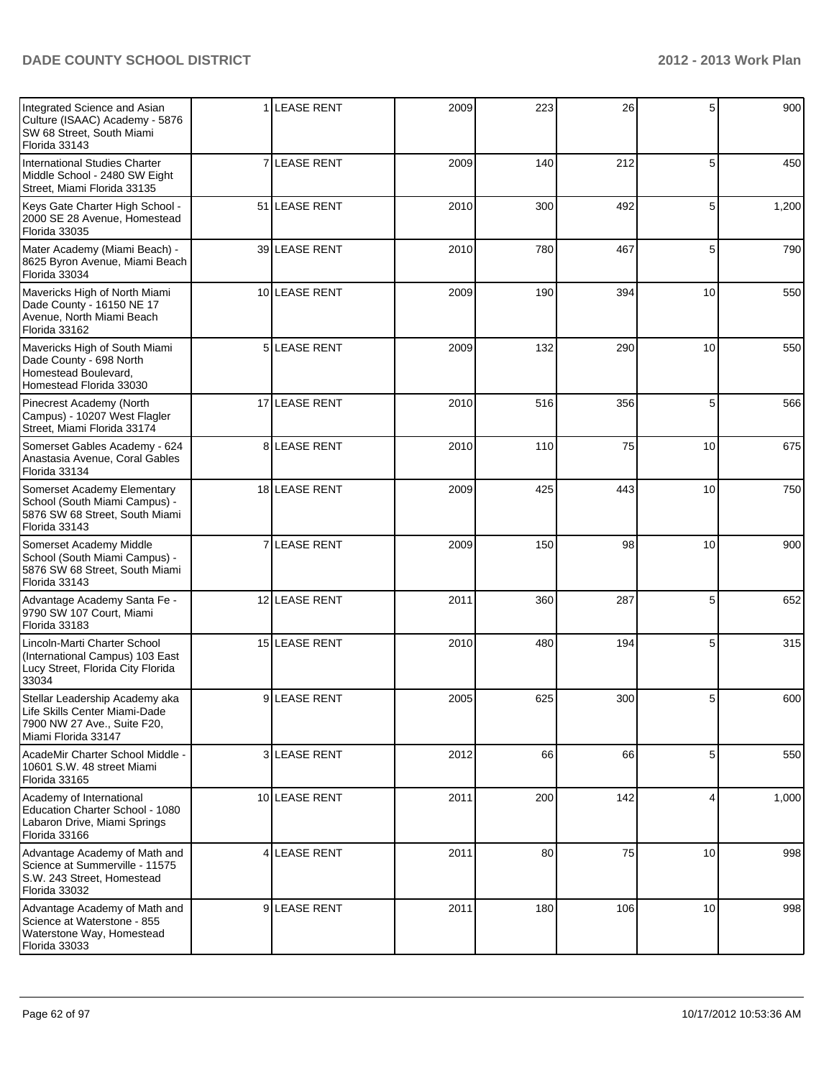| Integrated Science and Asian<br>Culture (ISAAC) Academy - 5876<br>SW 68 Street, South Miami<br>Florida 33143          |                | <b>1 ILEASE RENT</b> | 2009 | 223 | 26  | 5               | 900   |
|-----------------------------------------------------------------------------------------------------------------------|----------------|----------------------|------|-----|-----|-----------------|-------|
| International Studies Charter<br>Middle School - 2480 SW Eight<br>Street, Miami Florida 33135                         |                | 7 LEASE RENT         | 2009 | 140 | 212 | 5               | 450   |
| Keys Gate Charter High School -<br>2000 SE 28 Avenue, Homestead<br>Florida 33035                                      |                | 51 LEASE RENT        | 2010 | 300 | 492 | 5               | 1,200 |
| Mater Academy (Miami Beach) -<br>8625 Byron Avenue, Miami Beach<br>Florida 33034                                      |                | 39 LEASE RENT        | 2010 | 780 | 467 | 5               | 790   |
| Mavericks High of North Miami<br>Dade County - 16150 NE 17<br>Avenue, North Miami Beach<br>Florida 33162              |                | 10 LEASE RENT        | 2009 | 190 | 394 | 10              | 550   |
| Mavericks High of South Miami<br>Dade County - 698 North<br>Homestead Boulevard,<br>Homestead Florida 33030           | 5              | <b>LEASE RENT</b>    | 2009 | 132 | 290 | 10              | 550   |
| Pinecrest Academy (North<br>Campus) - 10207 West Flagler<br>Street, Miami Florida 33174                               |                | 17 LEASE RENT        | 2010 | 516 | 356 | 5               | 566   |
| Somerset Gables Academy - 624<br>Anastasia Avenue, Coral Gables<br>Florida 33134                                      |                | 8LEASE RENT          | 2010 | 110 | 75  | 10              | 675   |
| Somerset Academy Elementary<br>School (South Miami Campus) -<br>5876 SW 68 Street, South Miami<br>Florida 33143       |                | 18 LEASE RENT        | 2009 | 425 | 443 | 10 <sup>1</sup> | 750   |
| Somerset Academy Middle<br>School (South Miami Campus) -<br>5876 SW 68 Street, South Miami<br>Florida 33143           | $\overline{7}$ | <b>LEASE RENT</b>    | 2009 | 150 | 98  | 10              | 900   |
| Advantage Academy Santa Fe -<br>9790 SW 107 Court, Miami<br>Florida 33183                                             |                | 12 LEASE RENT        | 2011 | 360 | 287 | 5               | 652   |
| Lincoln-Marti Charter School<br>(International Campus) 103 East<br>Lucy Street, Florida City Florida<br>33034         |                | 15 LEASE RENT        | 2010 | 480 | 194 | 5               | 315   |
| Stellar Leadership Academy aka<br>Life Skills Center Miami-Dade<br>7900 NW 27 Ave., Suite F20,<br>Miami Florida 33147 | 9              | <b>LEASE RENT</b>    | 2005 | 625 | 300 | 5               | 600   |
| AcadeMir Charter School Middle -<br>10601 S.W. 48 street Miami<br>Florida 33165                                       |                | 3 LEASE RENT         | 2012 | 66  | 66  | 5               | 550   |
| Academy of International<br>Education Charter School - 1080<br>Labaron Drive, Miami Springs<br>Florida 33166          |                | 10 LEASE RENT        | 2011 | 200 | 142 | 4               | 1,000 |
| Advantage Academy of Math and<br>Science at Summerville - 11575<br>S.W. 243 Street. Homestead<br>Florida 33032        |                | 4 LEASE RENT         | 2011 | 80  | 75  | 10              | 998   |
| Advantage Academy of Math and<br>Science at Waterstone - 855<br>Waterstone Way, Homestead<br>Florida 33033            | 91             | <b>LEASE RENT</b>    | 2011 | 180 | 106 | 10              | 998   |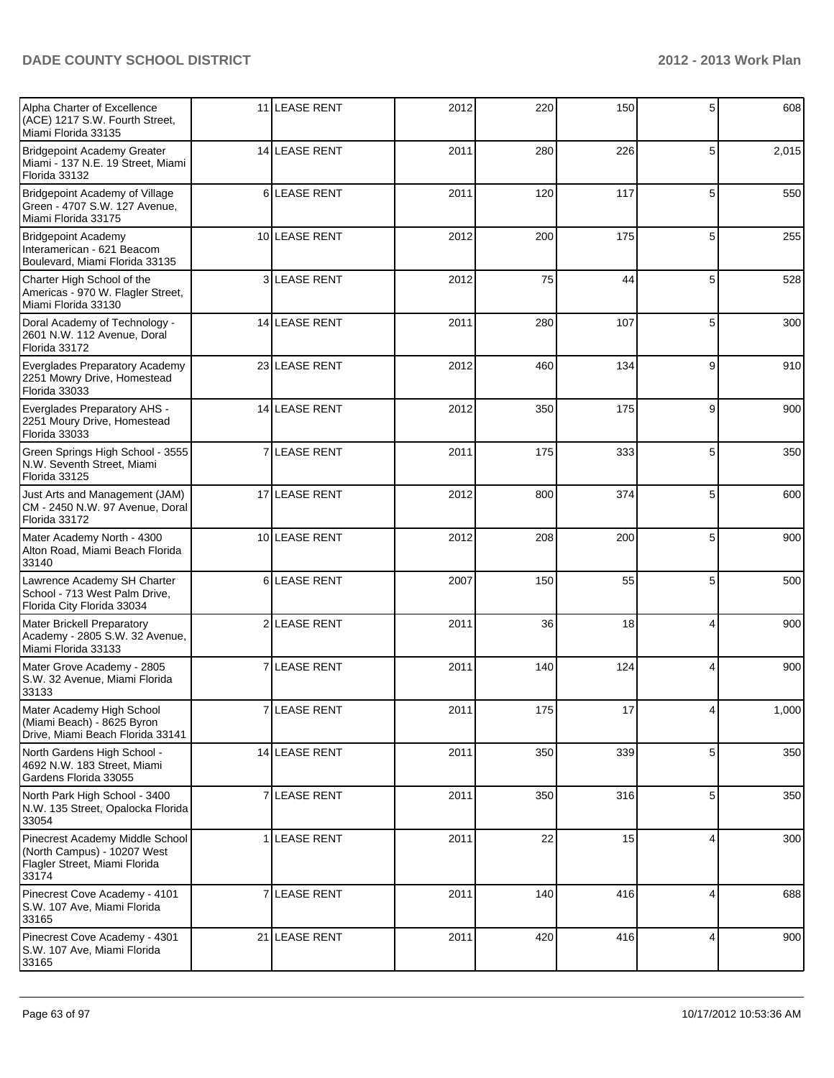| Alpha Charter of Excellence<br>(ACE) 1217 S.W. Fourth Street,<br>Miami Florida 33135                     | 11 LEASE RENT | 2012 | 220 | 150    | 5 | 608   |
|----------------------------------------------------------------------------------------------------------|---------------|------|-----|--------|---|-------|
| <b>Bridgepoint Academy Greater</b><br>Miami - 137 N.E. 19 Street, Miami<br>Florida 33132                 | 14 LEASE RENT | 2011 | 280 | 226    | 5 | 2,015 |
| Bridgepoint Academy of Village<br>Green - 4707 S.W. 127 Avenue,<br>Miami Florida 33175                   | 6LEASE RENT   | 2011 | 120 | 117    | 5 | 550   |
| <b>Bridgepoint Academy</b><br>Interamerican - 621 Beacom<br>Boulevard, Miami Florida 33135               | 10 LEASE RENT | 2012 | 200 | 175    | 5 | 255   |
| Charter High School of the<br>Americas - 970 W. Flagler Street,<br>Miami Florida 33130                   | 3 LEASE RENT  | 2012 | 75  | 44     | 5 | 528   |
| Doral Academy of Technology -<br>2601 N.W. 112 Avenue, Doral<br>Florida 33172                            | 14 LEASE RENT | 2011 | 280 | 107    | 5 | 300   |
| Everglades Preparatory Academy<br>2251 Mowry Drive, Homestead<br>Florida 33033                           | 23 LEASE RENT | 2012 | 460 | 134    | 9 | 910   |
| Everglades Preparatory AHS -<br>2251 Moury Drive, Homestead<br>Florida 33033                             | 14 LEASE RENT | 2012 | 350 | 175    | 9 | 900   |
| Green Springs High School - 3555<br>N.W. Seventh Street, Miami<br>Florida 33125                          | 7 LEASE RENT  | 2011 | 175 | 333    | 5 | 350   |
| Just Arts and Management (JAM)<br>CM - 2450 N.W. 97 Avenue, Doral<br>Florida 33172                       | 17 LEASE RENT | 2012 | 800 | 374    | 5 | 600   |
| Mater Academy North - 4300<br>Alton Road, Miami Beach Florida<br>33140                                   | 10 LEASE RENT | 2012 | 208 | 200    | 5 | 900   |
| Lawrence Academy SH Charter<br>School - 713 West Palm Drive,<br>Florida City Florida 33034               | 6 LEASE RENT  | 2007 | 150 | 55     | 5 | 500   |
| <b>Mater Brickell Preparatory</b><br>Academy - 2805 S.W. 32 Avenue,<br>Miami Florida 33133               | 2 LEASE RENT  | 2011 | 36  | 18     | 4 | 900   |
| Mater Grove Academy - 2805<br>S.W. 32 Avenue, Miami Florida<br>33133                                     | 7 LEASE RENT  | 2011 | 140 | 124    | 4 | 900   |
| Mater Academy High School<br>(Miami Beach) - 8625 Byron<br>Drive, Miami Beach Florida 33141              | 7 LEASE RENT  | 2011 | 175 | $17\,$ |   | 1,000 |
| North Gardens High School -<br>4692 N.W. 183 Street, Miami<br>Gardens Florida 33055                      | 14 LEASE RENT | 2011 | 350 | 339    | 5 | 350   |
| North Park High School - 3400<br>N.W. 135 Street, Opalocka Florida<br>33054                              | 7 LEASE RENT  | 2011 | 350 | 316    | 5 | 350   |
| Pinecrest Academy Middle School<br>(North Campus) - 10207 West<br>Flagler Street, Miami Florida<br>33174 | 1 LEASE RENT  | 2011 | 22  | 15     | 4 | 300   |
| Pinecrest Cove Academy - 4101<br>S.W. 107 Ave, Miami Florida<br>33165                                    | 7 LEASE RENT  | 2011 | 140 | 416    | 4 | 688   |
| Pinecrest Cove Academy - 4301<br>S.W. 107 Ave, Miami Florida<br>33165                                    | 21 LEASE RENT | 2011 | 420 | 416    | 4 | 900   |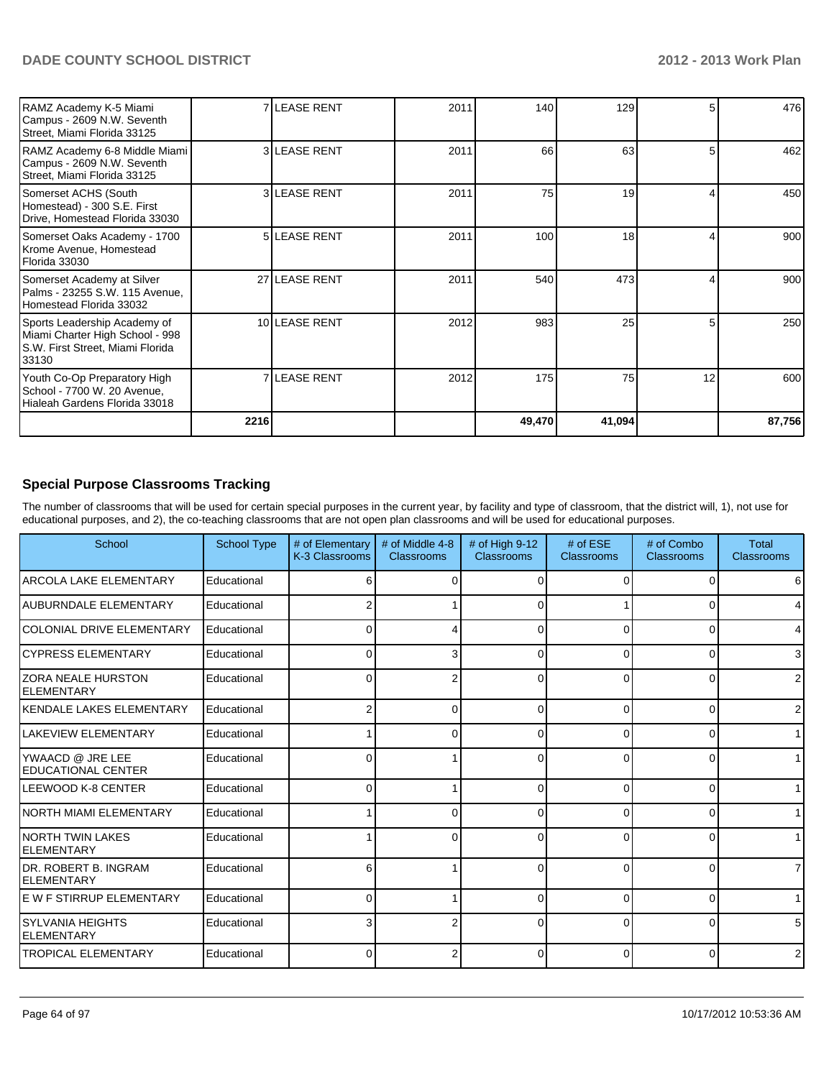| RAMZ Academy K-5 Miami<br>Campus - 2609 N.W. Seventh<br>Street, Miami Florida 33125                          |      | <b>7 ILEASE RENT</b> | 2011 | 140    | 129    |    | 476    |
|--------------------------------------------------------------------------------------------------------------|------|----------------------|------|--------|--------|----|--------|
| RAMZ Academy 6-8 Middle Miami<br>Campus - 2609 N.W. Seventh<br>Street, Miami Florida 33125                   |      | <b>3ILEASE RENT</b>  | 2011 | 66     | 63     | 5  | 462    |
| Somerset ACHS (South<br>Homestead) - 300 S.E. First<br>Drive, Homestead Florida 33030                        |      | 3 ILEASE RENT        | 2011 | 75     | 19     |    | 450    |
| Somerset Oaks Academy - 1700<br>Krome Avenue, Homestead<br>l Florida 33030                                   |      | <b>5 LEASE RENT</b>  | 2011 | 100    | 18     |    | 900    |
| Somerset Academy at Silver<br>Palms - 23255 S.W. 115 Avenue,<br>Homestead Florida 33032                      |      | 27 LEASE RENT        | 2011 | 540    | 473    |    | 900    |
| Sports Leadership Academy of<br>Miami Charter High School - 998<br>S.W. First Street, Miami Florida<br>33130 |      | 10 LEASE RENT        | 2012 | 983    | 25     | 5  | 250    |
| Youth Co-Op Preparatory High<br>School - 7700 W. 20 Avenue,<br>Hialeah Gardens Florida 33018                 |      | <b>7 ILEASE RENT</b> | 2012 | 175    | 75     | 12 | 600    |
|                                                                                                              | 2216 |                      |      | 49,470 | 41,094 |    | 87,756 |

# **Special Purpose Classrooms Tracking**

The number of classrooms that will be used for certain special purposes in the current year, by facility and type of classroom, that the district will, 1), not use for educational purposes, and 2), the co-teaching classrooms that are not open plan classrooms and will be used for educational purposes.

| School                                          | <b>School Type</b> | # of Elementary<br>K-3 Classrooms | # of Middle 4-8<br><b>Classrooms</b> | # of High 9-12<br><b>Classrooms</b> | # of ESE<br><b>Classrooms</b> | # of Combo<br><b>Classrooms</b> | <b>Total</b><br>Classrooms |
|-------------------------------------------------|--------------------|-----------------------------------|--------------------------------------|-------------------------------------|-------------------------------|---------------------------------|----------------------------|
| LARCOLA LAKE ELEMENTARY                         | Educational        | 6                                 | 0                                    |                                     | <sup>0</sup>                  | 0                               | 6                          |
| IAUBURNDALE ELEMENTARY                          | Educational        |                                   |                                      | $\Box$                              |                               | 0                               | $\overline{4}$             |
| <b>COLONIAL DRIVE ELEMENTARY</b>                | Educational        |                                   |                                      | ∩                                   | $\Omega$                      | 0                               | 4                          |
| ICYPRESS ELEMENTARY                             | Educational        | O.                                | 3                                    | ∩                                   | $\Omega$                      | $\Omega$                        | $\overline{3}$             |
| IZORA NEALE HURSTON<br><b>IELEMENTARY</b>       | Educational        | <sup>0</sup>                      | 2                                    | C                                   | $\Omega$                      | $\Omega$                        | $\overline{2}$             |
| lKENDALE LAKES ELEMENTARY                       | Educational        |                                   | $\Omega$                             | $\Omega$                            | $\Omega$                      | 0                               | $\overline{2}$             |
| ILAKEVIEW ELEMENTARY                            | Educational        |                                   | 0                                    | ∩                                   | 0                             | $\Omega$                        | $\mathbf{1}$               |
| IYWAACD @ JRE LEE<br><b>IEDUCATIONAL CENTER</b> | Educational        | U                                 |                                      | ∩                                   | $\Omega$                      | 0                               | 1                          |
| LEEWOOD K-8 CENTER                              | Educational        | 0                                 |                                      | $\Omega$                            | $\Omega$                      | $\Omega$                        | $\mathbf{1}$               |
| INORTH MIAMI ELEMENTARY                         | Educational        |                                   | $\Omega$                             | 0                                   | $\Omega$                      | $\Omega$                        | 1 <sup>1</sup>             |
| <b>INORTH TWIN LAKES</b><br><b>IELEMENTARY</b>  | Educational        |                                   | U                                    | ∩                                   | $\Omega$                      | 0                               | 1                          |
| IDR. ROBERT B. INGRAM<br><b>IELEMENTARY</b>     | Educational        | 6                                 |                                      | 0                                   | $\Omega$                      | $\Omega$                        | $\overline{7}$             |
| LE W F STIRRUP ELEMENTARY                       | Educational        | ∩                                 |                                      | ∩                                   | $\Omega$                      | 0                               | 1                          |
| <b>SYLVANIA HEIGHTS</b><br>IELEMENTARY          | Educational        |                                   |                                      | ſ                                   | <sup>0</sup>                  | $\Omega$                        | 5                          |
| <b>ITROPICAL ELEMENTARY</b>                     | Educational        | 0                                 |                                      |                                     | <sup>0</sup>                  | $\Omega$                        | $\overline{2}$             |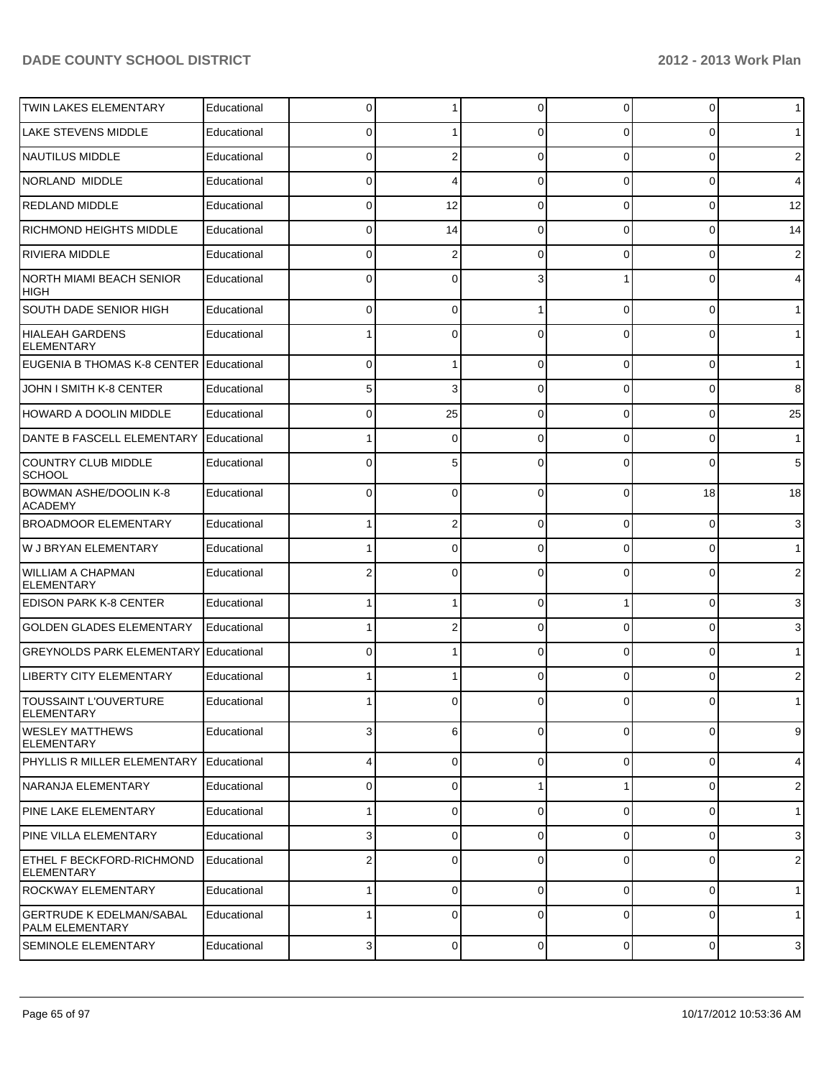| TWIN LAKES ELEMENTARY                              | Educational | 0 |          | $\Omega$  | 0              | 0              | 1              |
|----------------------------------------------------|-------------|---|----------|-----------|----------------|----------------|----------------|
| <b>LAKE STEVENS MIDDLE</b>                         | Educational | 0 |          | $\Omega$  | 0              | 0              | $\mathbf 1$    |
| NAUTILUS MIDDLE                                    | Educational | 0 | 2        | $\Omega$  | 0              | 0              | $\overline{2}$ |
| NORLAND MIDDLE                                     | Educational | 0 | 4        | $\Omega$  | 0              | 0              | 4              |
| REDLAND MIDDLE                                     | Educational | 0 | 12       | $\Omega$  | 0              | 0              | 12             |
| RICHMOND HEIGHTS MIDDLE                            | Educational | 0 | 14       | $\Omega$  | 0              | 0              | 14             |
| <b>RIVIERA MIDDLE</b>                              | Educational | 0 | 2        | $\Omega$  | 0              | 0              | $\overline{2}$ |
| <b>NORTH MIAMI BEACH SENIOR</b><br><b>HIGH</b>     | Educational | 0 | 0        | 3         |                | 0              | $\overline{4}$ |
| <b>SOUTH DADE SENIOR HIGH</b>                      | Educational | 0 | 0        |           | 0              | $\overline{0}$ | 1              |
| <b>HIALEAH GARDENS</b><br><b>ELEMENTARY</b>        | Educational |   | $\Omega$ | $\Omega$  | 0              | 0              | 1              |
| EUGENIA B THOMAS K-8 CENTER Educational            |             | 0 |          | $\Omega$  | $\overline{0}$ | $\mathbf 0$    | 1              |
| JOHN I SMITH K-8 CENTER                            | Educational | 5 | 3        | $\Omega$  | 0              | 0              | 8              |
| <b>HOWARD A DOOLIN MIDDLE</b>                      | Educational | 0 | 25       | $\Omega$  | 0              | $\overline{0}$ | 25             |
| DANTE B FASCELL ELEMENTARY                         | Educational |   | $\Omega$ | $\Omega$  | 0              | 0              | $\mathbf{1}$   |
| <b>COUNTRY CLUB MIDDLE</b><br><b>SCHOOL</b>        | Educational | 0 | 5        | $\Omega$  | 0              | 0              | 5              |
| <b>BOWMAN ASHE/DOOLIN K-8</b><br><b>ACADEMY</b>    | Educational | 0 | 0        | $\Omega$  | 0              | 18             | 18             |
| <b>BROADMOOR ELEMENTARY</b>                        | Educational |   | 2        | $\Omega$  | 0              | 0              | 3              |
| W J BRYAN ELEMENTARY                               | Educational |   | 0        | $\Omega$  | 0              | 0              | 1              |
| <b>WILLIAM A CHAPMAN</b><br><b>ELEMENTARY</b>      | Educational | 2 | 0        | $\Omega$  | 0              | 0              | $\overline{2}$ |
| <b>EDISON PARK K-8 CENTER</b>                      | Educational |   |          | $\Omega$  |                | $\overline{0}$ | 3              |
| <b>GOLDEN GLADES ELEMENTARY</b>                    | Educational |   |          | $\Omega$  | 0              | 0              | 3              |
| <b>GREYNOLDS PARK ELEMENTARY</b>                   | Educational | 0 |          | $\Omega$  | 0              | $\overline{0}$ | $\mathbf 1$    |
| <b>LIBERTY CITY ELEMENTARY</b>                     | Educational |   |          | $\Omega$  | 0              | 0              | 2              |
| TOUSSAINT L'OUVERTURE<br> ELEMENTARY               | Educational |   | 0        | $\Omega$  | 0              | $\overline{0}$ | $\mathbf 1$    |
| <b>WESLEY MATTHEWS</b><br><b>ELEMENTARY</b>        | Educational | 3 | 6        | 0         | $\overline{0}$ | $\mathbf 0$    | $9\,$          |
| PHYLLIS R MILLER ELEMENTARY                        | Educational | 4 | 0        | 0         | 0              | 0              | $\overline{4}$ |
| INARANJA ELEMENTARY                                | Educational | 0 | 0        |           |                | 0              | $\sqrt{2}$     |
| PINE LAKE ELEMENTARY                               | Educational |   | 0        | 0         | 0              | 0              | $\mathbf{1}$   |
| PINE VILLA ELEMENTARY                              | Educational | 3 | 0        | 0         | 0              | 0              | $\mathbf{3}$   |
| ETHEL F BECKFORD-RICHMOND<br><b>ELEMENTARY</b>     | Educational | 2 | 0        | 0         | 0              | 0              | $\sqrt{2}$     |
| <b>ROCKWAY ELEMENTARY</b>                          | Educational |   | 0        | $\Omega$  | $\Omega$       | 0              | 1              |
| <b>GERTRUDE K EDELMAN/SABAL</b><br>PALM ELEMENTARY | Educational |   | $\Omega$ | $\Omega$  | 0              | 0              | 1              |
| <b>SEMINOLE ELEMENTARY</b>                         | Educational | 3 | 0        | $\pmb{0}$ | $\overline{0}$ | $\overline{0}$ | $\mathbf{3}$   |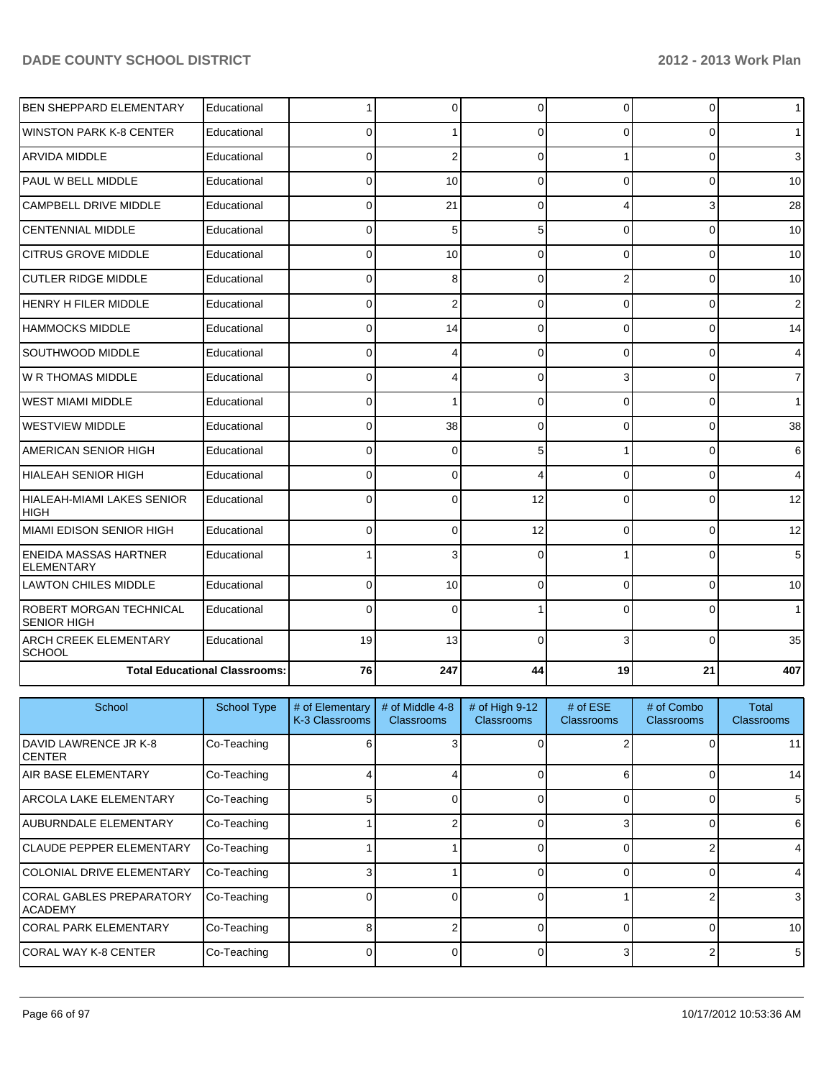| <b>BEN SHEPPARD ELEMENTARY</b>                       | Educational                          |          | $\Omega$       | $\Omega$ | 0        | $\overline{0}$ | $\mathbf{1}$   |
|------------------------------------------------------|--------------------------------------|----------|----------------|----------|----------|----------------|----------------|
| <b>WINSTON PARK K-8 CENTER</b>                       | Educational                          | 0        |                | $\Omega$ | 0        | 0              | 1              |
| <b>ARVIDA MIDDLE</b>                                 | Educational                          | 0        | 2              | $\Omega$ |          | 0              | $\mathbf{3}$   |
| <b>PAUL W BELL MIDDLE</b>                            | Educational                          | 0        | 10             | $\Omega$ | 0        | $\overline{0}$ | 10             |
| <b>CAMPBELL DRIVE MIDDLE</b>                         | Educational                          | 0        | 21             | $\Omega$ | 4        | $\overline{3}$ | 28             |
| <b>CENTENNIAL MIDDLE</b>                             | Educational                          | 0        | 5              | 5        | 0        | $\overline{0}$ | 10             |
| <b>CITRUS GROVE MIDDLE</b>                           | Educational                          | 0        | 10             | $\Omega$ | $\Omega$ | $\overline{0}$ | 10             |
| <b>CUTLER RIDGE MIDDLE</b>                           | Educational                          | $\Omega$ | 8              | $\Omega$ | 2        | $\overline{0}$ | 10             |
| HENRY H FILER MIDDLE                                 | Educational                          | 0        | $\overline{2}$ | $\Omega$ | 0        | 0              | $\sqrt{2}$     |
| <b>HAMMOCKS MIDDLE</b>                               | Educational                          | 0        | 14             | $\Omega$ | 0        | 0              | 14             |
| <b>SOUTHWOOD MIDDLE</b>                              | Educational                          | 0        | 4              | $\Omega$ | 0        | $\Omega$       | $\overline{4}$ |
| <b>W R THOMAS MIDDLE</b>                             | Educational                          | $\Omega$ |                | $\Omega$ | 3        | $\overline{0}$ | $\overline{7}$ |
| <b>WEST MIAMI MIDDLE</b>                             | Educational                          | 0        | 1              | $\Omega$ | $\Omega$ | $\Omega$       | $\mathbf{1}$   |
| <b>WESTVIEW MIDDLE</b>                               | Educational                          | 0        | 38             | $\Omega$ | $\Omega$ | $\overline{0}$ | 38             |
| AMERICAN SENIOR HIGH                                 | Educational                          | 0        | $\Omega$       | 5        |          | $\Omega$       | 6              |
| HIALEAH SENIOR HIGH                                  | Educational                          | 0        | 0              |          | 0        | $\overline{0}$ | 4              |
| <b>HIALEAH-MIAMI LAKES SENIOR</b><br><b>HIGH</b>     | Educational                          | 0        | 0              | 12       | O        | 0              | 12             |
| MIAMI EDISON SENIOR HIGH                             | Educational                          | 0        | $\Omega$       | 12       | 0        | $\Omega$       | 12             |
| <b>ENEIDA MASSAS HARTNER</b><br><b>ELEMENTARY</b>    | Educational                          |          | 3              | $\Omega$ |          | $\Omega$       | 5 <sup>1</sup> |
| <b>LAWTON CHILES MIDDLE</b>                          | Educational                          | 0        | 10             | $\Omega$ | 0        | 0              | 10             |
| <b>ROBERT MORGAN TECHNICAL</b><br><b>SENIOR HIGH</b> | Educational                          | 0        | $\Omega$       |          | 0        | 0              | $\mathbf{1}$   |
| ARCH CREEK ELEMENTARY<br><b>SCHOOL</b>               | Educational                          | 19       | 13             | $\Omega$ | 3        | $\Omega$       | 35             |
|                                                      | <b>Total Educational Classrooms:</b> | 76       | 247            | 44       | 19       | 21             | 407            |

| School                                            | <b>School Type</b> | # of Elementary<br>K-3 Classrooms | # of Middle 4-8<br><b>Classrooms</b> | # of High 9-12<br><b>Classrooms</b> | # of $ESE$<br><b>Classrooms</b> | # of Combo<br><b>Classrooms</b> | Total<br><b>Classrooms</b> |
|---------------------------------------------------|--------------------|-----------------------------------|--------------------------------------|-------------------------------------|---------------------------------|---------------------------------|----------------------------|
| IDAVID LAWRENCE JR K-8<br><b>CENTER</b>           | Co-Teaching        |                                   |                                      |                                     |                                 |                                 | 11                         |
| AIR BASE ELEMENTARY                               | Co-Teaching        |                                   |                                      |                                     | ิค                              |                                 | 14                         |
| <b>ARCOLA LAKE ELEMENTARY</b>                     | Co-Teaching        |                                   |                                      |                                     |                                 |                                 | 5                          |
| AUBURNDALE ELEMENTARY                             | Co-Teaching        |                                   |                                      |                                     |                                 |                                 | 6                          |
| lCLAUDE PEPPER ELEMENTARY                         | Co-Teaching        |                                   |                                      |                                     |                                 | 2                               | 4                          |
| COLONIAL DRIVE ELEMENTARY                         | Co-Teaching        |                                   |                                      | <sup>0</sup>                        |                                 | 0                               | 4                          |
| <b>CORAL GABLES PREPARATORY</b><br><b>ACADEMY</b> | Co-Teaching        |                                   |                                      |                                     |                                 |                                 | 3                          |
| CORAL PARK ELEMENTARY                             | Co-Teaching        | я                                 |                                      |                                     |                                 |                                 | 10 <sup>1</sup>            |
| lCORAL WAY K-8 CENTER                             | Co-Teaching        |                                   |                                      |                                     |                                 |                                 | 5                          |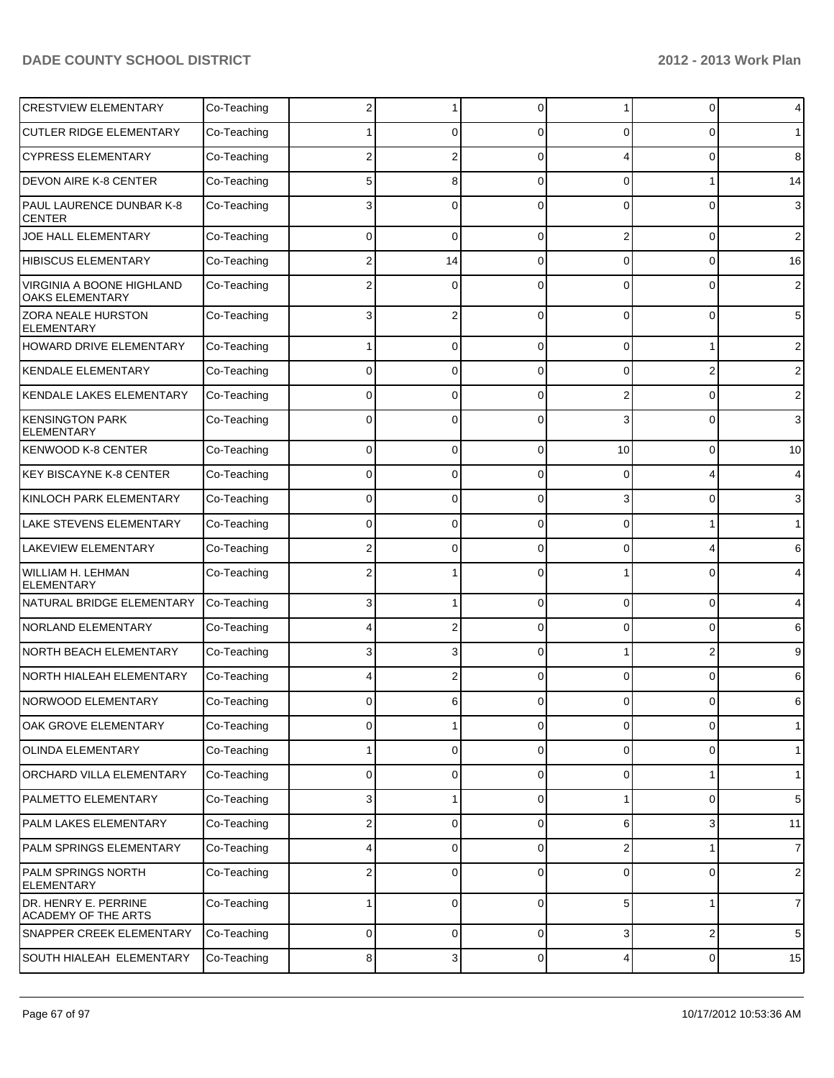| <b>CRESTVIEW ELEMENTARY</b>                         | Co-Teaching |   |                | $\Omega$    |                 | $\overline{0}$ | 4              |
|-----------------------------------------------------|-------------|---|----------------|-------------|-----------------|----------------|----------------|
| <b>CUTLER RIDGE ELEMENTARY</b>                      | Co-Teaching |   | 0              | $\Omega$    | 0               | 0              | 1              |
| <b>CYPRESS ELEMENTARY</b>                           | Co-Teaching |   | 2              | $\Omega$    |                 | 0              | 8              |
| <b>DEVON AIRE K-8 CENTER</b>                        | Co-Teaching |   | 8              | $\Omega$    | 0               |                | 14             |
| PAUL LAURENCE DUNBAR K-8<br><b>CENTER</b>           | Co-Teaching |   | 0              | ∩           |                 | 0              | 3              |
| JOE HALL ELEMENTARY                                 | Co-Teaching | 0 | 0              | $\Omega$    | 2               | $\overline{0}$ | $\overline{2}$ |
| <b>HIBISCUS ELEMENTARY</b>                          | Co-Teaching | 2 | 14             | $\mathbf 0$ | 0               | $\overline{0}$ | 16             |
| VIRGINIA A BOONE HIGHLAND<br><b>OAKS ELEMENTARY</b> | Co-Teaching |   | 0              | $\Omega$    | 0               | 0              | $\overline{2}$ |
| ZORA NEALE HURSTON<br><b>ELEMENTARY</b>             | Co-Teaching | 3 | 2              | $\Omega$    | $\Omega$        | 0              | 5              |
| HOWARD DRIVE ELEMENTARY                             | Co-Teaching |   | 0              | $\Omega$    | 0               | 1              | 2              |
| <b>KENDALE ELEMENTARY</b>                           | Co-Teaching |   | 0              | $\Omega$    | 0               | 2              | $\overline{2}$ |
| KENDALE LAKES ELEMENTARY                            | Co-Teaching | 0 | 0              | $\Omega$    | 2               | 0              | $\overline{2}$ |
| <b>KENSINGTON PARK</b><br><b>ELEMENTARY</b>         | Co-Teaching |   | 0              | C           |                 | 0              | 3              |
| <b>KENWOOD K-8 CENTER</b>                           | Co-Teaching | 0 | 0              | $\Omega$    | 10              | $\overline{0}$ | 10             |
| <b>KEY BISCAYNE K-8 CENTER</b>                      | Co-Teaching | 0 | 0              | $\Omega$    | $\Omega$        | 4              | 4              |
| KINLOCH PARK ELEMENTARY                             | Co-Teaching | 0 | 0              | $\Omega$    | 3               | 0              | 3              |
| LAKE STEVENS ELEMENTARY                             | Co-Teaching | 0 | 0              | $\Omega$    | $\Omega$        | 1              | $\mathbf 1$    |
| <b>LAKEVIEW ELEMENTARY</b>                          | Co-Teaching |   | 0              | $\Omega$    | 0               | 4              | 6              |
| WILLIAM H. LEHMAN<br><b>ELEMENTARY</b>              | Co-Teaching |   |                | $\Omega$    |                 | 0              | 4              |
| NATURAL BRIDGE ELEMENTARY                           | Co-Teaching | 3 | 1              | $\Omega$    | 0               | 0              | 4              |
| <b>NORLAND ELEMENTARY</b>                           | Co-Teaching |   | 2              | $\Omega$    | 0               | 0              | 6              |
| <b>NORTH BEACH ELEMENTARY</b>                       | Co-Teaching | 3 | 3              | $\Omega$    |                 | 2              | 9              |
| NORTH HIALEAH ELEMENTARY                            | Co-Teaching |   | 2              | $\Omega$    | 0               | 0              | 6              |
| NORWOOD ELEMENTARY                                  | Co-Teaching | 0 | 6              | $\Omega$    | 0               | 0              | 6              |
| OAK GROVE ELEMENTARY                                | Co-Teaching | 0 | 1              | $\mathbf 0$ | 0               | $\overline{0}$ | 1              |
| <b>OLINDA ELEMENTARY</b>                            | Co-Teaching |   | 0              | $\mathbf 0$ | $\overline{0}$  | $\overline{0}$ | $\mathbf{1}$   |
| <b>ORCHARD VILLA ELEMENTARY</b>                     | Co-Teaching | 0 | 0              | $\mathbf 0$ | 0               | 1              | $\mathbf{1}$   |
| PALMETTO ELEMENTARY                                 | Co-Teaching | 3 | 1              | $\mathbf 0$ | 1               | $\overline{0}$ | 5              |
| <b>PALM LAKES ELEMENTARY</b>                        | Co-Teaching | 2 | 0              | $\mathbf 0$ | 6               | 3              | 11             |
| PALM SPRINGS ELEMENTARY                             | Co-Teaching | 4 | 0              | $\mathbf 0$ | 2               | 1              | $\overline{7}$ |
| <b>PALM SPRINGS NORTH</b><br><b>ELEMENTARY</b>      | Co-Teaching | 2 | 0              | $\mathbf 0$ | $\Omega$        | $\overline{0}$ | $\sqrt{2}$     |
| DR. HENRY E. PERRINE<br><b>ACADEMY OF THE ARTS</b>  | Co-Teaching |   | 0              | $\Omega$    | 5               | 1              | $\overline{7}$ |
| SNAPPER CREEK ELEMENTARY                            | Co-Teaching | 0 | 0              | 0           | 3               | $\overline{2}$ | 5              |
| SOUTH HIALEAH ELEMENTARY                            | Co-Teaching | 8 | $\overline{3}$ | 0           | $\vert 4 \vert$ | $\overline{0}$ | 15             |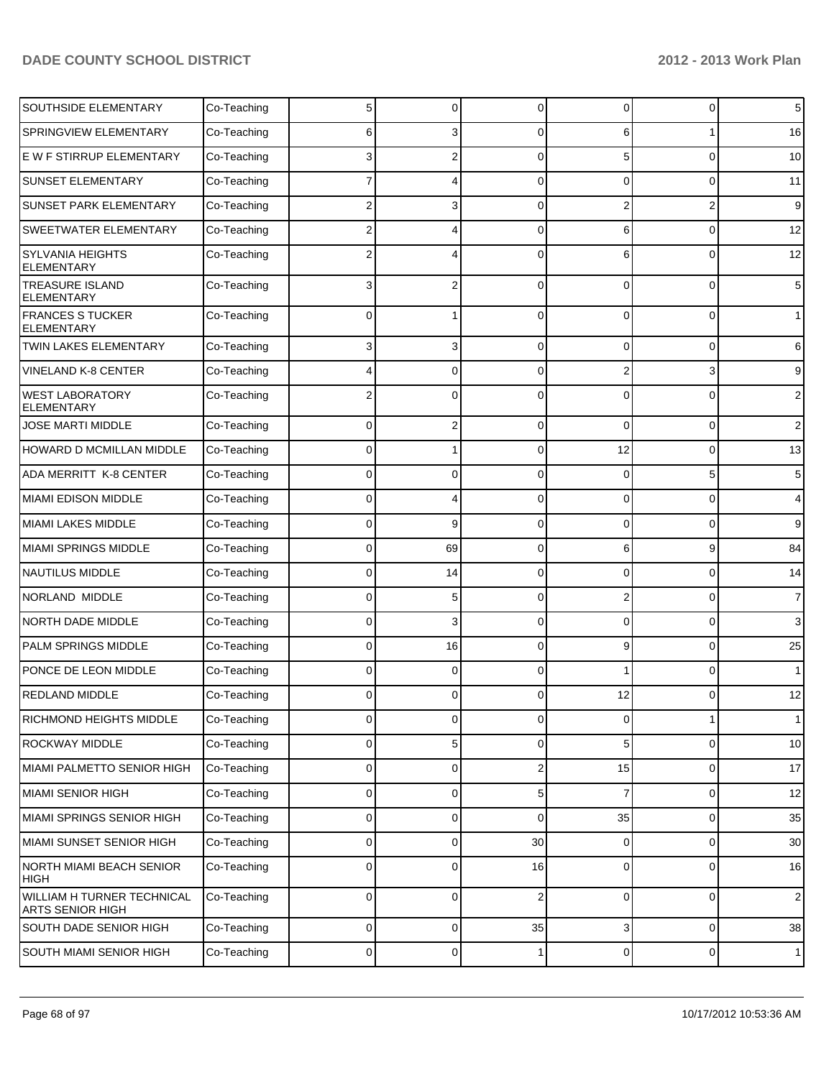| SOUTHSIDE ELEMENTARY                           | Co-Teaching | 5              | 0              | 0              | 0              | 0              | 5              |
|------------------------------------------------|-------------|----------------|----------------|----------------|----------------|----------------|----------------|
| SPRINGVIEW ELEMENTARY                          | Co-Teaching |                | 3              | 0              | 6              |                | 16             |
| E W F STIRRUP ELEMENTARY                       | Co-Teaching |                | 2              | $\Omega$       | 5              | $\Omega$       | 10             |
| <b>SUNSET ELEMENTARY</b>                       | Co-Teaching |                | 4              | $\Omega$       | 0              | $\Omega$       | 11             |
| SUNSET PARK ELEMENTARY                         | Co-Teaching |                | 3              | $\Omega$       | 2              | 2              | 9              |
| SWEETWATER ELEMENTARY                          | Co-Teaching |                | 4              | 0              | 6              | 0              | 12             |
| <b>SYLVANIA HEIGHTS</b><br><b>ELEMENTARY</b>   | Co-Teaching |                |                | $\Omega$       |                | $\Omega$       | 12             |
| <b>TREASURE ISLAND</b><br><b>ELEMENTARY</b>    | Co-Teaching | 3              |                | $\Omega$       | $\Omega$       | $\Omega$       | 5 <sub>5</sub> |
| <b>FRANCES S TUCKER</b><br><b>ELEMENTARY</b>   | Co-Teaching | $\Omega$       |                | $\Omega$       | $\Omega$       | $\Omega$       | 1              |
| TWIN LAKES ELEMENTARY                          | Co-Teaching | 3              | 3              | $\Omega$       | 0              | 0              | 6              |
| VINELAND K-8 CENTER                            | Co-Teaching |                | 0              | $\Omega$       | 2              | 3              | 9              |
| <b>WEST LABORATORY</b><br><b>ELEMENTARY</b>    | Co-Teaching |                | 0              | 0              | 0              | 0              | 2              |
| JOSE MARTI MIDDLE                              | Co-Teaching | $\Omega$       | $\overline{2}$ | $\mathbf 0$    | $\Omega$       | $\Omega$       | 2              |
| HOWARD D MCMILLAN MIDDLE                       | Co-Teaching | $\Omega$       |                | $\Omega$       | 12             | $\Omega$       | 13             |
| ADA MERRITT K-8 CENTER                         | Co-Teaching | $\Omega$       | 0              | $\Omega$       | $\Omega$       | 5              | 5              |
| <b>MIAMI EDISON MIDDLE</b>                     | Co-Teaching | 0              | 4              | 0              | $\Omega$       | 0              | 4              |
| <b>MIAMI LAKES MIDDLE</b>                      | Co-Teaching | $\Omega$       | 9              | $\Omega$       | $\Omega$       | $\Omega$       | 9              |
| MIAMI SPRINGS MIDDLE                           | Co-Teaching | $\Omega$       | 69             | $\Omega$       | 6              | 9              | 84             |
| <b>NAUTILUS MIDDLE</b>                         | Co-Teaching | $\Omega$       | 14             | $\Omega$       | $\Omega$       | $\Omega$       | 14             |
| NORLAND MIDDLE                                 | Co-Teaching | 0              | 5              | $\Omega$       | 2              | 0              | 7              |
| NORTH DADE MIDDLE                              | Co-Teaching | $\Omega$       | 3              | $\Omega$       | 0              | 0              | 3              |
| PALM SPRINGS MIDDLE                            | Co-Teaching | $\Omega$       | 16             | $\Omega$       | 9              | 0              | 25             |
| PONCE DE LEON MIDDLE                           | Co-Teaching | $\Omega$       | $\Omega$       | $\Omega$       |                | $\Omega$       |                |
| <b>REDLAND MIDDLE</b>                          | Co-Teaching | 0              | 0              |                | 12             | $\Omega$       | 12             |
| RICHMOND HEIGHTS MIDDLE                        | Co-Teaching | $\overline{0}$ | $\overline{0}$ | 0              | $\overline{0}$ | 1              | 1              |
| ROCKWAY MIDDLE                                 | Co-Teaching | 0              | 5              | 0              | 5              | $\overline{0}$ | 10             |
| MIAMI PALMETTO SENIOR HIGH                     | Co-Teaching | 0              | 0              | $\overline{2}$ | 15             | $\overline{0}$ | 17             |
| <b>MIAMI SENIOR HIGH</b>                       | Co-Teaching | $\Omega$       | 0              | 5              | 7              | $\overline{0}$ | 12             |
| MIAMI SPRINGS SENIOR HIGH                      | Co-Teaching | 0              | 0              | 0              | 35             | $\overline{0}$ | 35             |
| MIAMI SUNSET SENIOR HIGH                       | Co-Teaching | 0              | 0              | 30             | $\Omega$       | $\overline{0}$ | 30             |
| <b>NORTH MIAMI BEACH SENIOR</b><br><b>HIGH</b> | Co-Teaching | $\Omega$       | 0              | 16             | $\Omega$       | 0              | 16             |
| WILLIAM H TURNER TECHNICAL<br>ARTS SENIOR HIGH | Co-Teaching | $\mathbf 0$    | 0              | $\overline{2}$ | $\Omega$       | $\overline{0}$ | 2 <sub>1</sub> |
| SOUTH DADE SENIOR HIGH                         | Co-Teaching | $\mathbf 0$    | 0              | 35             | 3              | $\overline{0}$ | 38             |
| SOUTH MIAMI SENIOR HIGH                        | Co-Teaching | $\overline{0}$ | $\pmb{0}$      | 1              | $\overline{0}$ | $\pmb{0}$      | 1              |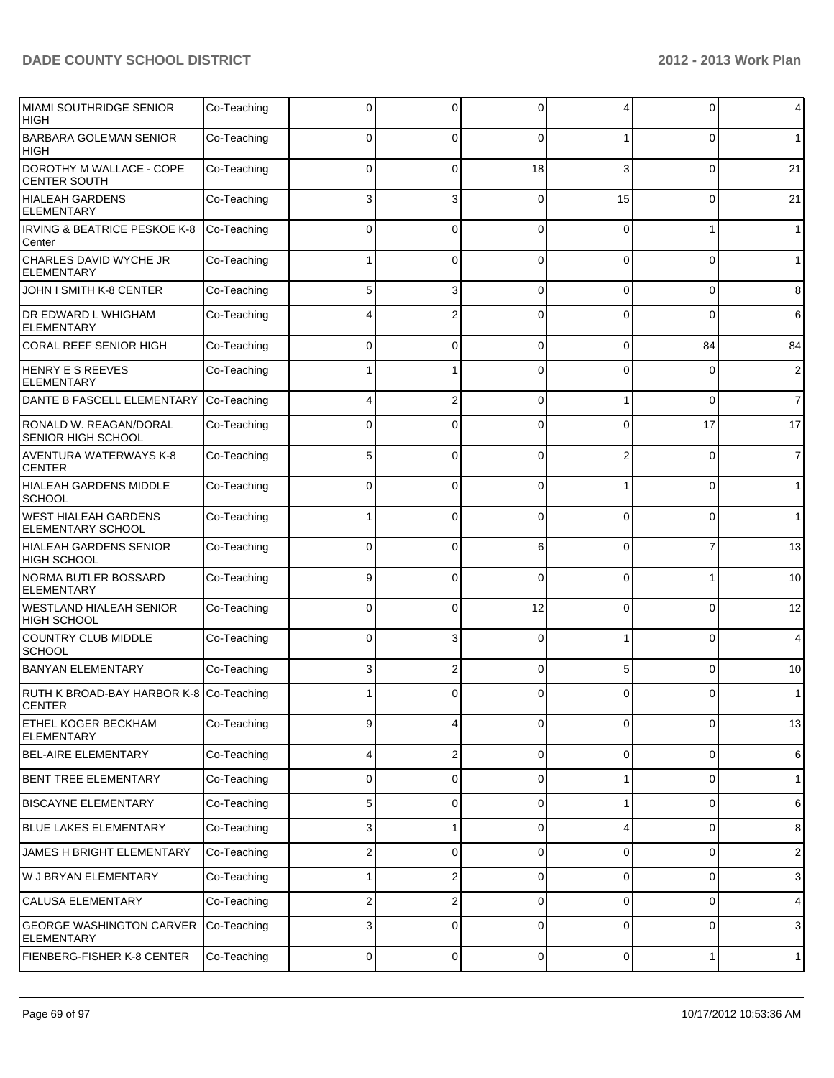| İMIAMI SOUTHRIDGE SENIOR<br><b>HIGH</b>                  | Co-Teaching | 0        | 0            | C        |                | $\Omega$       | 4              |
|----------------------------------------------------------|-------------|----------|--------------|----------|----------------|----------------|----------------|
| BARBARA GOLEMAN SENIOR<br><b>HIGH</b>                    | Co-Teaching | 0        | $\Omega$     | $\Omega$ |                | $\Omega$       | 1              |
| DOROTHY M WALLACE - COPE<br><b>CENTER SOUTH</b>          | Co-Teaching | 0        | 0            | 18       | 3              | 0              | 21             |
| HIALEAH GARDENS<br><b>ELEMENTARY</b>                     | Co-Teaching | 3        | 3            | $\Omega$ | 15             | 0              | 21             |
| <b>IRVING &amp; BEATRICE PESKOE K-8</b><br>Center        | Co-Teaching | 0        | 0            | 0        | $\Omega$       | 1              | 1              |
| CHARLES DAVID WYCHE JR<br><b>ELEMENTARY</b>              | Co-Teaching |          | $\mathbf 0$  | $\Omega$ | $\Omega$       | $\Omega$       | 1              |
| JOHN I SMITH K-8 CENTER                                  | Co-Teaching | 5        | 3            | $\Omega$ | $\Omega$       | 0              | 8              |
| DR EDWARD L WHIGHAM<br><b>ELEMENTARY</b>                 | Co-Teaching |          | 2            | $\Omega$ | $\Omega$       | 0              | 6              |
| <b>CORAL REEF SENIOR HIGH</b>                            | Co-Teaching | 0        | 0            | 0        | $\Omega$       | 84             | 84             |
| HENRY E S REEVES<br><b>ELEMENTARY</b>                    | Co-Teaching |          |              | 0        | 0              | 0              | $\overline{2}$ |
| DANTE B FASCELL ELEMENTARY                               | Co-Teaching |          | 2            | $\Omega$ |                | 0              | $\overline{7}$ |
| RONALD W. REAGAN/DORAL<br>SENIOR HIGH SCHOOL             | Co-Teaching | O        | 0            | $\Omega$ | O              | 17             | 17             |
| AVENTURA WATERWAYS K-8<br><b>CENTER</b>                  | Co-Teaching | 5        | 0            | 0        | 2              | 0              | $\overline{7}$ |
| HIALEAH GARDENS MIDDLE<br><b>SCHOOL</b>                  | Co-Teaching | $\Omega$ | $\mathbf{0}$ | $\Omega$ |                | $\Omega$       | 1              |
| <b>WEST HIALEAH GARDENS</b><br>ELEMENTARY SCHOOL         | Co-Teaching |          | $\Omega$     | C        | 0              | 0              | 1              |
| <b>HIALEAH GARDENS SENIOR</b><br><b>HIGH SCHOOL</b>      | Co-Teaching | $\Omega$ | $\Omega$     | 6        | $\Omega$       | $\overline{7}$ | 13             |
| NORMA BUTLER BOSSARD<br>ELEMENTARY                       | Co-Teaching | 9        | $\mathbf{0}$ | $\Omega$ | $\Omega$       | 1              | 10             |
| WESTLAND HIALEAH SENIOR<br><b>HIGH SCHOOL</b>            | Co-Teaching | $\Omega$ | $\Omega$     | 12       | $\Omega$       | $\Omega$       | 12             |
| <b>COUNTRY CLUB MIDDLE</b><br><b>SCHOOL</b>              | Co-Teaching | 0        | 3            | $\Omega$ |                | 0              | 4              |
| <b>BANYAN ELEMENTARY</b>                                 | Co-Teaching | 3        | 2            | $\Omega$ | 5              | $\mathbf 0$    | 10             |
| RUTH K BROAD-BAY HARBOR K-8 Co-Teaching<br><b>CENTER</b> |             |          | 0            | $\Omega$ | 0              | $\Omega$       | $\mathbf 1$    |
| <b>ETHEL KOGER BECKHAM</b><br><b>ELEMENTARY</b>          | Co-Teaching | 9        | 4            | 0        | $\Omega$       | 0              | 13             |
| <b>BEL-AIRE ELEMENTARY</b>                               | Co-Teaching | 4        | 2            | 0        | $\Omega$       | 0              | 6              |
| <b>BENT TREE ELEMENTARY</b>                              | Co-Teaching | 0        | 0            | 0        |                | 0              | $\mathbf{1}$   |
| <b>BISCAYNE ELEMENTARY</b>                               | Co-Teaching | 5        | 0            | 0        |                | 0              | 6              |
| <b>BLUE LAKES ELEMENTARY</b>                             | Co-Teaching | 3        | 1            | 0        | 4              | 0              | 8              |
| JAMES H BRIGHT ELEMENTARY                                | Co-Teaching | 2        | 0            | 0        | $\Omega$       | 0              | $\sqrt{2}$     |
| W J BRYAN ELEMENTARY                                     | Co-Teaching |          | 2            | 0        | $\Omega$       | 0              | $\mathbf{3}$   |
| CALUSA ELEMENTARY                                        | Co-Teaching | 2        | 2            | 0        | $\Omega$       | 0              | 4              |
| <b>GEORGE WASHINGTON CARVER</b><br><b>ELEMENTARY</b>     | Co-Teaching | 3        | 0            | $\Omega$ | $\Omega$       | 0              | $\mathbf{3}$   |
| FIENBERG-FISHER K-8 CENTER                               | Co-Teaching | 0        | $\mathbf 0$  | 0        | $\overline{0}$ | 1              | 1              |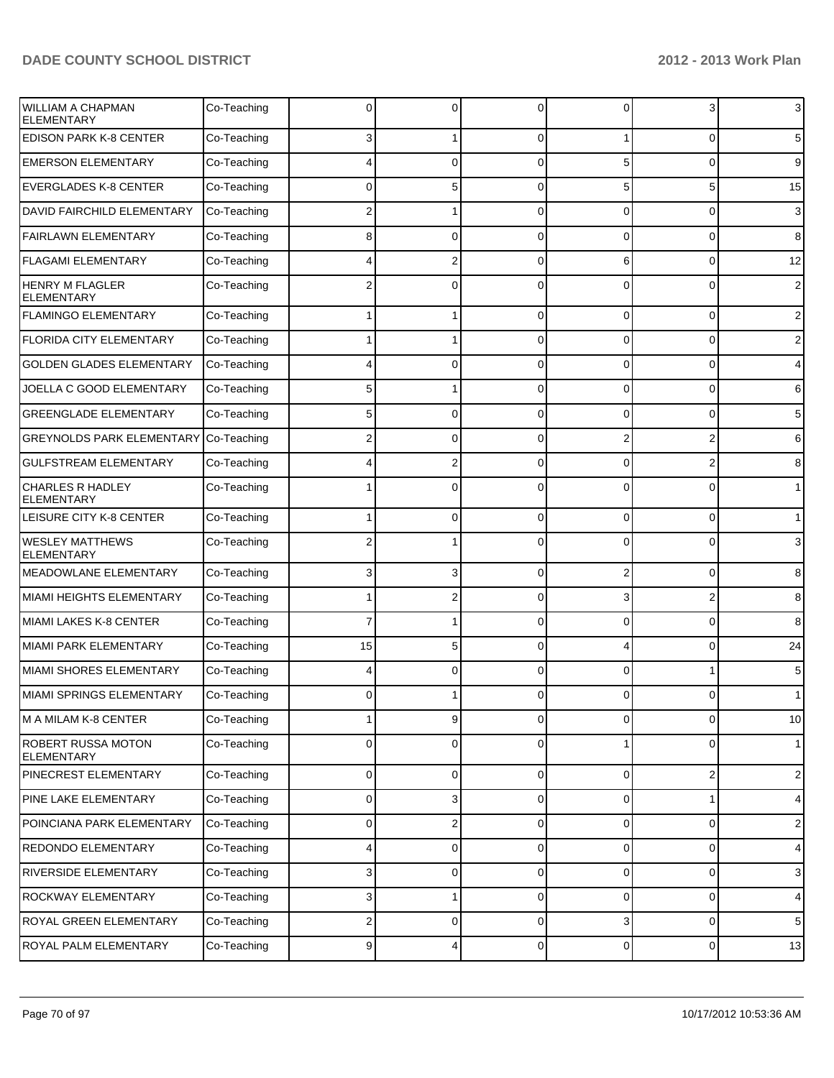| <b>WILLIAM A CHAPMAN</b><br><b>ELEMENTARY</b> | Co-Teaching |    | U              |                | U              | 3                   | 3              |
|-----------------------------------------------|-------------|----|----------------|----------------|----------------|---------------------|----------------|
| <b>EDISON PARK K-8 CENTER</b>                 | Co-Teaching | 3  |                | $\Omega$       |                | 0                   | 5              |
| <b>EMERSON ELEMENTARY</b>                     | Co-Teaching |    | 0              | $\Omega$       | 5              | 0                   | 9              |
| <b>EVERGLADES K-8 CENTER</b>                  | Co-Teaching | 0  | 5              | $\Omega$       | 5              | 5                   | 15             |
| DAVID FAIRCHILD ELEMENTARY                    | Co-Teaching | 2  |                | $\Omega$       | 0              | 0                   | 3              |
| <b>FAIRLAWN ELEMENTARY</b>                    | Co-Teaching | 8  | 0              | 0              | 0              | 0                   | 8              |
| <b>FLAGAMI ELEMENTARY</b>                     | Co-Teaching |    |                | $\Omega$       | 6              | 0                   | 12             |
| <b>HENRY M FLAGLER</b><br><b>ELEMENTARY</b>   | Co-Teaching |    | U              | $\Omega$       | $\Omega$       | 0                   | $\overline{2}$ |
| <b>FLAMINGO ELEMENTARY</b>                    | Co-Teaching |    |                | $\Omega$       | $\Omega$       | $\Omega$            | 2              |
| <b>FLORIDA CITY ELEMENTARY</b>                | Co-Teaching |    |                | $\Omega$       | $\Omega$       | $\Omega$            | $\overline{2}$ |
| <b>GOLDEN GLADES ELEMENTARY</b>               | Co-Teaching |    | 0              | $\Omega$       | $\Omega$       | $\Omega$            | 4              |
| JOELLA C GOOD ELEMENTARY                      | Co-Teaching | 5  |                | $\Omega$       | $\Omega$       | $\Omega$            | 6              |
| <b>GREENGLADE ELEMENTARY</b>                  | Co-Teaching | 5  | 0              | $\Omega$       | $\Omega$       | 0                   | 5              |
| <b>GREYNOLDS PARK ELEMENTARY</b>              | Co-Teaching |    | 0              | $\Omega$       |                | 2                   | 6              |
| <b>GULFSTREAM ELEMENTARY</b>                  | Co-Teaching |    | 2              | $\Omega$       | $\Omega$       | 2                   | 8              |
| <b>CHARLES R HADLEY</b><br><b>ELEMENTARY</b>  | Co-Teaching |    | U              | $\Omega$       | $\Omega$       | O                   | $\mathbf{1}$   |
| LEISURE CITY K-8 CENTER                       | Co-Teaching |    | U              | $\Omega$       | 0              | 0                   | $\mathbf{1}$   |
| <b>WESLEY MATTHEWS</b><br><b>ELEMENTARY</b>   | Co-Teaching |    |                | ∩              | 0              | O                   | 3              |
| MEADOWLANE ELEMENTARY                         | Co-Teaching | 3  | 3              | $\Omega$       | 2              | $\Omega$            | 8              |
| MIAMI HEIGHTS ELEMENTARY                      | Co-Teaching |    |                | $\Omega$       | 3              | 2                   | 8              |
| MIAMI LAKES K-8 CENTER                        | Co-Teaching |    |                | $\Omega$       | $\Omega$       | 0                   | 8              |
| <b>MIAMI PARK ELEMENTARY</b>                  | Co-Teaching | 15 | 5              | $\Omega$       |                | 0                   | 24             |
| MIAMI SHORES ELEMENTARY                       | Co-Teaching |    | 0              | $\Omega$       | $\Omega$       |                     | 5              |
| MIAMI SPRINGS ELEMENTARY                      | Co-Teaching | 0  |                |                |                | 0                   | 1              |
| M A MILAM K-8 CENTER                          | Co-Teaching |    | 9              | $\overline{0}$ | 0              | $\overline{0}$      | 10             |
| ROBERT RUSSA MOTON<br><b>ELEMENTARY</b>       | Co-Teaching | 0  | $\Omega$       | $\Omega$       |                | 0                   | $\mathbf{1}$   |
| PINECREST ELEMENTARY                          | Co-Teaching | 0  | 0              | $\Omega$       | 0              | 2                   | $\overline{2}$ |
| PINE LAKE ELEMENTARY                          | Co-Teaching | 0  | 3              | $\Omega$       | 0              | 1                   | 4              |
| POINCIANA PARK ELEMENTARY                     | Co-Teaching | 0  | $\overline{2}$ | $\Omega$       | 0              | 0                   | $\sqrt{2}$     |
| REDONDO ELEMENTARY                            | Co-Teaching | 4  | 0              | $\Omega$       | 0              | 0                   | 4              |
| RIVERSIDE ELEMENTARY                          | Co-Teaching | 3  | 0              | $\Omega$       | 0              | 0                   | 3              |
| ROCKWAY ELEMENTARY                            | Co-Teaching | 3  | 1              | $\Omega$       | 0              | 0                   | $\overline{4}$ |
| ROYAL GREEN ELEMENTARY                        | Co-Teaching | 2  | 0              | $\Omega$       | 3              | 0                   | 5              |
| ROYAL PALM ELEMENTARY                         | Co-Teaching | 9  | 4              | $\mathbf 0$    | $\overline{0}$ | $\mathsf{O}\xspace$ | 13             |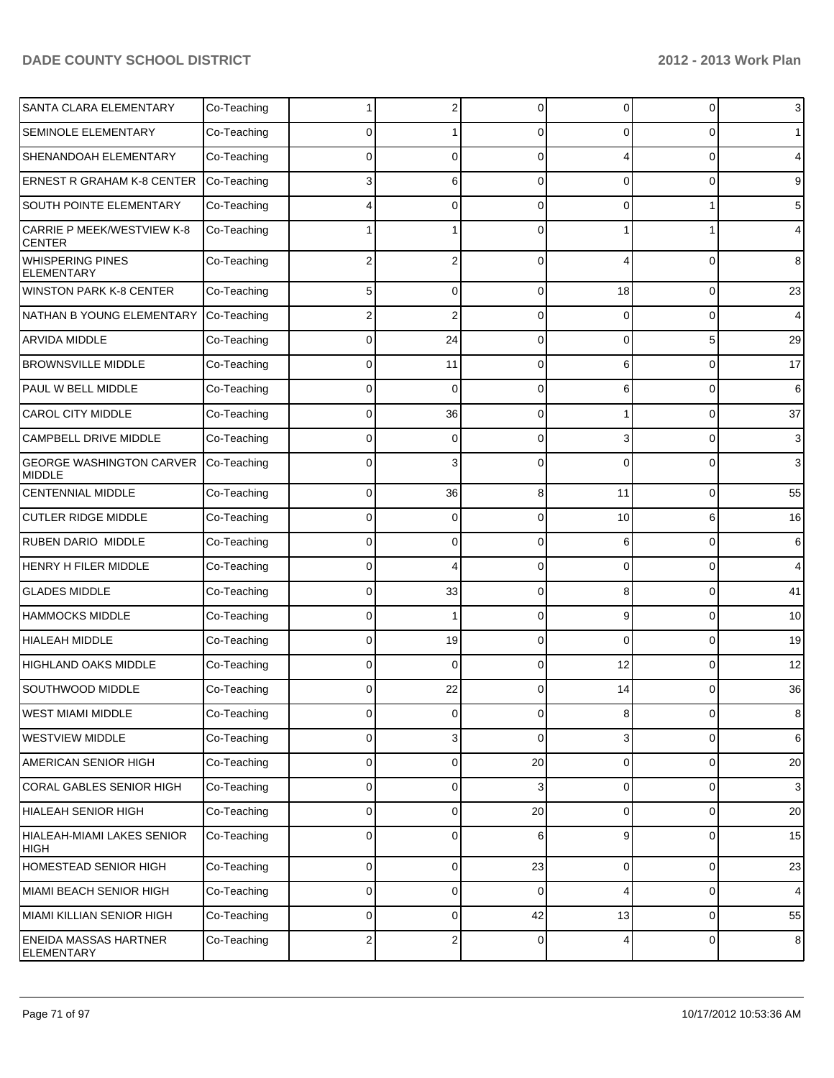| SANTA CLARA ELEMENTARY                            | Co-Teaching |          | 2              | $\Omega$       | 0              | 0              | 3              |
|---------------------------------------------------|-------------|----------|----------------|----------------|----------------|----------------|----------------|
| SEMINOLE ELEMENTARY                               | Co-Teaching | 0        |                | $\Omega$       | 0              | 0              | 1 <sup>1</sup> |
| SHENANDOAH ELEMENTARY                             | Co-Teaching | 0        | 0              | $\Omega$       | 4              | 0              | 4              |
| ERNEST R GRAHAM K-8 CENTER                        | Co-Teaching | 3        | 6              | $\Omega$       | 0              | 0              | 9              |
| SOUTH POINTE ELEMENTARY                           | Co-Teaching | 4        | 0              | $\Omega$       | 0              | 1              | 5              |
| CARRIE P MEEK/WESTVIEW K-8<br><b>CENTER</b>       | Co-Teaching |          |                | $\Omega$       |                |                | 4              |
| <b>WHISPERING PINES</b><br><b>ELEMENTARY</b>      | Co-Teaching | 2        | 2              | $\Omega$       |                | 0              | 8              |
| <b>WINSTON PARK K-8 CENTER</b>                    | Co-Teaching | 5        | 0              | $\Omega$       | 18             | $\mathbf{0}$   | 23             |
| NATHAN B YOUNG ELEMENTARY                         | Co-Teaching | 2        | $\overline{2}$ | $\Omega$       | 0              | 0              | 4              |
| ARVIDA MIDDLE                                     | Co-Teaching | 0        | 24             | $\Omega$       | 0              | 5              | 29             |
| <b>BROWNSVILLE MIDDLE</b>                         | Co-Teaching | 0        | 11             | $\Omega$       | 6              | 0              | 17             |
| PAUL W BELL MIDDLE                                | Co-Teaching | 0        | 0              | $\Omega$       | 6              | $\mathbf{0}$   | 6              |
| CAROL CITY MIDDLE                                 | Co-Teaching | 0        | 36             | $\Omega$       |                | 0              | 37             |
| CAMPBELL DRIVE MIDDLE                             | Co-Teaching | 0        | 0              | $\Omega$       | 3              | 0              | 3              |
| <b>GEORGE WASHINGTON CARVER</b><br><b>MIDDLE</b>  | Co-Teaching | 0        | 3              | $\Omega$       | 0              | 0              | 3              |
| <b>CENTENNIAL MIDDLE</b>                          | Co-Teaching | 0        | 36             | 8              | 11             | 0              | 55             |
| <b>CUTLER RIDGE MIDDLE</b>                        | Co-Teaching | 0        | $\Omega$       | $\Omega$       | 10             | 6              | 16             |
| RUBEN DARIO MIDDLE                                | Co-Teaching | 0        | 0              | 0              | 6              | 0              | 6              |
| HENRY H FILER MIDDLE                              | Co-Teaching | 0        | 4              | $\Omega$       | 0              | 0              | 4              |
| <b>GLADES MIDDLE</b>                              | Co-Teaching | 0        | 33             | $\Omega$       | 8              | 0              | 41             |
| <b>HAMMOCKS MIDDLE</b>                            | Co-Teaching | 0        |                | $\Omega$       | 9              | 0              | 10             |
| <b>HIALEAH MIDDLE</b>                             | Co-Teaching | 0        | 19             | $\Omega$       | 0              | 0              | 19             |
| HIGHLAND OAKS MIDDLE                              | Co-Teaching | 0        | $\Omega$       | $\Omega$       | 12             | 0              | 12             |
| <b>SOUTHWOOD MIDDLE</b>                           | Co-Teaching | 0        | 22             | 0              | 14             | 0              | 36             |
| <b>WEST MIAMI MIDDLE</b>                          | Co-Teaching | 0        | $\overline{0}$ | $\overline{0}$ | 8              | $\circ$        | 8              |
| <b>WESTVIEW MIDDLE</b>                            | Co-Teaching | 0        | 3              | 0              | 3              | 0              | 6              |
| AMERICAN SENIOR HIGH                              | Co-Teaching | 0        | 0              | 20             | 0              | 0              | 20             |
| CORAL GABLES SENIOR HIGH                          | Co-Teaching | 0        | 0              | 3              | 0              | 0              | $\mathbf{3}$   |
| HIALEAH SENIOR HIGH                               | Co-Teaching | 0        | 0              | 20             | 0              | 0              | 20             |
| HIALEAH-MIAMI LAKES SENIOR<br>HIGH                | Co-Teaching | 0        | 0              | 6              | 9              | 0              | 15             |
| HOMESTEAD SENIOR HIGH                             | Co-Teaching | 0        | 0              | 23             | $\overline{0}$ | $\overline{0}$ | 23             |
| MIAMI BEACH SENIOR HIGH                           | Co-Teaching | 0        | 0              | $\mathbf 0$    | 4              | 0              | 4              |
| MIAMI KILLIAN SENIOR HIGH                         | Co-Teaching | $\Omega$ | 0              | 42             | 13             | $\mathbf 0$    | 55             |
| <b>ENEIDA MASSAS HARTNER</b><br><b>ELEMENTARY</b> | Co-Teaching | 2        | $\overline{2}$ | $\Omega$       |                | $\overline{0}$ | 8              |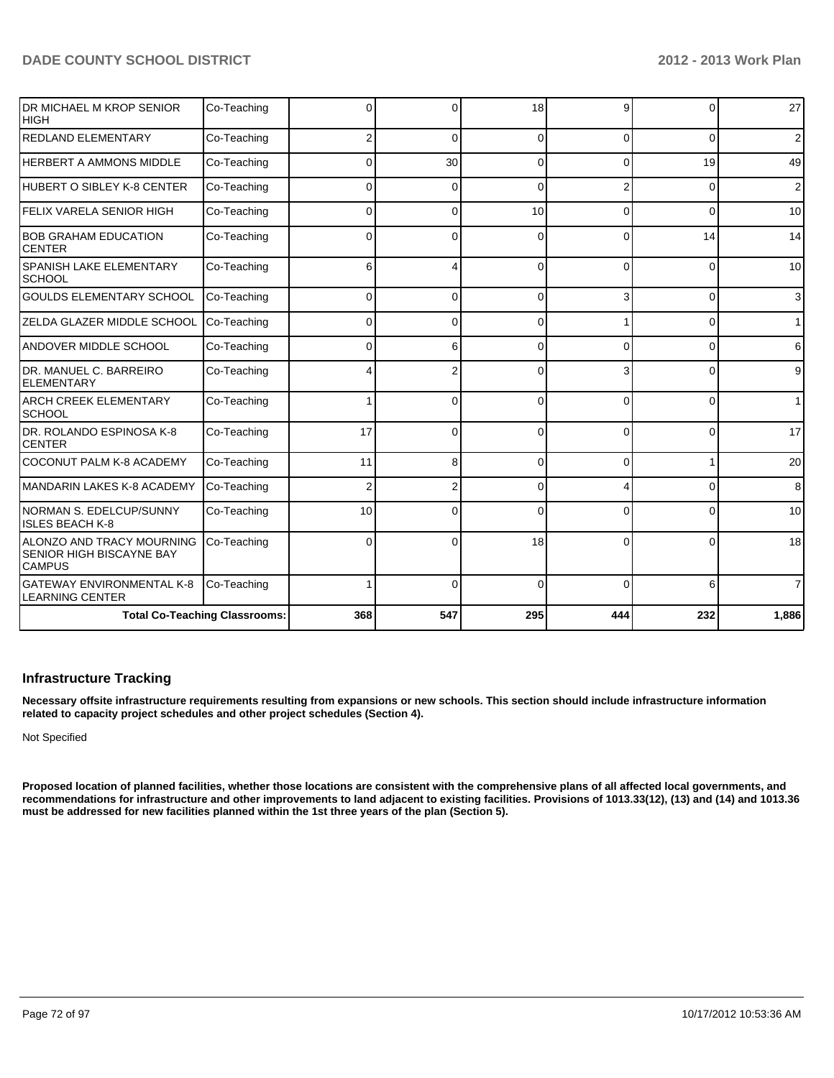| IDR MICHAEL M KROP SENIOR<br><b>HIGH</b>                               | Co-Teaching |          | 0              | 18       |          | 0              | 27              |
|------------------------------------------------------------------------|-------------|----------|----------------|----------|----------|----------------|-----------------|
| <b>REDLAND ELEMENTARY</b>                                              | Co-Teaching | 2        | $\Omega$       | $\Omega$ | $\Omega$ | $\overline{0}$ | $\overline{2}$  |
| <b>HERBERT A AMMONS MIDDLE</b>                                         | Co-Teaching | 0        | 30             | $\Omega$ | $\Omega$ | 19             | 49              |
| HUBERT O SIBLEY K-8 CENTER                                             | Co-Teaching | 0        | $\Omega$       | $\Omega$ | 2        | 0              | $\overline{2}$  |
| <b>FELIX VARELA SENIOR HIGH</b>                                        | Co-Teaching | 0        | 0              | 10       | $\Omega$ | $\Omega$       | 10              |
| <b>BOB GRAHAM EDUCATION</b><br><b>CENTER</b>                           | Co-Teaching | 0        | 0              | $\Omega$ | 0        | 14             | 14              |
| SPANISH LAKE ELEMENTARY<br>SCHOOL                                      | Co-Teaching | 6        | 4              | $\Omega$ | 0        | $\Omega$       | 10 <sup>1</sup> |
| <b>GOULDS ELEMENTARY SCHOOL</b>                                        | Co-Teaching | 0        | 0              | $\Omega$ | 3        | 0              | $\mathbf{3}$    |
| <b>ZELDA GLAZER MIDDLE SCHOOL</b>                                      | Co-Teaching | 0        | 0              | $\Omega$ |          | 0              | 1               |
| ANDOVER MIDDLE SCHOOL                                                  | Co-Teaching | 0        | 6              | $\Omega$ | $\Omega$ | 0              | 6               |
| DR. MANUEL C. BARREIRO<br><b>ELEMENTARY</b>                            | Co-Teaching |          | 2              | $\Omega$ | 3        | 0              | 9               |
| <b>ARCH CREEK ELEMENTARY</b><br><b>SCHOOL</b>                          | Co-Teaching |          | 0              | $\Omega$ | $\Omega$ | $\Omega$       | $\mathbf{1}$    |
| DR. ROLANDO ESPINOSA K-8<br><b>CENTER</b>                              | Co-Teaching | 17       | 0              | $\Omega$ | U        | 0              | 17              |
| COCONUT PALM K-8 ACADEMY                                               | Co-Teaching | 11       | 8              | $\Omega$ | $\Omega$ | 1              | 20              |
| MANDARIN LAKES K-8 ACADEMY                                             | Co-Teaching | 2        | $\overline{2}$ | $\Omega$ |          | $\Omega$       | 8               |
| NORMAN S. EDELCUP/SUNNY<br><b>ISLES BEACH K-8</b>                      | Co-Teaching | 10       | 0              | $\Omega$ | 0        | 0              | 10              |
| ALONZO AND TRACY MOURNING<br>SENIOR HIGH BISCAYNE BAY<br><b>CAMPUS</b> | Co-Teaching | $\Omega$ | 0              | 18       | 0        | 0              | 18              |
| <b>GATEWAY ENVIRONMENTAL K-8</b><br><b>LEARNING CENTER</b>             | Co-Teaching |          | $\Omega$       | $\Omega$ | $\Omega$ | 6              | $\overline{7}$  |
| <b>Total Co-Teaching Classrooms:</b>                                   |             | 368      | 547            | 295      | 444      | 232            | 1,886           |

#### **Infrastructure Tracking**

**Necessary offsite infrastructure requirements resulting from expansions or new schools. This section should include infrastructure information related to capacity project schedules and other project schedules (Section 4).**

Not Specified

**Proposed location of planned facilities, whether those locations are consistent with the comprehensive plans of all affected local governments, and recommendations for infrastructure and other improvements to land adjacent to existing facilities. Provisions of 1013.33(12), (13) and (14) and 1013.36 must be addressed for new facilities planned within the 1st three years of the plan (Section 5).**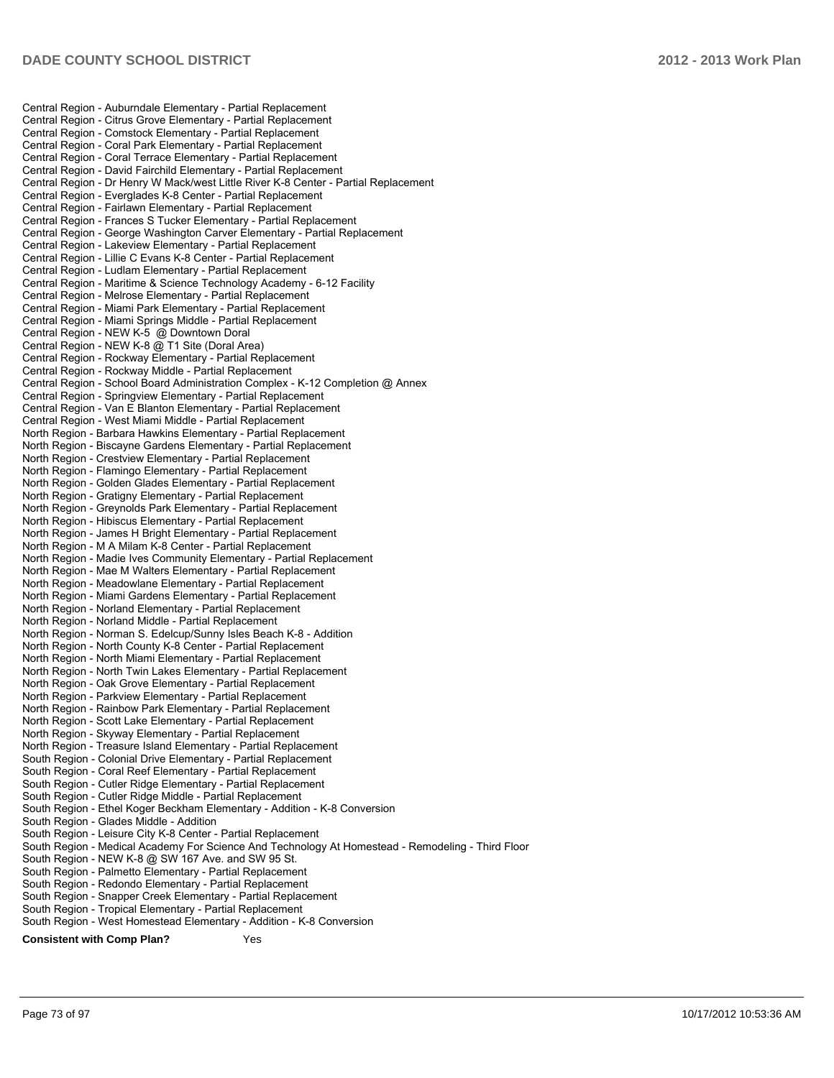Central Region - Auburndale Elementary - Partial Replacement Central Region - Citrus Grove Elementary - Partial Replacement Central Region - Comstock Elementary - Partial Replacement Central Region - Coral Park Elementary - Partial Replacement Central Region - Coral Terrace Elementary - Partial Replacement Central Region - David Fairchild Elementary - Partial Replacement Central Region - Dr Henry W Mack/west Little River K-8 Center - Partial Replacement Central Region - Everglades K-8 Center - Partial Replacement Central Region - Fairlawn Elementary - Partial Replacement Central Region - Frances S Tucker Elementary - Partial Replacement Central Region - George Washington Carver Elementary - Partial Replacement Central Region - Lakeview Elementary - Partial Replacement Central Region - Lillie C Evans K-8 Center - Partial Replacement Central Region - Ludlam Elementary - Partial Replacement Central Region - Maritime & Science Technology Academy - 6-12 Facility Central Region - Melrose Elementary - Partial Replacement Central Region - Miami Park Elementary - Partial Replacement Central Region - Miami Springs Middle - Partial Replacement Central Region - NEW K-5 @ Downtown Doral Central Region - NEW K-8 @ T1 Site (Doral Area) Central Region - Rockway Elementary - Partial Replacement Central Region - Rockway Middle - Partial Replacement Central Region - School Board Administration Complex - K-12 Completion @ Annex Central Region - Springview Elementary - Partial Replacement Central Region - Van E Blanton Elementary - Partial Replacement Central Region - West Miami Middle - Partial Replacement North Region - Barbara Hawkins Elementary - Partial Replacement North Region - Biscayne Gardens Elementary - Partial Replacement North Region - Crestview Elementary - Partial Replacement North Region - Flamingo Elementary - Partial Replacement North Region - Golden Glades Elementary - Partial Replacement North Region - Gratigny Elementary - Partial Replacement North Region - Greynolds Park Elementary - Partial Replacement North Region - Hibiscus Elementary - Partial Replacement North Region - James H Bright Elementary - Partial Replacement North Region - M A Milam K-8 Center - Partial Replacement North Region - Madie Ives Community Elementary - Partial Replacement North Region - Mae M Walters Elementary - Partial Replacement North Region - Meadowlane Elementary - Partial Replacement North Region - Miami Gardens Elementary - Partial Replacement North Region - Norland Elementary - Partial Replacement North Region - Norland Middle - Partial Replacement North Region - Norman S. Edelcup/Sunny Isles Beach K-8 - Addition North Region - North County K-8 Center - Partial Replacement North Region - North Miami Elementary - Partial Replacement North Region - North Twin Lakes Elementary - Partial Replacement North Region - Oak Grove Elementary - Partial Replacement North Region - Parkview Elementary - Partial Replacement North Region - Rainbow Park Elementary - Partial Replacement North Region - Scott Lake Elementary - Partial Replacement North Region - Skyway Elementary - Partial Replacement North Region - Treasure Island Elementary - Partial Replacement South Region - Colonial Drive Elementary - Partial Replacement South Region - Coral Reef Elementary - Partial Replacement South Region - Cutler Ridge Elementary - Partial Replacement South Region - Cutler Ridge Middle - Partial Replacement South Region - Ethel Koger Beckham Elementary - Addition - K-8 Conversion South Region - Glades Middle - Addition South Region - Leisure City K-8 Center - Partial Replacement South Region - Medical Academy For Science And Technology At Homestead - Remodeling - Third Floor South Region - NEW K-8 @ SW 167 Ave. and SW 95 St. South Region - Palmetto Elementary - Partial Replacement South Region - Redondo Elementary - Partial Replacement South Region - Snapper Creek Elementary - Partial Replacement South Region - Tropical Elementary - Partial Replacement South Region - West Homestead Elementary - Addition - K-8 Conversion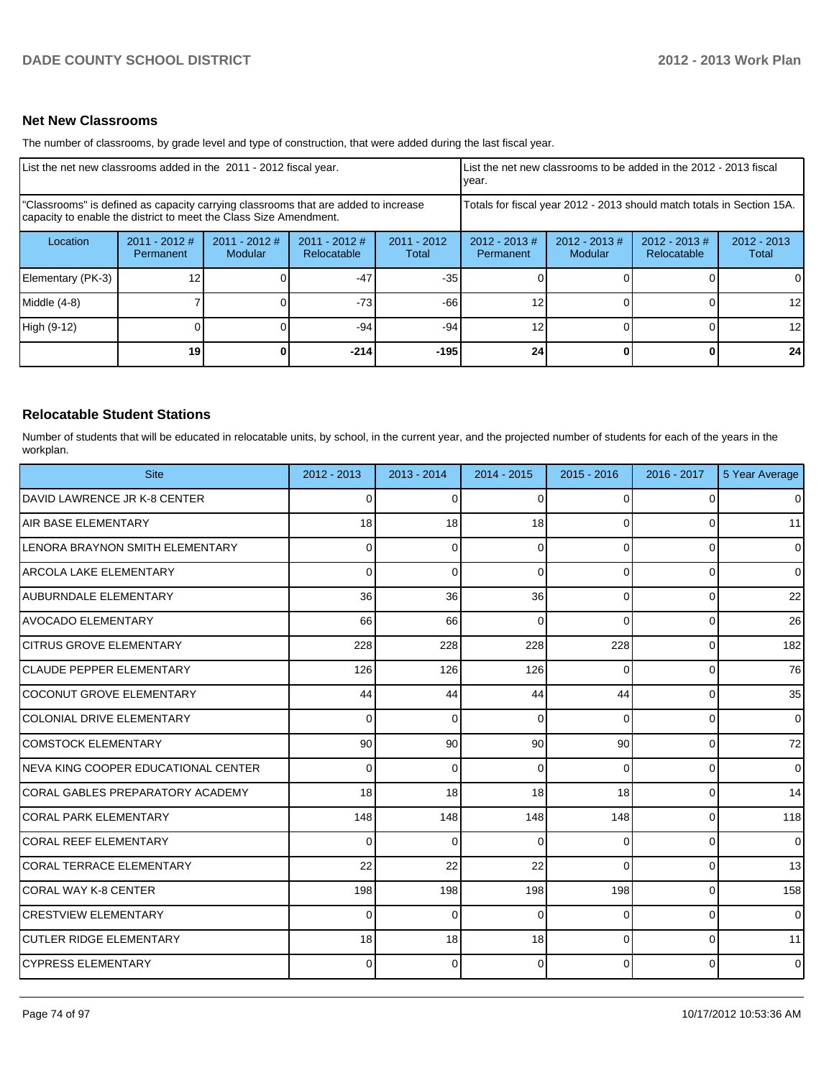## **Net New Classrooms**

The number of classrooms, by grade level and type of construction, that were added during the last fiscal year.

| List the net new classrooms added in the 2011 - 2012 fiscal year.                                                                                       |                              |                          |                                                                        |                        | List the net new classrooms to be added in the 2012 - 2013 fiscal<br>Ivear. |                            |                                |                        |
|---------------------------------------------------------------------------------------------------------------------------------------------------------|------------------------------|--------------------------|------------------------------------------------------------------------|------------------------|-----------------------------------------------------------------------------|----------------------------|--------------------------------|------------------------|
| "Classrooms" is defined as capacity carrying classrooms that are added to increase<br>capacity to enable the district to meet the Class Size Amendment. |                              |                          | Totals for fiscal year 2012 - 2013 should match totals in Section 15A. |                        |                                                                             |                            |                                |                        |
| Location                                                                                                                                                | $2011 - 2012$ #<br>Permanent | 2011 - 2012 #<br>Modular | $2011 - 2012$ #<br>Relocatable                                         | $2011 - 2012$<br>Total | $2012 - 2013$ #<br>Permanent                                                | $2012 - 2013$ #<br>Modular | $2012 - 2013$ #<br>Relocatable | $2012 - 2013$<br>Total |
| Elementary (PK-3)                                                                                                                                       | 12 <sub>1</sub>              |                          | $-47$                                                                  | $-35$                  |                                                                             |                            |                                | $\Omega$               |
| Middle (4-8)                                                                                                                                            |                              |                          | $-73$                                                                  | $-66$                  | 12                                                                          |                            | 0                              | 12                     |
| High (9-12)                                                                                                                                             |                              |                          | $-94$                                                                  | $-94$                  | 12                                                                          |                            |                                | 12                     |
|                                                                                                                                                         | 19                           |                          | $-214$                                                                 | $-195$                 | 24                                                                          |                            | 0                              | 24                     |

## **Relocatable Student Stations**

Number of students that will be educated in relocatable units, by school, in the current year, and the projected number of students for each of the years in the workplan.

| <b>Site</b>                             | 2012 - 2013  | $2013 - 2014$ | $2014 - 2015$ | $2015 - 2016$   | 2016 - 2017 | 5 Year Average |
|-----------------------------------------|--------------|---------------|---------------|-----------------|-------------|----------------|
| <b>IDAVID LAWRENCE JR K-8 CENTER</b>    | 0            | 0             | $\Omega$      | $\Omega$        | $\Omega$    | $\overline{0}$ |
| IAIR BASE ELEMENTARY                    | 18           | 18            | 18            | $\Omega$        | 0           | 11             |
| <b>ILENORA BRAYNON SMITH ELEMENTARY</b> | $\Omega$     | $\Omega$      | 0             | $\Omega$        | $\Omega$    | $\overline{0}$ |
| <b>ARCOLA LAKE ELEMENTARY</b>           | $\Omega$     | $\Omega$      | 0             | $\Omega$        | $\Omega$    | $\overline{0}$ |
| AUBURNDALE ELEMENTARY                   | 36           | 36            | 36            | $\Omega$        | $\Omega$    | 22             |
| <b>AVOCADO ELEMENTARY</b>               | 66           | 66            | 0             | $\Omega$        | $\Omega$    | <b>26</b>      |
| ICITRUS GROVE ELEMENTARY                | 228          | 228           | 228           | 228             | $\Omega$    | 182            |
| <b>ICLAUDE PEPPER ELEMENTARY</b>        | 126          | 126           | 126           | $\Omega$        | $\Omega$    | 76             |
| COCONUT GROVE ELEMENTARY                | 44           | 44            | 44            | 44              | $\Omega$    | 35             |
| COLONIAL DRIVE ELEMENTARY               | 0            | $\Omega$      | $\Omega$      | $\Omega$        | $\Omega$    | $\overline{0}$ |
| ICOMSTOCK ELEMENTARY                    | 90           | 90            | 90            | 90 <sup>°</sup> | $\Omega$    | 72             |
| INEVA KING COOPER EDUCATIONAL CENTER    | $\Omega$     | $\Omega$      | 0             | $\Omega$        | $\Omega$    | $\overline{0}$ |
| ICORAL GABLES PREPARATORY ACADEMY       | 18           | 18            | 18            | 18              | $\Omega$    | 14             |
| lCORAL PARK ELEMENTARY                  | 148          | 148           | 148           | 148             | $\Omega$    | 118            |
| <b>CORAL REEF ELEMENTARY</b>            | $\Omega$     | $\Omega$      | $\Omega$      | $\Omega$        | $\Omega$    | $\overline{0}$ |
| CORAL TERRACE ELEMENTARY                | 22           | 22            | 22            | 0               | $\Omega$    | 13             |
| CORAL WAY K-8 CENTER                    | 198          | 198           | 198           | 198             | $\Omega$    | 158            |
| <b>CRESTVIEW ELEMENTARY</b>             | <sup>0</sup> | $\Omega$      | ∩             | $\Omega$        | $\Omega$    | $\Omega$       |
| <b>CUTLER RIDGE ELEMENTARY</b>          | 18           | 18            | 18            | $\Omega$        | $\Omega$    | 11             |
| ICYPRESS ELEMENTARY                     | 0            | $\Omega$      | $\Omega$      | $\Omega$        | $\Omega$    | $\overline{0}$ |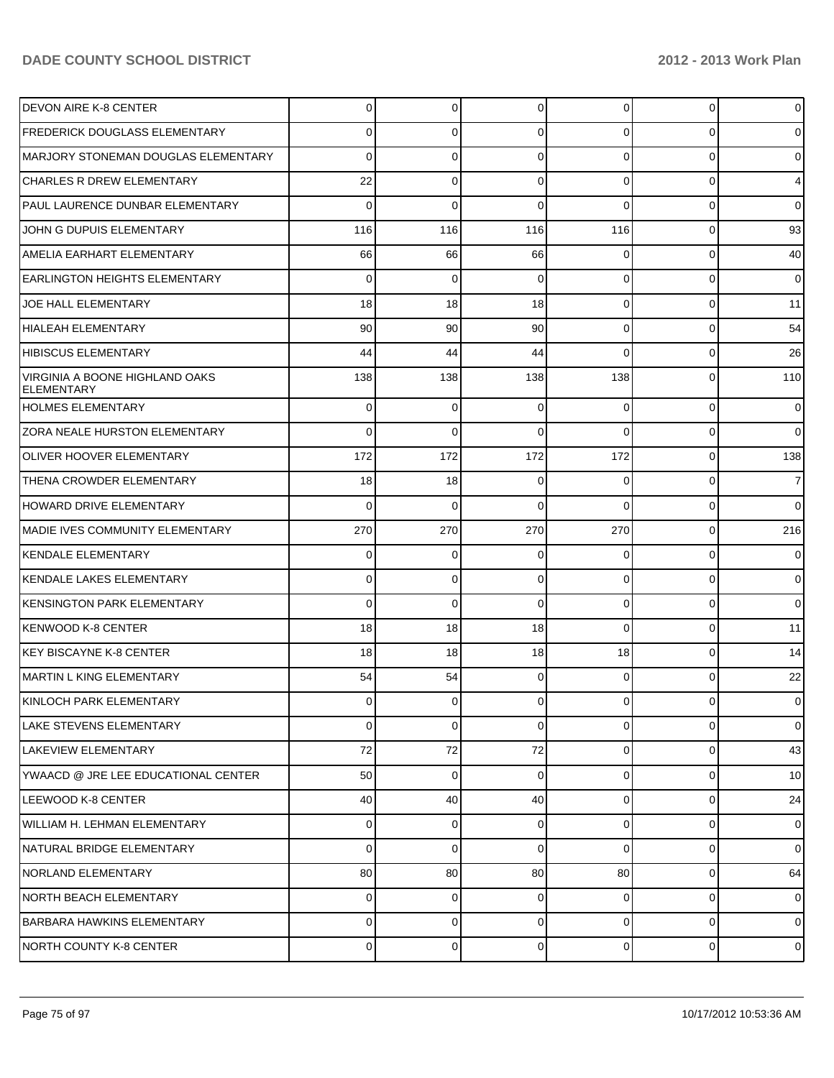| <b>DEVON AIRE K-8 CENTER</b>                               | 0        | 0              | 0        | $\overline{0}$ | 0           | $\overline{0}$ |
|------------------------------------------------------------|----------|----------------|----------|----------------|-------------|----------------|
| FREDERICK DOUGLASS ELEMENTARY                              | 0        | 0              | O        | 0              | 0           | $\overline{0}$ |
| MARJORY STONEMAN DOUGLAS ELEMENTARY                        | 0        | 0              | C        | $\Omega$       | 0           | $\overline{0}$ |
| <b>CHARLES R DREW ELEMENTARY</b>                           | 22       | 0              | 0        | $\Omega$       | 0           | $\overline{4}$ |
| PAUL LAURENCE DUNBAR ELEMENTARY                            | 0        | $\Omega$       | O        | $\Omega$       | 0           | $\overline{0}$ |
| JOHN G DUPUIS ELEMENTARY                                   | 116      | 116            | 116      | 116            | $\Omega$    | 93             |
| <b>AMELIA EARHART ELEMENTARY</b>                           | 66       | 66             | 66       | 0              | $\Omega$    | 40             |
| <b>EARLINGTON HEIGHTS ELEMENTARY</b>                       | 0        | $\Omega$       | 0        | $\Omega$       | $\Omega$    | $\overline{0}$ |
| JOE HALL ELEMENTARY                                        | 18       | 18             | 18       | $\Omega$       | 0           | 11             |
| HIALEAH ELEMENTARY                                         | 90       | 90             | 90       | $\Omega$       | $\Omega$    | 54             |
| <b>HIBISCUS ELEMENTARY</b>                                 | 44       | 44             | 44       | $\Omega$       | 0           | 26             |
| <b>VIRGINIA A BOONE HIGHLAND OAKS</b><br><b>ELEMENTARY</b> | 138      | 138            | 138      | 138            | 0           | 110            |
| <b>HOLMES ELEMENTARY</b>                                   | $\Omega$ | 0              | $\Omega$ | $\Omega$       | $\Omega$    | $\overline{0}$ |
| <b>ZORA NEALE HURSTON ELEMENTARY</b>                       | 0        | $\Omega$       | $\Omega$ | $\Omega$       | $\Omega$    | $\Omega$       |
| <b>OLIVER HOOVER ELEMENTARY</b>                            | 172      | 172            | 172      | 172            | $\Omega$    | 138            |
| <b>THENA CROWDER ELEMENTARY</b>                            | 18       | 18             | 0        | $\Omega$       | $\Omega$    | $\overline{7}$ |
| HOWARD DRIVE ELEMENTARY                                    | $\Omega$ | $\Omega$       | $\Omega$ | $\Omega$       | $\Omega$    | $\overline{0}$ |
| MADIE IVES COMMUNITY ELEMENTARY                            | 270      | 270            | 270      | 270            | $\Omega$    | 216            |
| KENDALE ELEMENTARY                                         | $\Omega$ | 0              | $\Omega$ | $\Omega$       | $\Omega$    | $\overline{0}$ |
| KENDALE LAKES ELEMENTARY                                   | 0        | $\Omega$       | $\Omega$ | $\Omega$       | $\Omega$    | $\overline{0}$ |
| KENSINGTON PARK ELEMENTARY                                 | $\Omega$ | $\Omega$       | $\Omega$ | $\Omega$       | $\Omega$    | $\overline{0}$ |
| KENWOOD K-8 CENTER                                         | 18       | 18             | 18       | $\Omega$       | $\Omega$    | 11             |
| KEY BISCAYNE K-8 CENTER                                    | 18       | 18             | 18       | 18             | $\Omega$    | 14             |
| MARTIN L KING ELEMENTARY                                   | 54       | 54             | 0        | $\Omega$       | $\Omega$    | 22             |
| IKINLOCH PARK ELEMENTARY                                   | $\Omega$ | $\overline{0}$ | $\Omega$ | $\overline{0}$ | $\Omega$    | $\overline{0}$ |
| LAKE STEVENS ELEMENTARY                                    | 0        | $\Omega$       | 0        | $\Omega$       | $\Omega$    | $\overline{0}$ |
| LAKEVIEW ELEMENTARY                                        | 72       | 72             | 72       | $\Omega$       | $\Omega$    | 43             |
| YWAACD @ JRE LEE EDUCATIONAL CENTER                        | 50       | $\mathbf 0$    | $\Omega$ | $\Omega$       | $\Omega$    | 10             |
| LEEWOOD K-8 CENTER                                         | 40       | 40             | 40       | $\Omega$       | $\Omega$    | 24             |
| <b>WILLIAM H. LEHMAN ELEMENTARY</b>                        | $\Omega$ | 0              | $\Omega$ | $\Omega$       | $\Omega$    | $\overline{0}$ |
| NATURAL BRIDGE ELEMENTARY                                  | 0        | $\Omega$       | $\Omega$ | $\Omega$       | $\Omega$    | $\overline{0}$ |
| NORLAND ELEMENTARY                                         | 80       | 80             | 80       | 80             | $\Omega$    | 64             |
| <b>NORTH BEACH ELEMENTARY</b>                              | $\Omega$ | 0              | $\Omega$ | $\Omega$       | $\Omega$    | $\overline{0}$ |
| <b>BARBARA HAWKINS ELEMENTARY</b>                          | $\Omega$ | $\Omega$       | 0        | $\Omega$       | $\Omega$    | $\overline{0}$ |
| <b>NORTH COUNTY K-8 CENTER</b>                             | 0        | 0              | 0        | $\overline{0}$ | $\mathbf 0$ | $\overline{0}$ |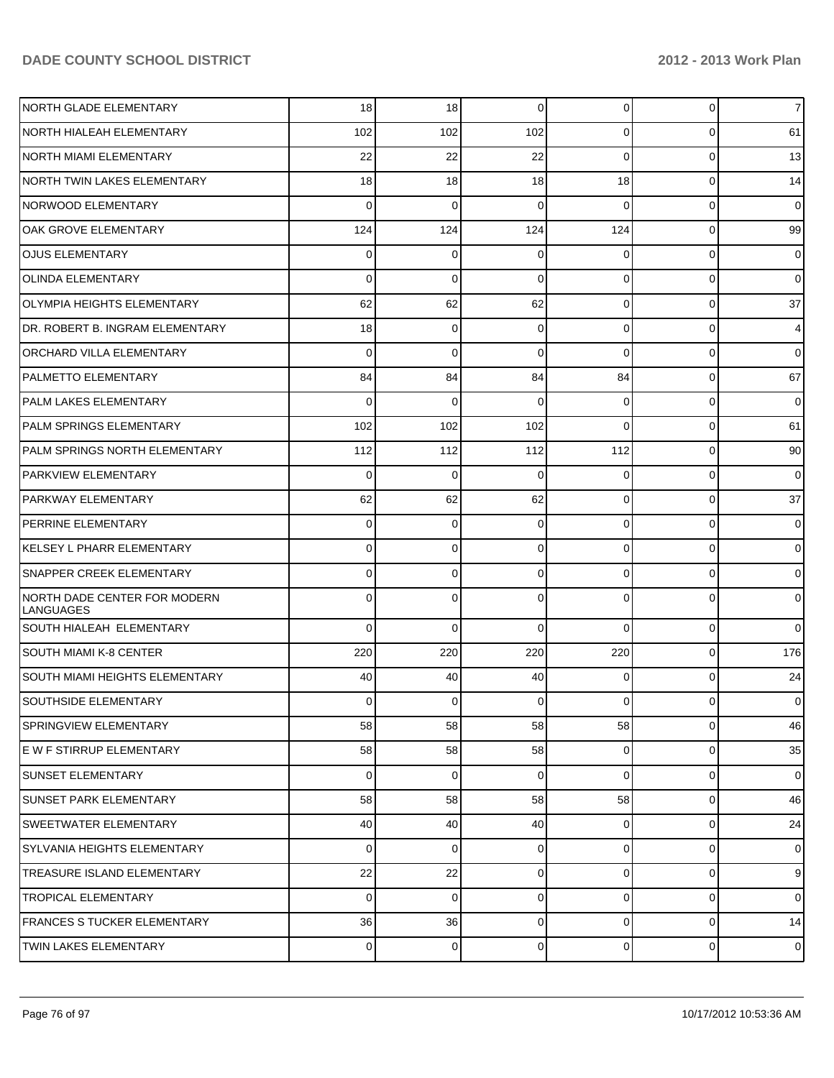| NORTH GLADE ELEMENTARY                    | 18             | 18             | $\mathbf 0$    | $\Omega$       | $\overline{0}$ | $\overline{7}$ |
|-------------------------------------------|----------------|----------------|----------------|----------------|----------------|----------------|
| <b>NORTH HIALEAH ELEMENTARY</b>           | 102            | 102            | 102            | $\Omega$       | $\overline{0}$ | 61             |
| NORTH MIAMI ELEMENTARY                    | 22             | 22             | 22             | $\Omega$       | $\overline{0}$ | 13             |
| NORTH TWIN LAKES ELEMENTARY               | 18             | 18             | 18             | 18             | $\overline{0}$ | 14             |
| NORWOOD ELEMENTARY                        | $\Omega$       | $\Omega$       | $\Omega$       | $\Omega$       | $\overline{0}$ | $\overline{0}$ |
| OAK GROVE ELEMENTARY                      | 124            | 124            | 124            | 124            | $\overline{0}$ | 99             |
| <b>OJUS ELEMENTARY</b>                    | $\Omega$       | 0              | $\Omega$       | 0              | $\overline{0}$ | $\mathbf 0$    |
| <b>OLINDA ELEMENTARY</b>                  | $\Omega$       | 0              | $\Omega$       | $\Omega$       | $\overline{0}$ | $\overline{0}$ |
| <b>OLYMPIA HEIGHTS ELEMENTARY</b>         | 62             | 62             | 62             | $\Omega$       | $\overline{0}$ | 37             |
| DR. ROBERT B. INGRAM ELEMENTARY           | 18             | $\mathbf 0$    | $\Omega$       | $\Omega$       | $\overline{0}$ | $\overline{4}$ |
| <b>ORCHARD VILLA ELEMENTARY</b>           | $\Omega$       | 0              | $\Omega$       | $\Omega$       | $\overline{0}$ | $\overline{0}$ |
| PALMETTO ELEMENTARY                       | 84             | 84             | 84             | 84             | $\overline{0}$ | 67             |
| PALM LAKES ELEMENTARY                     | $\Omega$       | 0              | $\Omega$       | $\Omega$       | $\overline{0}$ | $\overline{0}$ |
| PALM SPRINGS ELEMENTARY                   | 102            | 102            | 102            | $\Omega$       | $\overline{0}$ | 61             |
| PALM SPRINGS NORTH ELEMENTARY             | 112            | 112            | 112            | 112            | $\overline{0}$ | 90             |
| <b>PARKVIEW ELEMENTARY</b>                | $\Omega$       | $\mathbf 0$    | $\Omega$       | $\Omega$       | $\overline{0}$ | $\overline{0}$ |
| <b>PARKWAY ELEMENTARY</b>                 | 62             | 62             | 62             | $\Omega$       | $\overline{0}$ | 37             |
| <b>PERRINE ELEMENTARY</b>                 | $\Omega$       | 0              | $\Omega$       | $\Omega$       | $\overline{0}$ | $\mathbf 0$    |
| KELSEY L PHARR ELEMENTARY                 | $\Omega$       | 0              | $\Omega$       | $\Omega$       | $\overline{0}$ | $\mathbf 0$    |
| <b>SNAPPER CREEK ELEMENTARY</b>           | $\Omega$       | 0              | $\Omega$       | $\Omega$       | $\overline{0}$ | $\overline{0}$ |
| NORTH DADE CENTER FOR MODERN<br>LANGUAGES | U              | $\Omega$       | $\Omega$       | $\Omega$       | $\Omega$       | $\overline{0}$ |
| SOUTH HIALEAH ELEMENTARY                  | $\Omega$       | $\Omega$       | $\Omega$       | $\Omega$       | $\overline{0}$ | $\overline{0}$ |
| <b>SOUTH MIAMI K-8 CENTER</b>             | 220            | 220            | 220            | 220            | $\overline{0}$ | 176            |
| <b>SOUTH MIAMI HEIGHTS ELEMENTARY</b>     | 40             | 40             | 40             | $\Omega$       | $\overline{0}$ | 24             |
| <b>SOUTHSIDE ELEMENTARY</b>               | $\overline{0}$ | $\Omega$       | $\overline{0}$ | $\overline{0}$ | $\overline{0}$ | $\mathbf 0$    |
| <b>SPRINGVIEW ELEMENTARY</b>              | 58             | 58             | 58             | 58             | $\overline{0}$ | 46             |
| E W F STIRRUP ELEMENTARY                  | 58             | 58             | 58             | $\overline{0}$ | $\overline{0}$ | 35             |
| <b>SUNSET ELEMENTARY</b>                  | $\Omega$       | $\overline{0}$ | $\overline{0}$ | $\Omega$       | $\overline{0}$ | $\overline{0}$ |
| <b>SUNSET PARK ELEMENTARY</b>             | 58             | 58             | 58             | 58             | $\overline{0}$ | 46             |
| <b>SWEETWATER ELEMENTARY</b>              | 40             | 40             | 40             | $\overline{0}$ | $\overline{0}$ | 24             |
| <b>SYLVANIA HEIGHTS ELEMENTARY</b>        | $\Omega$       | $\overline{0}$ | $\overline{0}$ | $\overline{0}$ | $\overline{0}$ | $\mathbf 0$    |
| <b>TREASURE ISLAND ELEMENTARY</b>         | 22             | 22             | 0              | $\overline{0}$ | $\overline{0}$ | 9              |
| <b>TROPICAL ELEMENTARY</b>                | $\Omega$       | $\overline{0}$ | $\mathbf 0$    | $\Omega$       | $\overline{0}$ | $\overline{0}$ |
| FRANCES S TUCKER ELEMENTARY               | 36             | 36             | $\mathbf 0$    | $\overline{0}$ | $\overline{0}$ | 14             |
| <b>TWIN LAKES ELEMENTARY</b>              | $\overline{0}$ | $\overline{0}$ | $\overline{0}$ | $\overline{0}$ | $\overline{0}$ | $\mathbf 0$    |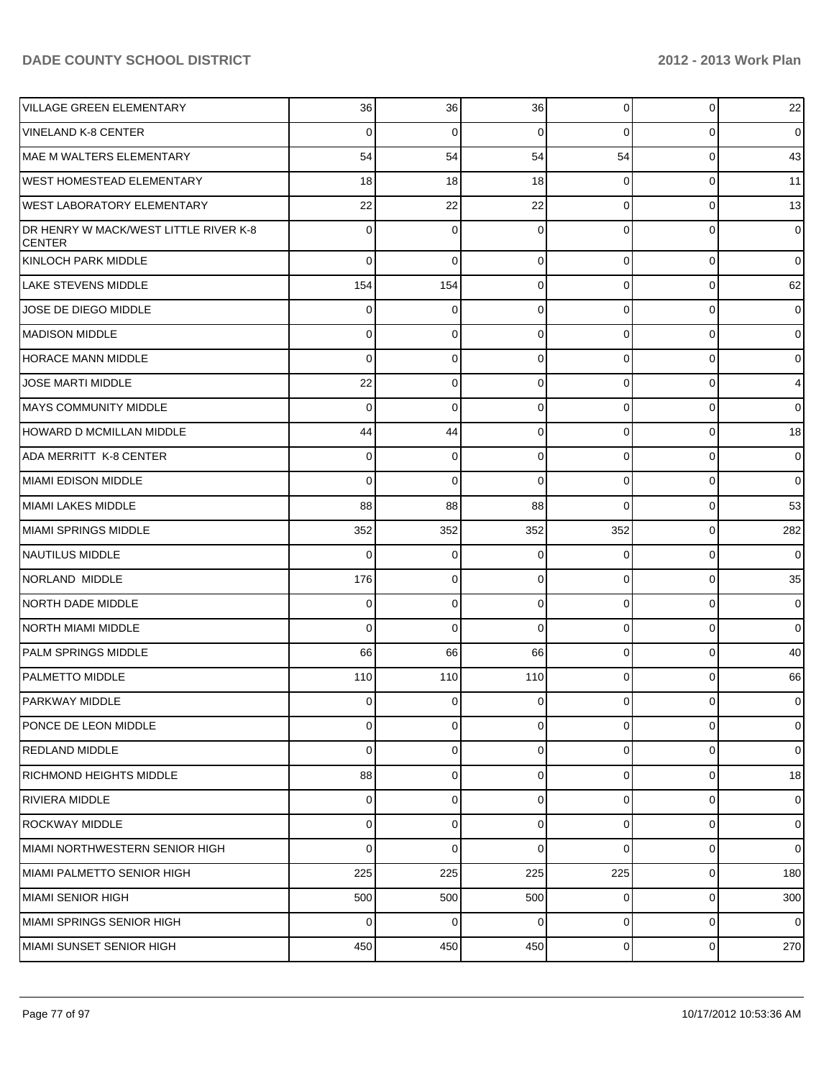| <b>VILLAGE GREEN ELEMENTARY</b>                        | 36       | 36             | 36             | 0              | $\overline{0}$ | 22             |
|--------------------------------------------------------|----------|----------------|----------------|----------------|----------------|----------------|
| <b>VINELAND K-8 CENTER</b>                             | 0        | 0              | 0              | 0              | 0              | $\mathbf 0$    |
| MAE M WALTERS ELEMENTARY                               | 54       | 54             | 54             | 54             | 0              | 43             |
| <b>I</b> WEST HOMESTEAD ELEMENTARY                     | 18       | 18             | 18             | 0              | 0              | 11             |
| WEST LABORATORY ELEMENTARY                             | 22       | 22             | 22             | $\Omega$       | 0              | 13             |
| DR HENRY W MACK/WEST LITTLE RIVER K-8<br><b>CENTER</b> | 0        | 0              | 0              | 0              | 0              | $\mathbf 0$    |
| KINLOCH PARK MIDDLE                                    | $\Omega$ | 0              | $\Omega$       | $\Omega$       | $\overline{0}$ | $\overline{0}$ |
| <b>LAKE STEVENS MIDDLE</b>                             | 154      | 154            | $\Omega$       | $\Omega$       | $\overline{0}$ | 62             |
| JOSE DE DIEGO MIDDLE                                   | $\Omega$ | 0              | $\Omega$       | $\Omega$       | $\overline{0}$ | $\mathbf 0$    |
| <b>MADISON MIDDLE</b>                                  | $\Omega$ | $\overline{0}$ | $\Omega$       | $\Omega$       | $\overline{0}$ | $\mathbf 0$    |
| HORACE MANN MIDDLE                                     | $\Omega$ | 0              | $\Omega$       | $\Omega$       | $\overline{0}$ | $\mathbf 0$    |
| <b>JOSE MARTI MIDDLE</b>                               | 22       | $\overline{0}$ | $\Omega$       | $\Omega$       | $\overline{0}$ | $\overline{4}$ |
| <b>MAYS COMMUNITY MIDDLE</b>                           | $\Omega$ | 0              | $\Omega$       | $\Omega$       | $\overline{0}$ | $\mathbf 0$    |
| HOWARD D MCMILLAN MIDDLE                               | 44       | 44             | $\Omega$       | $\Omega$       | $\overline{0}$ | 18             |
| <b>ADA MERRITT K-8 CENTER</b>                          | $\Omega$ | 0              | $\Omega$       | $\Omega$       | $\overline{0}$ | $\mathbf 0$    |
| MIAMI EDISON MIDDLE                                    | $\Omega$ | 0              | $\Omega$       | $\Omega$       | $\overline{0}$ | $\overline{0}$ |
| MIAMI LAKES MIDDLE                                     | 88       | 88             | 88             | $\Omega$       | $\overline{0}$ | 53             |
| MIAMI SPRINGS MIDDLE                                   | 352      | 352            | 352            | 352            | $\overline{0}$ | 282            |
| NAUTILUS MIDDLE                                        | $\Omega$ | 0              | 0              | $\Omega$       | $\overline{0}$ | $\mathbf 0$    |
| NORLAND MIDDLE                                         | 176      | $\Omega$       | $\Omega$       | $\Omega$       | $\overline{0}$ | 35             |
| <b>NORTH DADE MIDDLE</b>                               | $\Omega$ | 0              | $\Omega$       | $\Omega$       | $\overline{0}$ | $\mathbf 0$    |
| NORTH MIAMI MIDDLE                                     | $\Omega$ | 0              | $\Omega$       | $\Omega$       | $\overline{0}$ | $\overline{0}$ |
| <b>PALM SPRINGS MIDDLE</b>                             | 66       | 66             | 66             | $\Omega$       | $\overline{0}$ | 40             |
| <b>PALMETTO MIDDLE</b>                                 | 110      | 110            | 110            | $\Omega$       | $\overline{0}$ | 66             |
| IPARKWAY MIDDLE                                        | $\Omega$ | $\overline{0}$ | $\Omega$       | $\Omega$       | $\overline{0}$ | $\mathbf 0$    |
| PONCE DE LEON MIDDLE                                   | $\Omega$ | 0              | $\Omega$       | $\Omega$       | $\overline{0}$ | $\mathbf 0$    |
| <b>REDLAND MIDDLE</b>                                  | $\Omega$ | $\Omega$       | $\overline{0}$ | $\Omega$       | $\overline{0}$ | $\overline{0}$ |
| RICHMOND HEIGHTS MIDDLE                                | 88       | 0              | $\Omega$       | $\Omega$       | $\overline{0}$ | 18             |
| RIVIERA MIDDLE                                         | $\Omega$ | 0              | $\Omega$       | $\Omega$       | $\overline{0}$ | $\mathbf 0$    |
| ROCKWAY MIDDLE                                         | $\Omega$ | 0              | 0              | $\Omega$       | $\overline{0}$ | $\mathbf 0$    |
| MIAMI NORTHWESTERN SENIOR HIGH                         | $\Omega$ | 0              | $\Omega$       | $\Omega$       | $\overline{0}$ | $\overline{0}$ |
| MIAMI PALMETTO SENIOR HIGH                             | 225      | 225            | 225            | 225            | $\overline{0}$ | 180            |
| MIAMI SENIOR HIGH                                      | 500      | 500            | 500            | $\Omega$       | $\overline{0}$ | 300            |
| MIAMI SPRINGS SENIOR HIGH                              | $\Omega$ | 0              | $\mathbf 0$    | $\Omega$       | $\overline{0}$ | $\overline{0}$ |
| MIAMI SUNSET SENIOR HIGH                               | 450      | 450            | 450            | $\overline{0}$ | $\mathbf 0$    | 270            |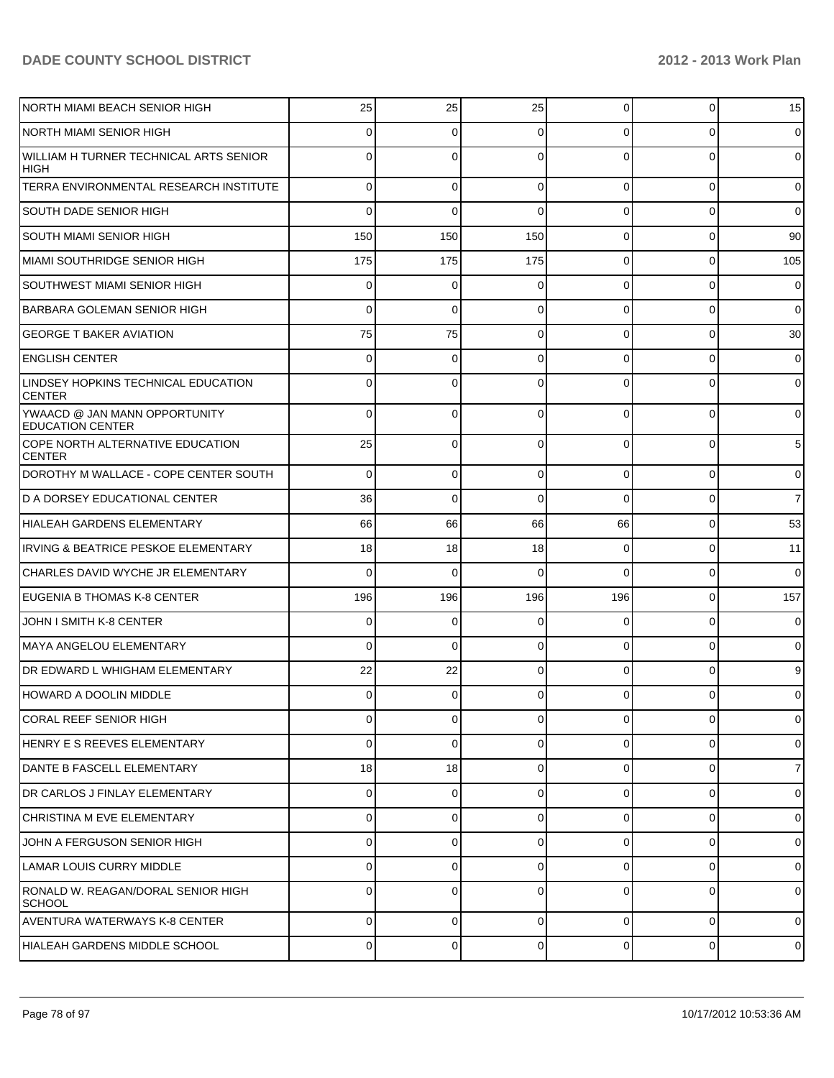| <b>NORTH MIAMI BEACH SENIOR HIGH</b>                         | 25             | 25          | 25       | $\Omega$       | $\Omega$       | 15             |
|--------------------------------------------------------------|----------------|-------------|----------|----------------|----------------|----------------|
| <b>NORTH MIAMI SENIOR HIGH</b>                               | 0              | $\Omega$    | 0        | 0              | 0              | $\overline{0}$ |
| <b>WILLIAM H TURNER TECHNICAL ARTS SENIOR</b><br><b>HIGH</b> | ŋ              | 0           |          | U              | $\Omega$       | $\overline{0}$ |
| TERRA ENVIRONMENTAL RESEARCH INSTITUTE                       | 0              | $\mathbf 0$ | 0        | $\Omega$       | $\Omega$       | $\overline{0}$ |
| <b>SOUTH DADE SENIOR HIGH</b>                                | 0              | $\mathbf 0$ | 0        | $\Omega$       | $\Omega$       | $\overline{0}$ |
| <b>SOUTH MIAMI SENIOR HIGH</b>                               | 150            | 150         | 150      | $\Omega$       | $\Omega$       | 90             |
| <b>MIAMI SOUTHRIDGE SENIOR HIGH</b>                          | 175            | 175         | 175      | $\Omega$       | $\Omega$       | 105            |
| <b>SOUTHWEST MIAMI SENIOR HIGH</b>                           | 0              | 0           | 0        | $\Omega$       | $\Omega$       | $\overline{0}$ |
| BARBARA GOLEMAN SENIOR HIGH                                  | 0              | 0           | 0        | $\Omega$       | $\Omega$       | $\overline{0}$ |
| <b>GEORGE T BAKER AVIATION</b>                               | 75             | 75          | 0        | $\Omega$       | $\Omega$       | 30             |
| <b>ENGLISH CENTER</b>                                        | 0              | 0           | 0        | $\Omega$       | 0              | $\overline{0}$ |
| LINDSEY HOPKINS TECHNICAL EDUCATION<br><b>CENTER</b>         | U              | 0           |          | 0              | $\Omega$       | $\Omega$       |
| YWAACD @ JAN MANN OPPORTUNITY<br><b>EDUCATION CENTER</b>     | $\Omega$       | 0           | O        | $\Omega$       | $\Omega$       | $\Omega$       |
| COPE NORTH ALTERNATIVE EDUCATION<br><b>CENTER</b>            | 25             | 0           | O        | 0              |                | 51             |
| DOROTHY M WALLACE - COPE CENTER SOUTH                        | $\Omega$       | $\Omega$    | $\Omega$ | $\Omega$       | $\Omega$       | $\overline{0}$ |
| D A DORSEY EDUCATIONAL CENTER                                | 36             | $\Omega$    | $\Omega$ | $\Omega$       | $\Omega$       | $\overline{7}$ |
| HIALEAH GARDENS ELEMENTARY                                   | 66             | 66          | 66       | 66             | $\Omega$       | 53             |
| <b>IRVING &amp; BEATRICE PESKOE ELEMENTARY</b>               | 18             | 18          | 18       | $\Omega$       | $\Omega$       | 11             |
| CHARLES DAVID WYCHE JR ELEMENTARY                            | $\Omega$       | $\Omega$    | $\Omega$ | $\Omega$       | $\Omega$       | $\Omega$       |
| EUGENIA B THOMAS K-8 CENTER                                  | 196            | 196         | 196      | 196            | $\Omega$       | 157            |
| JOHN I SMITH K-8 CENTER                                      | 0              | $\Omega$    | 0        | $\Omega$       | $\Omega$       | 0              |
| MAYA ANGELOU ELEMENTARY                                      | $\Omega$       | $\Omega$    | $\Omega$ | $\Omega$       | $\Omega$       | $\Omega$       |
| DR EDWARD L WHIGHAM ELEMENTARY                               | 22             | 22          | $\Omega$ | 0              | $\Omega$       | 9              |
| <b>HOWARD A DOOLIN MIDDLE</b>                                | 0              | $\Omega$    |          |                |                | $\Omega$       |
| <b>CORAL REEF SENIOR HIGH</b>                                | 0              | 0           | 0        | $\overline{0}$ | $\overline{0}$ | $\overline{0}$ |
| HENRY E S REEVES ELEMENTARY                                  | 0              | $\Omega$    | $\Omega$ | $\Omega$       | $\Omega$       | $\overline{0}$ |
| DANTE B FASCELL ELEMENTARY                                   | 18             | 18          | $\Omega$ | $\Omega$       | $\Omega$       | $\overline{7}$ |
| DR CARLOS J FINLAY ELEMENTARY                                | $\Omega$       | $\Omega$    | $\Omega$ | $\Omega$       | $\Omega$       | $\overline{0}$ |
| CHRISTINA M EVE ELEMENTARY                                   | 0              | 0           | $\Omega$ | $\Omega$       | $\Omega$       | $\overline{0}$ |
| JOHN A FERGUSON SENIOR HIGH                                  | 0              | $\Omega$    | $\Omega$ | $\Omega$       | $\Omega$       | $\overline{0}$ |
| LAMAR LOUIS CURRY MIDDLE                                     | 0              | $\Omega$    | $\Omega$ | $\Omega$       | $\Omega$       | $\overline{0}$ |
| RONALD W. REAGAN/DORAL SENIOR HIGH<br><b>SCHOOL</b>          | 0              | $\Omega$    | $\Omega$ | $\Omega$       | $\Omega$       | $\overline{0}$ |
| <b>AVENTURA WATERWAYS K-8 CENTER</b>                         | $\Omega$       | $\mathbf 0$ | 0        | $\Omega$       | 0              | $\overline{0}$ |
| HIALEAH GARDENS MIDDLE SCHOOL                                | $\overline{0}$ | $\mathbf 0$ | 0        | οI             | $\mathbf 0$    | $\overline{0}$ |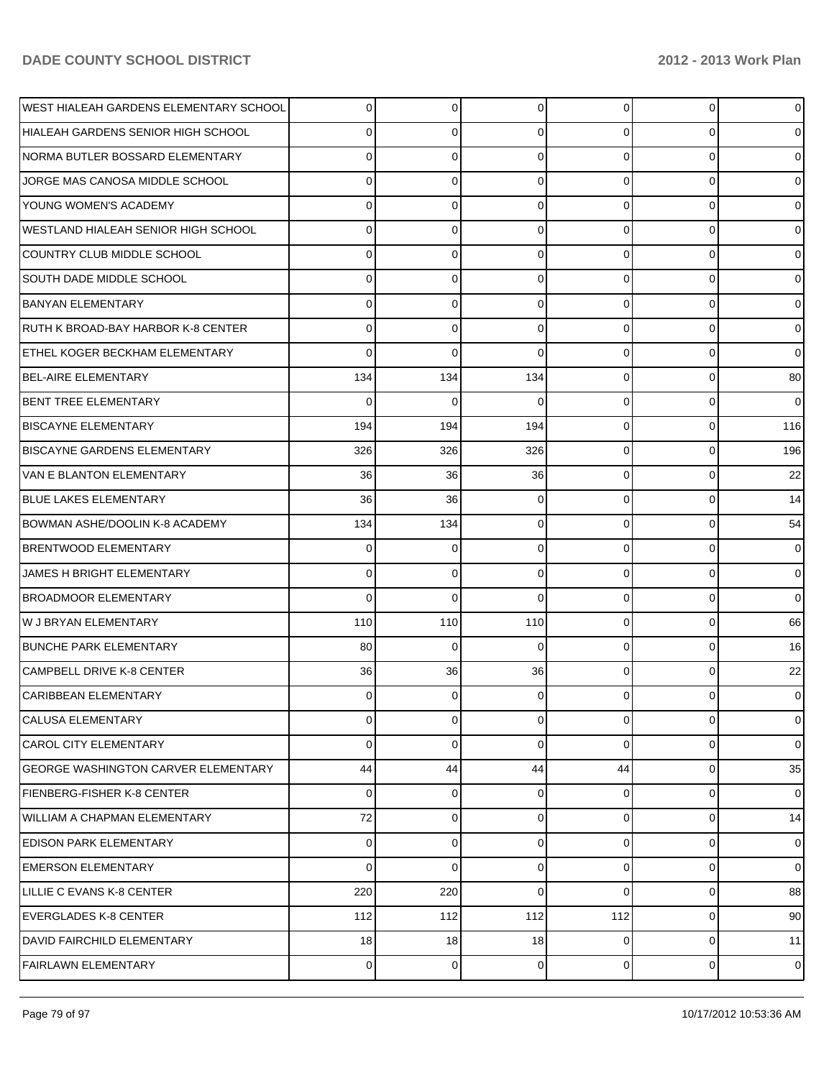| WEST HIALEAH GARDENS ELEMENTARY SCHOOL     | $\Omega$       | $\mathbf 0$ | 0        | $\overline{0}$ | $\mathbf 0$ | $\overline{0}$ |
|--------------------------------------------|----------------|-------------|----------|----------------|-------------|----------------|
| HIALEAH GARDENS SENIOR HIGH SCHOOL         | 0              | 0           | 0        | $\Omega$       | 0           | $\overline{0}$ |
| NORMA BUTLER BOSSARD ELEMENTARY            | 0              | $\mathbf 0$ | $\Omega$ | $\Omega$       | $\Omega$    | $\overline{0}$ |
| JORGE MAS CANOSA MIDDLE SCHOOL             | 0              | $\mathbf 0$ | 0        | $\Omega$       | $\mathbf 0$ | $\overline{0}$ |
| YOUNG WOMEN'S ACADEMY                      | 0              | 0           | 0        | $\Omega$       | 0           | $\mathbf{O}$   |
| <b>WESTLAND HIALEAH SENIOR HIGH SCHOOL</b> | 0              | $\mathbf 0$ | $\Omega$ | $\Omega$       | $\mathbf 0$ | $\overline{0}$ |
| COUNTRY CLUB MIDDLE SCHOOL                 | 0              | $\mathbf 0$ | $\Omega$ | $\Omega$       | $\Omega$    | $\overline{0}$ |
| <b>SOUTH DADE MIDDLE SCHOOL</b>            | 0              | 0           | 0        | $\Omega$       | $\mathbf 0$ | $\overline{0}$ |
| <b>BANYAN ELEMENTARY</b>                   | 0              | 0           | 0        | $\Omega$       | $\Omega$    | $\overline{0}$ |
| RUTH K BROAD-BAY HARBOR K-8 CENTER         | 0              | $\mathbf 0$ | $\Omega$ | $\Omega$       | $\mathbf 0$ | $\overline{0}$ |
| <b>ETHEL KOGER BECKHAM ELEMENTARY</b>      | 0              | $\mathbf 0$ | 0        | $\Omega$       | $\Omega$    | $\overline{0}$ |
| BEL-AIRE ELEMENTARY                        | 134            | 134         | 134      | $\Omega$       | $\mathbf 0$ | 80             |
| <b>BENT TREE ELEMENTARY</b>                | 0              | $\mathbf 0$ | $\Omega$ | $\Omega$       | $\Omega$    | $\overline{0}$ |
| <b>BISCAYNE ELEMENTARY</b>                 | 194            | 194         | 194      | $\Omega$       | $\mathbf 0$ | 116            |
| BISCAYNE GARDENS ELEMENTARY                | 326            | 326         | 326      | $\Omega$       | 0           | 196            |
| VAN E BLANTON ELEMENTARY                   | 36             | 36          | 36       | $\Omega$       | $\mathbf 0$ | 22             |
| <b>BLUE LAKES ELEMENTARY</b>               | 36             | 36          | 0        | $\Omega$       | $\Omega$    | 14             |
| BOWMAN ASHE/DOOLIN K-8 ACADEMY             | 134            | 134         | 0        | $\Omega$       | 0           | 54             |
| <b>BRENTWOOD ELEMENTARY</b>                | 0              | 0           | 0        | $\Omega$       | 0           | $\overline{0}$ |
| JAMES H BRIGHT ELEMENTARY                  | 0              | $\mathbf 0$ | $\Omega$ | $\Omega$       | $\Omega$    | $\overline{0}$ |
| <b>BROADMOOR ELEMENTARY</b>                | $\Omega$       | $\mathbf 0$ | $\Omega$ | $\Omega$       | $\Omega$    | $\overline{0}$ |
| W J BRYAN ELEMENTARY                       | 110            | 110         | 110      | $\Omega$       | 0           | 66             |
| <b>BUNCHE PARK ELEMENTARY</b>              | 80             | 0           | 0        | $\Omega$       | $\Omega$    | 16             |
| CAMPBELL DRIVE K-8 CENTER                  | 36             | 36          | 36       | $\Omega$       | $\Omega$    | 22             |
| <b>CARIBBEAN ELEMENTARY</b>                | 0              | $\mathbf 0$ | 0        | 0              | 0           | $\overline{0}$ |
| CALUSA ELEMENTARY                          | 0              | $\mathbf 0$ | 0        | $\overline{0}$ | $\mathbf 0$ | $\overline{0}$ |
| <b>CAROL CITY ELEMENTARY</b>               | 0              | $\mathbf 0$ | 0        | $\overline{0}$ | $\mathbf 0$ | $\overline{0}$ |
| <b>GEORGE WASHINGTON CARVER ELEMENTARY</b> | 44             | 44          | 44       | 44             | 0           | 35             |
| FIENBERG-FISHER K-8 CENTER                 | 0              | 0           | 0        | $\overline{0}$ | 0           | $\overline{0}$ |
| WILLIAM A CHAPMAN ELEMENTARY               | 72             | 0           | 0        | $\Omega$       | 0           | 14             |
| <b>EDISON PARK ELEMENTARY</b>              | 0              | $\mathbf 0$ | 0        | $\overline{0}$ | $\mathbf 0$ | $\overline{0}$ |
| <b>EMERSON ELEMENTARY</b>                  | 0              | 0           | 0        | $\Omega$       | 0           | $\overline{0}$ |
| LILLIE C EVANS K-8 CENTER                  | 220            | 220         | $\Omega$ | $\Omega$       | 0           | 88             |
| <b>EVERGLADES K-8 CENTER</b>               | 112            | 112         | 112      | 112            | $\mathbf 0$ | 90             |
| DAVID FAIRCHILD ELEMENTARY                 | 18             | 18          | 18       | $\overline{0}$ | 0           | 11             |
| <b>FAIRLAWN ELEMENTARY</b>                 | $\overline{0}$ | 0           | 0        | $\overline{0}$ | 0           | $\overline{0}$ |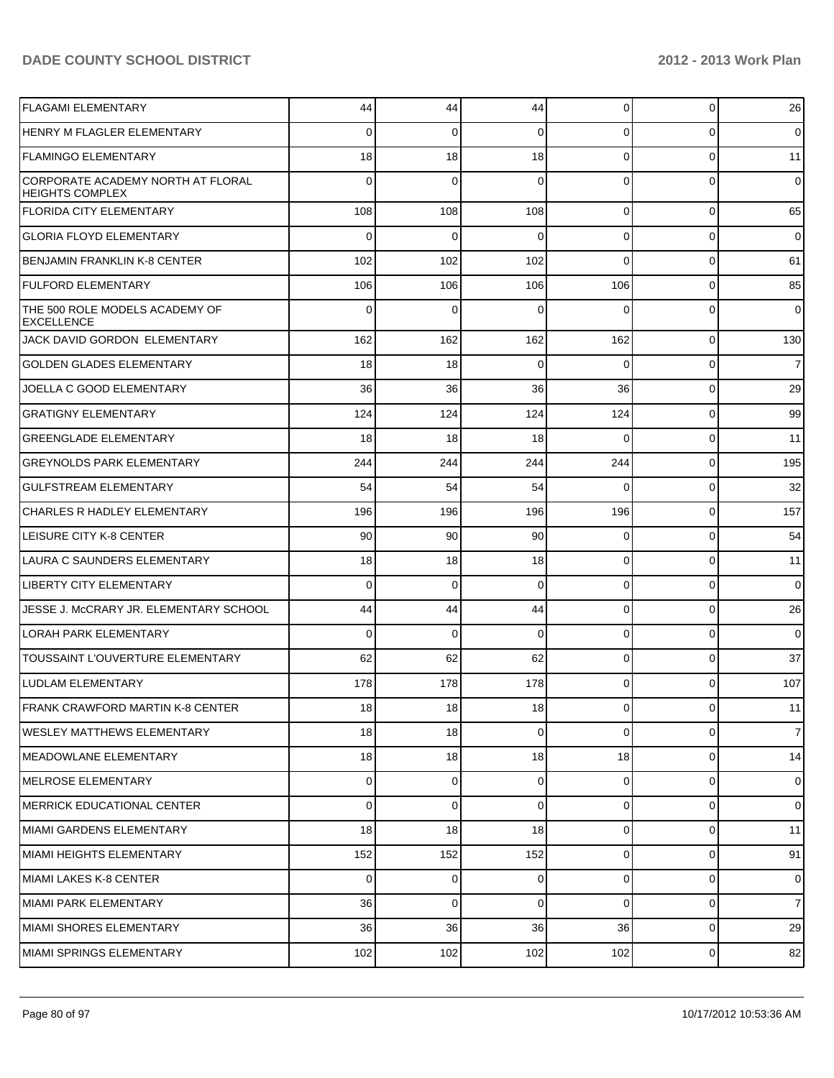| <b>FLAGAMI ELEMENTARY</b>                                   | 44       | 44          | 44           | $\Omega$ | $\overline{0}$ | 26             |
|-------------------------------------------------------------|----------|-------------|--------------|----------|----------------|----------------|
| HENRY M FLAGLER ELEMENTARY                                  | 0        | $\Omega$    | $\Omega$     | $\Omega$ | $\mathbf 0$    | $\overline{0}$ |
| <b>FLAMINGO ELEMENTARY</b>                                  | 18       | 18          | 18           | $\Omega$ | $\mathbf 0$    | 11             |
| CORPORATE ACADEMY NORTH AT FLORAL<br><b>HEIGHTS COMPLEX</b> | $\Omega$ | $\Omega$    | $\Omega$     | $\Omega$ | $\Omega$       | $\overline{0}$ |
| <b>FLORIDA CITY ELEMENTARY</b>                              | 108      | 108         | 108          | $\Omega$ | $\overline{0}$ | 65             |
| <b>GLORIA FLOYD ELEMENTARY</b>                              | $\Omega$ | $\Omega$    | $\Omega$     | $\Omega$ | $\overline{0}$ | $\overline{0}$ |
| BENJAMIN FRANKLIN K-8 CENTER                                | 102      | 102         | 102          | $\Omega$ | $\overline{0}$ | 61             |
| <b>FULFORD ELEMENTARY</b>                                   | 106      | 106         | 106          | 106      | $\overline{0}$ | 85             |
| THE 500 ROLE MODELS ACADEMY OF<br><b>EXCELLENCE</b>         | 0        | $\mathbf 0$ | $\Omega$     | $\Omega$ | $\mathbf 0$    | $\overline{0}$ |
| <b>JACK DAVID GORDON ELEMENTARY</b>                         | 162      | 162         | 162          | 162      | $\mathbf 0$    | 130            |
| IGOLDEN GLADES ELEMENTARY                                   | 18       | 18          | $\Omega$     | $\Omega$ | $\mathbf 0$    | $\overline{7}$ |
| JOELLA C GOOD ELEMENTARY                                    | 36       | 36          | 36           | 36       | $\mathbf 0$    | 29             |
| <b>GRATIGNY ELEMENTARY</b>                                  | 124      | 124         | 124          | 124      | $\mathbf 0$    | 99             |
| <b>GREENGLADE ELEMENTARY</b>                                | 18       | 18          | 18           | $\Omega$ | $\mathbf 0$    | 11             |
| GREYNOLDS PARK ELEMENTARY                                   | 244      | 244         | 244          | 244      | $\overline{0}$ | 195            |
| GULFSTREAM ELEMENTARY                                       | 54       | 54          | 54           | $\Omega$ | $\mathbf 0$    | 32             |
| CHARLES R HADLEY ELEMENTARY                                 | 196      | 196         | 196          | 196      | $\overline{0}$ | 157            |
| LEISURE CITY K-8 CENTER                                     | 90       | 90          | 90           | $\Omega$ | $\mathbf 0$    | 54             |
| LAURA C SAUNDERS ELEMENTARY                                 | 18       | 18          | 18           | $\Omega$ | $\mathbf 0$    | 11             |
| <b>LIBERTY CITY ELEMENTARY</b>                              | $\Omega$ | $\mathbf 0$ | $\Omega$     | $\Omega$ | $\mathbf 0$    | $\overline{0}$ |
| JESSE J. McCRARY JR. ELEMENTARY SCHOOL                      | 44       | 44          | 44           | $\Omega$ | $\mathbf 0$    | 26             |
| LORAH PARK ELEMENTARY                                       | $\Omega$ | $\Omega$    | $\Omega$     | $\Omega$ | $\mathbf 0$    | $\mathbf 0$    |
| TOUSSAINT L'OUVERTURE ELEMENTARY                            | 62       | 62          | 62           | $\Omega$ | $\mathbf 0$    | 37             |
| LUDLAM ELEMENTARY                                           | 178      | 178         | 178          | $\Omega$ | $\overline{0}$ | 107            |
| FRANK CRAWFORD MARTIN K-8 CENTER                            | 18       | 18          | 18           |          | 0              | 11             |
| <b>WESLEY MATTHEWS ELEMENTARY</b>                           | 18       | 18          | $\Omega$     | $\Omega$ | $\overline{0}$ | $\overline{7}$ |
| MEADOWLANE ELEMENTARY                                       | 18       | 18          | 18           | 18       | $\overline{0}$ | 14             |
| MELROSE ELEMENTARY                                          | $\Omega$ | $\mathbf 0$ | 0            | $\Omega$ | $\overline{0}$ | $\mathbf 0$    |
| MERRICK EDUCATIONAL CENTER                                  | $\Omega$ | $\mathbf 0$ | $\mathbf{0}$ | $\Omega$ | $\overline{0}$ | $\overline{0}$ |
| MIAMI GARDENS ELEMENTARY                                    | 18       | 18          | 18           | $\Omega$ | $\overline{0}$ | 11             |
| MIAMI HEIGHTS ELEMENTARY                                    | 152      | 152         | 152          | $\Omega$ | $\overline{0}$ | 91             |
| MIAMI LAKES K-8 CENTER                                      | $\Omega$ | $\mathbf 0$ | $\mathbf 0$  | $\Omega$ | $\overline{0}$ | $\overline{0}$ |
| MIAMI PARK ELEMENTARY                                       | 36       | $\mathbf 0$ | $\Omega$     | $\Omega$ | $\overline{0}$ | $\overline{7}$ |
| MIAMI SHORES ELEMENTARY                                     | 36       | 36          | 36           | 36       | $\overline{0}$ | 29             |
| MIAMI SPRINGS ELEMENTARY                                    | 102      | 102         | 102          | 102      | $\overline{0}$ | 82             |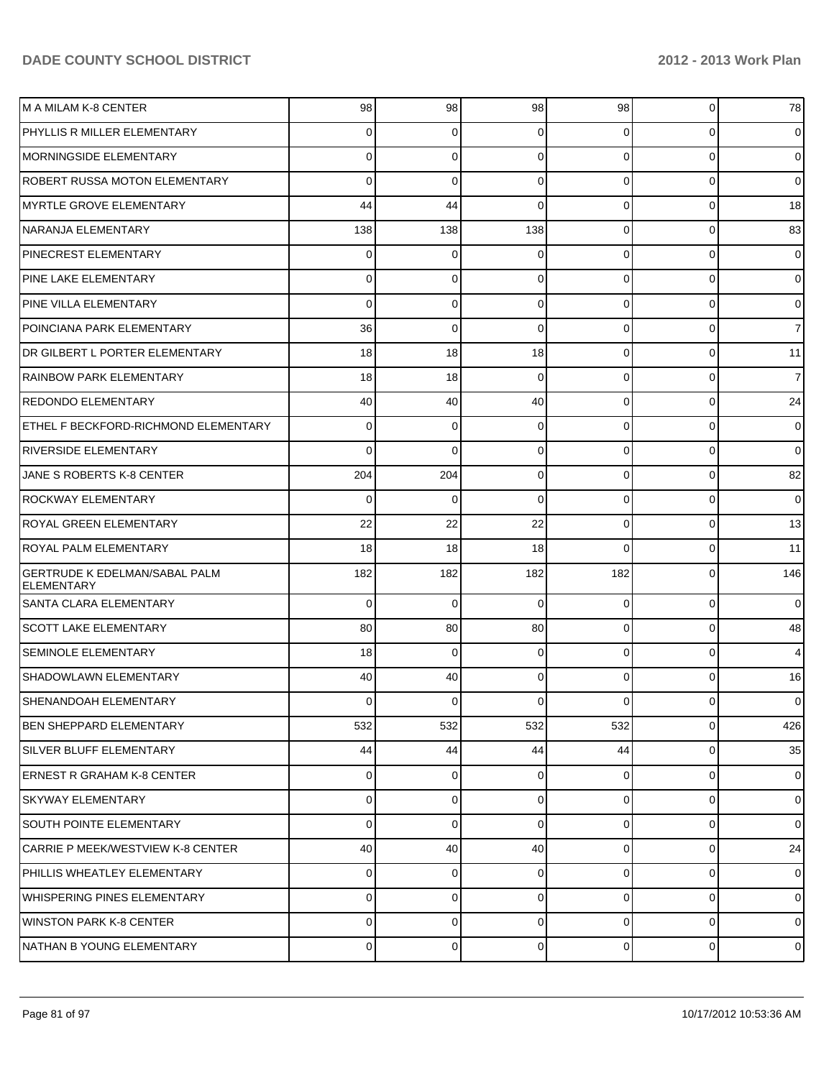| M A MILAM K-8 CENTER                                      | 98             | 98             | 98             | 98             | 0              | 78             |
|-----------------------------------------------------------|----------------|----------------|----------------|----------------|----------------|----------------|
| PHYLLIS R MILLER ELEMENTARY                               | 0              | 0              | 0              | 0              | 0              | $\overline{0}$ |
| MORNINGSIDE ELEMENTARY                                    | 0              | 0              | 0              | $\overline{0}$ | 0              | $\overline{0}$ |
| <b>ROBERT RUSSA MOTON ELEMENTARY</b>                      | 0              | 0              | 0              | $\overline{0}$ | 0              | $\overline{0}$ |
| MYRTLE GROVE ELEMENTARY                                   | 44             | 44             | 0              | $\overline{0}$ | 0              | 18             |
| NARANJA ELEMENTARY                                        | 138            | 138            | 138            | 0              | 0              | 83             |
| <b>PINECREST ELEMENTARY</b>                               | 0              | 0              | 0              | $\overline{0}$ | 0              | $\overline{0}$ |
| PINE LAKE ELEMENTARY                                      | 0              | 0              | 0              | 0              | 0              | $\overline{0}$ |
| <b>PINE VILLA ELEMENTARY</b>                              | 0              | 0              | 0              | $\overline{0}$ | 0              | $\overline{0}$ |
| POINCIANA PARK ELEMENTARY                                 | 36             | 0              | 0              | 0              | 0              | $\overline{7}$ |
| <b>DR GILBERT L PORTER ELEMENTARY</b>                     | 18             | 18             | 18             | $\overline{0}$ | 0              | 11             |
| <b>RAINBOW PARK ELEMENTARY</b>                            | 18             | 18             | 0              | $\overline{0}$ | 0              | 7 <sup>1</sup> |
| <b>REDONDO ELEMENTARY</b>                                 | 40             | 40             | 40             | $\overline{0}$ | 0              | 24             |
| ETHEL F BECKFORD-RICHMOND ELEMENTARY                      | 0              | 0              | 0              | 0              | 0              | $\overline{0}$ |
| <b>RIVERSIDE ELEMENTARY</b>                               | 0              | 0              | 0              | $\overline{0}$ | 0              | $\overline{0}$ |
| JANE S ROBERTS K-8 CENTER                                 | 204            | 204            | 0              | $\overline{0}$ | 0              | 82             |
| ROCKWAY ELEMENTARY                                        | 0              | 0              | 0              | $\overline{0}$ | 0              | $\overline{0}$ |
| <b>ROYAL GREEN ELEMENTARY</b>                             | 22             | 22             | 22             | 0              | 0              | 13             |
| <b>ROYAL PALM ELEMENTARY</b>                              | 18             | 18             | 18             | $\Omega$       | 0              | 11             |
| <b>GERTRUDE K EDELMAN/SABAL PALM</b><br><b>ELEMENTARY</b> | 182            | 182            | 182            | 182            | 0              | 146            |
| <b>SANTA CLARA ELEMENTARY</b>                             | 0              | 0              | $\mathbf 0$    | $\overline{0}$ | $\overline{0}$ | $\overline{0}$ |
| <b>SCOTT LAKE ELEMENTARY</b>                              | 80             | 80             | 80             | $\overline{0}$ | $\overline{0}$ | 48             |
| <b>SEMINOLE ELEMENTARY</b>                                | 18             | $\mathbf 0$    | 0              | $\overline{0}$ | $\overline{0}$ | $\overline{4}$ |
| <b>SHADOWLAWN ELEMENTARY</b>                              | 40             | 40             | $\Omega$       | $\overline{0}$ | 0              | 16             |
| SHENANDOAH ELEMENTARY                                     | $\overline{0}$ | $\overline{0}$ | $\overline{0}$ | $\mathbf{0}$   | $\overline{0}$ | $\overline{0}$ |
| BEN SHEPPARD ELEMENTARY                                   | 532            | 532            | 532            | 532            | $\Omega$       | 426            |
| <b>SILVER BLUFF ELEMENTARY</b>                            | 44             | 44             | 44             | 44             | $\overline{0}$ | 35             |
| ERNEST R GRAHAM K-8 CENTER                                | $\overline{0}$ | 0              | 0              | $\overline{0}$ | $\overline{0}$ | $\overline{0}$ |
| <b>SKYWAY ELEMENTARY</b>                                  | $\Omega$       | 0              | 0              | $\overline{0}$ | $\overline{0}$ | $\overline{0}$ |
| <b>SOUTH POINTE ELEMENTARY</b>                            | $\Omega$       | 0              | $\Omega$       | $\overline{0}$ | $\Omega$       | $\overline{0}$ |
| <b>CARRIE P MEEK/WESTVIEW K-8 CENTER</b>                  | 40             | 40             | 40             | $\overline{0}$ | $\overline{0}$ | 24             |
| <b>PHILLIS WHEATLEY ELEMENTARY</b>                        | $\overline{0}$ | 0              | 0              | $\overline{0}$ | $\overline{0}$ | $\overline{0}$ |
| <b>WHISPERING PINES ELEMENTARY</b>                        | $\Omega$       | 0              | 0              | $\overline{0}$ | $\overline{0}$ | $\overline{0}$ |
| <b>WINSTON PARK K-8 CENTER</b>                            | 0              | 0              | $\Omega$       | $\overline{0}$ | $\overline{0}$ | $\overline{0}$ |
| NATHAN B YOUNG ELEMENTARY                                 | $\overline{0}$ | 0              | $\mathbf 0$    | $\overline{0}$ | 0              | $\overline{0}$ |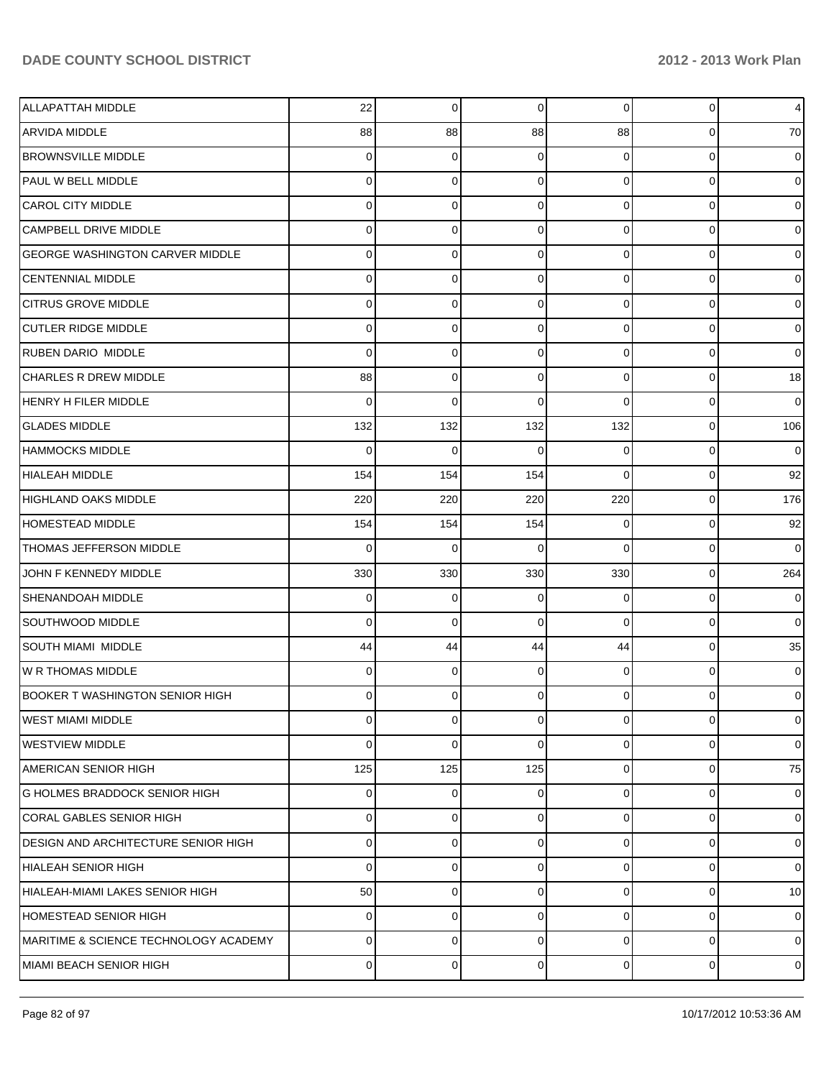| <b>ALLAPATTAH MIDDLE</b>                   | 22             | 0              | $\overline{0}$ | $\overline{0}$ | $\overline{0}$ | 4              |
|--------------------------------------------|----------------|----------------|----------------|----------------|----------------|----------------|
| <b>ARVIDA MIDDLE</b>                       | 88             | 88             | 88             | 88             | $\overline{0}$ | 70             |
| <b>BROWNSVILLE MIDDLE</b>                  | 0              | 0              | $\Omega$       | $\Omega$       | $\overline{0}$ | $\mathbf 0$    |
| PAUL W BELL MIDDLE                         | 0              | $\Omega$       | $\Omega$       | $\Omega$       | $\overline{0}$ | $\mathbf 0$    |
| <b>CAROL CITY MIDDLE</b>                   | 0              | $\Omega$       | $\Omega$       | $\Omega$       | $\overline{0}$ | $\mathbf 0$    |
| <b>CAMPBELL DRIVE MIDDLE</b>               | 0              | $\Omega$       | $\Omega$       | $\Omega$       | $\overline{0}$ | $\mathbf 0$    |
| <b>GEORGE WASHINGTON CARVER MIDDLE</b>     | 0              | $\Omega$       | $\Omega$       | $\Omega$       | $\overline{0}$ | $\mathbf 0$    |
| <b>CENTENNIAL MIDDLE</b>                   | 0              | $\Omega$       | $\Omega$       | $\Omega$       | $\overline{0}$ | $\mathbf 0$    |
| <b>CITRUS GROVE MIDDLE</b>                 | 0              | $\Omega$       | $\Omega$       | $\Omega$       | $\overline{0}$ | $\mathbf 0$    |
| <b>CUTLER RIDGE MIDDLE</b>                 | 0              | 0              | $\Omega$       | $\Omega$       | $\overline{0}$ | $\mathbf 0$    |
| <b>RUBEN DARIO MIDDLE</b>                  | 0              | $\Omega$       | $\Omega$       | $\Omega$       | $\overline{0}$ | $\overline{0}$ |
| <b>CHARLES R DREW MIDDLE</b>               | 88             | 0              | $\Omega$       | $\Omega$       | $\overline{0}$ | 18             |
| HENRY H FILER MIDDLE                       | 0              | $\Omega$       | $\Omega$       | $\Omega$       | $\overline{0}$ | $\overline{0}$ |
| <b>GLADES MIDDLE</b>                       | 132            | 132            | 132            | 132            | $\overline{0}$ | 106            |
| <b>HAMMOCKS MIDDLE</b>                     | 0              | $\Omega$       | $\Omega$       | $\Omega$       | $\mathbf{0}$   | $\overline{0}$ |
| <b>HIALEAH MIDDLE</b>                      | 154            | 154            | 154            | $\Omega$       | $\overline{0}$ | 92             |
| HIGHLAND OAKS MIDDLE                       | 220            | 220            | 220            | 220            | $\overline{0}$ | 176            |
| <b>HOMESTEAD MIDDLE</b>                    | 154            | 154            | 154            | $\overline{0}$ | $\overline{0}$ | 92             |
| <b>THOMAS JEFFERSON MIDDLE</b>             | 0              | 0              | $\Omega$       | $\Omega$       | $\overline{0}$ | $\overline{0}$ |
| JOHN F KENNEDY MIDDLE                      | 330            | 330            | 330            | 330            | $\overline{0}$ | 264            |
| <b>SHENANDOAH MIDDLE</b>                   | 0              | 0              | $\Omega$       | $\Omega$       | $\overline{0}$ | $\mathbf 0$    |
| <b>SOUTHWOOD MIDDLE</b>                    | 0              | $\Omega$       | $\Omega$       | $\Omega$       | $\overline{0}$ | $\overline{0}$ |
| <b>SOUTH MIAMI MIDDLE</b>                  | 44             | 44             | 44             | 44             | $\overline{0}$ | 35             |
| W R THOMAS MIDDLE                          | 0              | 0              | $\Omega$       | $\Omega$       | $\overline{0}$ | $\mathbf 0$    |
| <b>BOOKER T WASHINGTON SENIOR HIGH</b>     | 0              | 0              | $\Omega$       | 0              | $\Omega$       | $\mathbf 0$    |
| <b>WEST MIAMI MIDDLE</b>                   | $\overline{0}$ | $\overline{0}$ | $\overline{0}$ | $\overline{0}$ | $\overline{0}$ | $\mathbf 0$    |
| <b>WESTVIEW MIDDLE</b>                     | 0              | $\Omega$       | $\Omega$       | $\Omega$       | $\overline{0}$ | $\overline{0}$ |
| <b>AMERICAN SENIOR HIGH</b>                | 125            | 125            | 125            | $\Omega$       | $\overline{0}$ | 75             |
| <b>G HOLMES BRADDOCK SENIOR HIGH</b>       | 0              | 0              | $\Omega$       | $\Omega$       | $\overline{0}$ | $\mathbf 0$    |
| <b>CORAL GABLES SENIOR HIGH</b>            | 0              | $\Omega$       | $\Omega$       | $\Omega$       | $\overline{0}$ | $\overline{0}$ |
| <b>DESIGN AND ARCHITECTURE SENIOR HIGH</b> | 0              | $\Omega$       | $\Omega$       | $\Omega$       | $\overline{0}$ | $\overline{0}$ |
| <b>HIALEAH SENIOR HIGH</b>                 | $\Omega$       | $\Omega$       | $\Omega$       | $\Omega$       | $\overline{0}$ | $\overline{0}$ |
| HIALEAH-MIAMI LAKES SENIOR HIGH            | 50             | $\Omega$       | $\Omega$       | $\Omega$       | $\overline{0}$ | 10             |
| <b>HOMESTEAD SENIOR HIGH</b>               | 0              | $\Omega$       | $\Omega$       | $\overline{0}$ | $\overline{0}$ | $\mathbf 0$    |
| MARITIME & SCIENCE TECHNOLOGY ACADEMY      | 0              | $\Omega$       | $\Omega$       | $\Omega$       | 0              | $\overline{0}$ |
| MIAMI BEACH SENIOR HIGH                    | 0              | 0              | $\mathbf 0$    | $\overline{0}$ | $\overline{0}$ | $\mathbf 0$    |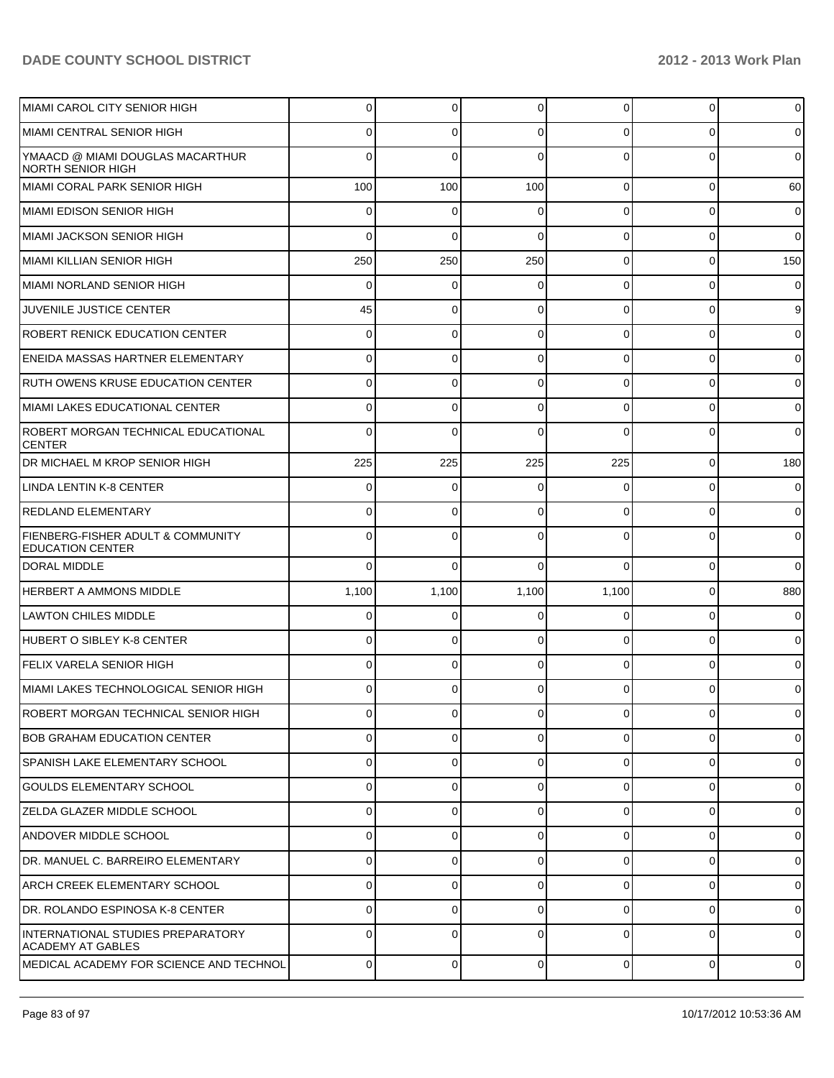| MIAMI CAROL CITY SENIOR HIGH                                  | $\Omega$ | $\mathbf 0$ | $\Omega$ | $\Omega$       | $\mathbf{0}$   | $\overline{0}$ |
|---------------------------------------------------------------|----------|-------------|----------|----------------|----------------|----------------|
| MIAMI CENTRAL SENIOR HIGH                                     | 0        | 0           | 0        | $\Omega$       | $\Omega$       | $\overline{0}$ |
| YMAACD @ MIAMI DOUGLAS MACARTHUR<br><b>NORTH SENIOR HIGH</b>  | O        | 0           |          | $\Omega$       | $\Omega$       | $\overline{0}$ |
| MIAMI CORAL PARK SENIOR HIGH                                  | 100      | 100         | 100      | $\Omega$       | $\Omega$       | 60             |
| MIAMI EDISON SENIOR HIGH                                      | 0        | $\mathbf 0$ | 0        | $\Omega$       | $\overline{0}$ | $\overline{0}$ |
| MIAMI JACKSON SENIOR HIGH                                     | $\Omega$ | $\Omega$    | $\Omega$ | $\Omega$       | $\Omega$       | $\overline{0}$ |
| MIAMI KILLIAN SENIOR HIGH                                     | 250      | 250         | 250      | $\overline{0}$ | $\mathbf{0}$   | 150            |
| MIAMI NORLAND SENIOR HIGH                                     | $\Omega$ | $\mathbf 0$ | 0        | $\Omega$       | $\Omega$       | $\overline{0}$ |
| JUVENILE JUSTICE CENTER                                       | 45       | $\mathbf 0$ | 0        | $\Omega$       | $\overline{0}$ | 9              |
| <b>ROBERT RENICK EDUCATION CENTER</b>                         | 0        | 0           | 0        | $\Omega$       | 0              | $\overline{0}$ |
| <b>ENEIDA MASSAS HARTNER ELEMENTARY</b>                       | 0        | $\mathbf 0$ | 0        | $\Omega$       | $\mathbf 0$    | $\overline{0}$ |
| <b>RUTH OWENS KRUSE EDUCATION CENTER</b>                      | 0        | $\mathbf 0$ | 0        | $\Omega$       | $\Omega$       | $\overline{0}$ |
| MIAMI LAKES EDUCATIONAL CENTER                                | $\Omega$ | $\mathbf 0$ | 0        | $\Omega$       | 0              | $\overline{0}$ |
| ROBERT MORGAN TECHNICAL EDUCATIONAL<br><b>CENTER</b>          | $\Omega$ | 0           | $\Omega$ | $\Omega$       | $\Omega$       | $\Omega$       |
| DR MICHAEL M KROP SENIOR HIGH                                 | 225      | 225         | 225      | 225            | $\Omega$       | 180            |
| LINDA LENTIN K-8 CENTER                                       | $\Omega$ | $\Omega$    | 0        | 0              | 0              | $\overline{0}$ |
| <b>REDLAND ELEMENTARY</b>                                     | $\Omega$ | $\Omega$    | $\Omega$ | $\Omega$       | $\Omega$       | $\overline{0}$ |
| FIENBERG-FISHER ADULT & COMMUNITY<br><b>EDUCATION CENTER</b>  | 0        | $\Omega$    | $\Omega$ | $\Omega$       | $\Omega$       | $\overline{0}$ |
| DORAL MIDDLE                                                  | $\Omega$ | $\Omega$    | $\Omega$ | $\Omega$       | 0              | $\overline{0}$ |
| <b>HERBERT A AMMONS MIDDLE</b>                                | 1,100    | 1,100       | 1,100    | 1,100          | $\Omega$       | 880            |
| <b>LAWTON CHILES MIDDLE</b>                                   | 0        | 0           |          | 0              | 0              | $\overline{0}$ |
| HUBERT O SIBLEY K-8 CENTER                                    | 0        | 0           | $\Omega$ | $\Omega$       | 0              | $\overline{0}$ |
| <b>FELIX VARELA SENIOR HIGH</b>                               | 0        | 0           | 0        | $\Omega$       | 0              | $\overline{0}$ |
| MIAMI LAKES TECHNOLOGICAL SENIOR HIGH                         | 0        | 0           |          | 0              | 0              | $\overline{0}$ |
| ROBERT MORGAN TECHNICAL SENIOR HIGH                           | 01       | 0           | 01       | 0              | $\overline{0}$ | $\overline{0}$ |
| <b>BOB GRAHAM EDUCATION CENTER</b>                            | 0        | 0           | $\Omega$ | $\Omega$       | 0              | $\overline{0}$ |
| ISPANISH LAKE ELEMENTARY SCHOOL                               | 0        | 0           | 0        | $\Omega$       | 0              | $\overline{O}$ |
| <b>GOULDS ELEMENTARY SCHOOL</b>                               | 0        | 0           | 0        | $\Omega$       | 0              | $\overline{0}$ |
| ZELDA GLAZER MIDDLE SCHOOL                                    | 0        | 0           | 0        | $\Omega$       | 0              | $\overline{0}$ |
| <b>ANDOVER MIDDLE SCHOOL</b>                                  | 0        | 0           | 0        | $\Omega$       | 0              | $\overline{0}$ |
| DR. MANUEL C. BARREIRO ELEMENTARY                             | 0        | 0           | 0        | $\Omega$       | 0              | $\overline{0}$ |
| ARCH CREEK ELEMENTARY SCHOOL                                  | 0        | 0           | 0        | $\Omega$       | 0              | $\overline{0}$ |
| DR. ROLANDO ESPINOSA K-8 CENTER                               | 0        | 0           | 0        | $\Omega$       | 0              | $\overline{0}$ |
| INTERNATIONAL STUDIES PREPARATORY<br><b>ACADEMY AT GABLES</b> | $\Omega$ | $\Omega$    | O        | $\Omega$       | 0              | $\overline{O}$ |
| MEDICAL ACADEMY FOR SCIENCE AND TECHNOL                       | $\Omega$ | $\mathbf 0$ | 0        | $\overline{0}$ | $\overline{0}$ | $\overline{0}$ |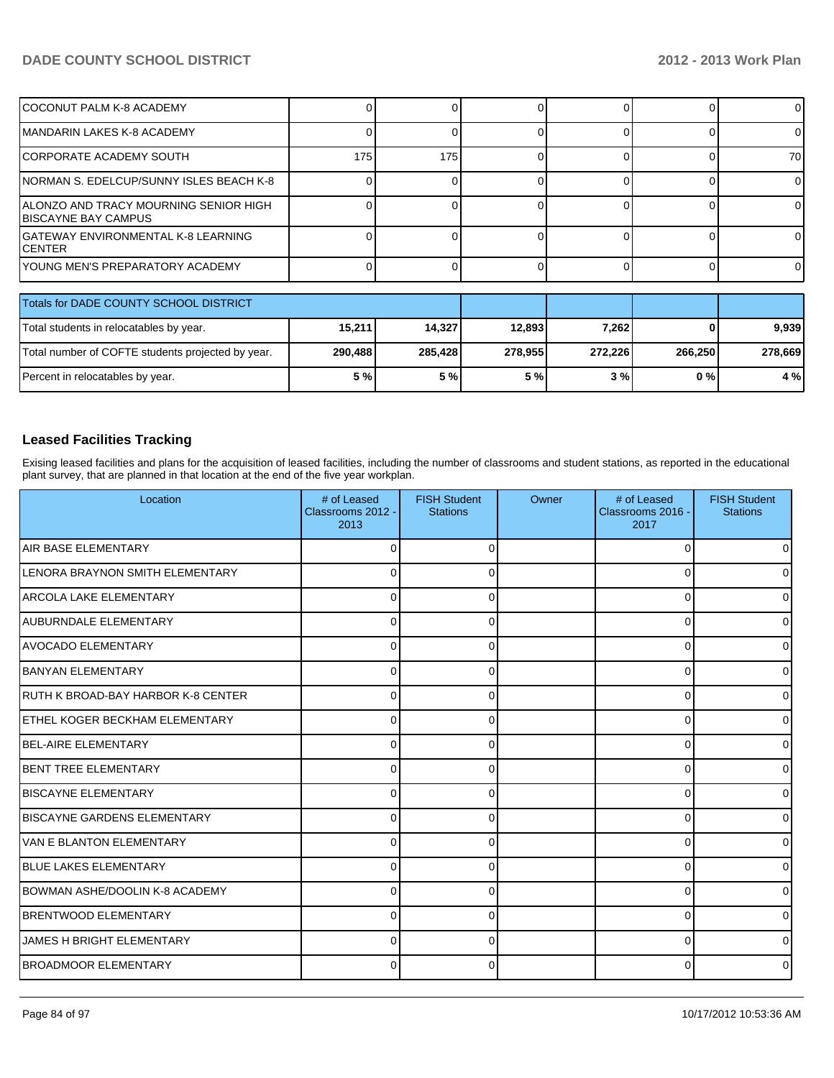| 175 |  |     | 70 |
|-----|--|-----|----|
|     |  |     |    |
|     |  |     |    |
|     |  | 175 |    |

| Total students in relocatables by year.           | 15,211  | 14,327  | 12.8931 | 7,262   |         | 9,939   |
|---------------------------------------------------|---------|---------|---------|---------|---------|---------|
| Total number of COFTE students projected by year. | 290.488 | 285.428 | 278.955 | 272.226 | 266.250 | 278.669 |
| Percent in relocatables by year.                  | 5 % l   | 5 % l   | 5 %l    | 3%1     | 0%      | 4 % I   |

## **Leased Facilities Tracking**

Exising leased facilities and plans for the acquisition of leased facilities, including the number of classrooms and student stations, as reported in the educational plant survey, that are planned in that location at the end of the five year workplan.

| Location                            | # of Leased<br>Classrooms 2012 -<br>2013 | <b>FISH Student</b><br><b>Stations</b> | Owner | # of Leased<br>Classrooms 2016 -<br>2017 | <b>FISH Student</b><br><b>Stations</b> |
|-------------------------------------|------------------------------------------|----------------------------------------|-------|------------------------------------------|----------------------------------------|
| AIR BASE ELEMENTARY                 | <sup>0</sup>                             |                                        |       | $\Omega$                                 |                                        |
| LENORA BRAYNON SMITH ELEMENTARY     | $\Omega$                                 | O                                      |       | $\Omega$                                 |                                        |
| IARCOLA LAKE ELEMENTARY             | 0                                        | 0                                      |       | $\Omega$                                 | <sup>0</sup>                           |
| <b>AUBURNDALE ELEMENTARY</b>        | $\Omega$                                 | O                                      |       | 0                                        | o                                      |
| IAVOCADO ELEMENTARY                 | 0                                        | 0                                      |       | $\Omega$                                 | 0                                      |
| BANYAN ELEMENTARY                   | U                                        |                                        |       | $\Omega$                                 | <sup>0</sup>                           |
| IRUTH K BROAD-BAY HARBOR K-8 CENTER | 0                                        |                                        |       | $\Omega$                                 | o                                      |
| IETHEL KOGER BECKHAM ELEMENTARY     | $\Omega$                                 |                                        |       | $\Omega$                                 | ∩                                      |
| BEL-AIRE ELEMENTARY                 | $\Omega$                                 | C                                      |       | 0                                        | <sup>0</sup>                           |
| <b>IBENT TREE ELEMENTARY</b>        | $\Omega$                                 | ŋ                                      |       | $\Omega$                                 | <sup>0</sup>                           |
| <b>BISCAYNE ELEMENTARY</b>          | 0                                        | U                                      |       | 0                                        | <sup>0</sup>                           |
| <b>IBISCAYNE GARDENS ELEMENTARY</b> | 0                                        | 0                                      |       | 0                                        | 0                                      |
| VAN E BLANTON ELEMENTARY            | 0                                        | O                                      |       | 0                                        | 0                                      |
| <b>BLUE LAKES ELEMENTARY</b>        | U                                        |                                        |       | $\Omega$                                 | U                                      |
| BOWMAN ASHE/DOOLIN K-8 ACADEMY      | ŋ                                        |                                        |       | $\Omega$                                 | n                                      |
| <b>IBRENTWOOD ELEMENTARY</b>        | 0                                        |                                        |       | 0                                        | <sup>0</sup>                           |
| JAMES H BRIGHT ELEMENTARY           | $\Omega$                                 |                                        |       | 0                                        | <sup>0</sup>                           |
| <b>IBROADMOOR ELEMENTARY</b>        | 0                                        |                                        |       | 0                                        | o                                      |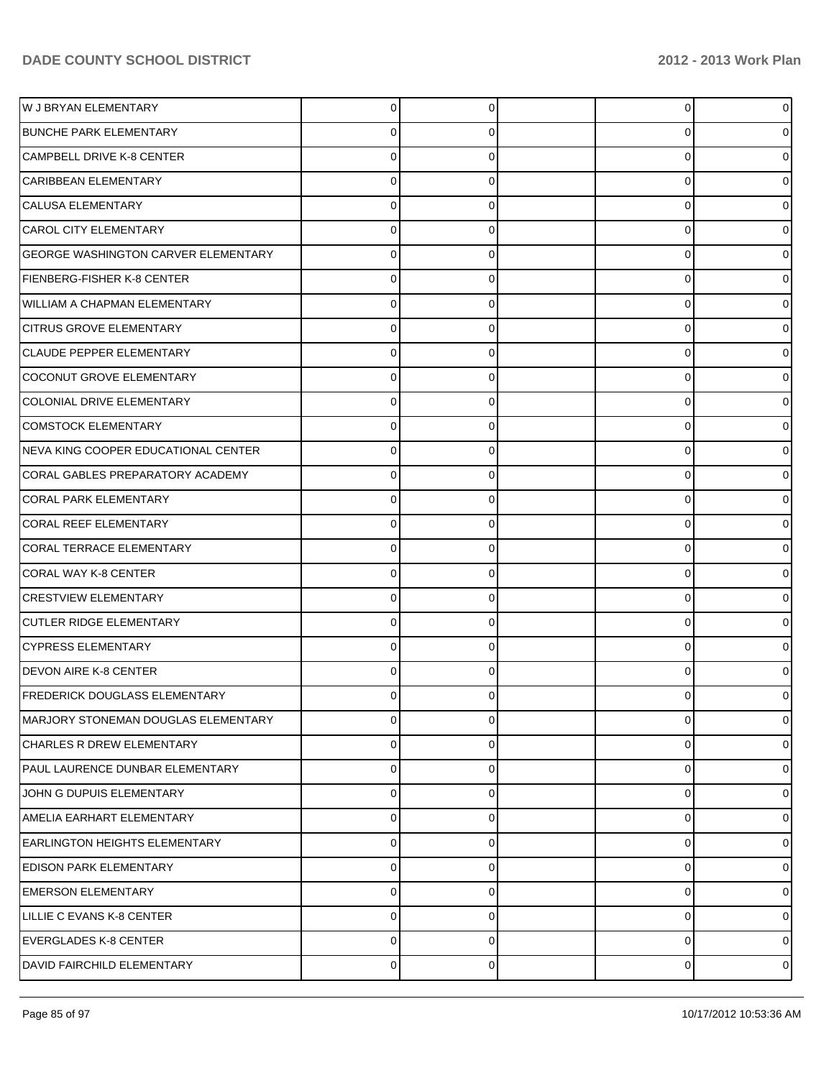| W J BRYAN ELEMENTARY                       | $\Omega$    | 0 | 0 | $\overline{0}$ |
|--------------------------------------------|-------------|---|---|----------------|
| <b>BUNCHE PARK ELEMENTARY</b>              |             | 0 | 0 | 0              |
| CAMPBELL DRIVE K-8 CENTER                  | 0           | 0 | 0 | 0              |
| CARIBBEAN ELEMENTARY                       | 0           | 0 | 0 | 0              |
| CALUSA ELEMENTARY                          | 0           |   | 0 | 0              |
| <b>CAROL CITY ELEMENTARY</b>               |             | 0 | 0 | 0              |
| <b>GEORGE WASHINGTON CARVER ELEMENTARY</b> |             |   | 0 | 0              |
| FIENBERG-FISHER K-8 CENTER                 |             | 0 | 0 | 0              |
| WILLIAM A CHAPMAN ELEMENTARY               |             |   | 0 | 0              |
| <b>CITRUS GROVE ELEMENTARY</b>             | 0           | 0 | 0 | 0              |
| CLAUDE PEPPER ELEMENTARY                   |             | 0 | 0 | 0              |
| COCONUT GROVE ELEMENTARY                   |             | 0 | 0 | 0              |
| COLONIAL DRIVE ELEMENTARY                  |             |   | U | 0              |
| COMSTOCK ELEMENTARY                        |             |   | 0 | 0              |
| NEVA KING COOPER EDUCATIONAL CENTER        |             |   | U | 0              |
| CORAL GABLES PREPARATORY ACADEMY           |             | 0 | 0 | 0              |
| CORAL PARK ELEMENTARY                      |             | 0 | 0 | 0              |
| CORAL REEF ELEMENTARY                      |             | 0 | 0 | 0              |
| CORAL TERRACE ELEMENTARY                   |             |   | 0 | 0              |
| CORAL WAY K-8 CENTER                       |             |   | 0 | 0              |
| <b>CRESTVIEW ELEMENTARY</b>                |             |   | U | 0              |
| CUTLER RIDGE ELEMENTARY                    |             | 0 | 0 | 0              |
| CYPRESS ELEMENTARY                         |             | 0 | 0 | 0              |
| <b>DEVON AIRE K-8 CENTER</b>               |             | 0 | 0 | 0              |
| FREDERICK DOUGLASS ELEMENTARY              |             |   |   | 0              |
| MARJORY STONEMAN DOUGLAS ELEMENTARY        | $\mathbf 0$ | 0 | 0 | $\overline{0}$ |
| ICHARLES R DREW ELEMENTARY                 | 0           | 0 | 0 | 01             |
| PAUL LAURENCE DUNBAR ELEMENTARY            | $\mathbf 0$ | 0 | 0 | 01             |
| JOHN G DUPUIS ELEMENTARY                   | $\mathbf 0$ | 0 | 0 | 0              |
| AMELIA EARHART ELEMENTARY                  | $\mathbf 0$ | 0 | 0 | 0              |
| <b>EARLINGTON HEIGHTS ELEMENTARY</b>       | 0           | 0 | 0 | 0              |
| <b>EDISON PARK ELEMENTARY</b>              | 0           | 0 | 0 | 01             |
| <b>EMERSON ELEMENTARY</b>                  | 0           | 0 | 0 | 01             |
| LILLIE C EVANS K-8 CENTER                  | 0           | 0 | 0 | 0              |
| EVERGLADES K-8 CENTER                      | $\mathbf 0$ | 0 | 0 | $\overline{0}$ |
| DAVID FAIRCHILD ELEMENTARY                 | $\pmb{0}$   | 0 | 0 | $\circ$        |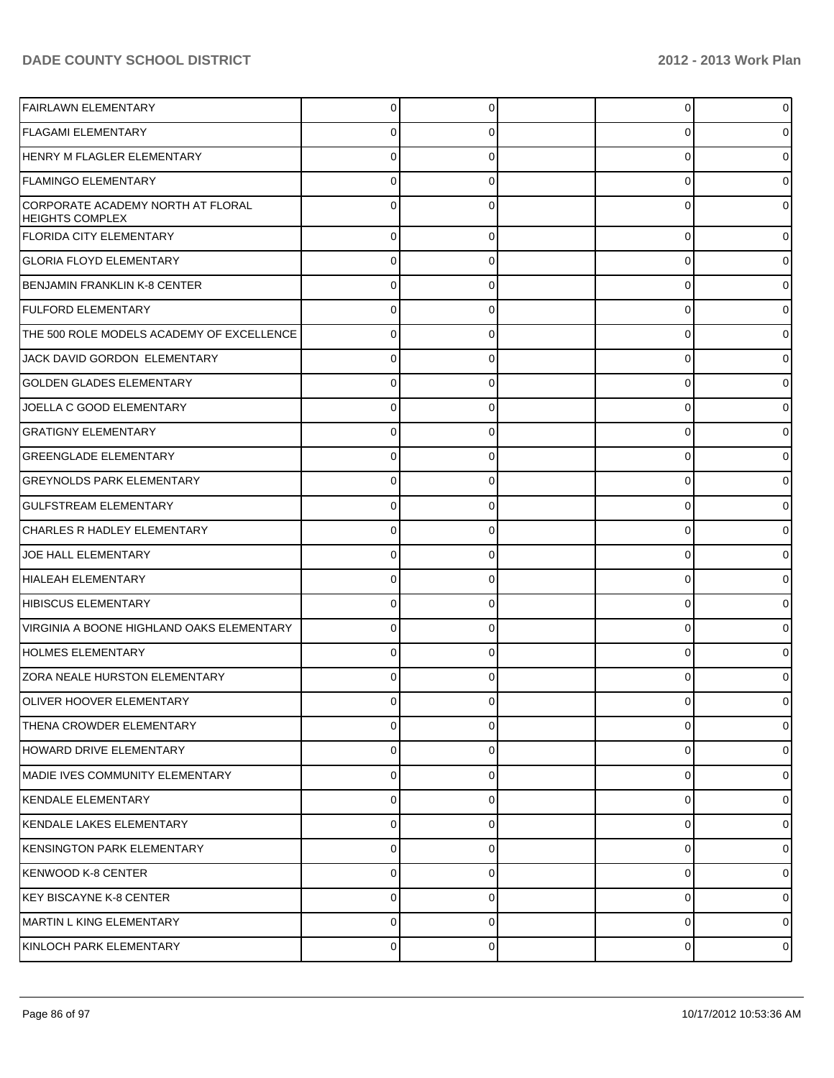| <b>FAIRLAWN ELEMENTARY</b>                                  |             |   | 0 | 0              |
|-------------------------------------------------------------|-------------|---|---|----------------|
| <b>FLAGAMI ELEMENTARY</b>                                   |             |   | O | 0              |
| HENRY M FLAGLER ELEMENTARY                                  |             |   |   | 0              |
| <b>FLAMINGO ELEMENTARY</b>                                  |             |   | U | 0              |
| CORPORATE ACADEMY NORTH AT FLORAL<br><b>HEIGHTS COMPLEX</b> |             |   | 0 |                |
| <b>FLORIDA CITY ELEMENTARY</b>                              | 0           | 0 | 0 | 0              |
| <b>GLORIA FLOYD ELEMENTARY</b>                              | 0           | 0 | 0 | 0              |
| <b>BENJAMIN FRANKLIN K-8 CENTER</b>                         | U           |   | 0 | 0              |
| <b>FULFORD ELEMENTARY</b>                                   | 0           | 0 | 0 | 0              |
| THE 500 ROLE MODELS ACADEMY OF EXCELLENCE                   | U           |   | 0 | 0              |
| JACK DAVID GORDON ELEMENTARY                                | 0           | 0 | 0 | 0              |
| <b>GOLDEN GLADES ELEMENTARY</b>                             | n           |   | 0 |                |
| JOELLA C GOOD ELEMENTARY                                    | 0           | 0 | 0 | 0              |
| <b>GRATIGNY ELEMENTARY</b>                                  | ∩           |   | 0 | 0              |
| <b>GREENGLADE ELEMENTARY</b>                                | 0           | 0 | 0 | 0              |
| <b>GREYNOLDS PARK ELEMENTARY</b>                            |             |   | 0 |                |
| <b>GULFSTREAM ELEMENTARY</b>                                | 0           | 0 | 0 | 0              |
| CHARLES R HADLEY ELEMENTARY                                 | ∩           |   | 0 |                |
| JOE HALL ELEMENTARY                                         | 0           | 0 | 0 | 0              |
| HIALEAH ELEMENTARY                                          | U           |   | 0 | 0              |
| <b>HIBISCUS ELEMENTARY</b>                                  | 0           | 0 | 0 | 0              |
| VIRGINIA A BOONE HIGHLAND OAKS ELEMENTARY                   | ⋂           |   | 0 |                |
| <b>HOLMES ELEMENTARY</b>                                    | 0           | 0 | 0 |                |
| <b>ZORA NEALE HURSTON ELEMENTARY</b>                        |             |   | U |                |
| <b>OLIVER HOOVER ELEMENTARY</b>                             |             |   |   | 0              |
| <b>THENA CROWDER ELEMENTARY</b>                             | $\Omega$    | 0 | 0 | 0              |
| HOWARD DRIVE ELEMENTARY                                     | $\Omega$    | 0 | 0 | 0              |
| IMADIE IVES COMMUNITY ELEMENTARY                            | $\Omega$    | 0 | 0 | 01             |
| KENDALE ELEMENTARY                                          | $\Omega$    | 0 | 0 | 0              |
| KENDALE LAKES ELEMENTARY                                    | $\Omega$    | 0 | 0 | 0              |
| KENSINGTON PARK ELEMENTARY                                  | $\Omega$    | 0 | 0 | 0              |
| KENWOOD K-8 CENTER                                          | $\Omega$    | 0 | 0 | 01             |
| KEY BISCAYNE K-8 CENTER                                     | $\Omega$    | 0 | 0 | 01             |
| MARTIN L KING ELEMENTARY                                    | $\Omega$    | 0 | 0 | $\overline{0}$ |
| KINLOCH PARK ELEMENTARY                                     | $\mathbf 0$ | 0 | 0 | $\overline{0}$ |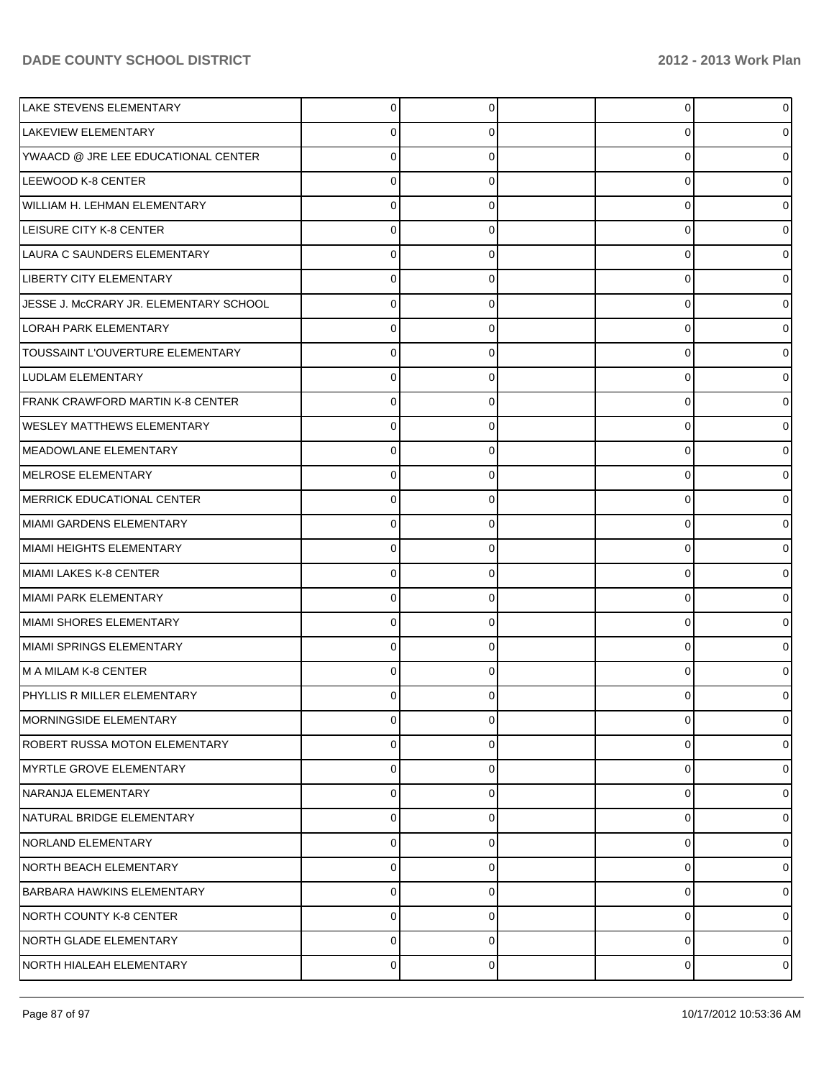| LAKE STEVENS ELEMENTARY                | 0              | 0 | 0 | $\overline{0}$ |
|----------------------------------------|----------------|---|---|----------------|
| LAKEVIEW ELEMENTARY                    |                |   | 0 | 0              |
| YWAACD @ JRE LEE EDUCATIONAL CENTER    |                |   | 0 | 0              |
| LEEWOOD K-8 CENTER                     |                | 0 | 0 | 0              |
| WILLIAM H. LEHMAN ELEMENTARY           |                |   | 0 | 0              |
| LEISURE CITY K-8 CENTER                | U              | 0 | 0 | 0              |
| LAURA C SAUNDERS ELEMENTARY            |                |   | 0 | 0              |
| <b>LIBERTY CITY ELEMENTARY</b>         | 0              | 0 | 0 | 0              |
| JESSE J. McCRARY JR. ELEMENTARY SCHOOL |                |   | Ω | 0              |
| LORAH PARK ELEMENTARY                  |                | 0 | 0 | 0              |
| TOUSSAINT L'OUVERTURE ELEMENTARY       |                |   | 0 | o              |
| LUDLAM ELEMENTARY                      | 0              | 0 | 0 | 0              |
| FRANK CRAWFORD MARTIN K-8 CENTER       |                |   | 0 | 0              |
| WESLEY MATTHEWS ELEMENTARY             | 0              | 0 | 0 | 0              |
| MEADOWLANE ELEMENTARY                  |                |   | Ω | o              |
| MELROSE ELEMENTARY                     | U              | 0 | 0 | 0              |
| MERRICK EDUCATIONAL CENTER             |                |   | 0 | o              |
| MIAMI GARDENS ELEMENTARY               | 0              | 0 | 0 | 0              |
| MIAMI HEIGHTS ELEMENTARY               |                |   | 0 | 0              |
| MIAMI LAKES K-8 CENTER                 | 0              | 0 | 0 | 0              |
| MIAMI PARK ELEMENTARY                  |                |   | Ω | 0              |
| MIAMI SHORES ELEMENTARY                | U              |   | 0 | 0              |
| MIAMI SPRINGS ELEMENTARY               |                |   | 0 | o              |
| M A MILAM K-8 CENTER                   | 0              | 0 | 0 | 0              |
| PHYLLIS R MILLER ELEMENTARY            |                |   | U | 0              |
| MORNINGSIDE ELEMENTARY                 | 0              | 0 | 0 | $\overline{0}$ |
| <b>ROBERT RUSSA MOTON ELEMENTARY</b>   | 0              | 0 | 0 | 01             |
| <b>MYRTLE GROVE ELEMENTARY</b>         | $\mathbf 0$    |   | 0 | 01             |
| NARANJA ELEMENTARY                     | $\mathbf 0$    | 0 | 0 | 01             |
| NATURAL BRIDGE ELEMENTARY              | $\mathbf 0$    | 0 | 0 | 01             |
| NORLAND ELEMENTARY                     | $\mathbf 0$    | 0 | 0 | 01             |
| NORTH BEACH ELEMENTARY                 | $\mathbf 0$    | 0 | 0 | 01             |
| <b>BARBARA HAWKINS ELEMENTARY</b>      | $\mathbf 0$    | 0 | 0 | 01             |
| NORTH COUNTY K-8 CENTER                | $\mathbf 0$    | 0 | 0 | 01             |
| NORTH GLADE ELEMENTARY                 | $\mathbf 0$    | 0 | 0 | 0              |
| NORTH HIALEAH ELEMENTARY               | $\overline{0}$ | 0 | 0 | $\circ$        |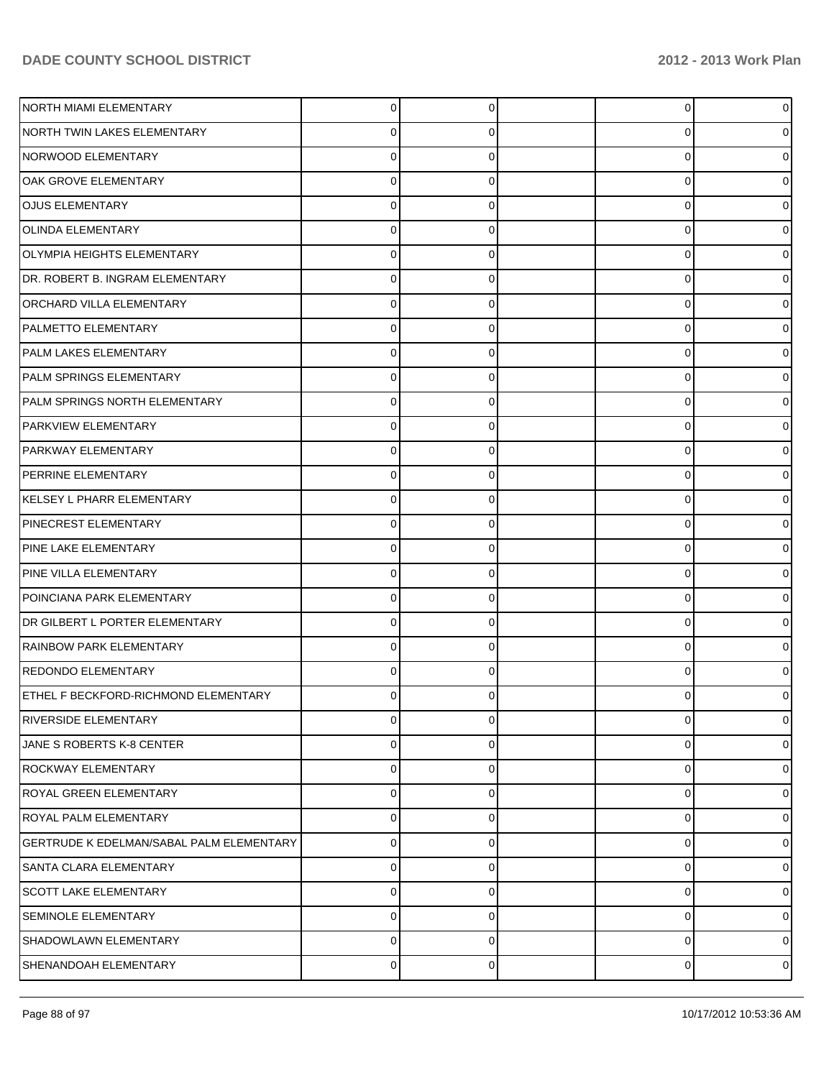| NORTH MIAMI ELEMENTARY                   | 0              |   | $\overline{0}$ |                |
|------------------------------------------|----------------|---|----------------|----------------|
| <b>NORTH TWIN LAKES ELEMENTARY</b>       | 0              |   | 0              |                |
| NORWOOD ELEMENTARY                       | 0              |   | 0              |                |
| OAK GROVE ELEMENTARY                     | 0              |   | 0              |                |
| <b>OJUS ELEMENTARY</b>                   | 0              |   | 0              |                |
| <b>OLINDA ELEMENTARY</b>                 | 0              |   | 0              |                |
| OLYMPIA HEIGHTS ELEMENTARY               | 0              |   | 0              |                |
| DR. ROBERT B. INGRAM ELEMENTARY          | 0              |   | 0              |                |
| ORCHARD VILLA ELEMENTARY                 | 0              |   | 0              |                |
| PALMETTO ELEMENTARY                      | 0              |   | 0              |                |
| PALM LAKES ELEMENTARY                    | 0              |   | 0              |                |
| PALM SPRINGS ELEMENTARY                  | 0              |   | 0              |                |
| PALM SPRINGS NORTH ELEMENTARY            | 0              |   | 0              |                |
| <b>PARKVIEW ELEMENTARY</b>               | 0              |   | 0              |                |
| <b>PARKWAY ELEMENTARY</b>                | 0              |   | 0              |                |
| <b>PERRINE ELEMENTARY</b>                | 0              |   | 0              |                |
| KELSEY L PHARR ELEMENTARY                | 0              |   | 0              |                |
| PINECREST ELEMENTARY                     | 0              |   | 0              |                |
| PINE LAKE ELEMENTARY                     | 0              |   | 0              |                |
| PINE VILLA ELEMENTARY                    | 0              |   | 0              |                |
| POINCIANA PARK ELEMENTARY                | 0              |   | 0              |                |
| DR GILBERT L PORTER ELEMENTARY           | 0              |   | 0              |                |
| RAINBOW PARK ELEMENTARY                  | 0              |   | 0              |                |
| <b>REDONDO ELEMENTARY</b>                | 0              |   | 0              |                |
| ETHEL F BECKFORD-RICHMOND ELEMENTARY     | 0              |   | 0              |                |
| RIVERSIDE ELEMENTARY                     | 0              | O | 0              |                |
| JANE S ROBERTS K-8 CENTER                | 0              | O | 0              | o              |
| ROCKWAY ELEMENTARY                       | 0              |   | 0              | o              |
| ROYAL GREEN ELEMENTARY                   | 0              | 0 | 0              | o              |
| ROYAL PALM ELEMENTARY                    | 0              | O | 0              | o              |
| GERTRUDE K EDELMAN/SABAL PALM ELEMENTARY | 0              | 0 | 0              | o              |
| SANTA CLARA ELEMENTARY                   | 0              |   | 0              | o              |
| <b>SCOTT LAKE ELEMENTARY</b>             | 0              | 0 | 0              | o              |
| SEMINOLE ELEMENTARY                      | 0              | C | 0              | 0              |
| SHADOWLAWN ELEMENTARY                    | 0              | 0 | 0              | 0              |
| SHENANDOAH ELEMENTARY                    | $\overline{0}$ | 0 | 0              | $\overline{0}$ |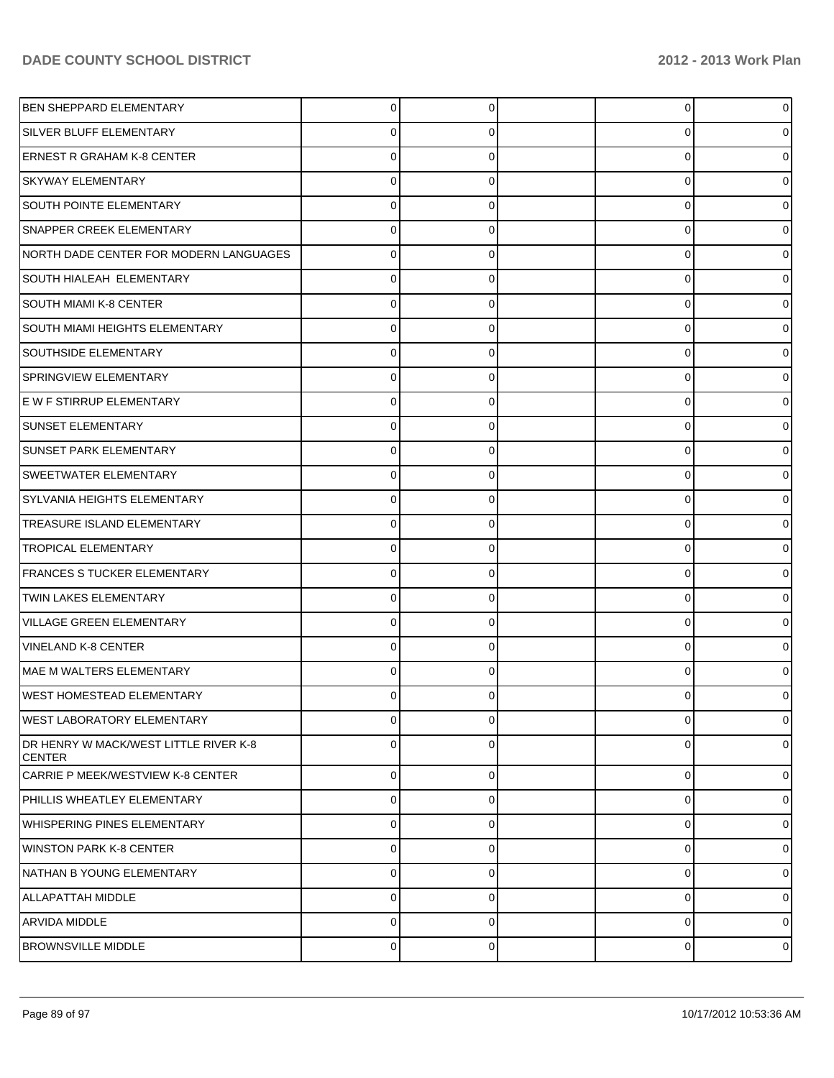| <b>BEN SHEPPARD ELEMENTARY</b>                         | 0              | 0        | $\overline{0}$ | $\overline{0}$ |
|--------------------------------------------------------|----------------|----------|----------------|----------------|
| <b>SILVER BLUFF ELEMENTARY</b>                         |                |          | 0              | 0              |
| <b>ERNEST R GRAHAM K-8 CENTER</b>                      |                |          | 0              | 0              |
| <b>SKYWAY ELEMENTARY</b>                               | U              | 0        | 0              | 0              |
| SOUTH POINTE ELEMENTARY                                |                |          | 0              | 0              |
| <b>SNAPPER CREEK ELEMENTARY</b>                        | 0              | 0        | 0              | 0              |
| NORTH DADE CENTER FOR MODERN LANGUAGES                 | U              |          | 0              | 0              |
| SOUTH HIALEAH ELEMENTARY                               | 0              | 0        | 0              | 0              |
| <b>SOUTH MIAMI K-8 CENTER</b>                          |                |          | Ω              | 0              |
| SOUTH MIAMI HEIGHTS ELEMENTARY                         | U              | 0        | 0              | 0              |
| <b>SOUTHSIDE ELEMENTARY</b>                            |                |          | 0              | 0              |
| <b>SPRINGVIEW ELEMENTARY</b>                           | 0              | 0        | 0              | 0              |
| E W F STIRRUP ELEMENTARY                               |                |          | 0              | 0              |
| <b>SUNSET ELEMENTARY</b>                               | 0              | 0        | 0              | 0              |
| <b>SUNSET PARK ELEMENTARY</b>                          |                |          | Ω              | 0              |
| <b>SWEETWATER ELEMENTARY</b>                           | U              | 0        | 0              | 0              |
| SYLVANIA HEIGHTS ELEMENTARY                            |                |          | 0              | 0              |
| TREASURE ISLAND ELEMENTARY                             | 0              | 0        | 0              | 0              |
| <b>TROPICAL ELEMENTARY</b>                             |                |          | 0              | 0              |
| <b>FRANCES S TUCKER ELEMENTARY</b>                     | 0              | 0        | 0              | 0              |
| <b>TWIN LAKES ELEMENTARY</b>                           |                |          | Ω              | 0              |
| <b>VILLAGE GREEN ELEMENTARY</b>                        | U              |          | 0              | 0              |
| <b>VINELAND K-8 CENTER</b>                             |                |          | 0              | 0              |
| MAE M WALTERS ELEMENTARY                               | 0              | 0        | 0              | 0              |
| <b>WEST HOMESTEAD ELEMENTARY</b>                       |                |          | U              | 0              |
| WEST LABORATORY ELEMENTARY                             | $\Omega$       | $\Omega$ | 0              | $\overline{0}$ |
| DR HENRY W MACK/WEST LITTLE RIVER K-8<br><b>CENTER</b> | $\Omega$       | 0        | 0              | 01             |
| <b>CARRIE P MEEK/WESTVIEW K-8 CENTER</b>               | $\mathbf 0$    | 0        | 0              | $\overline{0}$ |
| PHILLIS WHEATLEY ELEMENTARY                            | $\Omega$       | 0        | 0              | $\overline{0}$ |
| <b>WHISPERING PINES ELEMENTARY</b>                     | $\Omega$       | 0        | 0              | $\overline{0}$ |
| <b>WINSTON PARK K-8 CENTER</b>                         | $\Omega$       | 0        | 0              | $\overline{0}$ |
| NATHAN B YOUNG ELEMENTARY                              | $\Omega$       | 0        | 0              | $\overline{0}$ |
| <b>ALLAPATTAH MIDDLE</b>                               | $\Omega$       | $\Omega$ | 0              | $\overline{0}$ |
| <b>ARVIDA MIDDLE</b>                                   | $\Omega$       | $\Omega$ | 0              | $\overline{0}$ |
| <b>BROWNSVILLE MIDDLE</b>                              | $\overline{0}$ | 0        | 0              | $\overline{0}$ |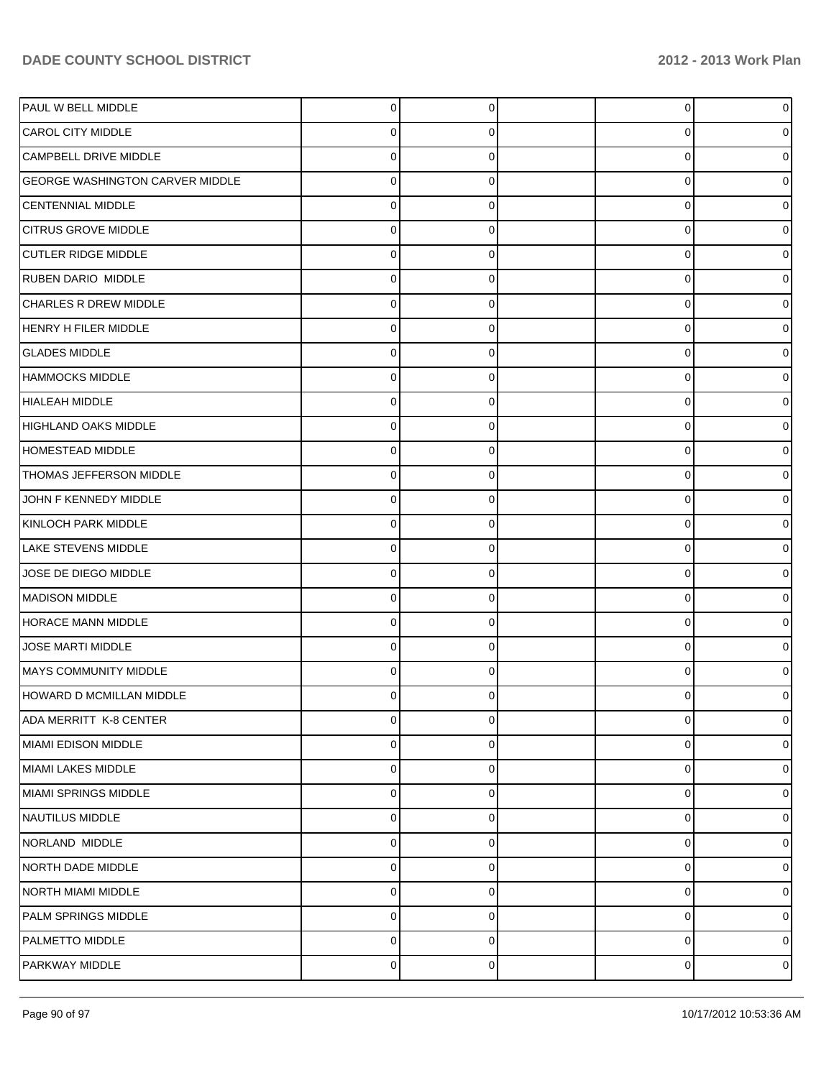| PAUL W BELL MIDDLE                     | $\Omega$ | $\Omega$    | 0           | $\overline{0}$ |
|----------------------------------------|----------|-------------|-------------|----------------|
| CAROL CITY MIDDLE                      | 0        | 0           | 0           | 01             |
| CAMPBELL DRIVE MIDDLE                  | $\Omega$ | $\Omega$    | $\mathbf 0$ | $\overline{0}$ |
| <b>GEORGE WASHINGTON CARVER MIDDLE</b> | 0        | 0           | 0           | 0              |
| <b>CENTENNIAL MIDDLE</b>               | 0        |             | $\Omega$    | 01             |
| <b>CITRUS GROVE MIDDLE</b>             | 0        | $\Omega$    | 0           | 0              |
| <b>CUTLER RIDGE MIDDLE</b>             | $\Omega$ | $\Omega$    | $\mathbf 0$ | 0              |
| RUBEN DARIO MIDDLE                     | 0        | $\Omega$    | 0           | 0              |
| CHARLES R DREW MIDDLE                  | 0        |             | $\Omega$    | 0              |
| HENRY H FILER MIDDLE                   | 0        | ∩           | $\Omega$    | 0              |
| <b>GLADES MIDDLE</b>                   | 0        | ∩           | $\mathbf 0$ | 0              |
| <b>HAMMOCKS MIDDLE</b>                 | 0        | $\Omega$    | 0           | 0              |
| HIALEAH MIDDLE                         | 0        |             | $\Omega$    | 0              |
| HIGHLAND OAKS MIDDLE                   | 0        | C           | $\Omega$    | 01             |
| <b>HOMESTEAD MIDDLE</b>                | 0        | ∩           | $\Omega$    | 01             |
| THOMAS JEFFERSON MIDDLE                | 0        | $\Omega$    | $\mathbf 0$ | 0              |
| JOHN F KENNEDY MIDDLE                  | 0        |             | $\Omega$    | 01             |
| KINLOCH PARK MIDDLE                    | 0        | C           | $\Omega$    | 01             |
| LAKE STEVENS MIDDLE                    | 0        |             | $\Omega$    | 01             |
| JOSE DE DIEGO MIDDLE                   | 0        | $\Omega$    | $\mathbf 0$ | 0              |
| MADISON MIDDLE                         | 0        |             | 0           | 0              |
| <b>HORACE MANN MIDDLE</b>              | 0        | C           | $\Omega$    | 01             |
| JOSE MARTI MIDDLE                      | 0        |             | $\Omega$    | 0              |
| MAYS COMMUNITY MIDDLE                  | $\Omega$ | $\Omega$    | $\Omega$    | 0              |
| HOWARD D MCMILLAN MIDDLE               | 0        | 0           | 0           | 0              |
| ADA MERRITT K-8 CENTER                 | 0        | 0           | $\mathbf 0$ | $\overline{0}$ |
| MIAMI EDISON MIDDLE                    | 0        | $\Omega$    | $\mathbf 0$ | 0              |
| MIAMI LAKES MIDDLE                     | 0        | 0           | 0           | $\overline{0}$ |
| MIAMI SPRINGS MIDDLE                   | 0        | 0           | 0           | 0              |
| NAUTILUS MIDDLE                        | 0        | C           | 0           | 0              |
| NORLAND MIDDLE                         | 0        | $\Omega$    | 0           | 0              |
| NORTH DADE MIDDLE                      | 0        | 0           | 0           | 0              |
| NORTH MIAMI MIDDLE                     | 0        | $\Omega$    | 0           | 0              |
| PALM SPRINGS MIDDLE                    | 0        | ∩           | 0           | 0              |
| PALMETTO MIDDLE                        | 0        | $\Omega$    | 0           | ٥I             |
| PARKWAY MIDDLE                         | 0        | $\mathbf 0$ | 0           | $\circ$        |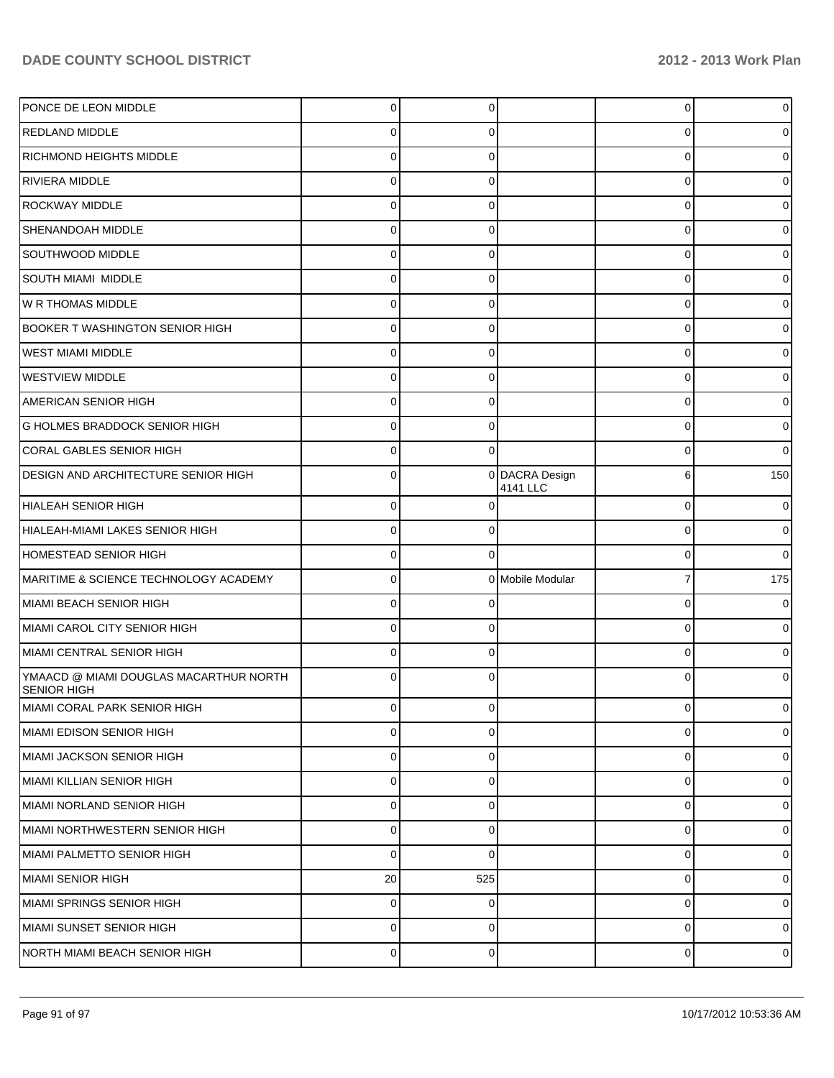| PONCE DE LEON MIDDLE                                         | $\Omega$        | $\Omega$     |                            | $\Omega$ | 0              |
|--------------------------------------------------------------|-----------------|--------------|----------------------------|----------|----------------|
| REDLAND MIDDLE                                               | 0               |              |                            | U        | 0              |
| RICHMOND HEIGHTS MIDDLE                                      | 0               |              |                            | 0        | 0              |
| <b>RIVIERA MIDDLE</b>                                        | 0               | O            |                            | 0        | 0              |
| <b>ROCKWAY MIDDLE</b>                                        | 0               | n            |                            | 0        | 0              |
| <b>SHENANDOAH MIDDLE</b>                                     | 0               | 0            |                            | 0        | 0              |
| <b>SOUTHWOOD MIDDLE</b>                                      | 0               |              |                            | 0        | 0              |
| <b>SOUTH MIAMI MIDDLE</b>                                    | 0               | O            |                            | 0        | 0              |
| W R THOMAS MIDDLE                                            | 0               |              |                            | 0        | 0              |
| <b>BOOKER T WASHINGTON SENIOR HIGH</b>                       | 0               | 0            |                            | 0        | 0              |
| <b>WEST MIAMI MIDDLE</b>                                     | 0               | n            |                            | 0        | 0              |
| WESTVIEW MIDDLE                                              | 0               | 0            |                            | 0        | 0              |
| AMERICAN SENIOR HIGH                                         | 0               |              |                            | 0        | 0              |
| <b>G HOLMES BRADDOCK SENIOR HIGH</b>                         | 0               | $\Omega$     |                            | 0        | 0              |
| CORAL GABLES SENIOR HIGH                                     | 0               | <sup>0</sup> |                            | 0        | 0              |
| <b>DESIGN AND ARCHITECTURE SENIOR HIGH</b>                   | 0               |              | 0 DACRA Design<br>4141 LLC | 6        | 150            |
| HIALEAH SENIOR HIGH                                          | $\Omega$        | 0            |                            | 0        | $\overline{0}$ |
| HIALEAH-MIAMI LAKES SENIOR HIGH                              | $\Omega$        | $\Omega$     |                            | $\Omega$ | 0              |
| HOMESTEAD SENIOR HIGH                                        | 0               | $\Omega$     |                            | 0        | $\overline{0}$ |
| MARITIME & SCIENCE TECHNOLOGY ACADEMY                        | $\Omega$        |              | 0 Mobile Modular           | 7        | 175            |
| MIAMI BEACH SENIOR HIGH                                      | $\Omega$        | O            |                            | $\Omega$ | 01             |
| MIAMI CAROL CITY SENIOR HIGH                                 | $\Omega$        | $\Omega$     |                            | $\Omega$ | 0              |
| MIAMI CENTRAL SENIOR HIGH                                    | $\Omega$        | $\Omega$     |                            | $\Omega$ | 01             |
| YMAACD @ MIAMI DOUGLAS MACARTHUR NORTH<br><b>SENIOR HIGH</b> | 0               |              |                            | $\Omega$ |                |
| MIAMI CORAL PARK SENIOR HIGH                                 | U               |              |                            |          |                |
| MIAMI EDISON SENIOR HIGH                                     | $\overline{0}$  | $\Omega$     |                            | $\Omega$ | $\overline{0}$ |
| IMIAMI JACKSON SENIOR HIGH                                   | $\overline{0}$  | 0            |                            | 0        | $\overline{0}$ |
| MIAMI KILLIAN SENIOR HIGH                                    | $\overline{0}$  | 0            |                            | 0        | $\overline{0}$ |
| MIAMI NORLAND SENIOR HIGH                                    | $\overline{0}$  | 0            |                            | 0        | $\overline{0}$ |
| IMIAMI NORTHWESTERN SENIOR HIGH                              | $\overline{0}$  | 0            |                            | 0        | $\overline{0}$ |
| MIAMI PALMETTO SENIOR HIGH                                   | $\overline{0}$  | $\Omega$     |                            | 0        | $\overline{0}$ |
| MIAMI SENIOR HIGH                                            | 20 <sub>l</sub> | 525          |                            | 0        | $\overline{0}$ |
| MIAMI SPRINGS SENIOR HIGH                                    | $\overline{0}$  | $\Omega$     |                            | 0        | $\overline{0}$ |
| MIAMI SUNSET SENIOR HIGH                                     | $\overline{0}$  | 0            |                            | 0        | $\overline{0}$ |
| NORTH MIAMI BEACH SENIOR HIGH                                | $\overline{0}$  | 0            |                            | 0        | $\overline{0}$ |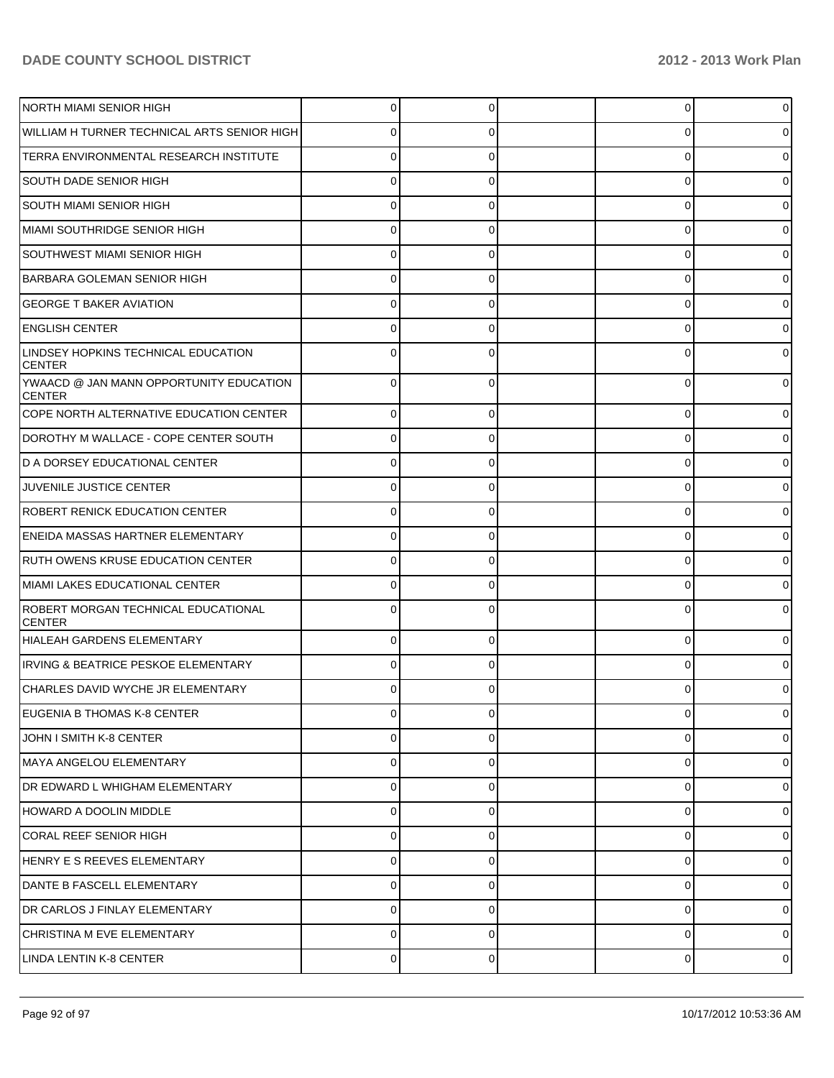| NORTH MIAMI SENIOR HIGH                                  | 0              | O              | 0        | $\overline{0}$ |
|----------------------------------------------------------|----------------|----------------|----------|----------------|
| WILLIAM H TURNER TECHNICAL ARTS SENIOR HIGH              | 0              | 0              | 0        | 0              |
| TERRA ENVIRONMENTAL RESEARCH INSTITUTE                   | 0              | ∩              | 0        | 0              |
| <b>SOUTH DADE SENIOR HIGH</b>                            | 0              | $\Omega$       | 0        | 0              |
| <b>SOUTH MIAMI SENIOR HIGH</b>                           | 0              | ∩              | 0        | 0              |
| MIAMI SOUTHRIDGE SENIOR HIGH                             | 0              | $\Omega$       | 0        | 0              |
| <b>SOUTHWEST MIAMI SENIOR HIGH</b>                       | 0              | 0              | 0        | 0              |
| <b>BARBARA GOLEMAN SENIOR HIGH</b>                       | 0              | 0              | 0        | 0              |
| <b>GEORGE T BAKER AVIATION</b>                           | 0              | $\Omega$       | 0        | 0              |
| <b>ENGLISH CENTER</b>                                    | 0              | $\Omega$       | 0        | 0              |
| LINDSEY HOPKINS TECHNICAL EDUCATION<br><b>CENTER</b>     | O              |                | 0        | 0              |
| YWAACD @ JAN MANN OPPORTUNITY EDUCATION<br><b>CENTER</b> | 0              | 0              | 0        | 0              |
| COPE NORTH ALTERNATIVE EDUCATION CENTER                  | 0              | 0              | 0        | $\overline{0}$ |
| DOROTHY M WALLACE - COPE CENTER SOUTH                    | 0              | 0              | 0        | $\overline{0}$ |
| D A DORSEY EDUCATIONAL CENTER                            | $\Omega$       | 0              | 0        | $\overline{0}$ |
| JUVENILE JUSTICE CENTER                                  | $\Omega$       | 0              | 0        | $\overline{0}$ |
| <b>ROBERT RENICK EDUCATION CENTER</b>                    | 0              | 0              | 0        | $\overline{0}$ |
| <b>ENEIDA MASSAS HARTNER ELEMENTARY</b>                  | $\Omega$       | 0              | 0        | $\overline{0}$ |
| <b>RUTH OWENS KRUSE EDUCATION CENTER</b>                 | $\Omega$       | 0              | 0        | $\overline{0}$ |
| MIAMI LAKES EDUCATIONAL CENTER                           | $\Omega$       | 0              | 0        | $\overline{0}$ |
| ROBERT MORGAN TECHNICAL EDUCATIONAL<br><b>CENTER</b>     | 0              |                | 0        | 0              |
| <b>HIALEAH GARDENS ELEMENTARY</b>                        | $\Omega$       | $\Omega$       | 0        | 0              |
| <b>IRVING &amp; BEATRICE PESKOE ELEMENTARY</b>           | 0              | $\Omega$       | $\Omega$ |                |
| CHARLES DAVID WYCHE JR ELEMENTARY                        |                |                | C        | 0              |
| EUGENIA B THOMAS K-8 CENTER                              | 0              | $\overline{0}$ | 0        | $\circ$        |
| JOHN I SMITH K-8 CENTER                                  | $\mathbf 0$    | 0              | 0        | $\overline{0}$ |
| MAYA ANGELOU ELEMENTARY                                  | $\mathbf 0$    | 0              | 0        | $\overline{0}$ |
| DR EDWARD L WHIGHAM ELEMENTARY                           | $\mathbf 0$    | $\Omega$       | 0        | $\overline{0}$ |
| HOWARD A DOOLIN MIDDLE                                   | $\mathbf 0$    | 0              | 0        | $\overline{0}$ |
| CORAL REEF SENIOR HIGH                                   | $\mathbf 0$    | $\Omega$       | 0        | $\overline{0}$ |
| HENRY E S REEVES ELEMENTARY                              | $\mathbf 0$    | 0              | 0        | $\overline{0}$ |
| DANTE B FASCELL ELEMENTARY                               | $\mathbf 0$    | $\Omega$       | 0        | $\overline{0}$ |
| <b>DR CARLOS J FINLAY ELEMENTARY</b>                     | $\mathbf 0$    | 0              | 0        | $\overline{0}$ |
| CHRISTINA M EVE ELEMENTARY                               | $\Omega$       | $\Omega$       | 0        | $\overline{0}$ |
| LINDA LENTIN K-8 CENTER                                  | $\overline{0}$ | 0              | 0        | $\overline{0}$ |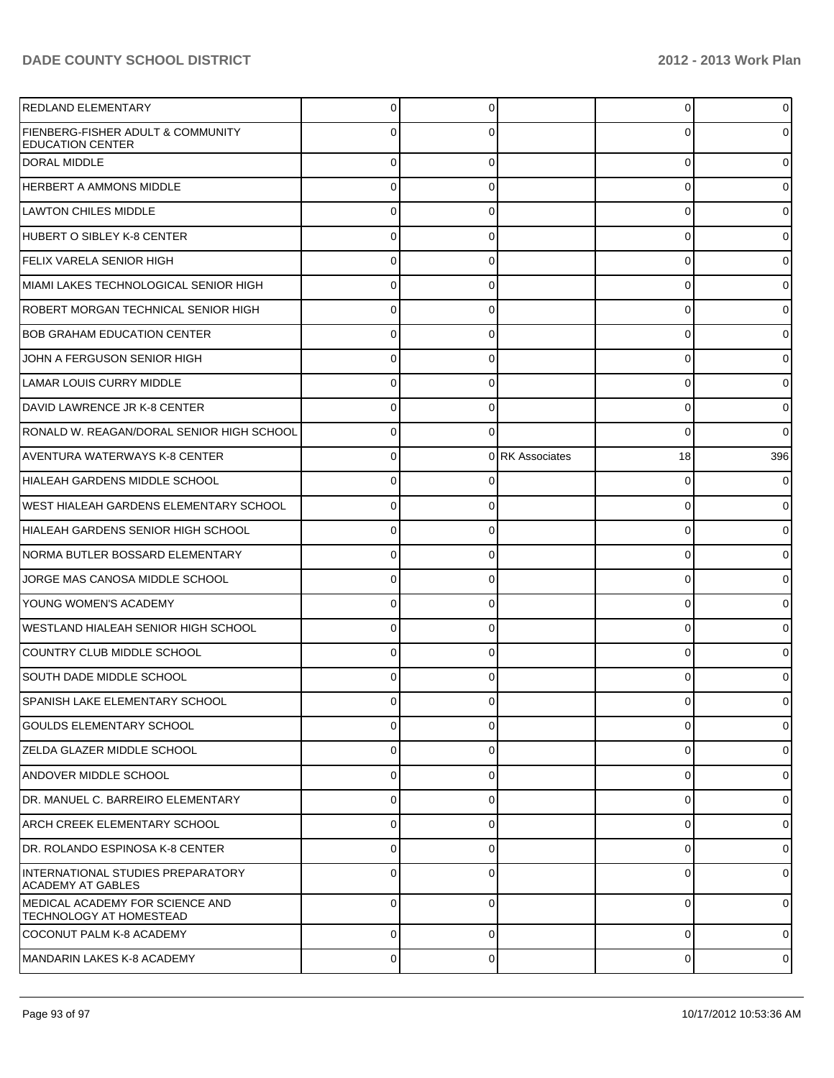| REDLAND ELEMENTARY                                                      | 0            |          |                 | 0        | 01             |
|-------------------------------------------------------------------------|--------------|----------|-----------------|----------|----------------|
| <b>FIENBERG-FISHER ADULT &amp; COMMUNITY</b><br><b>EDUCATION CENTER</b> |              |          |                 | U        |                |
| DORAL MIDDLE                                                            | 0            | 0        |                 | 0        | 0              |
| <b>HERBERT A AMMONS MIDDLE</b>                                          | 0            |          |                 | 0        |                |
| <b>LAWTON CHILES MIDDLE</b>                                             | $\Omega$     | 0        |                 | 0        | 0              |
| HUBERT O SIBLEY K-8 CENTER                                              | $\Omega$     | U        |                 | 0        | o              |
| <b>FELIX VARELA SENIOR HIGH</b>                                         | $\Omega$     | 0        |                 | 0        | 0              |
| MIAMI LAKES TECHNOLOGICAL SENIOR HIGH                                   | $\Omega$     |          |                 | 0        |                |
| ROBERT MORGAN TECHNICAL SENIOR HIGH                                     | $\Omega$     | 0        |                 | 0        | 0              |
| <b>BOB GRAHAM EDUCATION CENTER</b>                                      | $\Omega$     |          |                 | 0        | 0              |
| JOHN A FERGUSON SENIOR HIGH                                             | $\Omega$     | 0        |                 | 0        | 0              |
| <b>LAMAR LOUIS CURRY MIDDLE</b>                                         | $\Omega$     | C        |                 | 0        | 0              |
| DAVID LAWRENCE JR K-8 CENTER                                            | $\Omega$     | 0        |                 | 0        | 0              |
| RONALD W. REAGAN/DORAL SENIOR HIGH SCHOOL                               | $\Omega$     |          |                 | 0        | 0              |
| <b>AVENTURA WATERWAYS K-8 CENTER</b>                                    | $\Omega$     |          | 0 RK Associates | 18       | 396            |
| HIALEAH GARDENS MIDDLE SCHOOL                                           | $\Omega$     |          |                 | 0        | 0              |
| <b>WEST HIALEAH GARDENS ELEMENTARY SCHOOL</b>                           | $\Omega$     | 0        |                 | 0        | 0              |
| HIALEAH GARDENS SENIOR HIGH SCHOOL                                      | $\Omega$     |          |                 | 0        |                |
| NORMA BUTLER BOSSARD ELEMENTARY                                         | 0            | 0        |                 | 0        | 0              |
| JORGE MAS CANOSA MIDDLE SCHOOL                                          | 0            |          |                 | 0        | o              |
| YOUNG WOMEN'S ACADEMY                                                   | 0            | 0        |                 | 0        | 0              |
| <b>WESTLAND HIALEAH SENIOR HIGH SCHOOL</b>                              | $\Omega$     |          |                 | 0        |                |
| COUNTRY CLUB MIDDLE SCHOOL                                              | 0            | 0        |                 | 0        |                |
| <b>SOUTH DADE MIDDLE SCHOOL</b>                                         | O            |          |                 | 0        |                |
| SPANISH LAKE ELEMENTARY SCHOOL                                          | <sup>0</sup> |          |                 |          | 0              |
| <b>GOULDS ELEMENTARY SCHOOL</b>                                         | 0            | 0        |                 | 0        | 0              |
| <b>ZELDA GLAZER MIDDLE SCHOOL</b>                                       | $\Omega$     | 0        |                 | 0        | 0              |
| ANDOVER MIDDLE SCHOOL                                                   | $\Omega$     | 0        |                 | 0        | 0              |
| DR. MANUEL C. BARREIRO ELEMENTARY                                       | $\Omega$     | 0        |                 | 0        | 0              |
| ARCH CREEK ELEMENTARY SCHOOL                                            | $\Omega$     | 0        |                 | 0        | 01             |
| DR. ROLANDO ESPINOSA K-8 CENTER                                         | $\Omega$     |          |                 | 0        | 0              |
| INTERNATIONAL STUDIES PREPARATORY<br><b>ACADEMY AT GABLES</b>           | $\Omega$     | 0        |                 | 0        | 01             |
| MEDICAL ACADEMY FOR SCIENCE AND<br><b>TECHNOLOGY AT HOMESTEAD</b>       | 0            | 0        |                 | 0        | 0              |
| COCONUT PALM K-8 ACADEMY                                                | $\Omega$     | 0        |                 | $\Omega$ | 01             |
| MANDARIN LAKES K-8 ACADEMY                                              | $\mathbf 0$  | $\Omega$ |                 | 0        | $\overline{0}$ |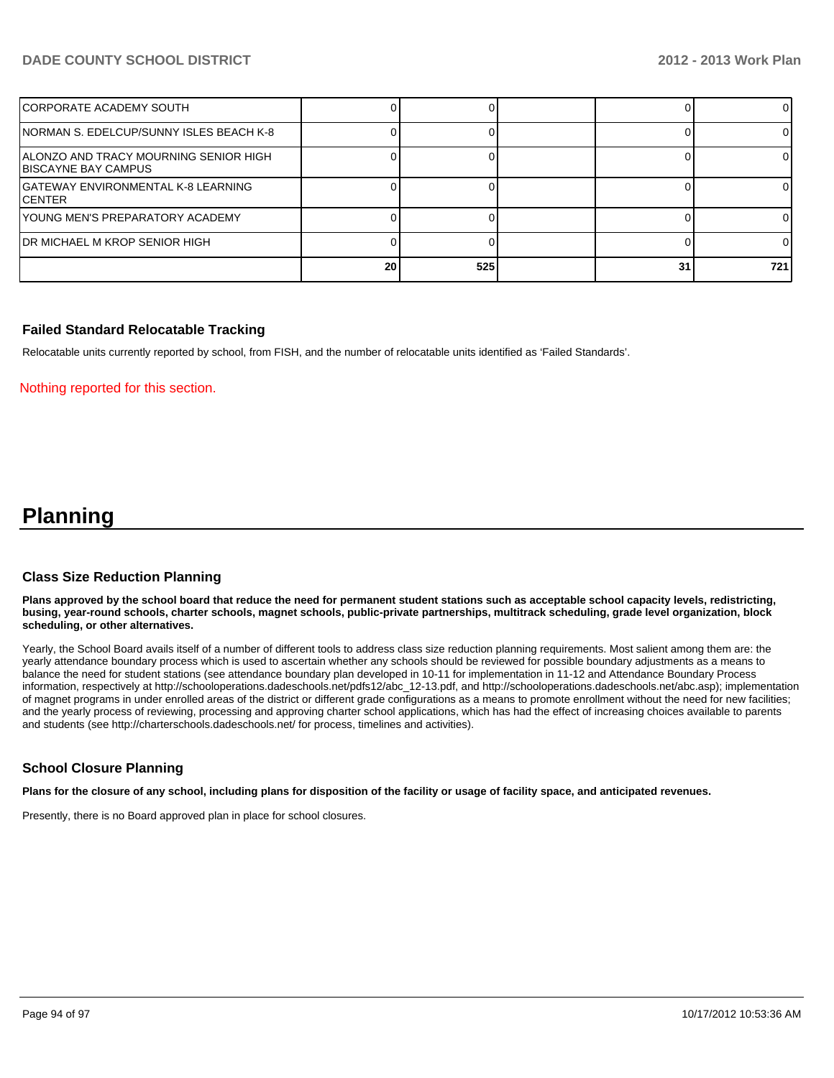| ICORPORATE ACADEMY SOUTH                                      |                 |     |    |          |
|---------------------------------------------------------------|-----------------|-----|----|----------|
| INORMAN S. EDELCUP/SUNNY ISLES BEACH K-8                      |                 |     |    |          |
| ALONZO AND TRACY MOURNING SENIOR HIGH<br>IBISCAYNE BAY CAMPUS |                 |     |    | ΩI       |
| IGATEWAY ENVIRONMENTAL K-8 LEARNING<br><b>CENTER</b>          |                 |     |    |          |
| YOUNG MEN'S PREPARATORY ACADEMY                               |                 |     |    | ΩI       |
| IDR MICHAEL M KROP SENIOR HIGH                                |                 |     |    | $\Omega$ |
|                                                               | 20 <sub>1</sub> | 525 | 31 | 721 I    |

## **Failed Standard Relocatable Tracking**

Relocatable units currently reported by school, from FISH, and the number of relocatable units identified as 'Failed Standards'.

#### Nothing reported for this section.

# **Planning**

#### **Class Size Reduction Planning**

**Plans approved by the school board that reduce the need for permanent student stations such as acceptable school capacity levels, redistricting, busing, year-round schools, charter schools, magnet schools, public-private partnerships, multitrack scheduling, grade level organization, block scheduling, or other alternatives.**

Yearly, the School Board avails itself of a number of different tools to address class size reduction planning requirements. Most salient among them are: the yearly attendance boundary process which is used to ascertain whether any schools should be reviewed for possible boundary adjustments as a means to balance the need for student stations (see attendance boundary plan developed in 10-11 for implementation in 11-12 and Attendance Boundary Process information, respectively at http://schooloperations.dadeschools.net/pdfs12/abc\_12-13.pdf, and http://schooloperations.dadeschools.net/abc.asp); implementation of magnet programs in under enrolled areas of the district or different grade configurations as a means to promote enrollment without the need for new facilities; and the yearly process of reviewing, processing and approving charter school applications, which has had the effect of increasing choices available to parents and students (see http://charterschools.dadeschools.net/ for process, timelines and activities).

#### **School Closure Planning**

**Plans for the closure of any school, including plans for disposition of the facility or usage of facility space, and anticipated revenues.**

Presently, there is no Board approved plan in place for school closures.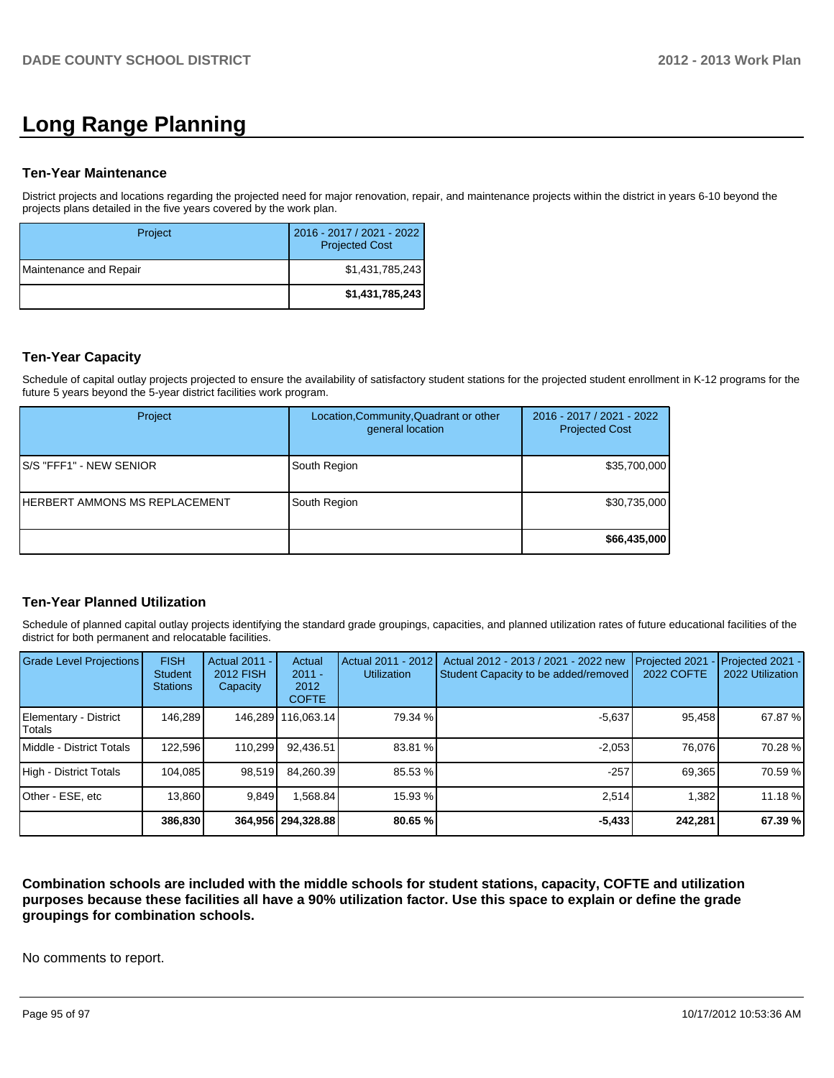# **Long Range Planning**

#### **Ten-Year Maintenance**

District projects and locations regarding the projected need for major renovation, repair, and maintenance projects within the district in years 6-10 beyond the projects plans detailed in the five years covered by the work plan.

| Project                | 2016 - 2017 / 2021 - 2022<br><b>Projected Cost</b> |
|------------------------|----------------------------------------------------|
| Maintenance and Repair | \$1,431,785,243                                    |
|                        | \$1,431,785,243                                    |

## **Ten-Year Capacity**

Schedule of capital outlay projects projected to ensure the availability of satisfactory student stations for the projected student enrollment in K-12 programs for the future 5 years beyond the 5-year district facilities work program.

| Project                               | Location, Community, Quadrant or other<br>general location | 2016 - 2017 / 2021 - 2022<br><b>Projected Cost</b> |
|---------------------------------------|------------------------------------------------------------|----------------------------------------------------|
| IS/S "FFF1" - NEW SENIOR              | South Region                                               | \$35,700,000                                       |
| <b>IHERBERT AMMONS MS REPLACEMENT</b> | South Region                                               | \$30,735,000                                       |
|                                       |                                                            | \$66,435,000                                       |

## **Ten-Year Planned Utilization**

Schedule of planned capital outlay projects identifying the standard grade groupings, capacities, and planned utilization rates of future educational facilities of the district for both permanent and relocatable facilities.

| <b>Grade Level Projections</b>   | <b>FISH</b><br><b>Student</b><br><b>Stations</b> | Actual 2011 -<br>2012 FISH<br>Capacity | Actual<br>$2011 -$<br>2012<br><b>COFTE</b> | Actual 2011 - 2012<br><b>Utilization</b> | Actual 2012 - 2013 / 2021 - 2022 new<br>Student Capacity to be added/removed | Projected 2021<br>2022 COFTE | Projected 2021 -<br>2022 Utilization |
|----------------------------------|--------------------------------------------------|----------------------------------------|--------------------------------------------|------------------------------------------|------------------------------------------------------------------------------|------------------------------|--------------------------------------|
| Elementary - District<br> Totals | 146,289                                          |                                        | 146,289 116,063.14                         | 79.34 %                                  | $-5,637$                                                                     | 95,458                       | 67.87 %                              |
| Middle - District Totals         | 122.596                                          | 110.299                                | 92,436.51                                  | 83.81 %                                  | $-2.053$                                                                     | 76.076                       | 70.28 %                              |
| High - District Totals           | 104.085                                          | 98.519                                 | 84.260.39                                  | 85.53 %                                  | $-257$                                                                       | 69,365                       | 70.59 %                              |
| Other - ESE, etc                 | 13.860                                           | 9.849                                  | .568.84                                    | 15.93 %                                  | 2.514                                                                        | 1.382                        | 11.18 %                              |
|                                  | 386,830                                          |                                        | 364,956 294,328.88                         | 80.65%                                   | $-5.433$                                                                     | 242,281                      | 67.39 %                              |

**Combination schools are included with the middle schools for student stations, capacity, COFTE and utilization purposes because these facilities all have a 90% utilization factor. Use this space to explain or define the grade groupings for combination schools.**

No comments to report.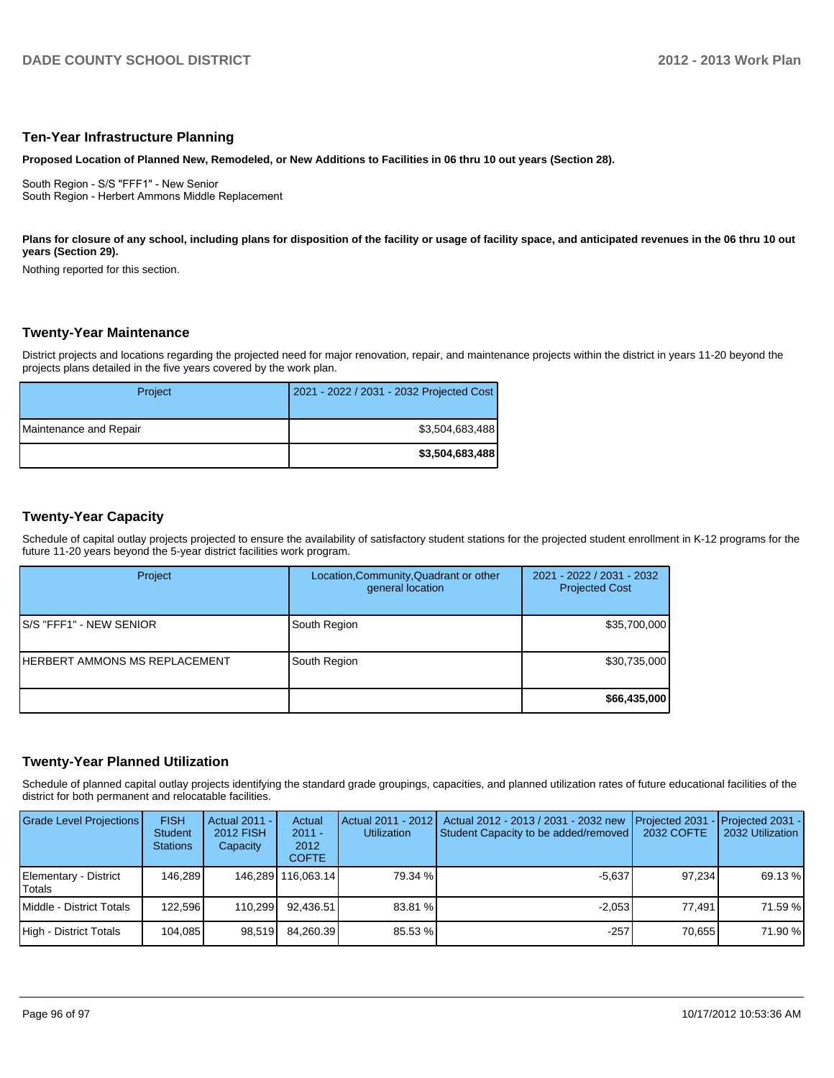#### **Ten-Year Infrastructure Planning**

**Proposed Location of Planned New, Remodeled, or New Additions to Facilities in 06 thru 10 out years (Section 28).**

South Region - S/S "FFF1" - New Senior South Region - Herbert Ammons Middle Replacement

Plans for closure of any school, including plans for disposition of the facility or usage of facility space, and anticipated revenues in the 06 thru 10 out **years (Section 29).**

Nothing reported for this section.

#### **Twenty-Year Maintenance**

District projects and locations regarding the projected need for major renovation, repair, and maintenance projects within the district in years 11-20 beyond the projects plans detailed in the five years covered by the work plan.

| Project                | 2021 - 2022 / 2031 - 2032 Projected Cost |
|------------------------|------------------------------------------|
| Maintenance and Repair | \$3,504,683,488                          |
|                        | \$3,504,683,488                          |

## **Twenty-Year Capacity**

Schedule of capital outlay projects projected to ensure the availability of satisfactory student stations for the projected student enrollment in K-12 programs for the future 11-20 years beyond the 5-year district facilities work program.

| Project                        | Location, Community, Quadrant or other<br>general location | 2021 - 2022 / 2031 - 2032<br><b>Projected Cost</b> |
|--------------------------------|------------------------------------------------------------|----------------------------------------------------|
| IS/S "FFF1" - NEW SENIOR       | South Region                                               | \$35,700,000                                       |
| IHERBERT AMMONS MS REPLACEMENT | South Region                                               | \$30,735,000                                       |
|                                |                                                            | \$66,435,000                                       |

## **Twenty-Year Planned Utilization**

Schedule of planned capital outlay projects identifying the standard grade groupings, capacities, and planned utilization rates of future educational facilities of the district for both permanent and relocatable facilities.

| <b>Grade Level Projections</b>  | <b>FISH</b><br><b>Student</b><br><b>Stations</b> | Actual 2011 -<br><b>2012 FISH</b><br>Capacity | Actual<br>$2011 -$<br>2012<br><b>COFTE</b> | Actual 2011 - 2012 I<br><b>Utilization</b> | Actual 2012 - 2013 / 2031 - 2032 new<br>Student Capacity to be added/removed | <b>IProjected 2031</b><br>2032 COFTE | - Projected 2031 -<br>2032 Utilization |
|---------------------------------|--------------------------------------------------|-----------------------------------------------|--------------------------------------------|--------------------------------------------|------------------------------------------------------------------------------|--------------------------------------|----------------------------------------|
| Elementary - District<br>Totals | 146.289                                          |                                               | 146.289 116.063.14                         | 79.34 %                                    | $-5.637$                                                                     | 97.234                               | 69.13 %                                |
| Middle - District Totals        | 122.596                                          | 110.299                                       | 92.436.51                                  | 83.81 %                                    | $-2.053$                                                                     | 77.491                               | 71.59 %                                |
| High - District Totals          | 104.085                                          | 98.519                                        | 84.260.39                                  | 85.53 %                                    | $-257$                                                                       | 70.655                               | 71.90 %                                |